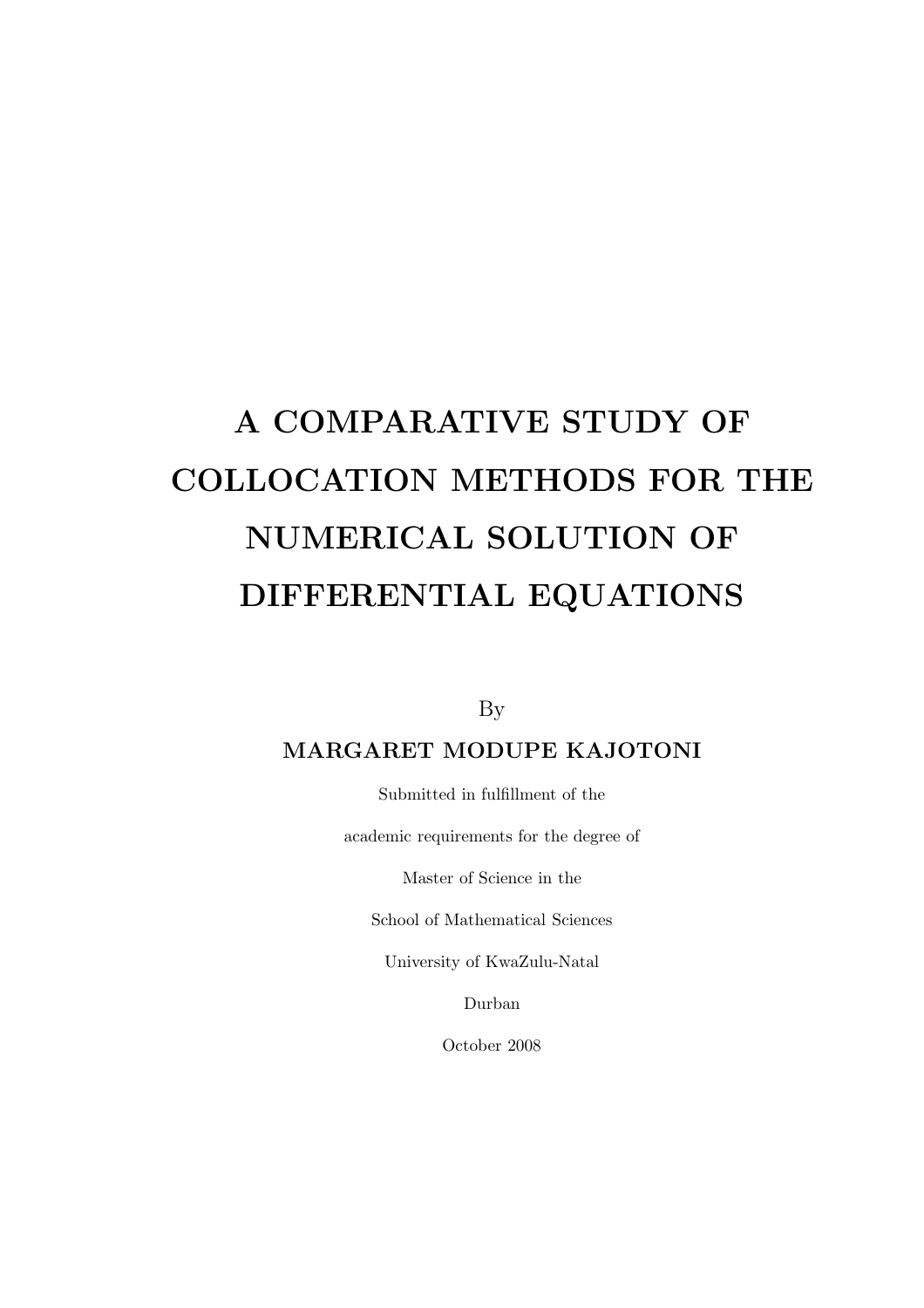# A COMPARATIVE STUDY OF COLLOCATION METHODS FOR THE NUMERICAL SOLUTION OF DIFFERENTIAL EQUATIONS

By

#### MARGARET MODUPE KAJOTONI

Submitted in fulfillment of the

academic requirements for the degree of

Master of Science in the

School of Mathematical Sciences

University of KwaZulu-Natal

Durban

October 2008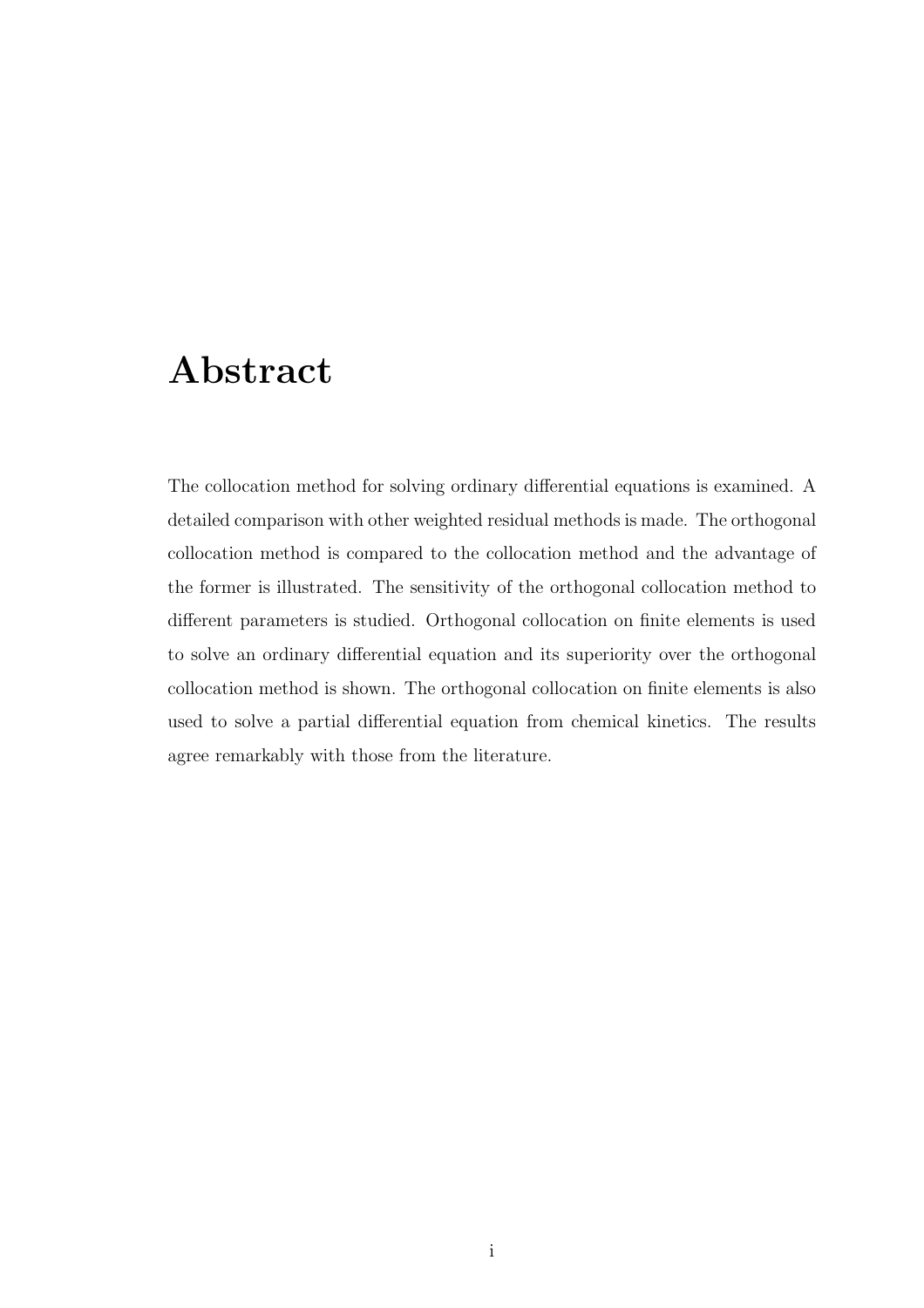### Abstract

The collocation method for solving ordinary differential equations is examined. A detailed comparison with other weighted residual methods is made. The orthogonal collocation method is compared to the collocation method and the advantage of the former is illustrated. The sensitivity of the orthogonal collocation method to different parameters is studied. Orthogonal collocation on finite elements is used to solve an ordinary differential equation and its superiority over the orthogonal collocation method is shown. The orthogonal collocation on finite elements is also used to solve a partial differential equation from chemical kinetics. The results agree remarkably with those from the literature.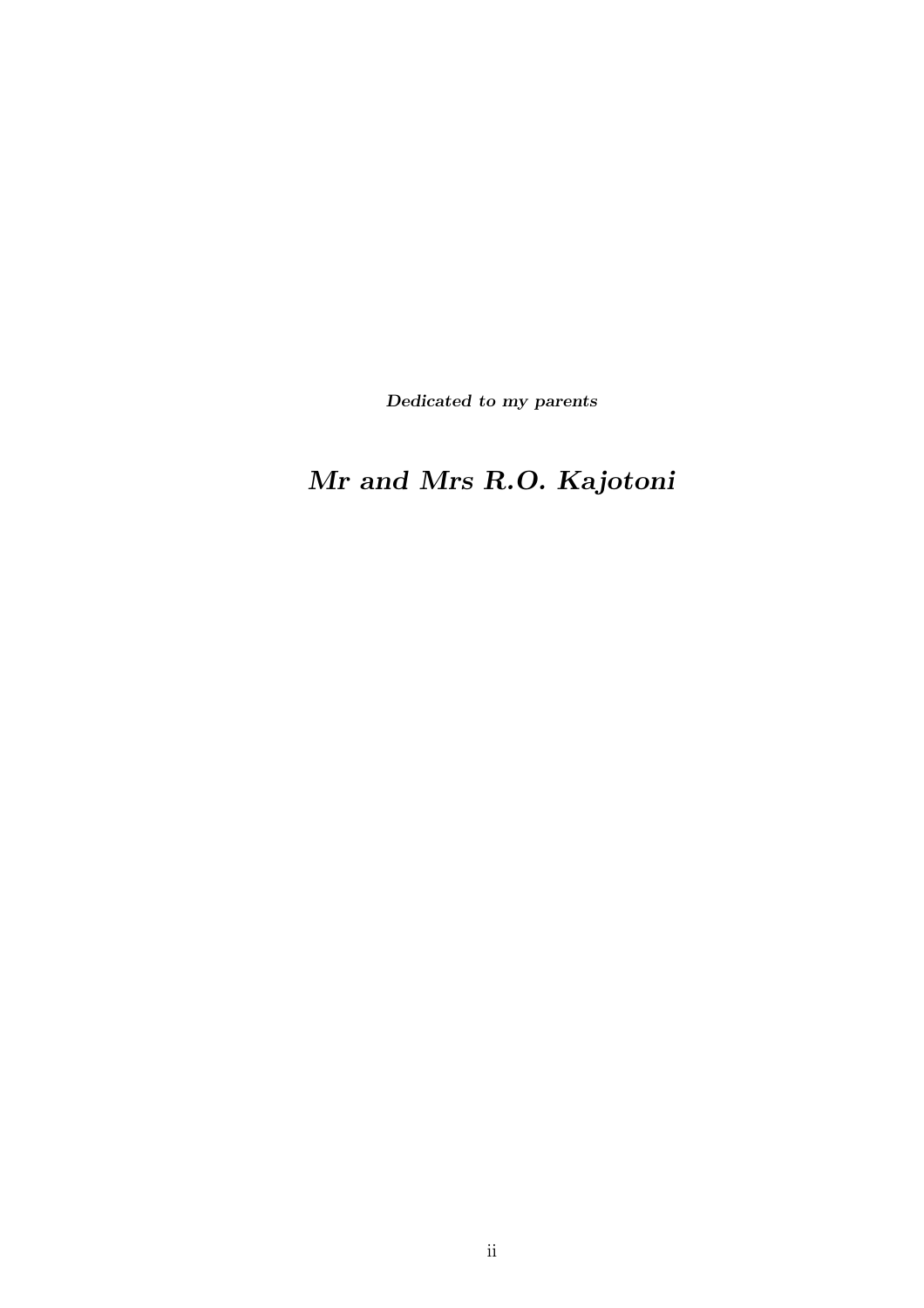Dedicated to my parents

## Mr and Mrs R.O. Kajotoni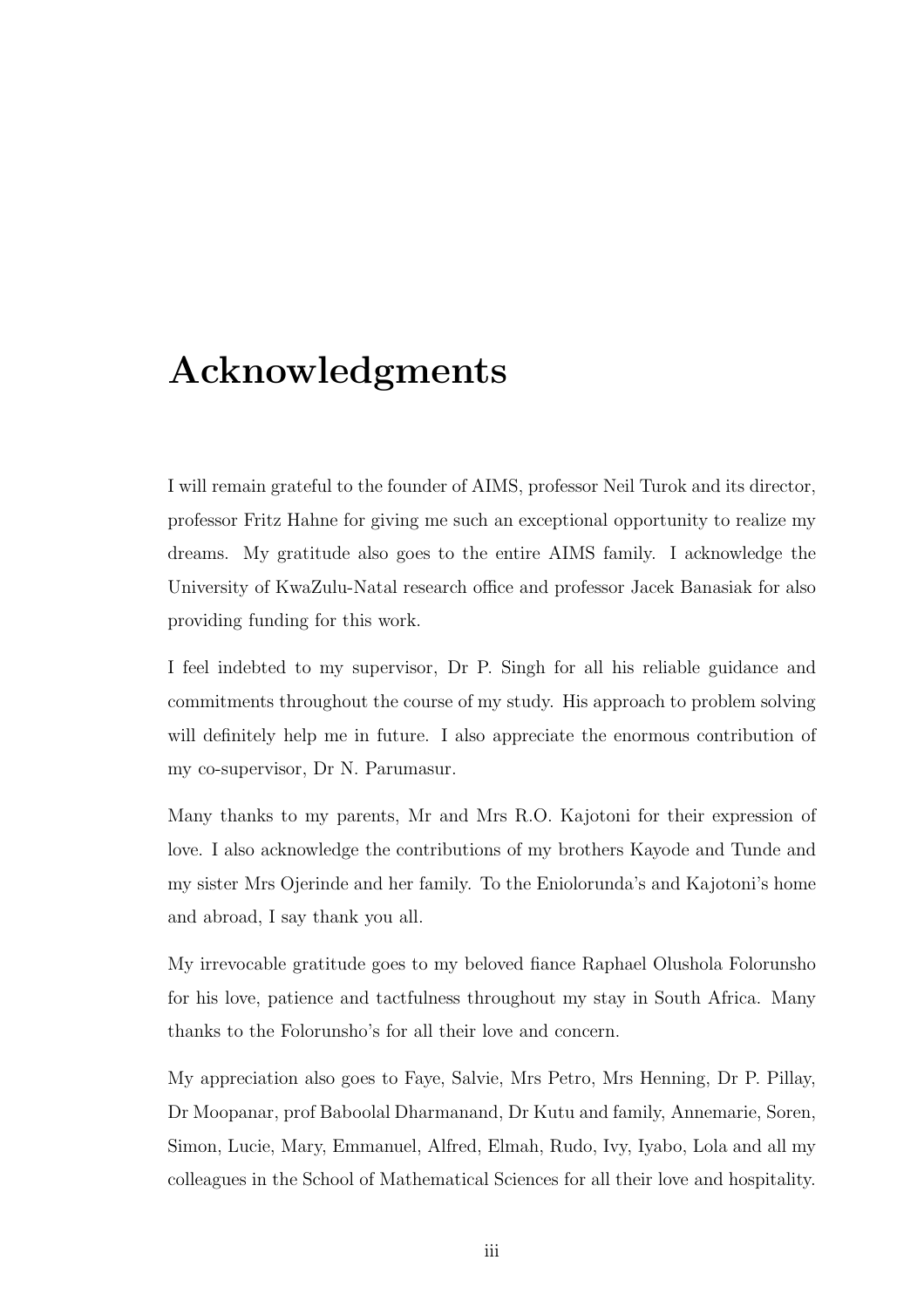## Acknowledgments

I will remain grateful to the founder of AIMS, professor Neil Turok and its director, professor Fritz Hahne for giving me such an exceptional opportunity to realize my dreams. My gratitude also goes to the entire AIMS family. I acknowledge the University of KwaZulu-Natal research office and professor Jacek Banasiak for also providing funding for this work.

I feel indebted to my supervisor, Dr P. Singh for all his reliable guidance and commitments throughout the course of my study. His approach to problem solving will definitely help me in future. I also appreciate the enormous contribution of my co-supervisor, Dr N. Parumasur.

Many thanks to my parents, Mr and Mrs R.O. Kajotoni for their expression of love. I also acknowledge the contributions of my brothers Kayode and Tunde and my sister Mrs Ojerinde and her family. To the Eniolorunda's and Kajotoni's home and abroad, I say thank you all.

My irrevocable gratitude goes to my beloved fiance Raphael Olushola Folorunsho for his love, patience and tactfulness throughout my stay in South Africa. Many thanks to the Folorunsho's for all their love and concern.

My appreciation also goes to Faye, Salvie, Mrs Petro, Mrs Henning, Dr P. Pillay, Dr Moopanar, prof Baboolal Dharmanand, Dr Kutu and family, Annemarie, Soren, Simon, Lucie, Mary, Emmanuel, Alfred, Elmah, Rudo, Ivy, Iyabo, Lola and all my colleagues in the School of Mathematical Sciences for all their love and hospitality.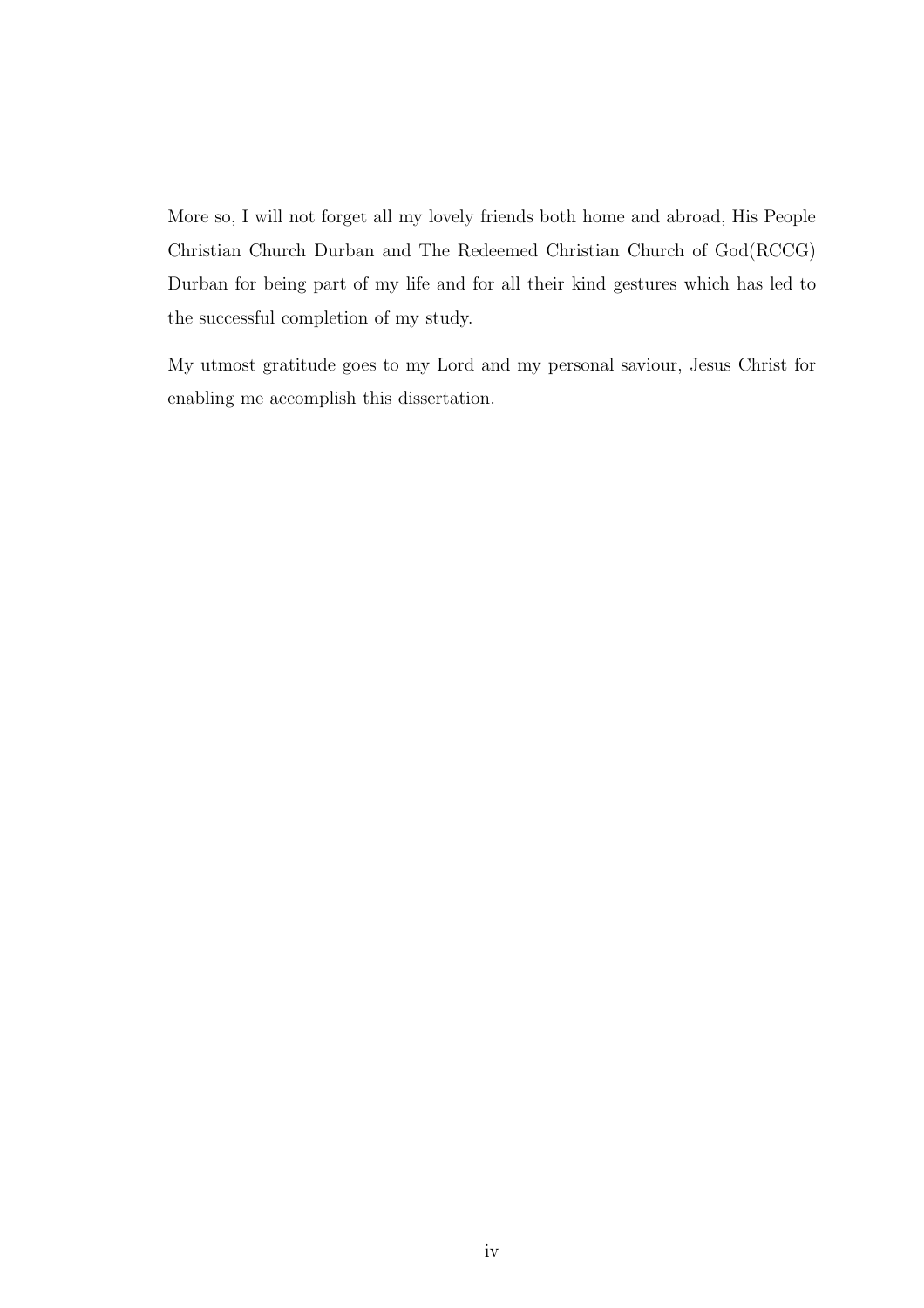More so, I will not forget all my lovely friends both home and abroad, His People Christian Church Durban and The Redeemed Christian Church of God(RCCG) Durban for being part of my life and for all their kind gestures which has led to the successful completion of my study.

My utmost gratitude goes to my Lord and my personal saviour, Jesus Christ for enabling me accomplish this dissertation.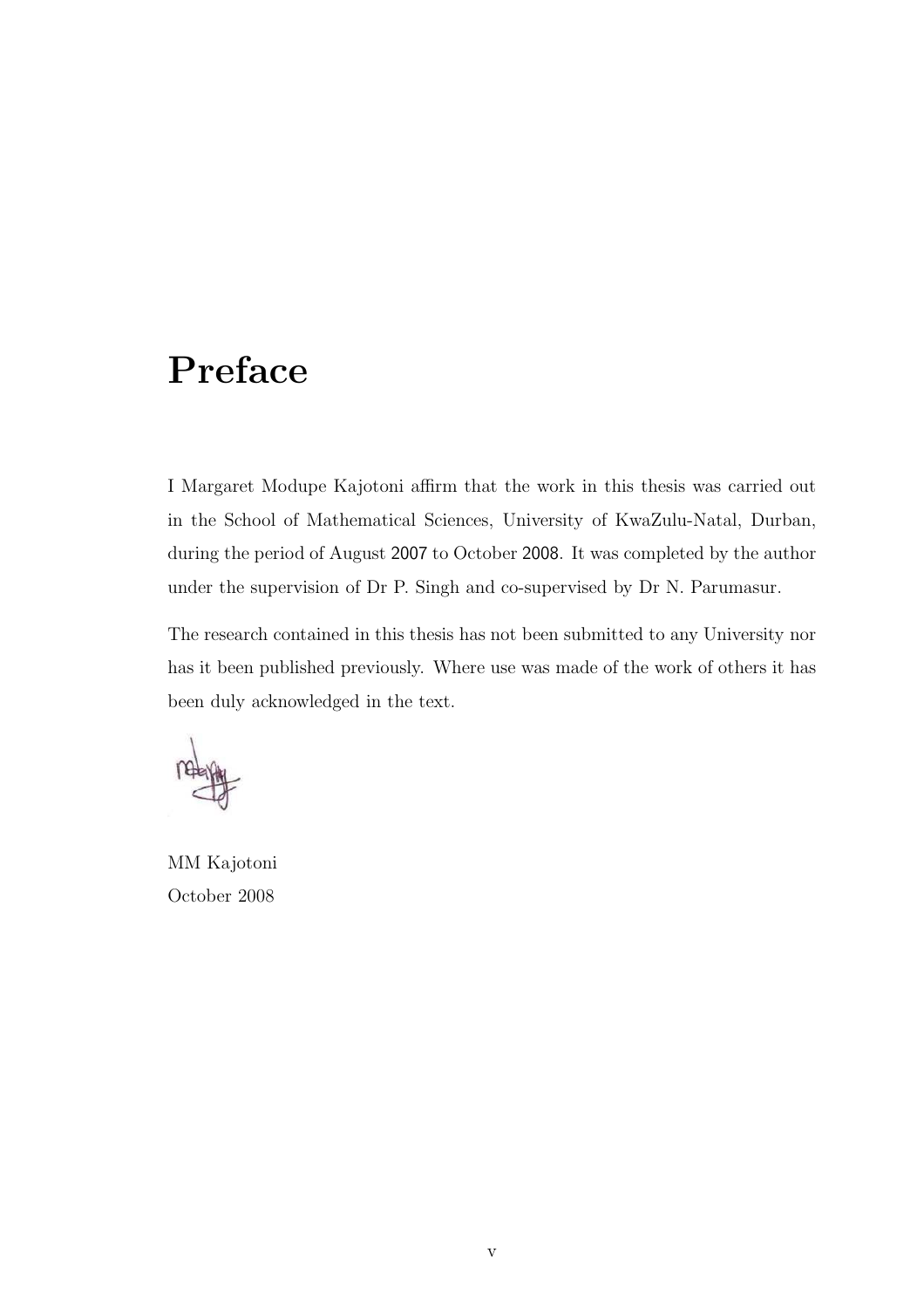## Preface

I Margaret Modupe Kajotoni affirm that the work in this thesis was carried out in the School of Mathematical Sciences, University of KwaZulu-Natal, Durban, during the period of August 2007 to October 2008. It was completed by the author under the supervision of Dr P. Singh and co-supervised by Dr N. Parumasur.

The research contained in this thesis has not been submitted to any University nor has it been published previously. Where use was made of the work of others it has been duly acknowledged in the text.

MM Kajotoni October 2008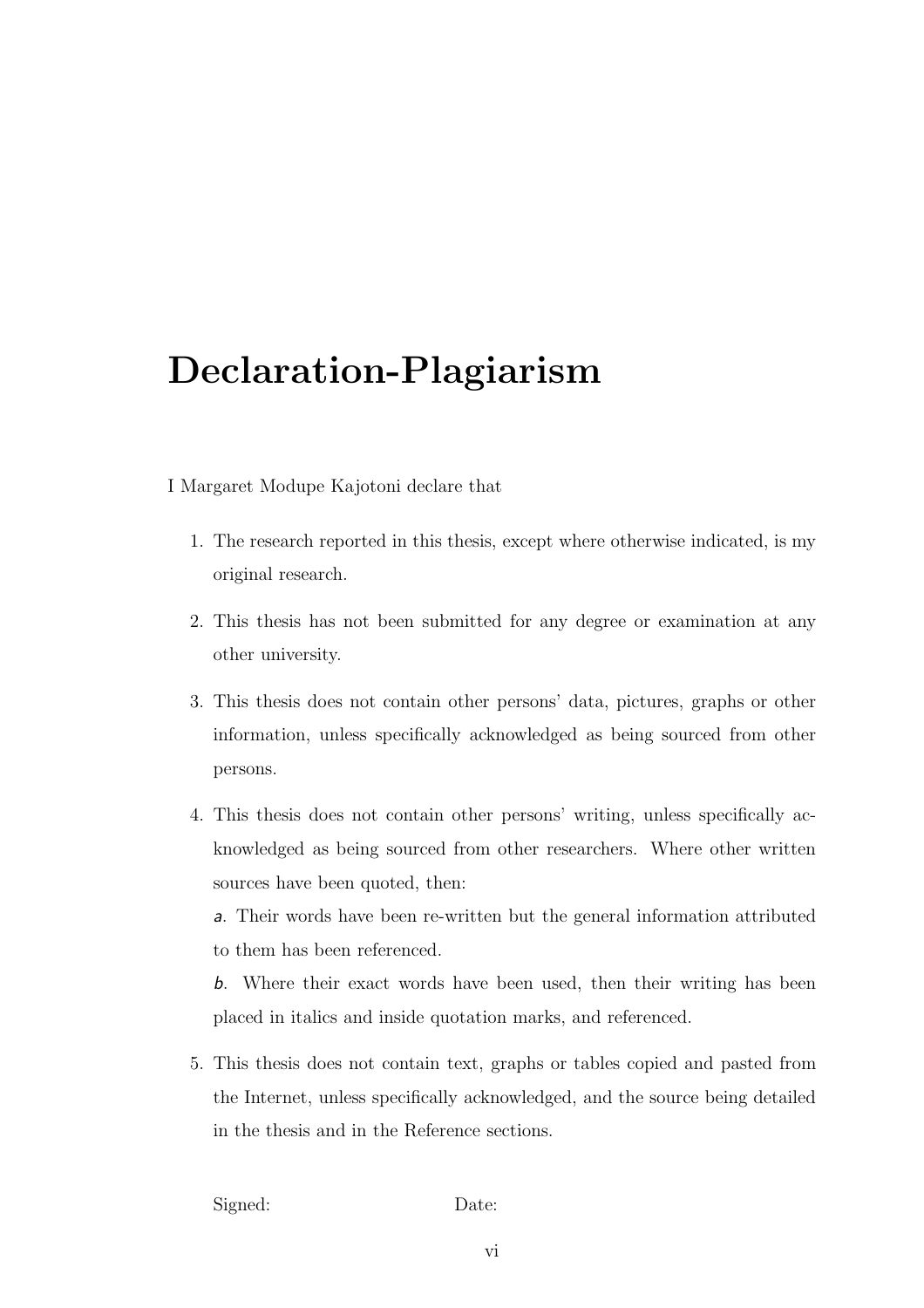## Declaration-Plagiarism

I Margaret Modupe Kajotoni declare that

- 1. The research reported in this thesis, except where otherwise indicated, is my original research.
- 2. This thesis has not been submitted for any degree or examination at any other university.
- 3. This thesis does not contain other persons' data, pictures, graphs or other information, unless specifically acknowledged as being sourced from other persons.
- 4. This thesis does not contain other persons' writing, unless specifically acknowledged as being sourced from other researchers. Where other written sources have been quoted, then:

a. Their words have been re-written but the general information attributed to them has been referenced.

b. Where their exact words have been used, then their writing has been placed in italics and inside quotation marks, and referenced.

5. This thesis does not contain text, graphs or tables copied and pasted from the Internet, unless specifically acknowledged, and the source being detailed in the thesis and in the Reference sections.

Signed: Date: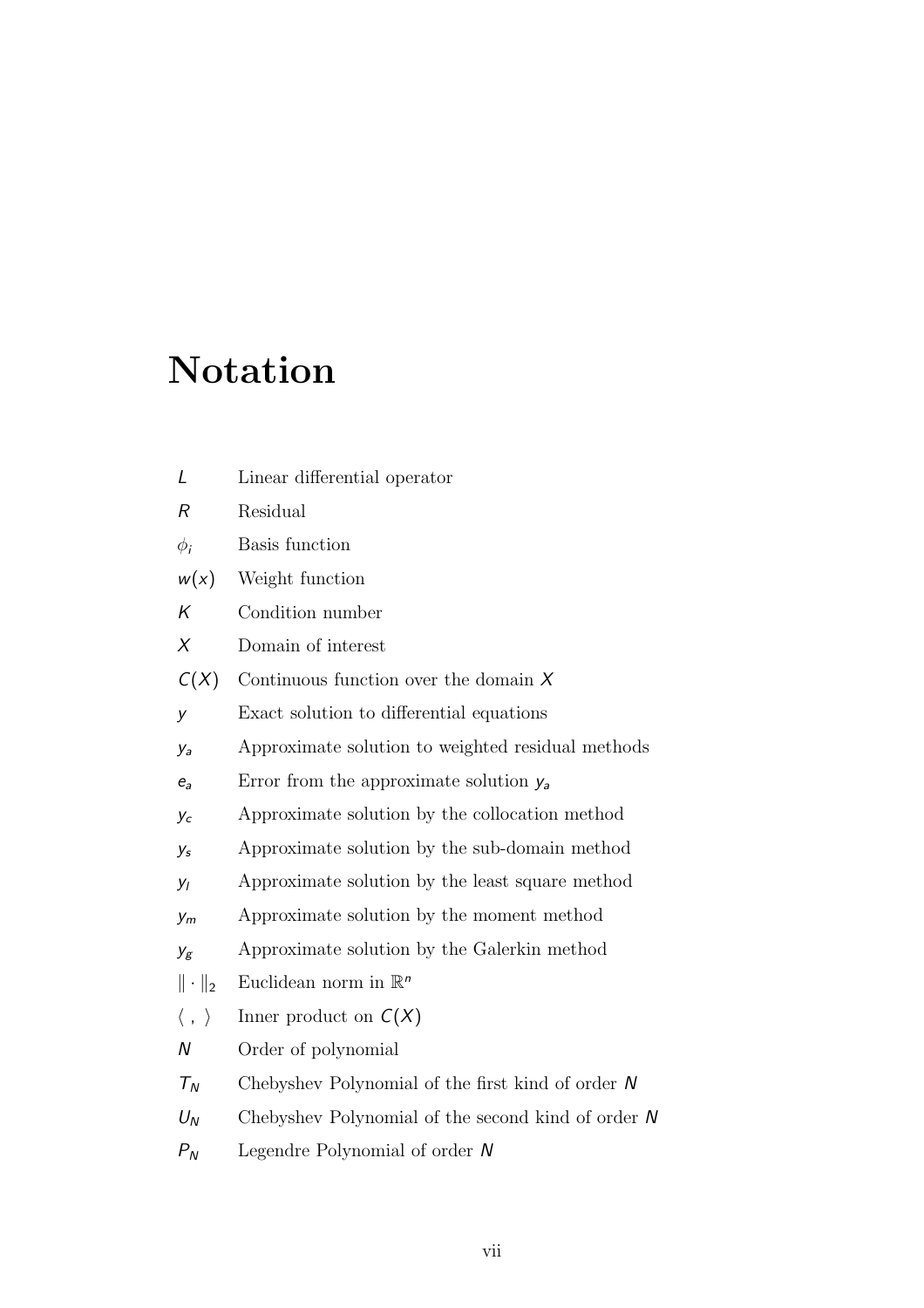## Notation

| L                         | Linear differential operator                         |
|---------------------------|------------------------------------------------------|
| R                         | Residual                                             |
| $\phi_i$                  | Basis function                                       |
| w(x)                      | Weight function                                      |
| K                         | Condition number                                     |
| X                         | Domain of interest                                   |
| C(X)                      | Continuous function over the domain $X$              |
| y                         | Exact solution to differential equations             |
| Уa                        | Approximate solution to weighted residual methods    |
| $e_a$                     | Error from the approximate solution $y_a$            |
| Уc                        | Approximate solution by the collocation method       |
| y <sub>s</sub>            | Approximate solution by the sub-domain method        |
| уı                        | Approximate solution by the least square method      |
| $y_m$                     | Approximate solution by the moment method            |
| $y_g$                     | Approximate solution by the Galerkin method          |
| $\ \cdot\ _2$             | Euclidean norm in $\mathbb{R}^n$                     |
| $\langle \; , \; \rangle$ | Inner product on $C(X)$                              |
| N                         | Order of polynomial                                  |
| $T_N$                     | Chebyshev Polynomial of the first kind of order $N$  |
| $U_N$                     | Chebyshev Polynomial of the second kind of order $N$ |
| $P_N$                     | Legendre Polynomial of order $N$                     |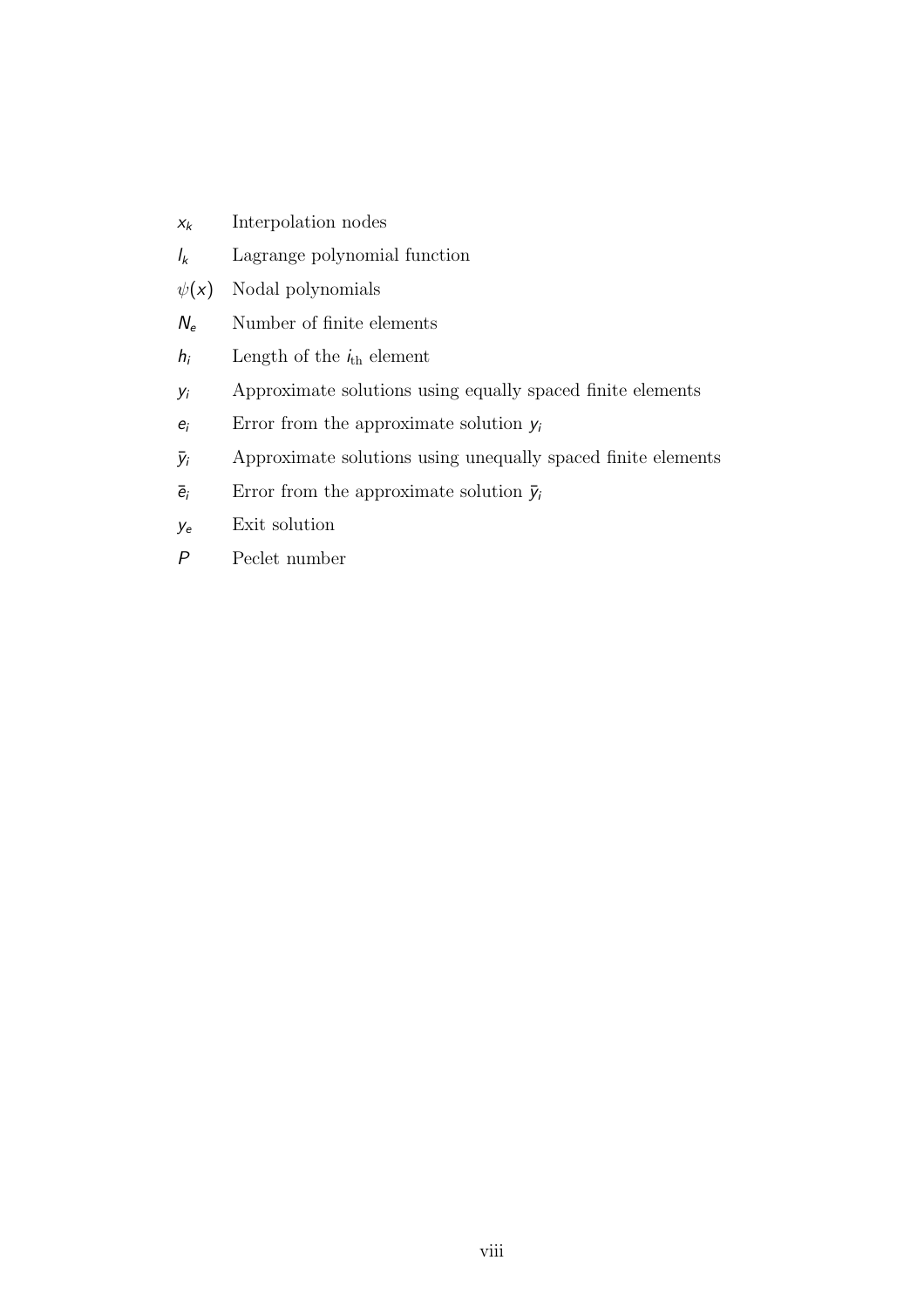| $X_k$       | Interpolation nodes                                          |
|-------------|--------------------------------------------------------------|
| $I_k$       | Lagrange polynomial function                                 |
| $\psi(x)$   | Nodal polynomials                                            |
| $N_e$       | Number of finite elements                                    |
| $h_i$       | Length of the $i_{\text{th}}$ element                        |
| $y_i$       | Approximate solutions using equally spaced finite elements   |
| $e_i$       | Error from the approximate solution $y_i$                    |
| ÿί          | Approximate solutions using unequally spaced finite elements |
| $\bar{e}_i$ | Error from the approximate solution $\bar{y}_i$              |
| Уe          | Exit solution                                                |
| P           | Peclet number                                                |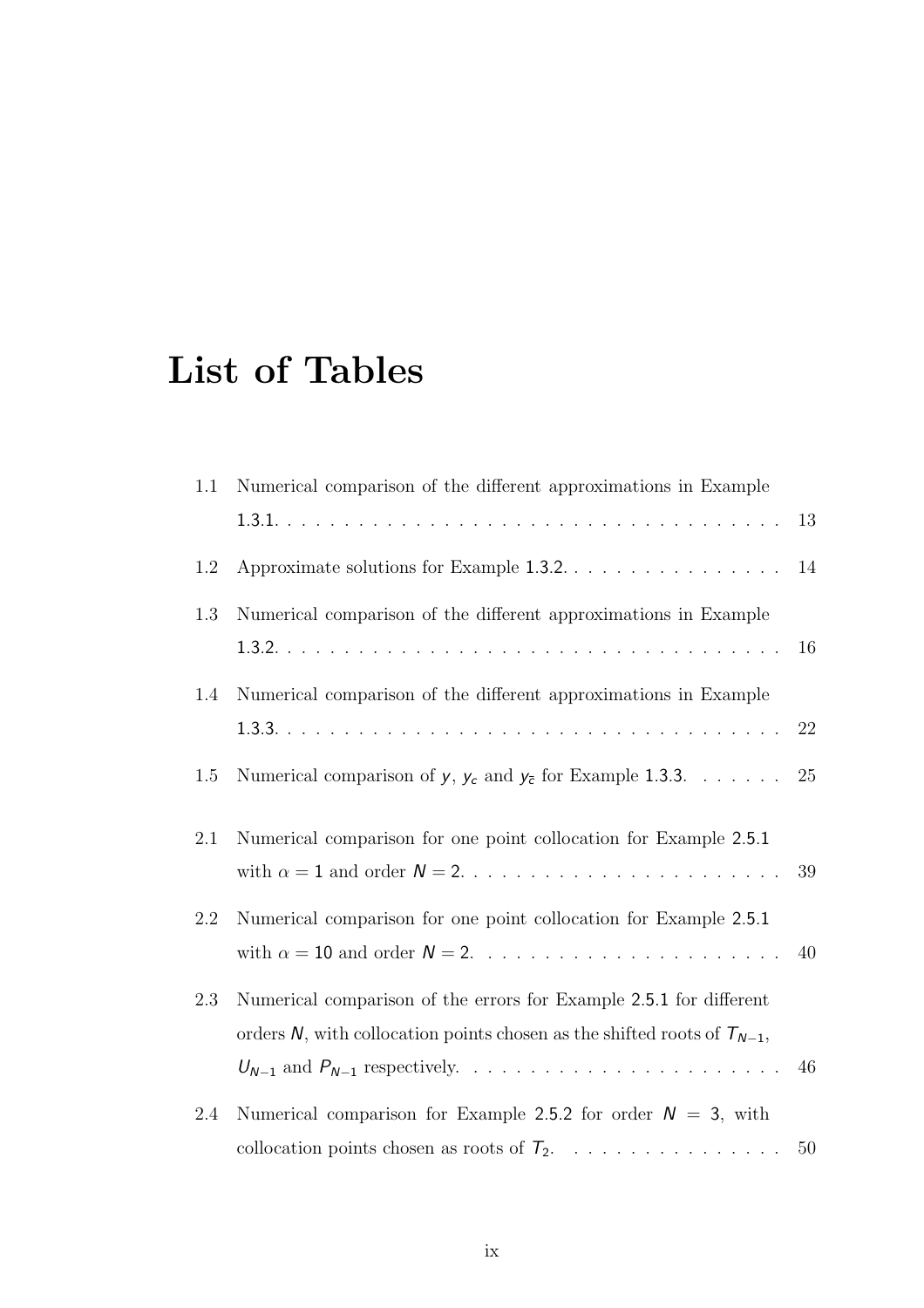## List of Tables

| 1.1 | Numerical comparison of the different approximations in Example              |        |
|-----|------------------------------------------------------------------------------|--------|
|     |                                                                              | 13     |
| 1.2 | Approximate solutions for Example 1.3.2.                                     | $14\,$ |
| 1.3 | Numerical comparison of the different approximations in Example              |        |
|     |                                                                              | 16     |
| 1.4 | Numerical comparison of the different approximations in Example              |        |
|     |                                                                              | 22     |
| 1.5 | Numerical comparison of $y$ , $y_c$ and $y_{\bar{c}}$ for Example 1.3.3.     | $25\,$ |
| 2.1 | Numerical comparison for one point collocation for Example 2.5.1             |        |
|     |                                                                              | 39     |
| 2.2 | Numerical comparison for one point collocation for Example 2.5.1             |        |
|     |                                                                              | 40     |
| 2.3 | Numerical comparison of the errors for Example 2.5.1 for different           |        |
|     | orders N, with collocation points chosen as the shifted roots of $T_{N-1}$ , |        |
|     |                                                                              | 46     |
| 2.4 | Numerical comparison for Example 2.5.2 for order $N = 3$ , with              |        |
|     | collocation points chosen as roots of $T_2$ .                                | 50     |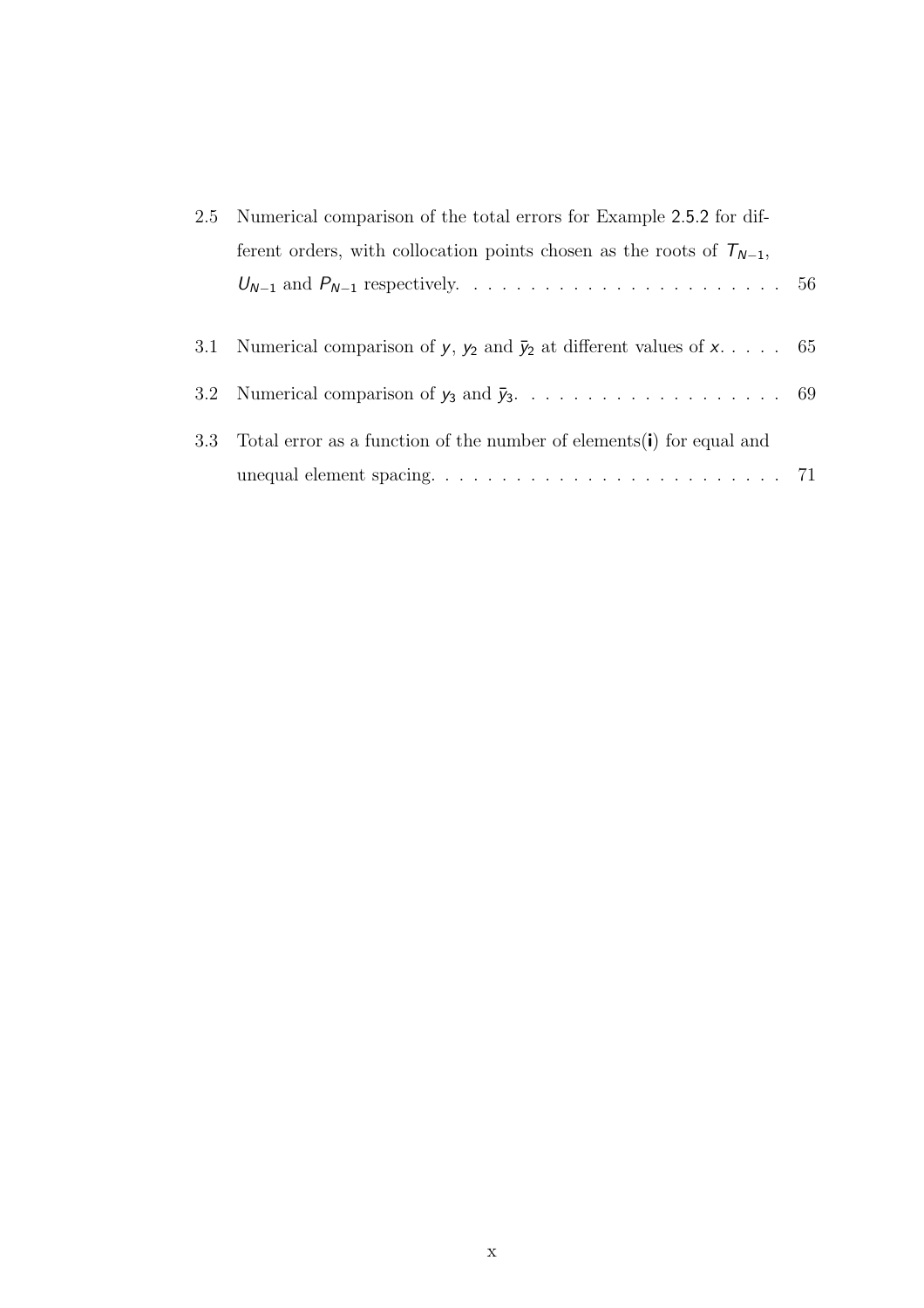| 2.5 Numerical comparison of the total errors for Example 2.5.2 for dif-                      |  |  |  |
|----------------------------------------------------------------------------------------------|--|--|--|
| ferent orders, with collocation points chosen as the roots of $T_{N-1}$ ,                    |  |  |  |
|                                                                                              |  |  |  |
|                                                                                              |  |  |  |
| 3.1 Numerical comparison of y, y <sub>2</sub> and $\bar{y}_2$ at different values of x 65    |  |  |  |
|                                                                                              |  |  |  |
| 3.3 Total error as a function of the number of elements(i) for equal and                     |  |  |  |
| unequal element spacing. $\ldots \ldots \ldots \ldots \ldots \ldots \ldots \ldots \ldots$ 71 |  |  |  |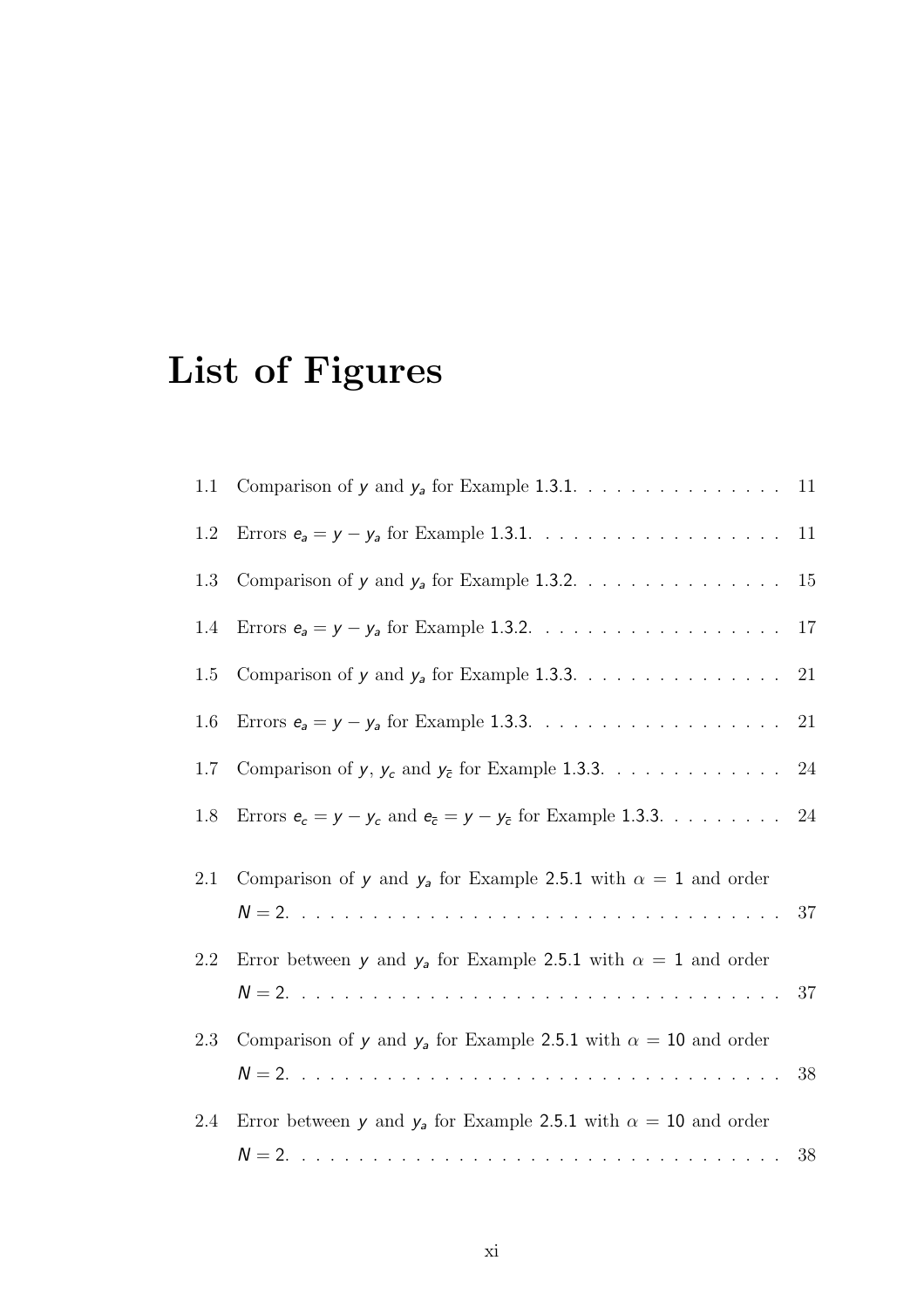## List of Figures

| 1.1 | Comparison of $y$ and $y_a$ for Example 1.3.1. 11                                |        |
|-----|----------------------------------------------------------------------------------|--------|
| 1.2 |                                                                                  | 11     |
| 1.3 | Comparison of $y$ and $y_a$ for Example 1.3.2. 15                                |        |
| 1.4 |                                                                                  | $17\,$ |
| 1.5 |                                                                                  | $21\,$ |
| 1.6 |                                                                                  | 21     |
| 1.7 | Comparison of $y, \, y_c$ and $y_{\bar{c}}$ for Example 1.3.3. 24                |        |
| 1.8 | Errors $e_c = y - y_c$ and $e_{\bar{c}} = y - y_{\bar{c}}$ for Example 1.3.3. 24 |        |
| 2.1 | Comparison of y and $y_a$ for Example 2.5.1 with $\alpha = 1$ and order          |        |
| 2.2 | Error between y and $y_a$ for Example 2.5.1 with $\alpha = 1$ and order          |        |
| 2.3 | Comparison of y and $y_a$ for Example 2.5.1 with $\alpha = 10$ and order         | 38     |
| 2.4 | Error between y and $y_a$ for Example 2.5.1 with $\alpha = 10$ and order         |        |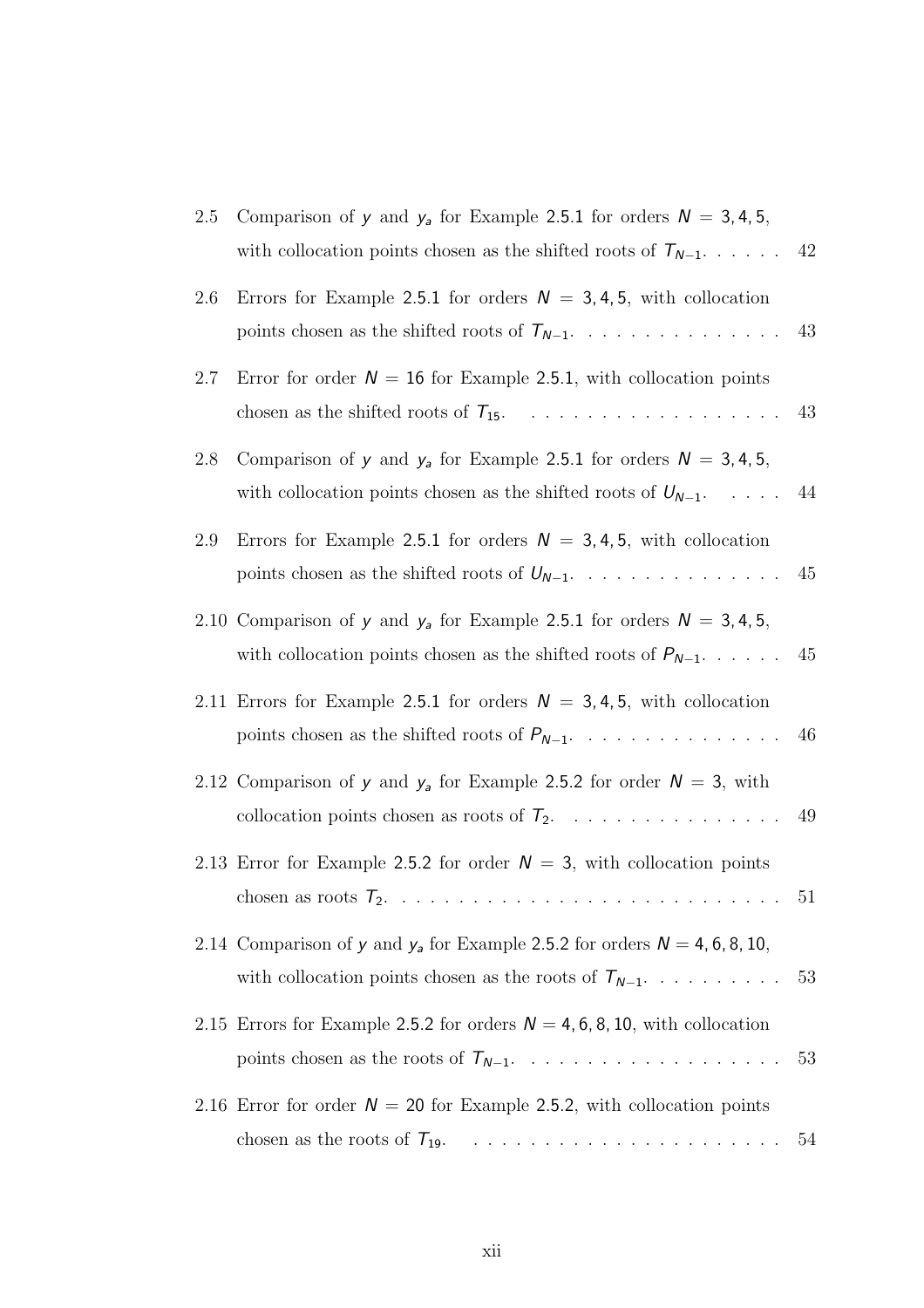| 2.5 | Comparison of y and $y_a$ for Example 2.5.1 for orders $N = 3, 4, 5,$<br>with collocation points chosen as the shifted roots of $T_{N-1}$ 42      |    |
|-----|---------------------------------------------------------------------------------------------------------------------------------------------------|----|
| 2.6 | Errors for Example 2.5.1 for orders $N = 3, 4, 5$ , with collocation<br>points chosen as the shifted roots of $T_{N-1}$                           | 43 |
| 2.7 | Error for order $N = 16$ for Example 2.5.1, with collocation points                                                                               |    |
| 2.8 | Comparison of y and $y_a$ for Example 2.5.1 for orders $N = 3, 4, 5,$<br>with collocation points chosen as the shifted roots of $U_{N-1}$ 44      |    |
| 2.9 | Errors for Example 2.5.1 for orders $N = 3, 4, 5$ , with collocation                                                                              | 45 |
|     | 2.10 Comparison of y and $y_a$ for Example 2.5.1 for orders $N = 3, 4, 5,$<br>with collocation points chosen as the shifted roots of $P_{N-1}$ 45 |    |
|     | 2.11 Errors for Example 2.5.1 for orders $N = 3, 4, 5$ , with collocation<br>points chosen as the shifted roots of $P_{N-1}$ . 46                 |    |
|     | 2.12 Comparison of y and $y_a$ for Example 2.5.2 for order $N = 3$ , with<br>collocation points chosen as roots of $T_2$ .                        | 49 |
|     | 2.13 Error for Example 2.5.2 for order $N = 3$ , with collocation points                                                                          |    |
|     | 2.14 Comparison of y and $y_a$ for Example 2.5.2 for orders $N = 4, 6, 8, 10,$<br>with collocation points chosen as the roots of $T_{N-1}$        | 53 |
|     | 2.15 Errors for Example 2.5.2 for orders $N = 4, 6, 8, 10$ , with collocation                                                                     | 53 |
|     | 2.16 Error for order $N = 20$ for Example 2.5.2, with collocation points                                                                          | 54 |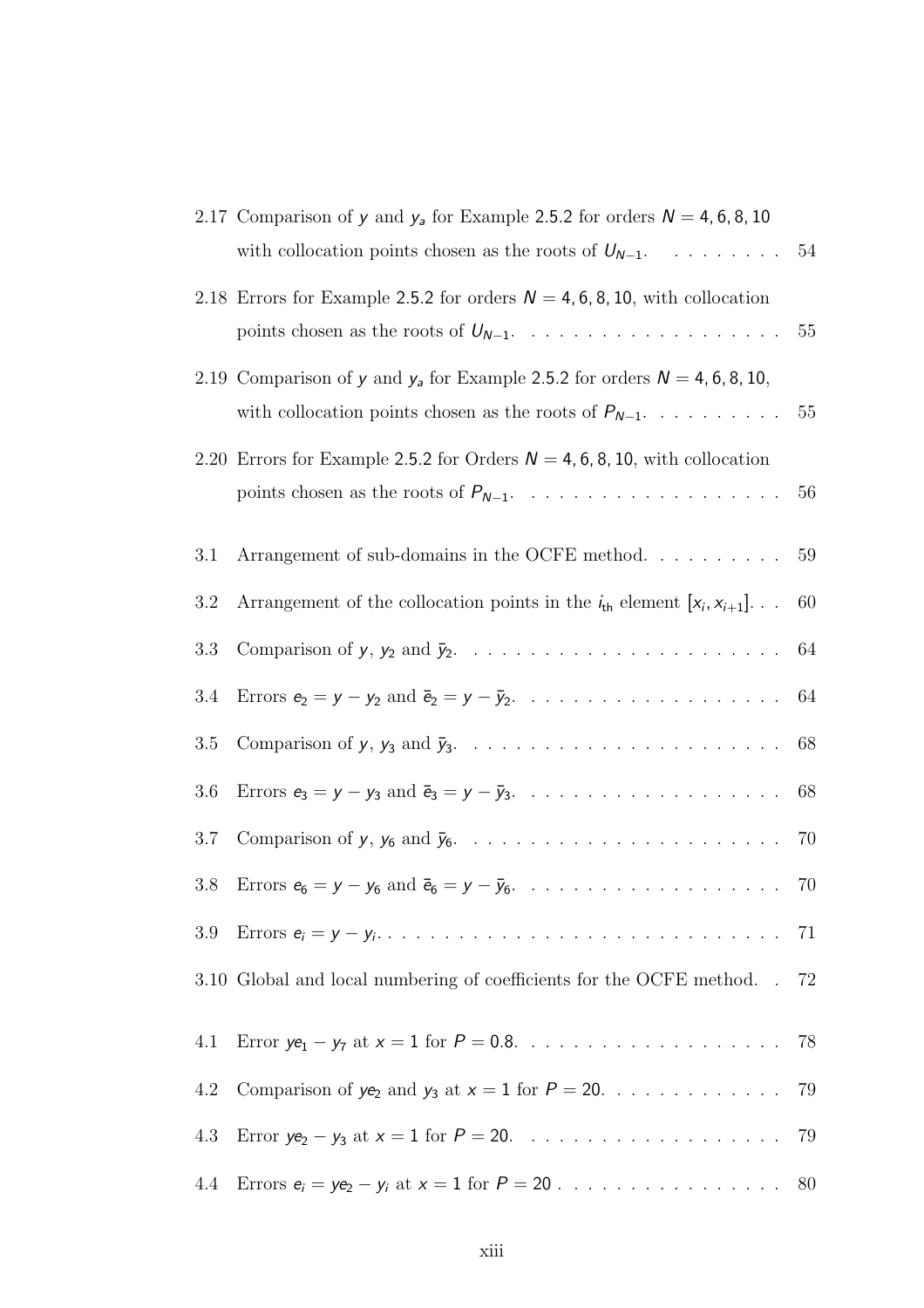|     | 2.17 Comparison of y and $y_a$ for Example 2.5.2 for orders $N = 4, 6, 8, 10$<br>with collocation points chosen as the roots of $U_{N-1}$ . 54 |    |
|-----|------------------------------------------------------------------------------------------------------------------------------------------------|----|
|     | 2.18 Errors for Example 2.5.2 for orders $N = 4, 6, 8, 10$ , with collocation                                                                  |    |
|     | 2.19 Comparison of y and $y_a$ for Example 2.5.2 for orders $N = 4, 6, 8, 10,$                                                                 |    |
|     | 2.20 Errors for Example 2.5.2 for Orders $N = 4, 6, 8, 10$ , with collocation                                                                  | 56 |
| 3.1 | Arrangement of sub-domains in the OCFE method. $\dots \dots \dots \dots$ 59                                                                    |    |
| 3.2 | Arrangement of the collocation points in the $i_{th}$ element $[x_i, x_{i+1}]$                                                                 | 60 |
| 3.3 |                                                                                                                                                |    |
| 3.4 |                                                                                                                                                |    |
| 3.5 |                                                                                                                                                |    |
| 3.6 |                                                                                                                                                |    |
| 3.7 |                                                                                                                                                |    |
| 3.8 |                                                                                                                                                |    |
| 3.9 |                                                                                                                                                | 71 |
|     | 3.10 Global and local numbering of coefficients for the OCFE method. .                                                                         | 72 |
| 4.1 |                                                                                                                                                | 78 |
| 4.2 | Comparison of $ye_2$ and $y_3$ at $x = 1$ for $P = 20$ .                                                                                       | 79 |
| 4.3 |                                                                                                                                                | 79 |
| 4.4 |                                                                                                                                                | 80 |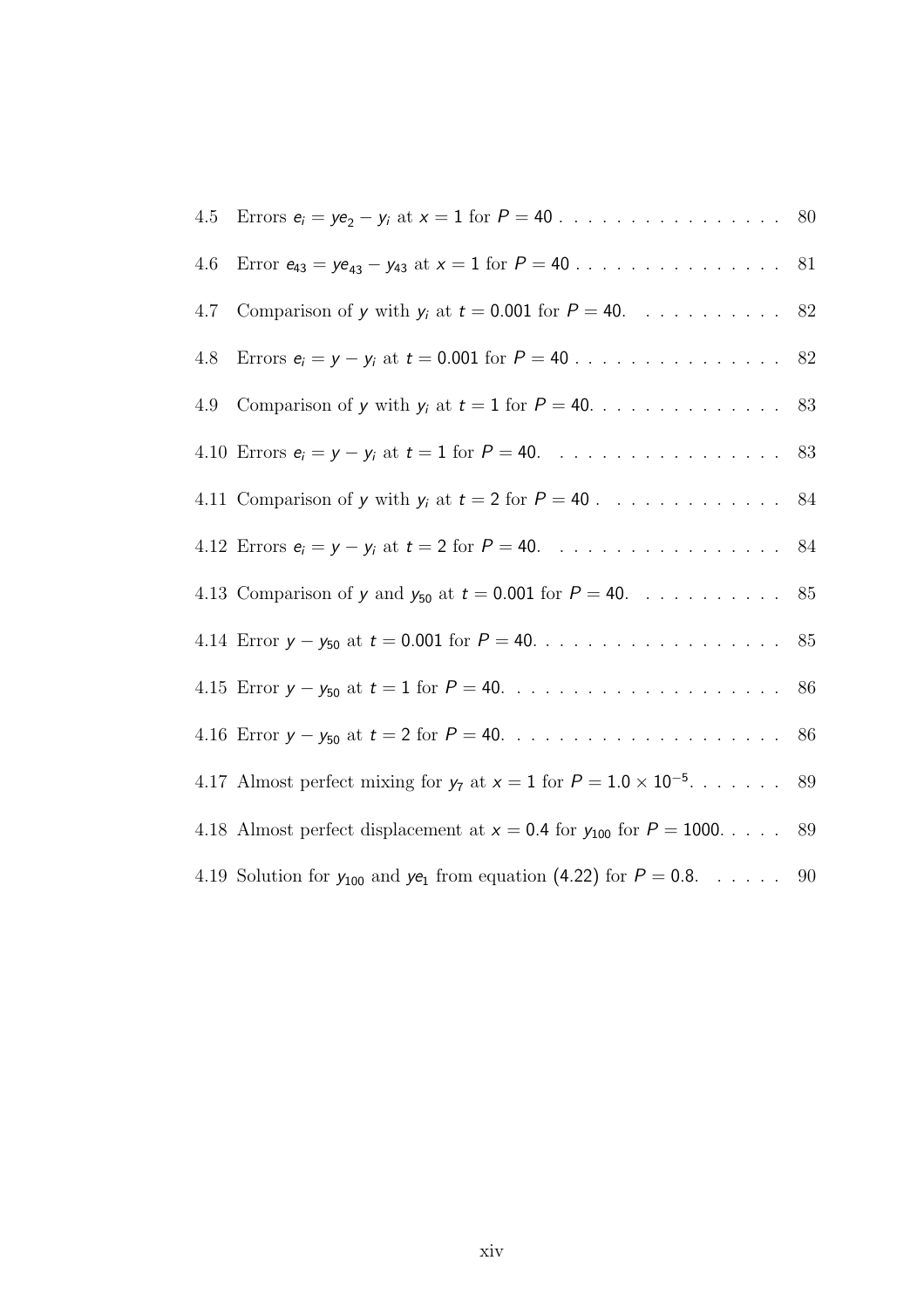| 4.5 |                                                                                 |  |
|-----|---------------------------------------------------------------------------------|--|
| 4.6 |                                                                                 |  |
| 4.7 | Comparison of y with $y_i$ at $t = 0.001$ for $P = 40$ . 82                     |  |
| 4.8 |                                                                                 |  |
| 4.9 |                                                                                 |  |
|     | 4.10 Errors $e_i = y - y_i$ at $t = 1$ for $P = 40$ . 83                        |  |
|     | 4.11 Comparison of y with $y_i$ at $t = 2$ for $P = 40$ . 84                    |  |
|     | 4.12 Errors $e_i = y - y_i$ at $t = 2$ for $P = 40$ . 84                        |  |
|     | 4.13 Comparison of y and $y_{50}$ at $t = 0.001$ for $P = 40$ . 85              |  |
|     |                                                                                 |  |
|     |                                                                                 |  |
|     |                                                                                 |  |
|     | 4.17 Almost perfect mixing for $y_7$ at $x = 1$ for $P = 1.0 \times 10^{-5}$ 89 |  |
|     | 4.18 Almost perfect displacement at $x = 0.4$ for $y_{100}$ for $P = 1000$ 89   |  |
|     | 4.19 Solution for $y_{100}$ and $ye_1$ from equation (4.22) for $P = 0.8$ 90    |  |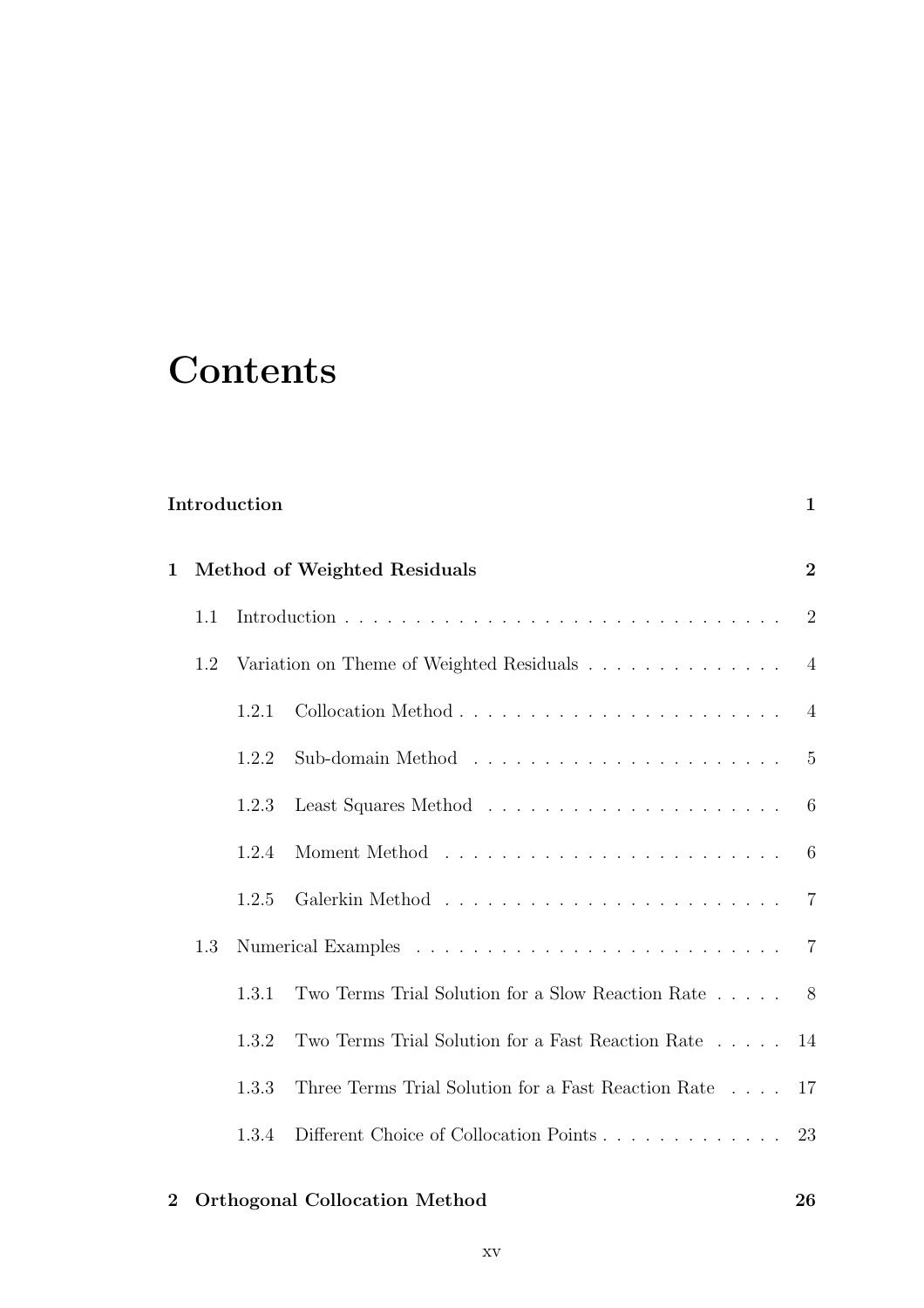## **Contents**

| Introduction |  |
|--------------|--|
|--------------|--|

| 1.1 |       |                                                                 |                                                                                                          |  |  |
|-----|-------|-----------------------------------------------------------------|----------------------------------------------------------------------------------------------------------|--|--|
| 1.2 |       |                                                                 |                                                                                                          |  |  |
|     | 1.2.1 |                                                                 |                                                                                                          |  |  |
|     | 1.2.2 |                                                                 |                                                                                                          |  |  |
|     | 1.2.3 |                                                                 |                                                                                                          |  |  |
|     | 1.2.4 |                                                                 |                                                                                                          |  |  |
|     | 1.2.5 |                                                                 |                                                                                                          |  |  |
| 1.3 |       |                                                                 |                                                                                                          |  |  |
|     | 1.3.1 | Two Terms Trial Solution for a Slow Reaction Rate $\ldots$ . 8  |                                                                                                          |  |  |
|     | 1.3.2 | Two Terms Trial Solution for a Fast Reaction Rate $\ldots$ . 14 |                                                                                                          |  |  |
|     | 1.3.3 | Three Terms Trial Solution for a Fast Reaction Rate $\ldots$ 17 |                                                                                                          |  |  |
|     | 1.3.4 | Different Choice of Collocation Points 23                       |                                                                                                          |  |  |
|     |       |                                                                 | Method of Weighted Residuals<br>Variation on Theme of Weighted Residuals $\ldots \ldots \ldots \ldots$ 4 |  |  |

#### 2 Orthogonal Collocation Method 26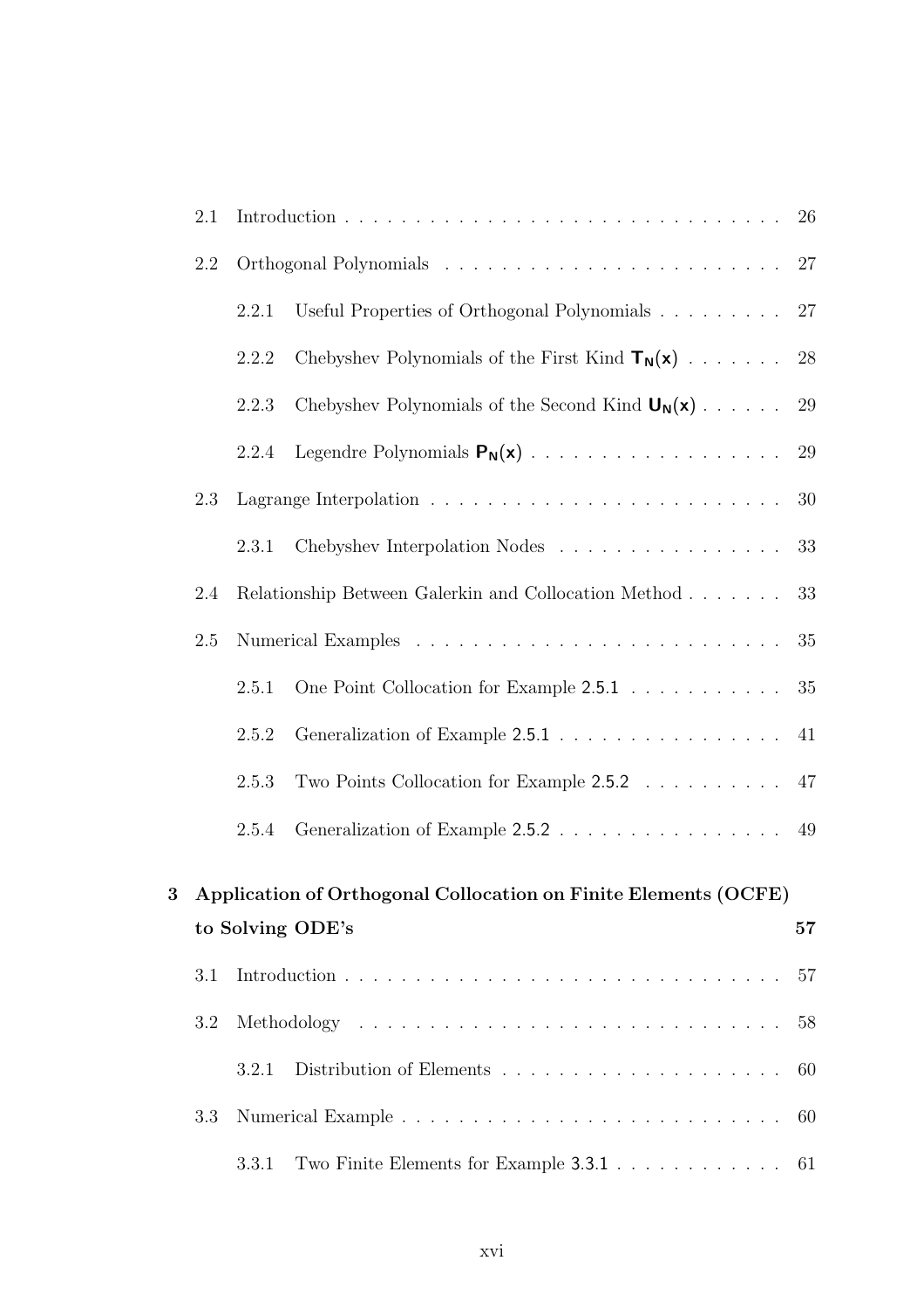|                | 2.1 |                        |                                                                 |    |  |
|----------------|-----|------------------------|-----------------------------------------------------------------|----|--|
|                | 2.2 |                        |                                                                 | 27 |  |
|                |     | 2.2.1                  | Useful Properties of Orthogonal Polynomials                     | 27 |  |
|                |     | 2.2.2                  | Chebyshev Polynomials of the First Kind $T_N(x)$                | 28 |  |
|                |     | 2.2.3                  | Chebyshev Polynomials of the Second Kind $U_N(x)$               | 29 |  |
|                |     | 2.2.4                  |                                                                 | 29 |  |
|                | 2.3 |                        |                                                                 | 30 |  |
|                |     | 2.3.1                  | Chebyshev Interpolation Nodes                                   | 33 |  |
|                | 2.4 |                        | Relationship Between Galerkin and Collocation Method            | 33 |  |
|                | 2.5 |                        |                                                                 | 35 |  |
|                |     | 2.5.1                  | One Point Collocation for Example 2.5.1                         | 35 |  |
|                |     | 2.5.2                  |                                                                 | 41 |  |
|                |     | 2.5.3                  | Two Points Collocation for Example 2.5.2 47                     |    |  |
|                |     | 2.5.4                  | Generalization of Example 2.5.2 49                              |    |  |
| $\overline{3}$ |     |                        | Application of Orthogonal Collocation on Finite Elements (OCFE) |    |  |
|                |     | to Solving ODE's<br>57 |                                                                 |    |  |
|                | 3.1 |                        |                                                                 | 57 |  |
|                | 3.2 |                        |                                                                 | 58 |  |
|                |     | 3.2.1                  |                                                                 | 60 |  |
|                | 3.3 |                        |                                                                 | 60 |  |
|                |     | 3.3.1                  | Two Finite Elements for Example 3.3.1                           | 61 |  |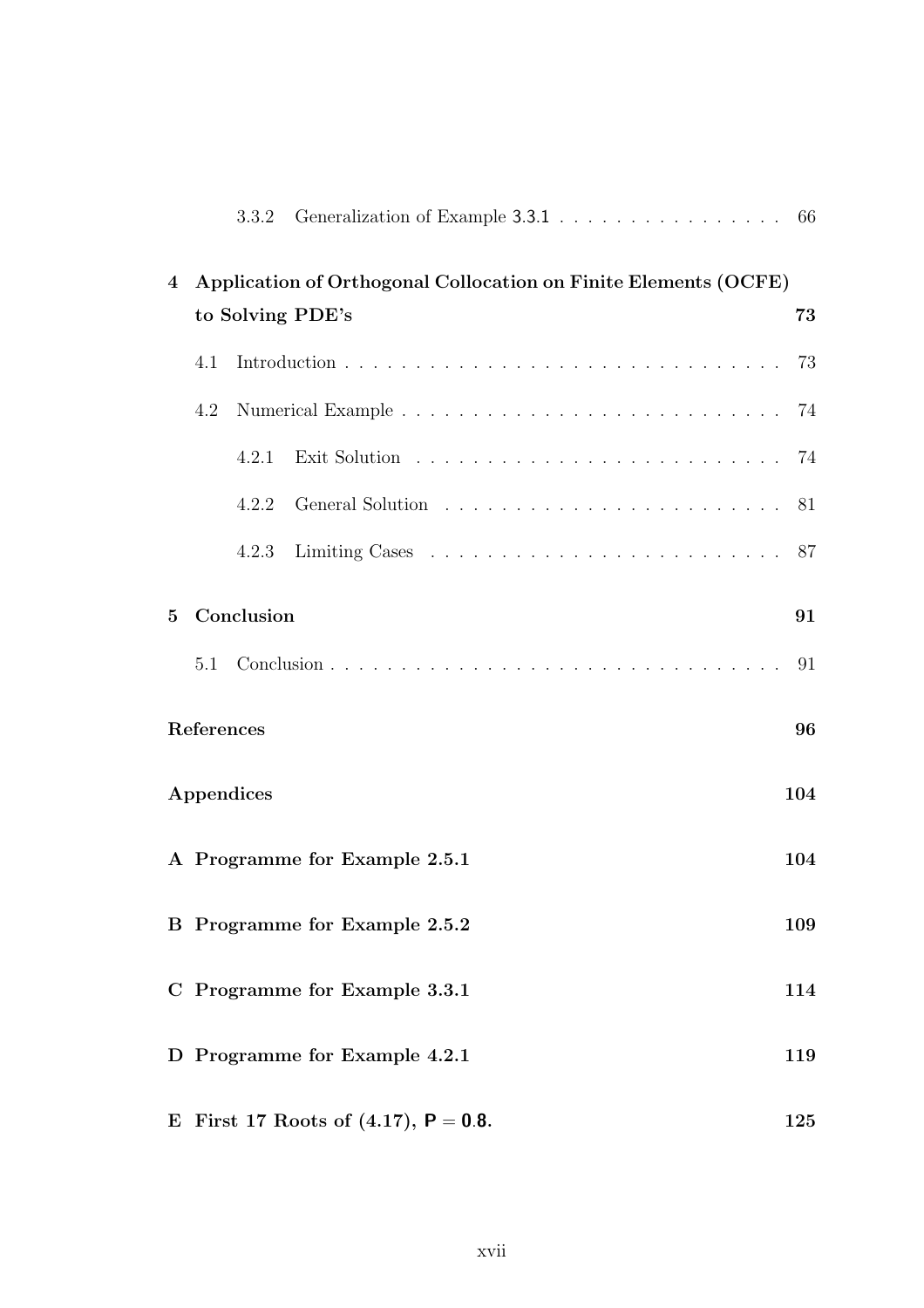| 4           | Application of Orthogonal Collocation on Finite Elements (OCFE) |            |                                      |     |  |
|-------------|-----------------------------------------------------------------|------------|--------------------------------------|-----|--|
|             |                                                                 |            | to Solving PDE's                     | 73  |  |
|             | 4.1                                                             |            |                                      | 73  |  |
|             | 4.2                                                             |            |                                      |     |  |
|             |                                                                 | 4.2.1      |                                      | 74  |  |
|             |                                                                 | 4.2.2      |                                      | 81  |  |
|             |                                                                 | 4.2.3      |                                      | 87  |  |
| $5^{\circ}$ |                                                                 | Conclusion |                                      | 91  |  |
|             | 5.1                                                             |            |                                      | 91  |  |
|             | References                                                      |            |                                      | 96  |  |
|             | Appendices                                                      |            |                                      | 104 |  |
|             | A Programme for Example 2.5.1                                   |            |                                      | 104 |  |
|             |                                                                 |            | <b>B</b> Programme for Example 2.5.2 | 109 |  |
|             | C Programme for Example 3.3.1<br>114                            |            |                                      |     |  |
|             |                                                                 |            | D Programme for Example 4.2.1        | 119 |  |
|             | First 17 Roots of $(4.17)$ , $P = 0.8$ .<br>125<br>E            |            |                                      |     |  |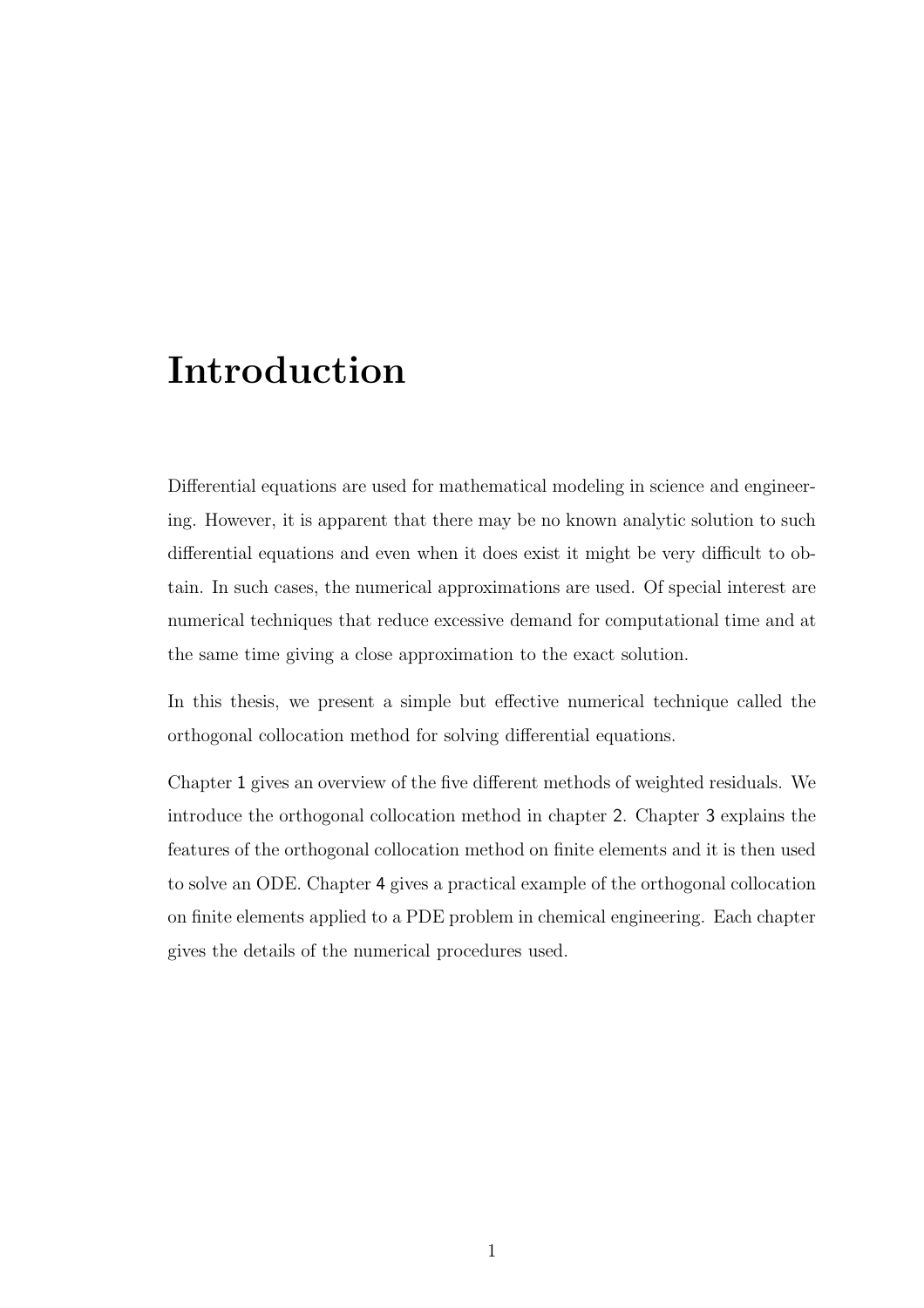### Introduction

Differential equations are used for mathematical modeling in science and engineering. However, it is apparent that there may be no known analytic solution to such differential equations and even when it does exist it might be very difficult to obtain. In such cases, the numerical approximations are used. Of special interest are numerical techniques that reduce excessive demand for computational time and at the same time giving a close approximation to the exact solution.

In this thesis, we present a simple but effective numerical technique called the orthogonal collocation method for solving differential equations.

Chapter 1 gives an overview of the five different methods of weighted residuals. We introduce the orthogonal collocation method in chapter 2. Chapter 3 explains the features of the orthogonal collocation method on finite elements and it is then used to solve an ODE. Chapter 4 gives a practical example of the orthogonal collocation on finite elements applied to a PDE problem in chemical engineering. Each chapter gives the details of the numerical procedures used.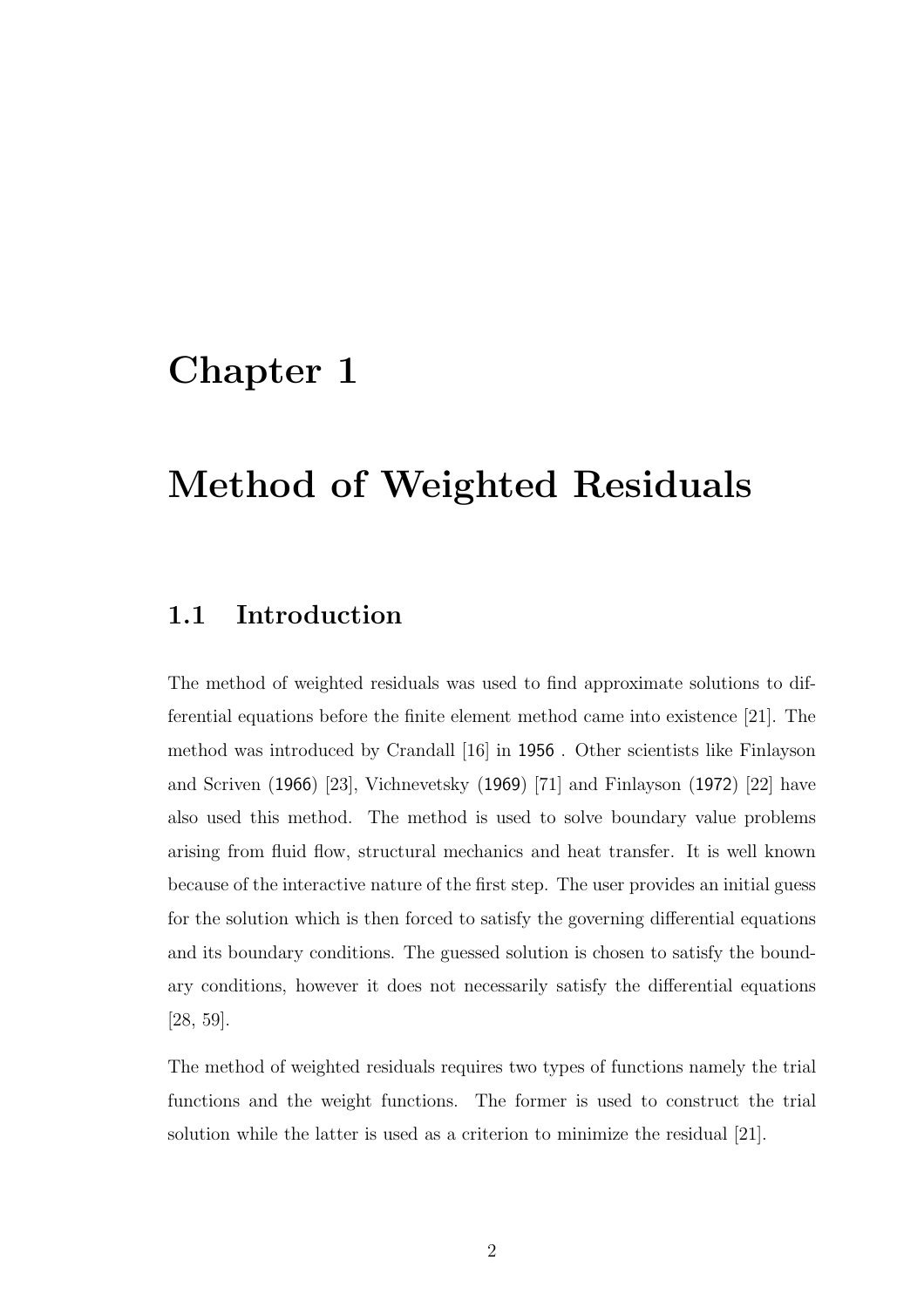### Chapter 1

## Method of Weighted Residuals

#### 1.1 Introduction

The method of weighted residuals was used to find approximate solutions to differential equations before the finite element method came into existence [21]. The method was introduced by Crandall [16] in 1956 . Other scientists like Finlayson and Scriven (1966) [23], Vichnevetsky (1969) [71] and Finlayson (1972) [22] have also used this method. The method is used to solve boundary value problems arising from fluid flow, structural mechanics and heat transfer. It is well known because of the interactive nature of the first step. The user provides an initial guess for the solution which is then forced to satisfy the governing differential equations and its boundary conditions. The guessed solution is chosen to satisfy the boundary conditions, however it does not necessarily satisfy the differential equations [28, 59].

The method of weighted residuals requires two types of functions namely the trial functions and the weight functions. The former is used to construct the trial solution while the latter is used as a criterion to minimize the residual [21].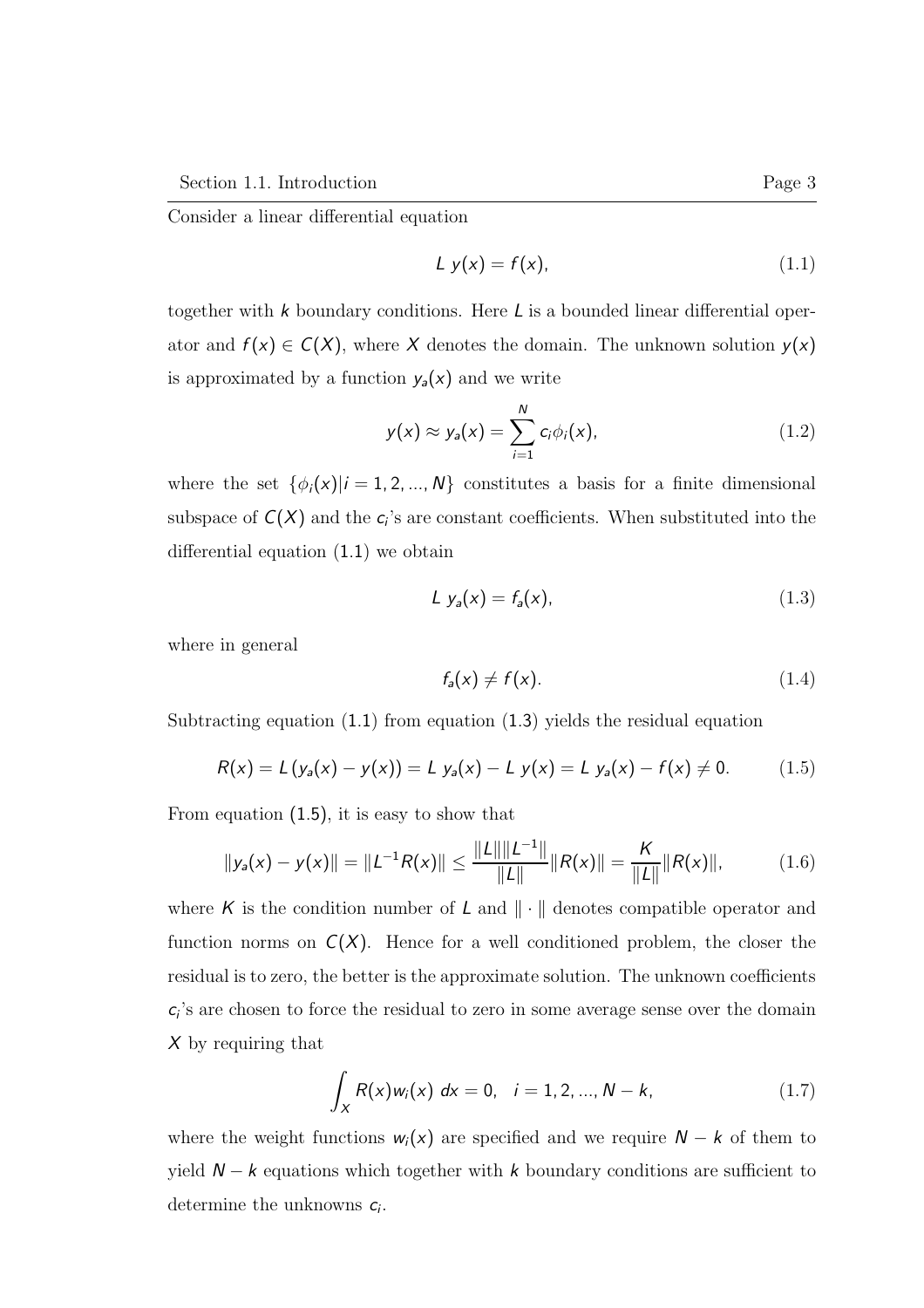Consider a linear differential equation

$$
Ly(x) = f(x), \tag{1.1}
$$

together with  $k$  boundary conditions. Here  $L$  is a bounded linear differential operator and  $f(x) \in C(X)$ , where X denotes the domain. The unknown solution  $y(x)$ is approximated by a function  $y_a(x)$  and we write

$$
y(x) \approx y_a(x) = \sum_{i=1}^{N} c_i \phi_i(x), \qquad (1.2)
$$

where the set  $\{\phi_i(x)|i=1,2,...,N\}$  constitutes a basis for a finite dimensional subspace of  $C(X)$  and the  $c_i$ 's are constant coefficients. When substituted into the differential equation (1.1) we obtain

$$
Ly_a(x) = f_a(x), \tag{1.3}
$$

where in general

$$
f_a(x) \neq f(x). \tag{1.4}
$$

Subtracting equation  $(1.1)$  from equation  $(1.3)$  yields the residual equation

$$
R(x) = L(y_a(x) - y(x)) = L y_a(x) - L y(x) = L y_a(x) - f(x) \neq 0.
$$
 (1.5)

From equation (1.5), it is easy to show that

$$
||y_a(x) - y(x)|| = ||L^{-1}R(x)|| \le \frac{||L|| ||L^{-1}||}{||L||} ||R(x)|| = \frac{K}{||L||} ||R(x)||,
$$
 (1.6)

where K is the condition number of L and  $\|\cdot\|$  denotes compatible operator and function norms on  $C(X)$ . Hence for a well conditioned problem, the closer the residual is to zero, the better is the approximate solution. The unknown coefficients  $c_i$ 's are chosen to force the residual to zero in some average sense over the domain  $X$  by requiring that

$$
\int_{X} R(x)w_{i}(x) dx = 0, \quad i = 1, 2, ..., N - k,
$$
\n(1.7)

where the weight functions  $w_i(x)$  are specified and we require  $N - k$  of them to yield  $N - k$  equations which together with k boundary conditions are sufficient to determine the unknowns  $c_i$ .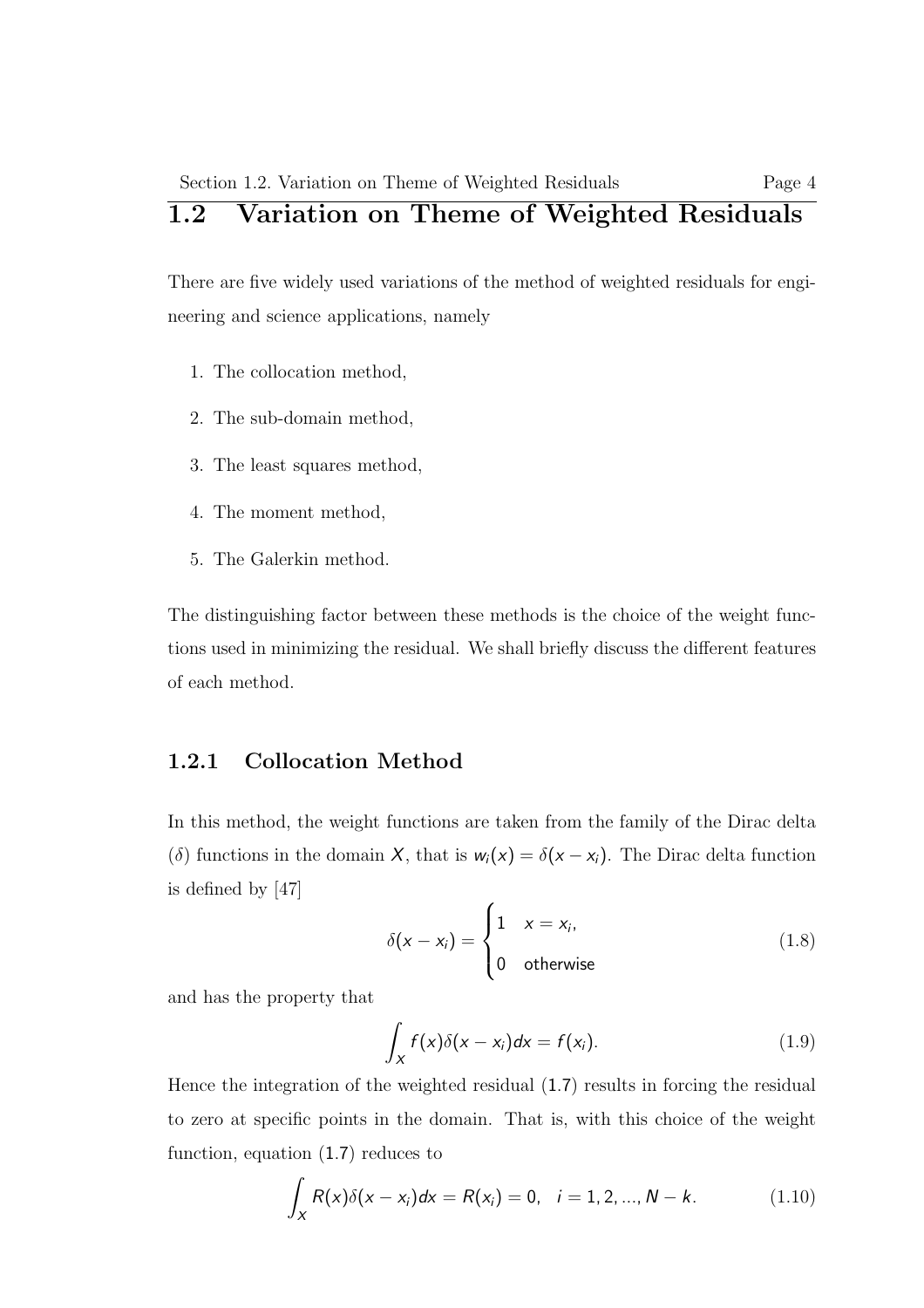#### Section 1.2. Variation on Theme of Weighted Residuals Page 4 1.2 Variation on Theme of Weighted Residuals

There are five widely used variations of the method of weighted residuals for engineering and science applications, namely

- 1. The collocation method,
- 2. The sub-domain method,
- 3. The least squares method,
- 4. The moment method,
- 5. The Galerkin method.

The distinguishing factor between these methods is the choice of the weight functions used in minimizing the residual. We shall briefly discuss the different features of each method.

#### 1.2.1 Collocation Method

In this method, the weight functions are taken from the family of the Dirac delta (δ) functions in the domain X, that is  $w_i(x) = \delta(x - x_i)$ . The Dirac delta function is defined by [47]

$$
\delta(x - x_i) = \begin{cases} 1 & x = x_i, \\ 0 & \text{otherwise} \end{cases}
$$
 (1.8)

and has the property that

$$
\int_X f(x)\delta(x-x_i)dx = f(x_i). \tag{1.9}
$$

Hence the integration of the weighted residual (1.7) results in forcing the residual to zero at specific points in the domain. That is, with this choice of the weight function, equation (1.7) reduces to

$$
\int_{X} R(x)\delta(x - x_{i})dx = R(x_{i}) = 0, \quad i = 1, 2, ..., N - k.
$$
\n(1.10)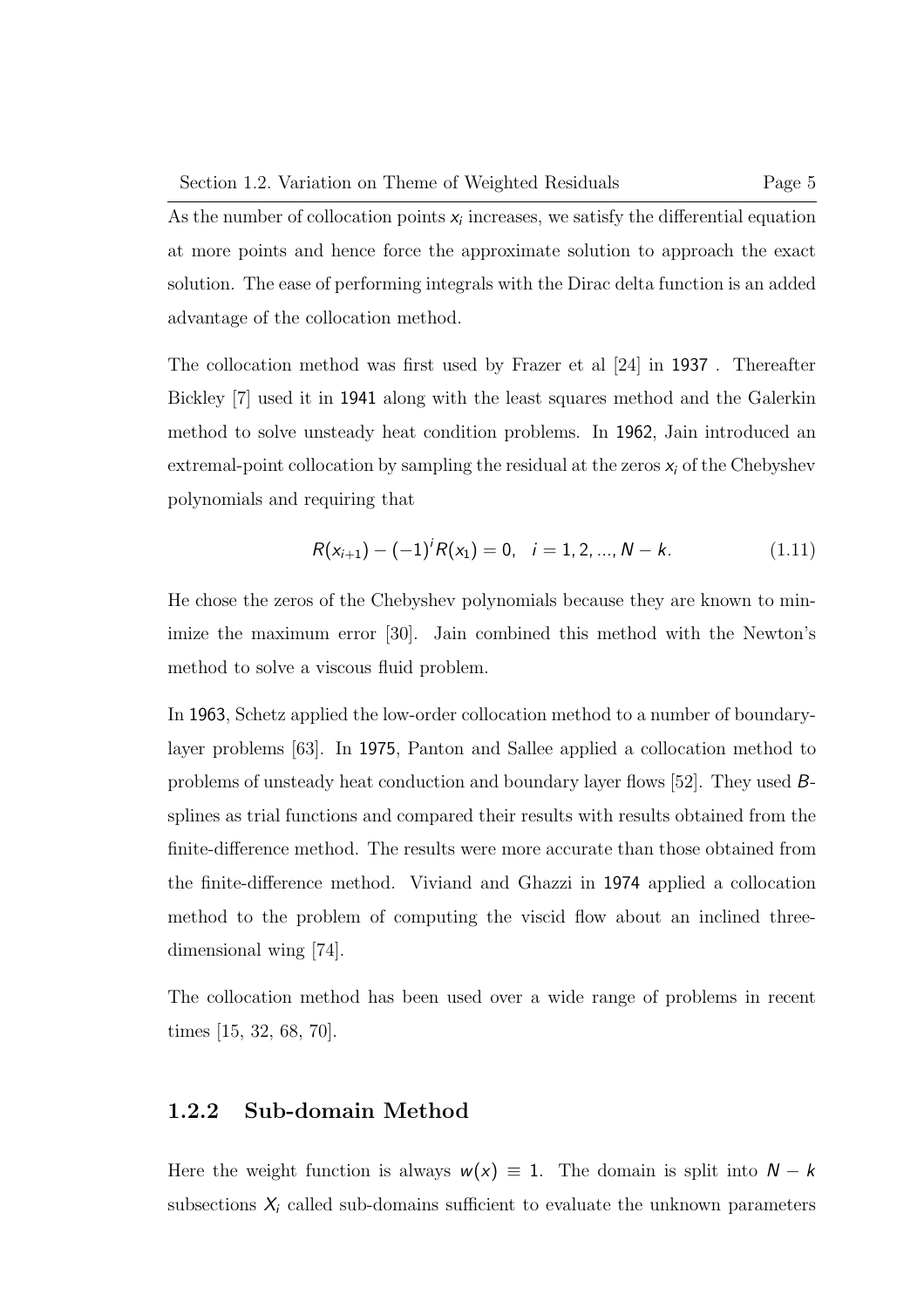As the number of collocation points  $x_i$  increases, we satisfy the differential equation at more points and hence force the approximate solution to approach the exact solution. The ease of performing integrals with the Dirac delta function is an added advantage of the collocation method.

The collocation method was first used by Frazer et al [24] in 1937 . Thereafter Bickley [7] used it in 1941 along with the least squares method and the Galerkin method to solve unsteady heat condition problems. In 1962, Jain introduced an extremal-point collocation by sampling the residual at the zeros  $x_i$  of the Chebyshev polynomials and requiring that

$$
R(x_{i+1}) - (-1)^{i} R(x_1) = 0, \quad i = 1, 2, ..., N - k.
$$
 (1.11)

He chose the zeros of the Chebyshev polynomials because they are known to minimize the maximum error [30]. Jain combined this method with the Newton's method to solve a viscous fluid problem.

In 1963, Schetz applied the low-order collocation method to a number of boundarylayer problems [63]. In 1975, Panton and Sallee applied a collocation method to problems of unsteady heat conduction and boundary layer flows [52]. They used Bsplines as trial functions and compared their results with results obtained from the finite-difference method. The results were more accurate than those obtained from the finite-difference method. Viviand and Ghazzi in 1974 applied a collocation method to the problem of computing the viscid flow about an inclined threedimensional wing [74].

The collocation method has been used over a wide range of problems in recent times [15, 32, 68, 70].

#### 1.2.2 Sub-domain Method

Here the weight function is always  $w(x) \equiv 1$ . The domain is split into  $N - k$ subsections  $X_i$  called sub-domains sufficient to evaluate the unknown parameters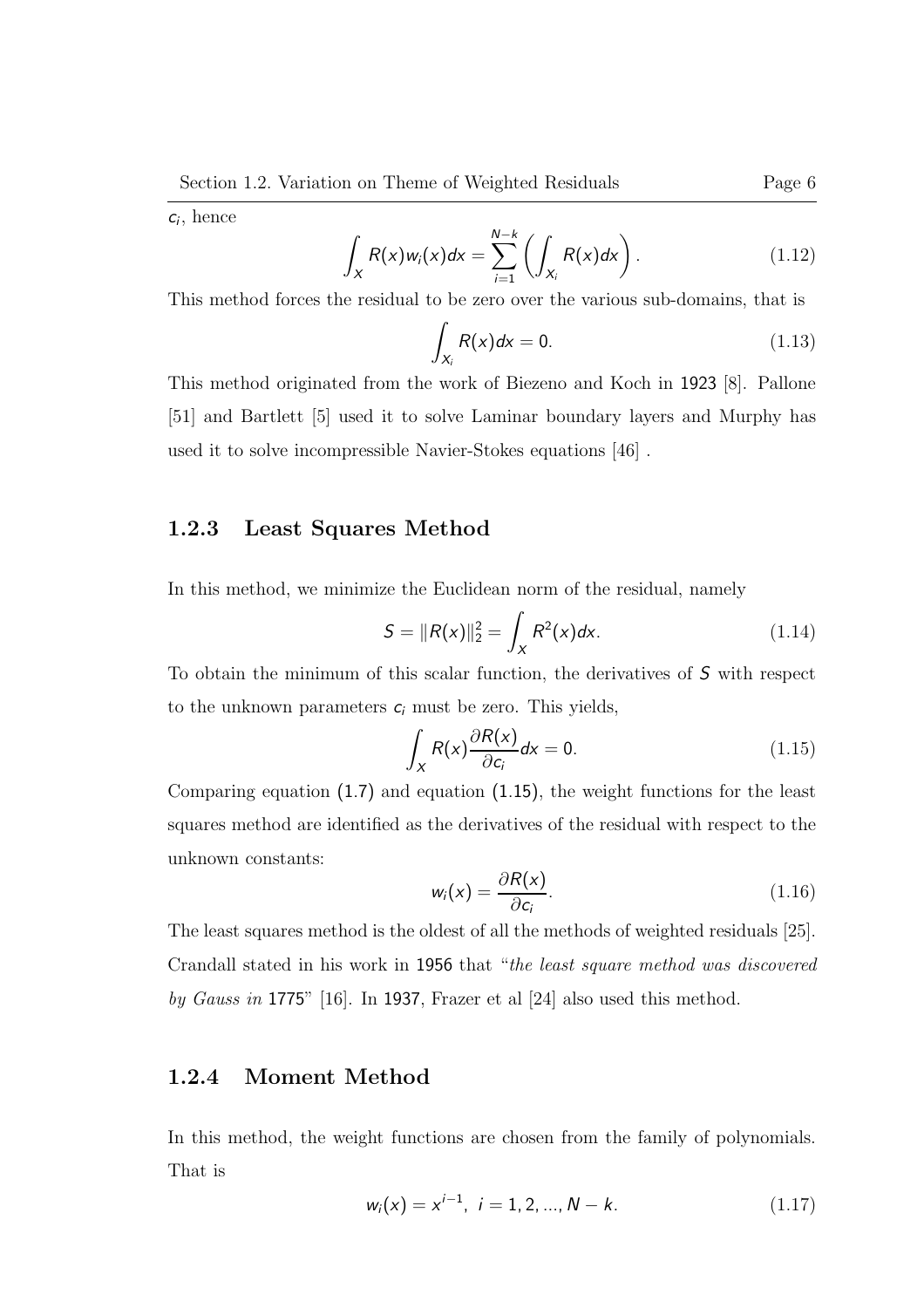$c_i$ , hence

$$
\int_X R(x)w_i(x)dx = \sum_{i=1}^{N-k} \left( \int_{X_i} R(x)dx \right).
$$
\n(1.12)

This method forces the residual to be zero over the various sub-domains, that is

$$
\int_{X_i} R(x)dx = 0.
$$
\n(1.13)

This method originated from the work of Biezeno and Koch in 1923 [8]. Pallone [51] and Bartlett [5] used it to solve Laminar boundary layers and Murphy has used it to solve incompressible Navier-Stokes equations [46] .

#### 1.2.3 Least Squares Method

In this method, we minimize the Euclidean norm of the residual, namely

$$
S = ||R(x)||_2^2 = \int_X R^2(x) dx.
$$
 (1.14)

To obtain the minimum of this scalar function, the derivatives of S with respect to the unknown parameters  $c_i$  must be zero. This yields,

$$
\int_{X} R(x) \frac{\partial R(x)}{\partial c_i} dx = 0.
$$
\n(1.15)

Comparing equation (1.7) and equation (1.15), the weight functions for the least squares method are identified as the derivatives of the residual with respect to the unknown constants:

$$
w_i(x) = \frac{\partial R(x)}{\partial c_i}.
$$
 (1.16)

The least squares method is the oldest of all the methods of weighted residuals [25]. Crandall stated in his work in 1956 that "the least square method was discovered by Gauss in 1775" [16]. In 1937, Frazer et al [24] also used this method.

#### 1.2.4 Moment Method

In this method, the weight functions are chosen from the family of polynomials. That is

$$
w_i(x) = x^{i-1}, \ i = 1, 2, ..., N - k. \tag{1.17}
$$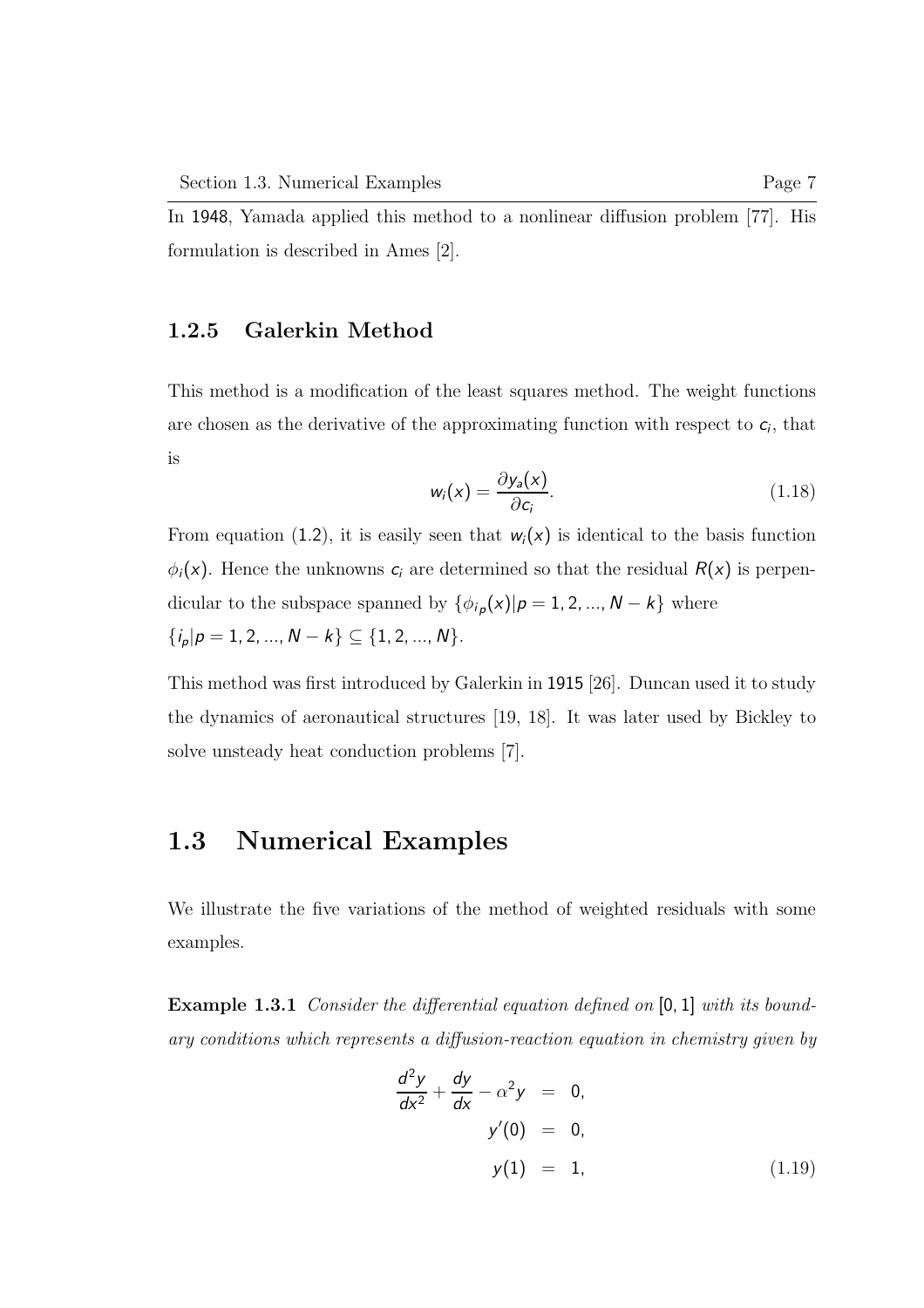In 1948, Yamada applied this method to a nonlinear diffusion problem [77]. His formulation is described in Ames [2].

#### 1.2.5 Galerkin Method

This method is a modification of the least squares method. The weight functions are chosen as the derivative of the approximating function with respect to  $c_i$ , that is

$$
w_i(x) = \frac{\partial y_a(x)}{\partial c_i}.
$$
 (1.18)

From equation (1.2), it is easily seen that  $w_i(x)$  is identical to the basis function  $\phi_i(x)$ . Hence the unknowns  $c_i$  are determined so that the residual  $R(x)$  is perpendicular to the subspace spanned by  $\{\phi_{i,p}(x)|p=1,2,...,N-k\}$  where  $\{i_p|p=1,2,...,N-k\}\subseteq\{1,2,...,N\}.$ 

This method was first introduced by Galerkin in 1915 [26]. Duncan used it to study the dynamics of aeronautical structures [19, 18]. It was later used by Bickley to solve unsteady heat conduction problems [7].

#### 1.3 Numerical Examples

We illustrate the five variations of the method of weighted residuals with some examples.

Example 1.3.1 Consider the differential equation defined on [0, 1] with its boundary conditions which represents a diffusion-reaction equation in chemistry given by

$$
\frac{d^2y}{dx^2} + \frac{dy}{dx} - \alpha^2 y = 0, \ny'(0) = 0, \ny(1) = 1,
$$
\n(1.19)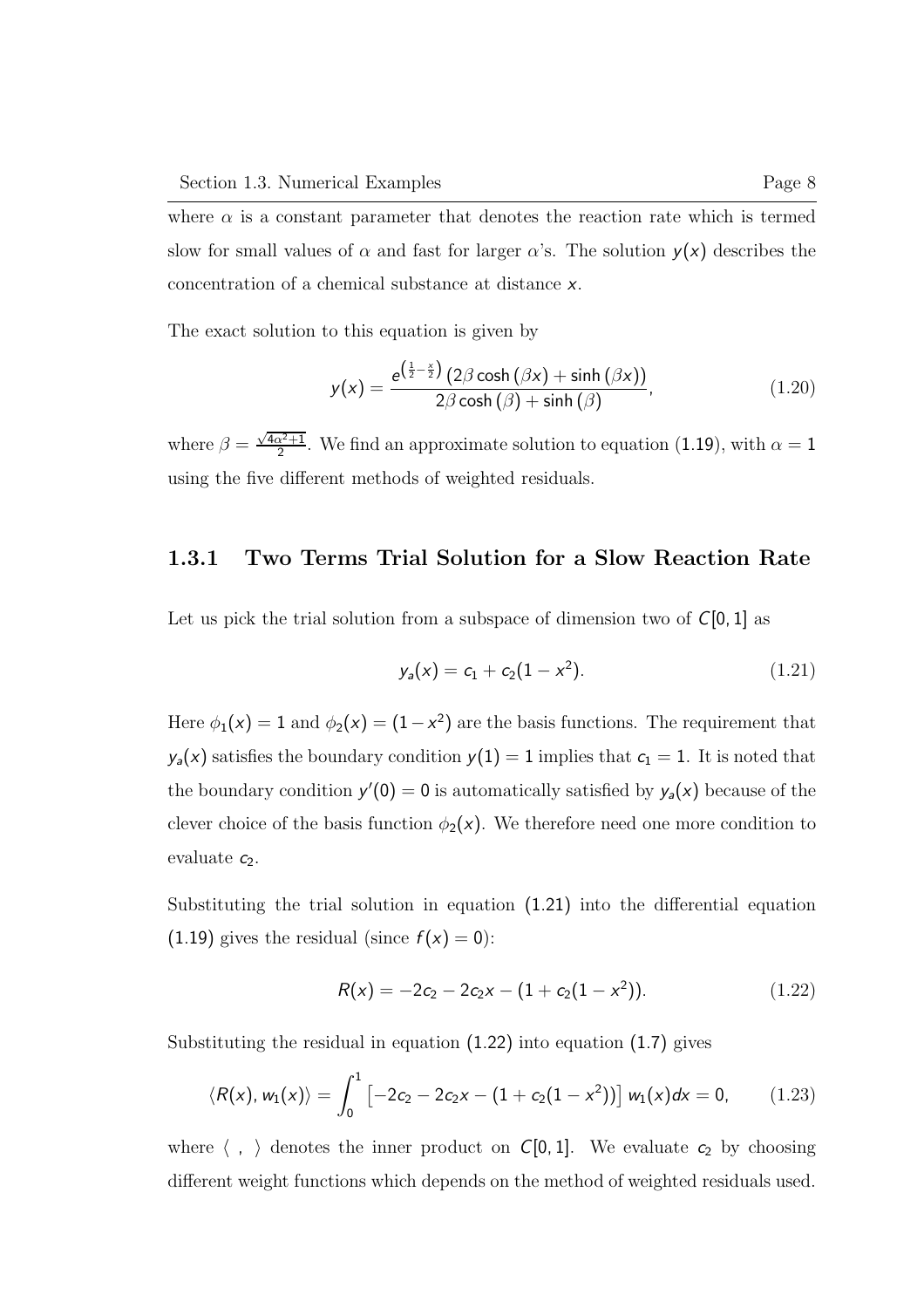where  $\alpha$  is a constant parameter that denotes the reaction rate which is termed slow for small values of  $\alpha$  and fast for larger  $\alpha$ 's. The solution  $y(x)$  describes the concentration of a chemical substance at distance x.

The exact solution to this equation is given by

$$
y(x) = \frac{e^{\left(\frac{1}{2} - \frac{x}{2}\right)} \left(2\beta \cosh\left(\beta x\right) + \sinh\left(\beta x\right)\right)}{2\beta \cosh\left(\beta\right) + \sinh\left(\beta\right)},
$$
\n(1.20)

where  $\beta = \frac{\sqrt{4\alpha^2+1}}{2}$  $\frac{\alpha^2+1}{2}$ . We find an approximate solution to equation (1.19), with  $\alpha=1$ using the five different methods of weighted residuals.

#### 1.3.1 Two Terms Trial Solution for a Slow Reaction Rate

Let us pick the trial solution from a subspace of dimension two of  $C[0, 1]$  as

$$
y_a(x) = c_1 + c_2(1 - x^2). \tag{1.21}
$$

Here  $\phi_1(x) = 1$  and  $\phi_2(x) = (1 - x^2)$  are the basis functions. The requirement that  $y_a(x)$  satisfies the boundary condition  $y(1) = 1$  implies that  $c_1 = 1$ . It is noted that the boundary condition  $y'(0) = 0$  is automatically satisfied by  $y_a(x)$  because of the clever choice of the basis function  $\phi_2(x)$ . We therefore need one more condition to evaluate  $c_2$ .

Substituting the trial solution in equation (1.21) into the differential equation (1.19) gives the residual (since  $f(x) = 0$ ):

$$
R(x) = -2c_2 - 2c_2x - (1 + c_2(1 - x^2)).
$$
\n(1.22)

Substituting the residual in equation (1.22) into equation (1.7) gives

$$
\langle R(x), w_1(x) \rangle = \int_0^1 \left[ -2c_2 - 2c_2x - (1 + c_2(1 - x^2)) \right] w_1(x) dx = 0, \qquad (1.23)
$$

where  $\langle , \rangle$  denotes the inner product on C[0, 1]. We evaluate  $c_2$  by choosing different weight functions which depends on the method of weighted residuals used.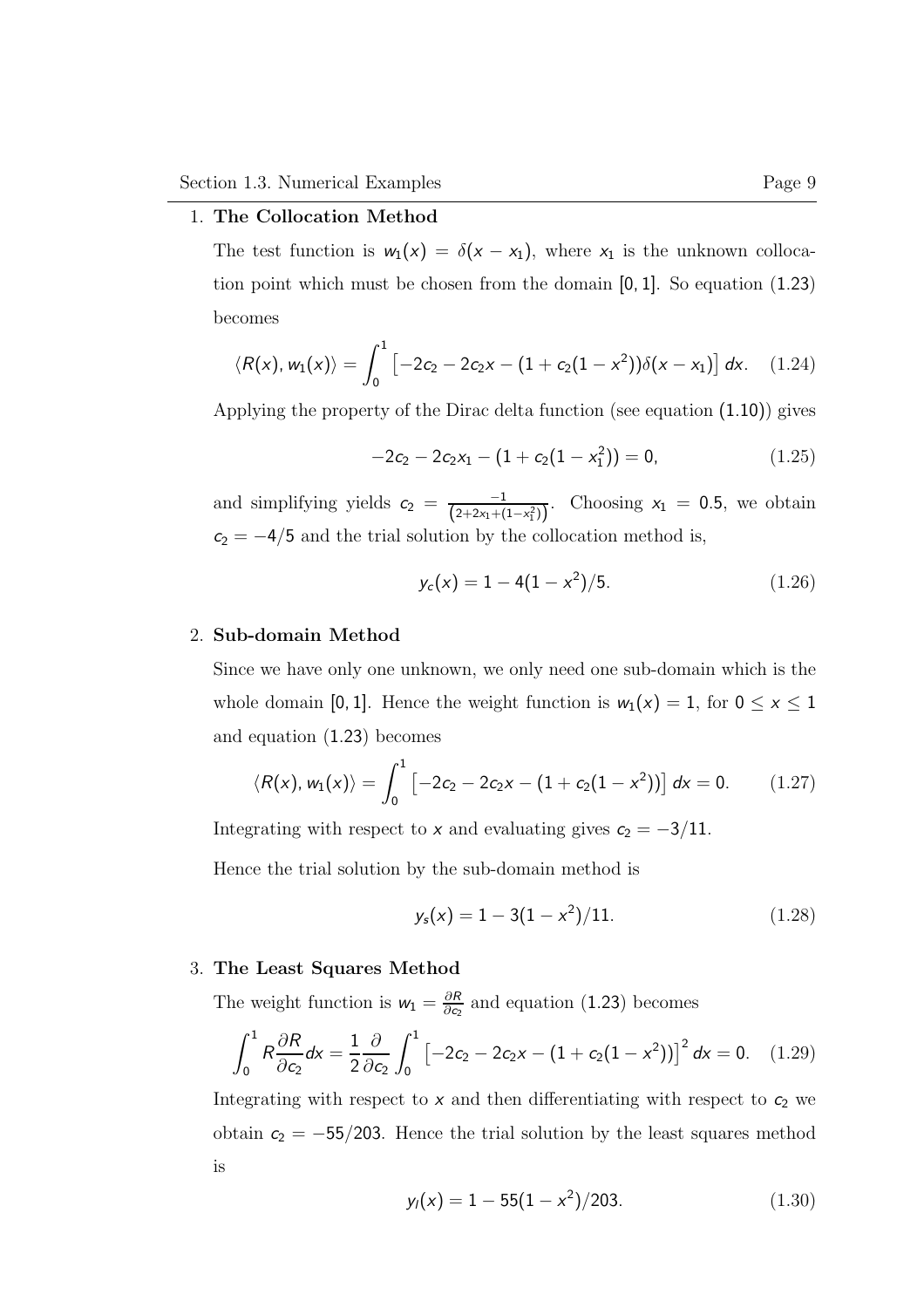#### 1. The Collocation Method

The test function is  $w_1(x) = \delta(x - x_1)$ , where  $x_1$  is the unknown collocation point which must be chosen from the domain [0, 1]. So equation (1.23) becomes

$$
\langle R(x), w_1(x) \rangle = \int_0^1 \left[ -2c_2 - 2c_2x - (1 + c_2(1 - x^2)) \delta(x - x_1) \right] dx. \quad (1.24)
$$

Applying the property of the Dirac delta function (see equation (1.10)) gives

$$
-2c_2 - 2c_2x_1 - (1 + c_2(1 - x_1^2)) = 0, \qquad (1.25)
$$

and simplifying yields  $c_2 = \frac{-1}{\sqrt{2+2x+1}}$  $\frac{-1}{(2+2x_1+(1-x_1^2))}$ . Choosing  $x_1 = 0.5$ , we obtain  $c_2 = -4/5$  and the trial solution by the collocation method is,

$$
y_c(x) = 1 - 4(1 - x^2)/5. \tag{1.26}
$$

#### 2. Sub-domain Method

Since we have only one unknown, we only need one sub-domain which is the whole domain [0, 1]. Hence the weight function is  $w_1(x) = 1$ , for  $0 \le x \le 1$ and equation (1.23) becomes

$$
\langle R(x), w_1(x) \rangle = \int_0^1 \left[ -2c_2 - 2c_2x - (1 + c_2(1 - x^2)) \right] dx = 0. \qquad (1.27)
$$

Integrating with respect to x and evaluating gives  $c_2 = -3/11$ .

Hence the trial solution by the sub-domain method is

$$
y_s(x) = 1 - 3(1 - x^2)/11.
$$
 (1.28)

#### 3. The Least Squares Method

The weight function is  $w_1 = \frac{\partial R}{\partial c_1}$  $\frac{\partial R}{\partial c_2}$  and equation (1.23) becomes

$$
\int_0^1 R \frac{\partial R}{\partial c_2} dx = \frac{1}{2} \frac{\partial}{\partial c_2} \int_0^1 \left[ -2c_2 - 2c_2 x - (1 + c_2 (1 - x^2)) \right]^2 dx = 0. \quad (1.29)
$$

Integrating with respect to  $x$  and then differentiating with respect to  $c_2$  we obtain  $c_2 = -55/203$ . Hence the trial solution by the least squares method is

$$
y_l(x) = 1 - 55(1 - x^2)/203.
$$
 (1.30)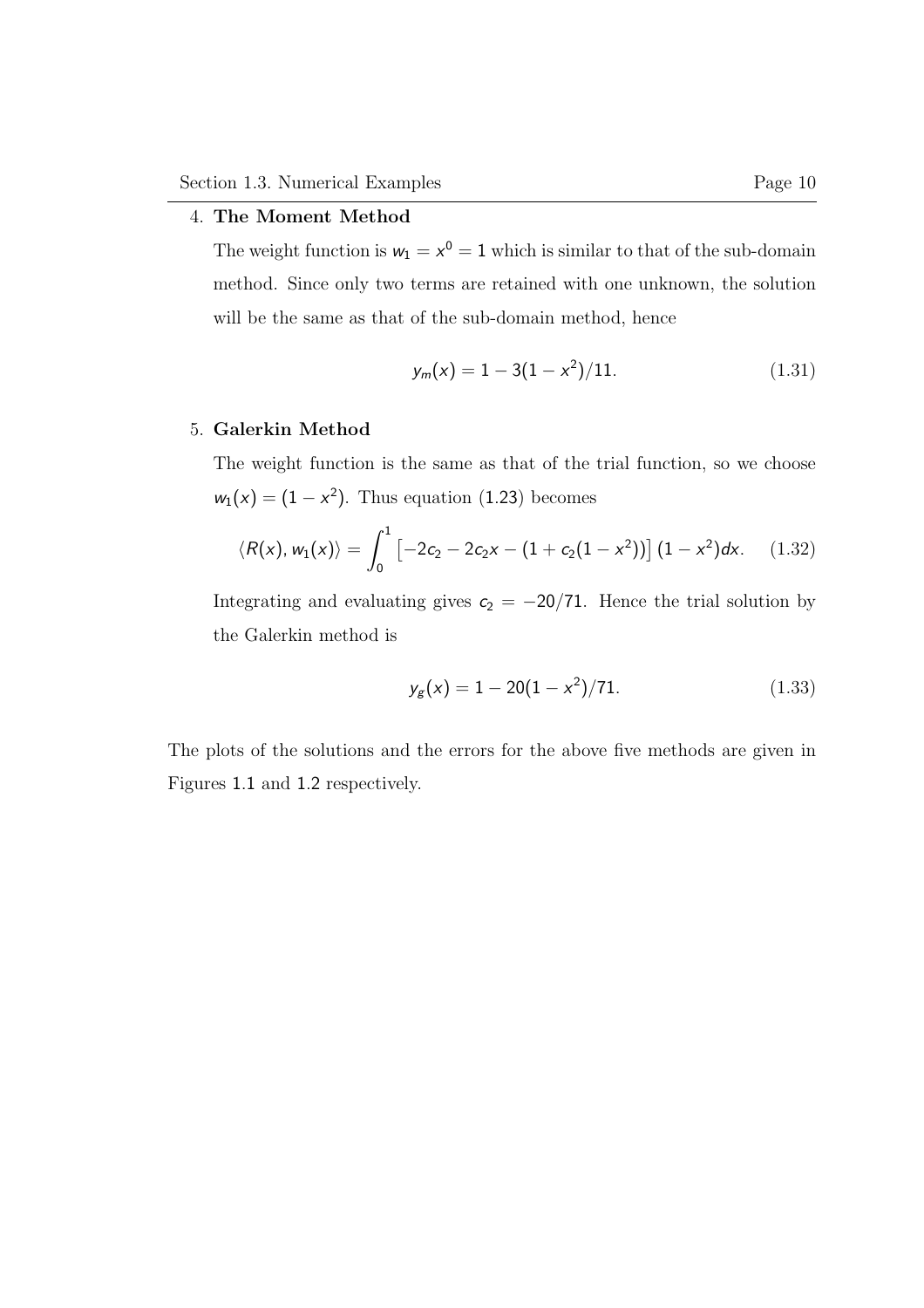#### 4. The Moment Method

The weight function is  $w_1 = x^0 = 1$  which is similar to that of the sub-domain method. Since only two terms are retained with one unknown, the solution will be the same as that of the sub-domain method, hence

$$
y_m(x) = 1 - 3(1 - x^2)/11.
$$
 (1.31)

#### 5. Galerkin Method

The weight function is the same as that of the trial function, so we choose  $w_1(x) = (1 - x^2)$ . Thus equation (1.23) becomes

$$
\langle R(x), w_1(x) \rangle = \int_0^1 \left[ -2c_2 - 2c_2x - (1 + c_2(1 - x^2)) \right] (1 - x^2) dx. \quad (1.32)
$$

Integrating and evaluating gives  $c_2 = -20/71$ . Hence the trial solution by the Galerkin method is

$$
y_g(x) = 1 - 20(1 - x^2)/71.
$$
 (1.33)

The plots of the solutions and the errors for the above five methods are given in Figures 1.1 and 1.2 respectively.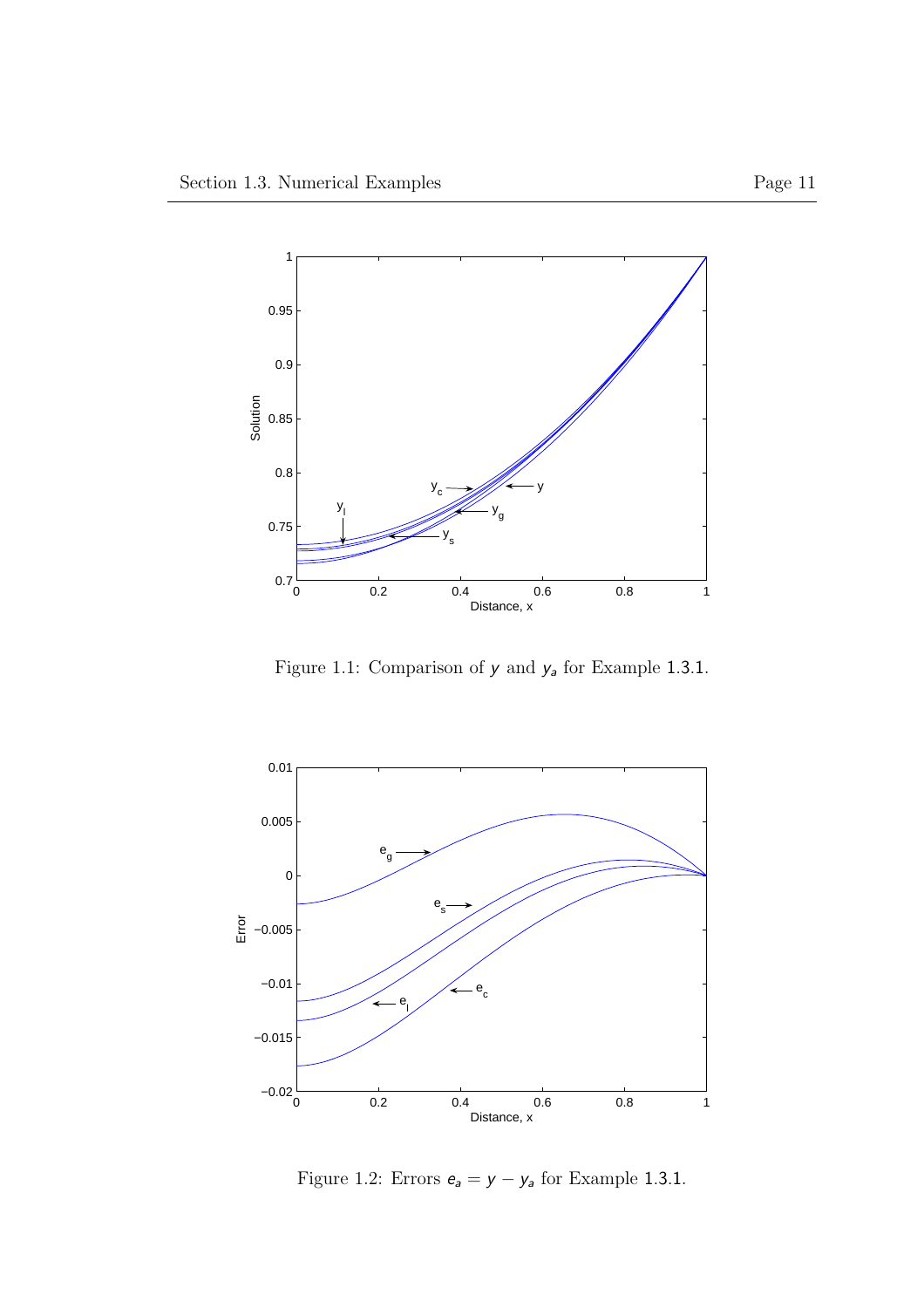

Figure 1.1: Comparison of  $y$  and  $y_a$  for Example 1.3.1.



Figure 1.2: Errors  $e_a = y - y_a$  for Example 1.3.1.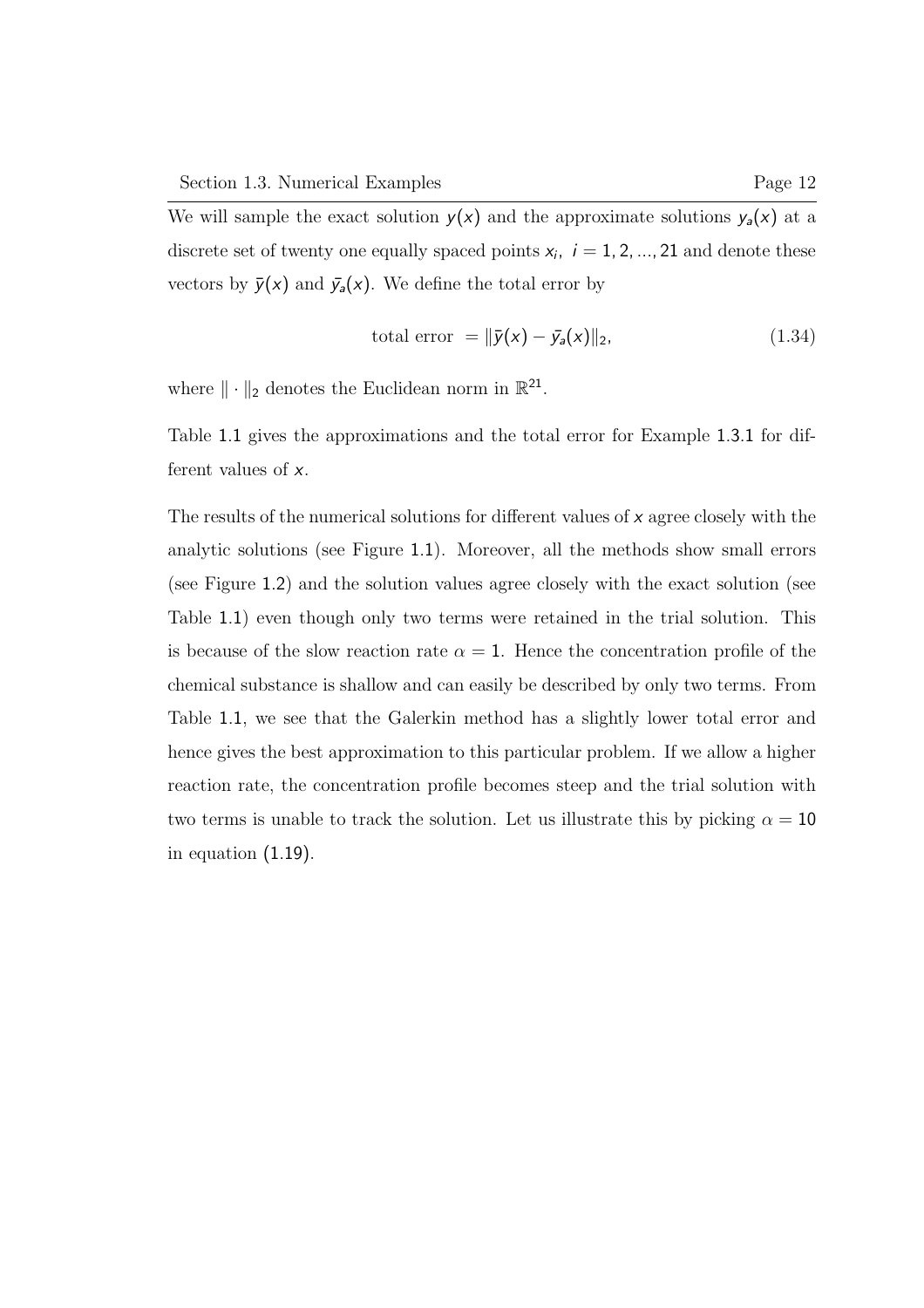We will sample the exact solution  $y(x)$  and the approximate solutions  $y_{\mathsf{a}}(x)$  at a discrete set of twenty one equally spaced points  $x_i$ ,  $i = 1, 2, ..., 21$  and denote these vectors by  $\bar{y}(x)$  and  $\bar{y}_a(x)$ . We define the total error by

total error = 
$$
\|\bar{y}(x) - \bar{y}_a(x)\|_2, \tag{1.34}
$$

where  $\|\cdot\|_2$  denotes the Euclidean norm in  $\mathbb{R}^{21}$ .

Table 1.1 gives the approximations and the total error for Example 1.3.1 for different values of x.

The results of the numerical solutions for different values of x agree closely with the analytic solutions (see Figure 1.1). Moreover, all the methods show small errors (see Figure 1.2) and the solution values agree closely with the exact solution (see Table 1.1) even though only two terms were retained in the trial solution. This is because of the slow reaction rate  $\alpha = 1$ . Hence the concentration profile of the chemical substance is shallow and can easily be described by only two terms. From Table 1.1, we see that the Galerkin method has a slightly lower total error and hence gives the best approximation to this particular problem. If we allow a higher reaction rate, the concentration profile becomes steep and the trial solution with two terms is unable to track the solution. Let us illustrate this by picking  $\alpha = 10$ in equation (1.19).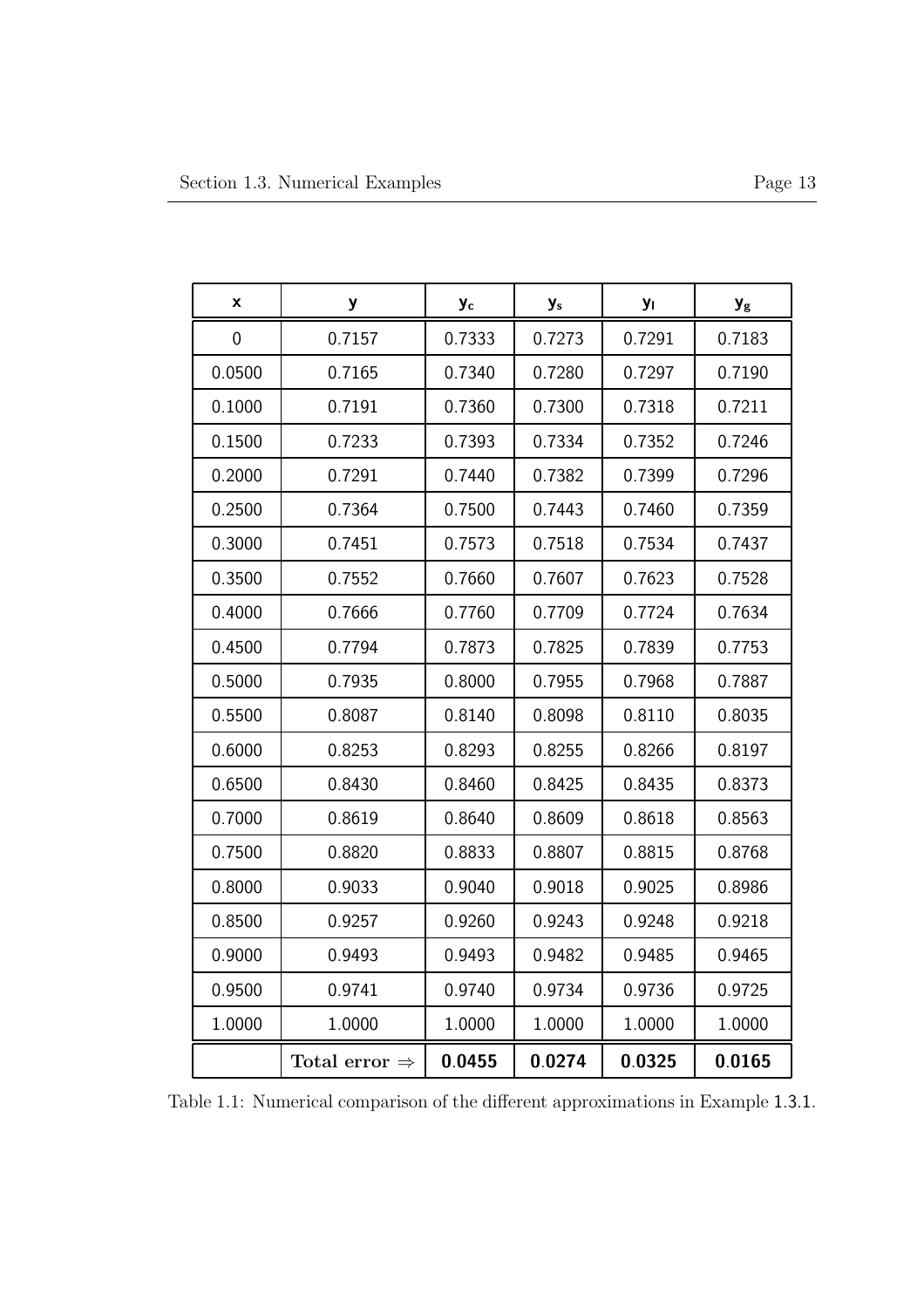| X           | у                         | y <sub>c</sub> | y <sub>s</sub> | Уı     | $\mathbf{y}_{\rm g}$ |
|-------------|---------------------------|----------------|----------------|--------|----------------------|
| $\mathbf 0$ | 0.7157                    | 0.7333         | 0.7273         | 0.7291 | 0.7183               |
| 0.0500      | 0.7165                    | 0.7340         | 0.7280         | 0.7297 | 0.7190               |
| 0.1000      | 0.7191                    | 0.7360         | 0.7300         | 0.7318 | 0.7211               |
| 0.1500      | 0.7233                    | 0.7393         | 0.7334         | 0.7352 | 0.7246               |
| 0.2000      | 0.7291                    | 0.7440         | 0.7382         | 0.7399 | 0.7296               |
| 0.2500      | 0.7364                    | 0.7500         | 0.7443         | 0.7460 | 0.7359               |
| 0.3000      | 0.7451                    | 0.7573         | 0.7518         | 0.7534 | 0.7437               |
| 0.3500      | 0.7552                    | 0.7660         | 0.7607         | 0.7623 | 0.7528               |
| 0.4000      | 0.7666                    | 0.7760         | 0.7709         | 0.7724 | 0.7634               |
| 0.4500      | 0.7794                    | 0.7873         | 0.7825         | 0.7839 | 0.7753               |
| 0.5000      | 0.7935                    | 0.8000         | 0.7955         | 0.7968 | 0.7887               |
| 0.5500      | 0.8087                    | 0.8140         | 0.8098         | 0.8110 | 0.8035               |
| 0.6000      | 0.8253                    | 0.8293         | 0.8255         | 0.8266 | 0.8197               |
| 0.6500      | 0.8430                    | 0.8460         | 0.8425         | 0.8435 | 0.8373               |
| 0.7000      | 0.8619                    | 0.8640         | 0.8609         | 0.8618 | 0.8563               |
| 0.7500      | 0.8820                    | 0.8833         | 0.8807         | 0.8815 | 0.8768               |
| 0.8000      | 0.9033                    | 0.9040         | 0.9018         | 0.9025 | 0.8986               |
| 0.8500      | 0.9257                    | 0.9260         | 0.9243         | 0.9248 | 0.9218               |
| 0.9000      | 0.9493                    | 0.9493         | 0.9482         | 0.9485 | 0.9465               |
| 0.9500      | 0.9741                    | 0.9740         | 0.9734         | 0.9736 | 0.9725               |
| 1.0000      | 1.0000                    | 1.0000         | 1.0000         | 1.0000 | 1.0000               |
|             | Total error $\Rightarrow$ | 0.0455         | 0.0274         | 0.0325 | 0.0165               |

Table 1.1: Numerical comparison of the different approximations in Example 1.3.1.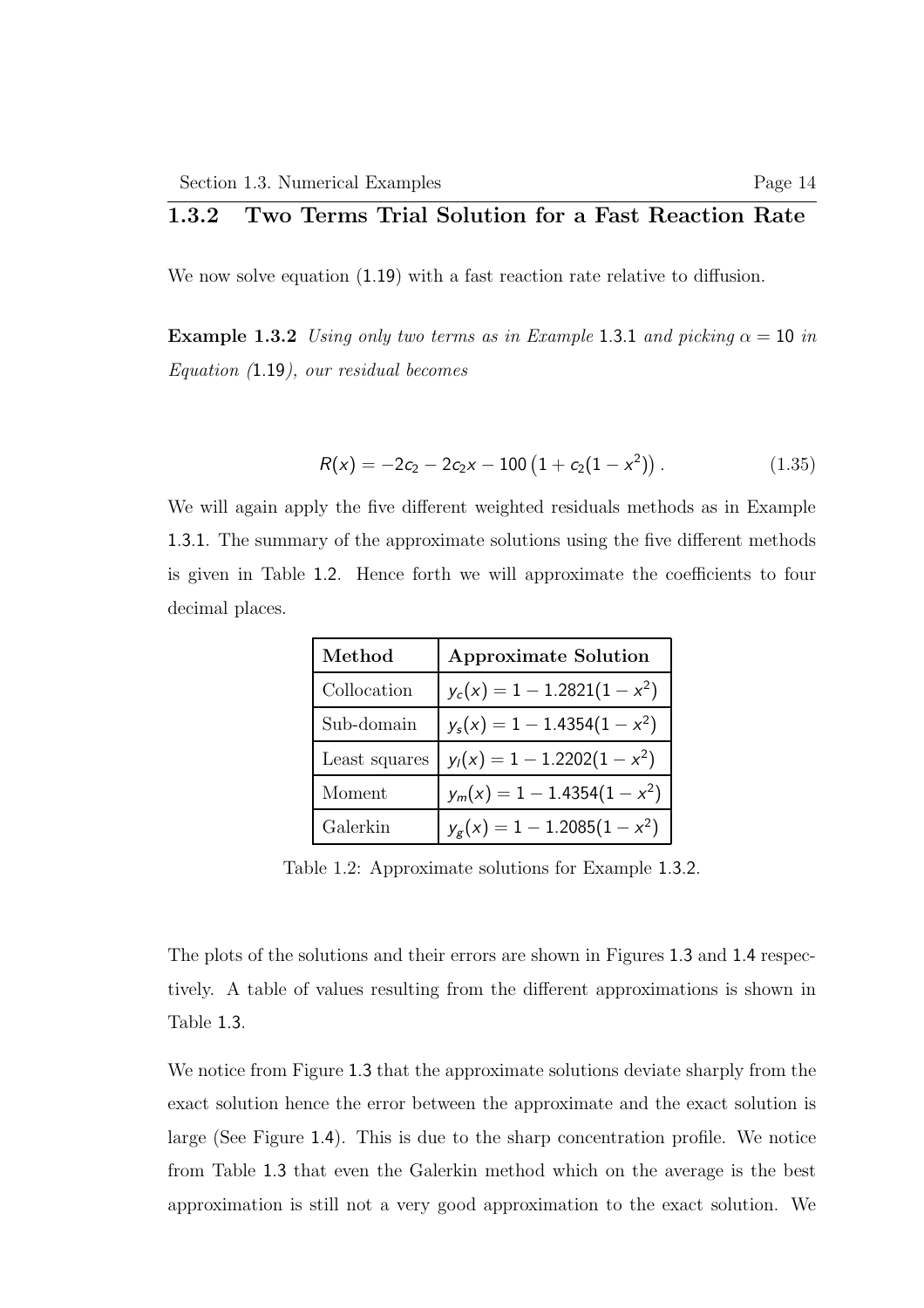#### 1.3.2 Two Terms Trial Solution for a Fast Reaction Rate

We now solve equation  $(1.19)$  with a fast reaction rate relative to diffusion.

**Example 1.3.2** Using only two terms as in Example 1.3.1 and picking  $\alpha = 10$  in Equation (1.19), our residual becomes

$$
R(x) = -2c_2 - 2c_2x - 100\left(1 + c_2(1 - x^2)\right). \tag{1.35}
$$

We will again apply the five different weighted residuals methods as in Example 1.3.1. The summary of the approximate solutions using the five different methods is given in Table 1.2. Hence forth we will approximate the coefficients to four decimal places.

| Method        | <b>Approximate Solution</b>    |  |  |
|---------------|--------------------------------|--|--|
| Collocation   | $y_c(x) = 1 - 1.2821(1 - x^2)$ |  |  |
| Sub-domain    | $y_s(x) = 1 - 1.4354(1 - x^2)$ |  |  |
| Least squares | $y_1(x) = 1 - 1.2202(1 - x^2)$ |  |  |
| Moment        | $y_m(x) = 1 - 1.4354(1 - x^2)$ |  |  |
| Galerkin      | $y_g(x) = 1 - 1.2085(1 - x^2)$ |  |  |

Table 1.2: Approximate solutions for Example 1.3.2.

The plots of the solutions and their errors are shown in Figures 1.3 and 1.4 respectively. A table of values resulting from the different approximations is shown in Table 1.3.

We notice from Figure 1.3 that the approximate solutions deviate sharply from the exact solution hence the error between the approximate and the exact solution is large (See Figure 1.4). This is due to the sharp concentration profile. We notice from Table 1.3 that even the Galerkin method which on the average is the best approximation is still not a very good approximation to the exact solution. We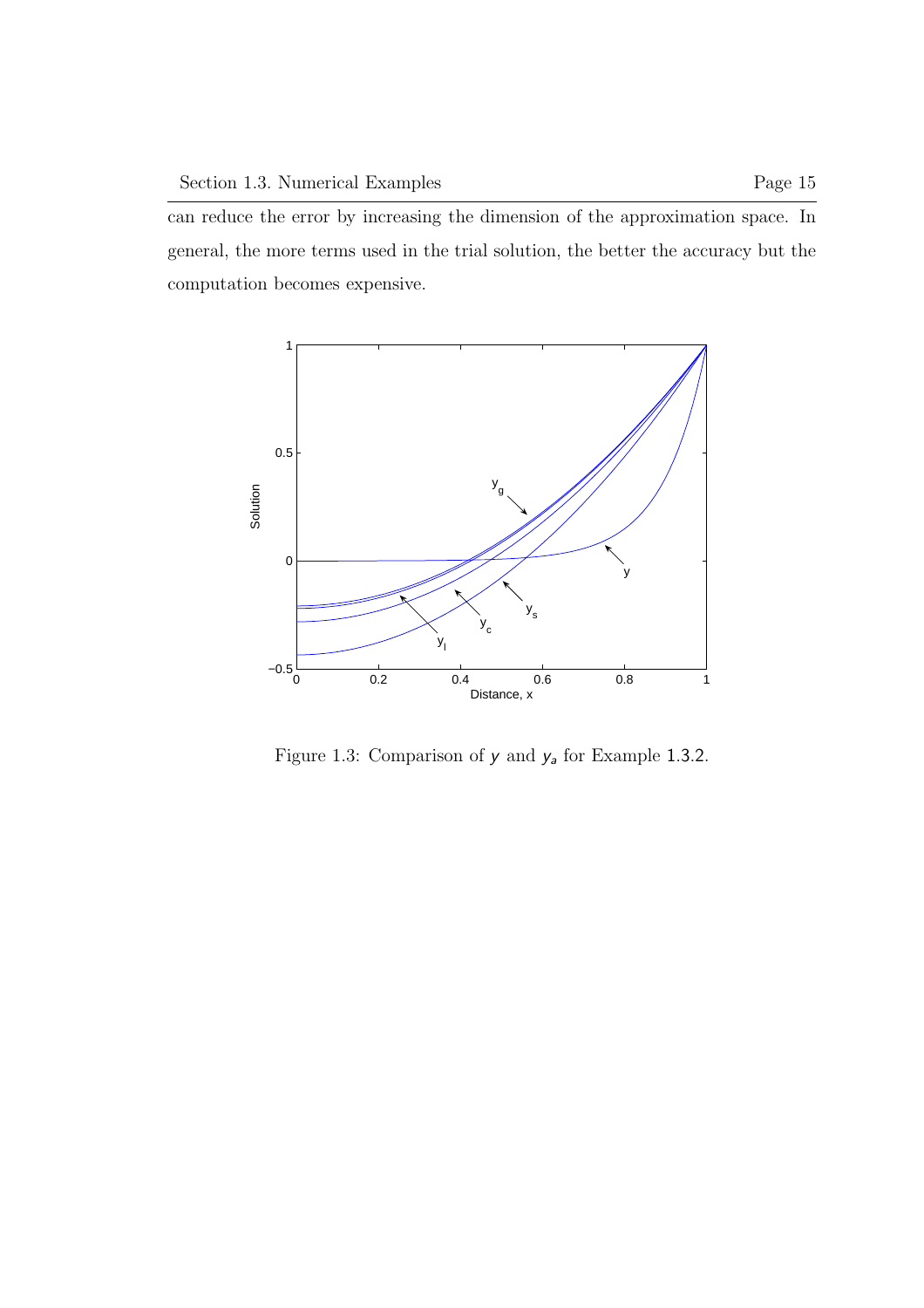can reduce the error by increasing the dimension of the approximation space. In general, the more terms used in the trial solution, the better the accuracy but the computation becomes expensive.



Figure 1.3: Comparison of  $y$  and  $y_a$  for Example 1.3.2.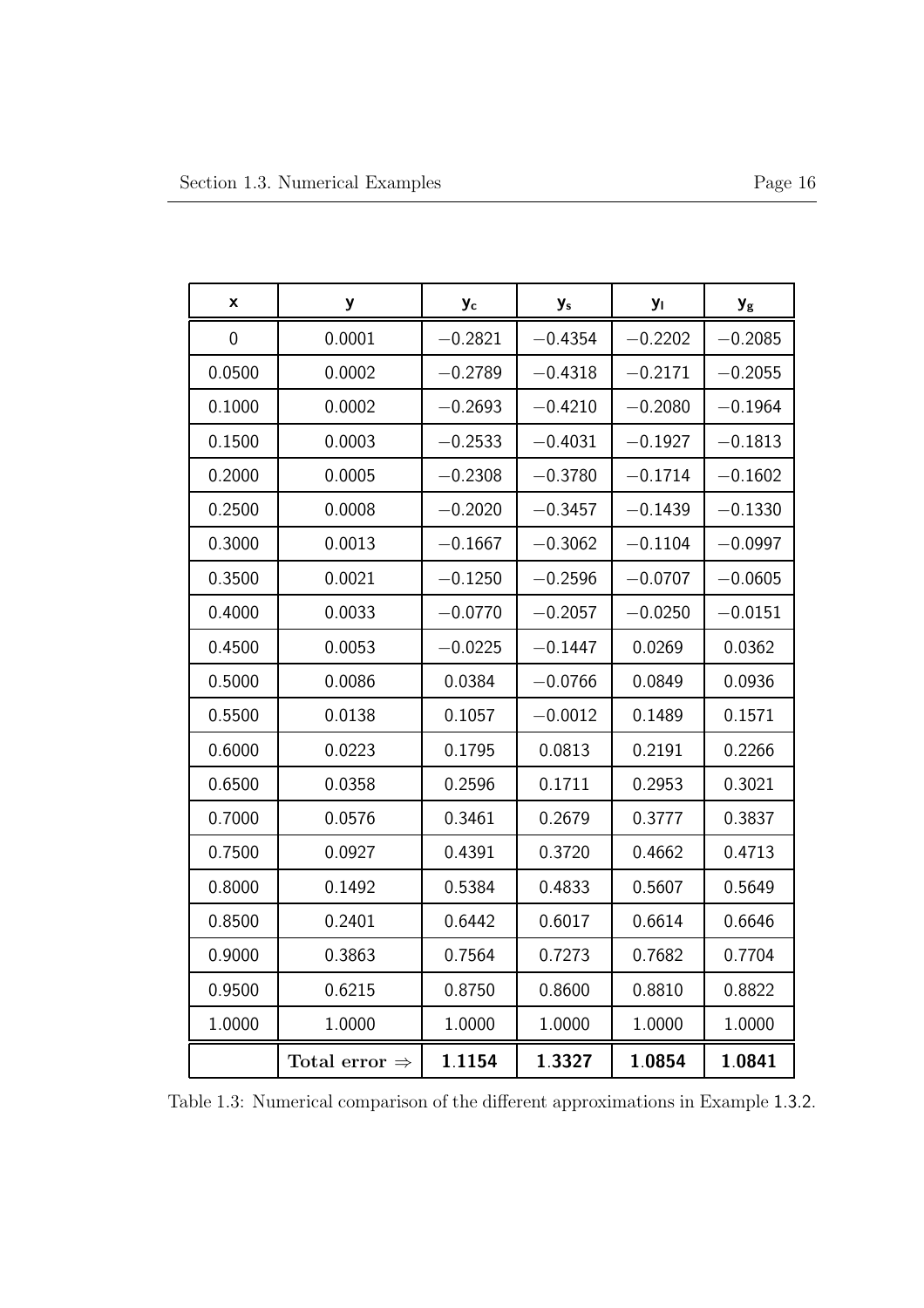| X      | у                         | y <sub>c</sub> | y <sub>s</sub> | <b>y</b>  | $y_{\rm g}$ |
|--------|---------------------------|----------------|----------------|-----------|-------------|
| 0      | 0.0001                    | $-0.2821$      | $-0.4354$      | $-0.2202$ | $-0.2085$   |
| 0.0500 | 0.0002                    | $-0.2789$      | $-0.4318$      | $-0.2171$ | $-0.2055$   |
| 0.1000 | 0.0002                    | $-0.2693$      | $-0.4210$      | $-0.2080$ | $-0.1964$   |
| 0.1500 | 0.0003                    | $-0.2533$      | $-0.4031$      | $-0.1927$ | $-0.1813$   |
| 0.2000 | 0.0005                    | $-0.2308$      | $-0.3780$      | $-0.1714$ | $-0.1602$   |
| 0.2500 | 0.0008                    | $-0.2020$      | $-0.3457$      | $-0.1439$ | $-0.1330$   |
| 0.3000 | 0.0013                    | $-0.1667$      | $-0.3062$      | $-0.1104$ | $-0.0997$   |
| 0.3500 | 0.0021                    | $-0.1250$      | $-0.2596$      | $-0.0707$ | $-0.0605$   |
| 0.4000 | 0.0033                    | $-0.0770$      | $-0.2057$      | $-0.0250$ | $-0.0151$   |
| 0.4500 | 0.0053                    | $-0.0225$      | $-0.1447$      | 0.0269    | 0.0362      |
| 0.5000 | 0.0086                    | 0.0384         | $-0.0766$      | 0.0849    | 0.0936      |
| 0.5500 | 0.0138                    | 0.1057         | $-0.0012$      | 0.1489    | 0.1571      |
| 0.6000 | 0.0223                    | 0.1795         | 0.0813         | 0.2191    | 0.2266      |
| 0.6500 | 0.0358                    | 0.2596         | 0.1711         | 0.2953    | 0.3021      |
| 0.7000 | 0.0576                    | 0.3461         | 0.2679         | 0.3777    | 0.3837      |
| 0.7500 | 0.0927                    | 0.4391         | 0.3720         | 0.4662    | 0.4713      |
| 0.8000 | 0.1492                    | 0.5384         | 0.4833         | 0.5607    | 0.5649      |
| 0.8500 | 0.2401                    | 0.6442         | 0.6017         | 0.6614    | 0.6646      |
| 0.9000 | 0.3863                    | 0.7564         | 0.7273         | 0.7682    | 0.7704      |
| 0.9500 | 0.6215                    | 0.8750         | 0.8600         | 0.8810    | 0.8822      |
| 1.0000 | 1.0000                    | 1.0000         | 1.0000         | 1.0000    | 1.0000      |
|        | Total error $\Rightarrow$ | 1.1154         | 1.3327         | 1.0854    | 1.0841      |

Table 1.3: Numerical comparison of the different approximations in Example 1.3.2.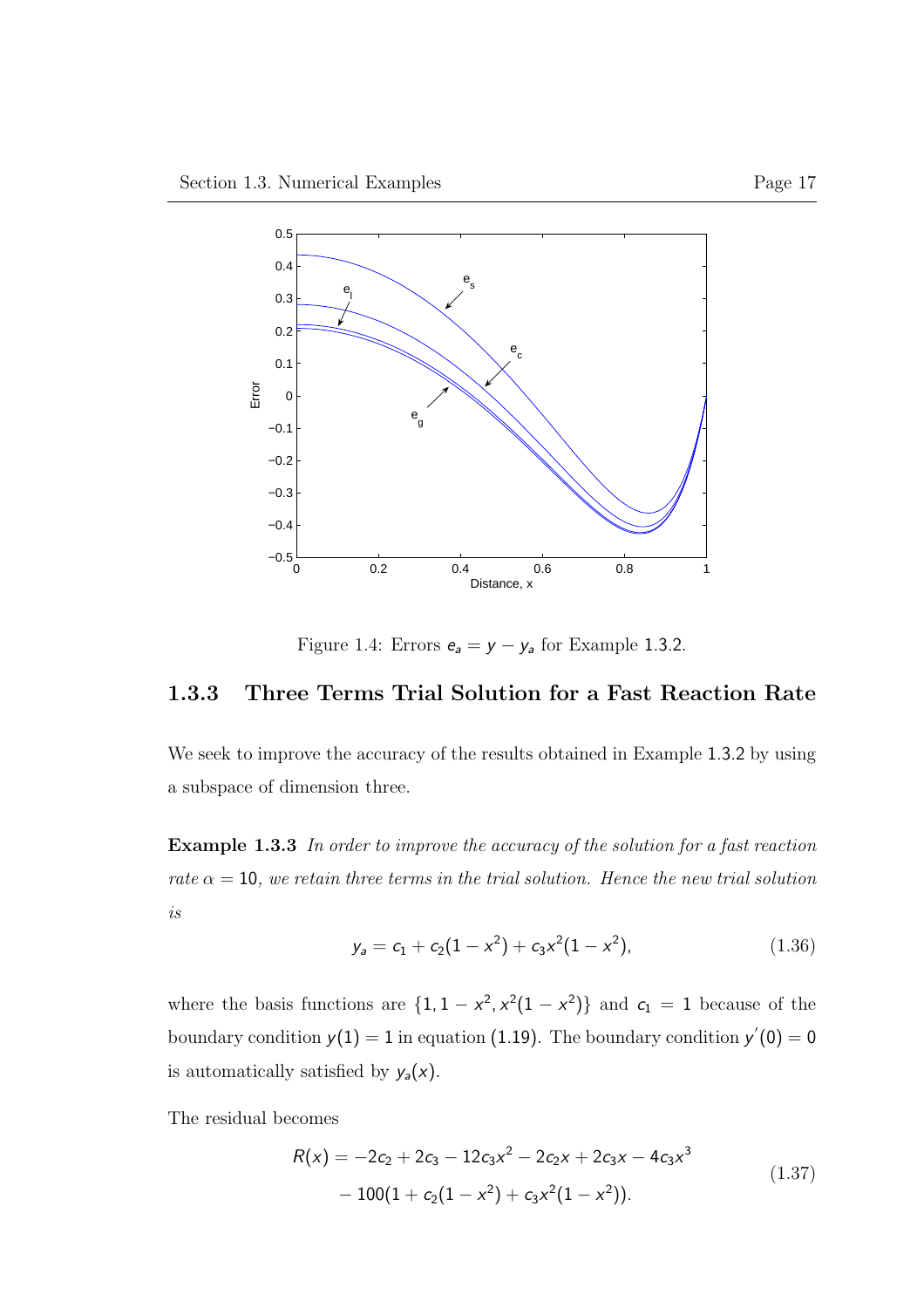

Figure 1.4: Errors  $e_a = y - y_a$  for Example 1.3.2.

#### 1.3.3 Three Terms Trial Solution for a Fast Reaction Rate

We seek to improve the accuracy of the results obtained in Example 1.3.2 by using a subspace of dimension three.

Example 1.3.3 In order to improve the accuracy of the solution for a fast reaction rate  $\alpha = 10$ , we retain three terms in the trial solution. Hence the new trial solution is

$$
y_a = c_1 + c_2(1 - x^2) + c_3x^2(1 - x^2), \qquad (1.36)
$$

where the basis functions are  $\{1, 1 - x^2, x^2(1 - x^2)\}\$  and  $c_1 = 1$  because of the boundary condition  $y(1) = 1$  in equation (1.19). The boundary condition  $y'(0) = 0$ is automatically satisfied by  $y_a(x)$ .

The residual becomes

$$
R(x) = -2c_2 + 2c_3 - 12c_3x^2 - 2c_2x + 2c_3x - 4c_3x^3
$$
  
- 100(1 + c<sub>2</sub>(1 - x<sup>2</sup>) + c<sub>3</sub>x<sup>2</sup>(1 - x<sup>2</sup>)). (1.37)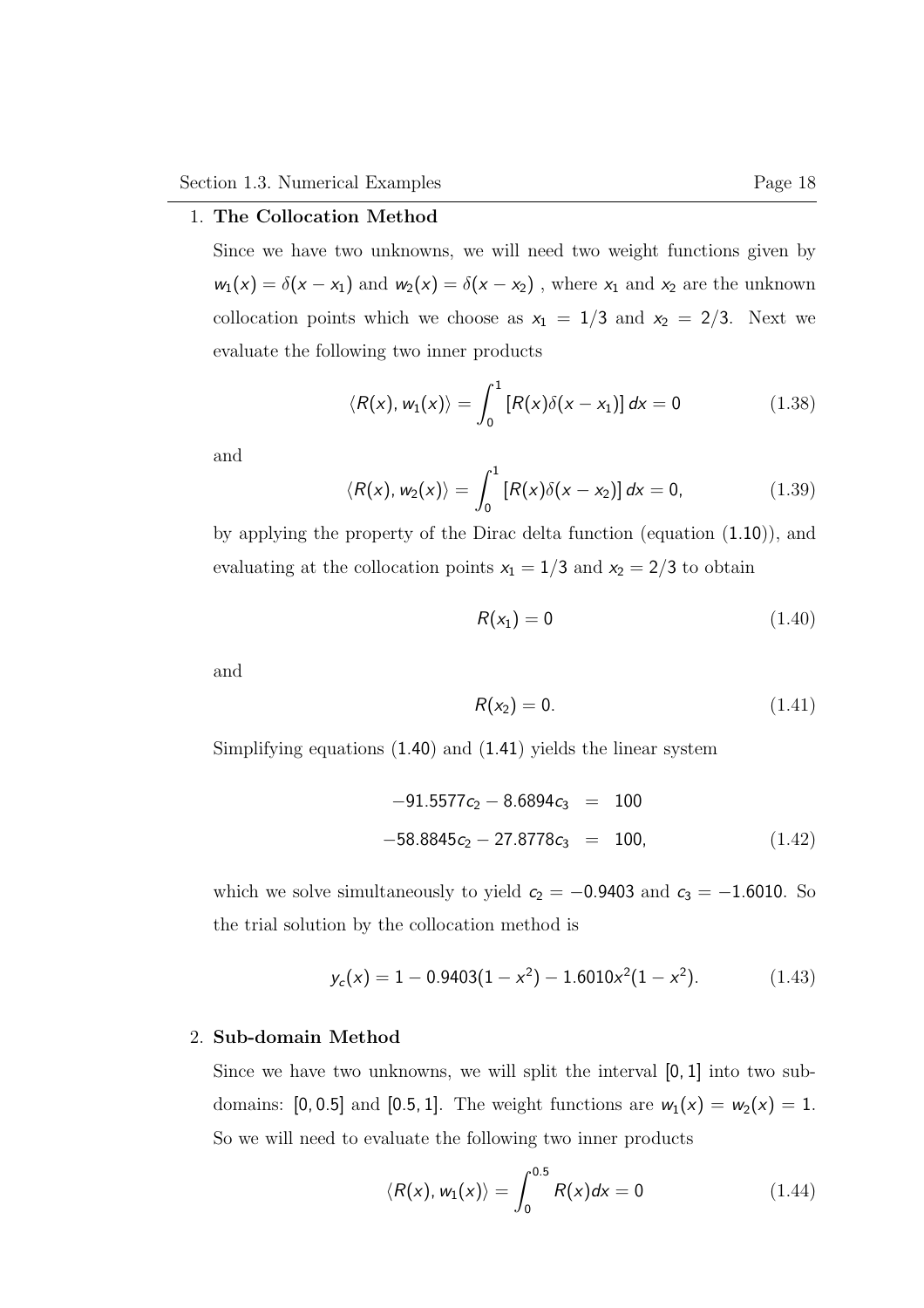#### 1. The Collocation Method

Since we have two unknowns, we will need two weight functions given by  $w_1(x) = \delta(x - x_1)$  and  $w_2(x) = \delta(x - x_2)$ , where  $x_1$  and  $x_2$  are the unknown collocation points which we choose as  $x_1 = 1/3$  and  $x_2 = 2/3$ . Next we evaluate the following two inner products

$$
\langle R(x), w_1(x) \rangle = \int_0^1 \left[ R(x) \delta(x - x_1) \right] dx = 0 \qquad (1.38)
$$

and

$$
\langle R(x), w_2(x) \rangle = \int_0^1 \left[ R(x) \delta(x - x_2) \right] dx = 0, \qquad (1.39)
$$

by applying the property of the Dirac delta function (equation (1.10)), and evaluating at the collocation points  $x_1 = 1/3$  and  $x_2 = 2/3$  to obtain

$$
R(x_1) = 0 \tag{1.40}
$$

and

$$
R(x_2) = 0.\t\t(1.41)
$$

Simplifying equations (1.40) and (1.41) yields the linear system

$$
-91.5577c_2 - 8.6894c_3 = 100
$$
  

$$
-58.8845c_2 - 27.8778c_3 = 100,
$$
 (1.42)

which we solve simultaneously to yield  $c_2 = -0.9403$  and  $c_3 = -1.6010$ . So the trial solution by the collocation method is

$$
y_c(x) = 1 - 0.9403(1 - x^2) - 1.6010x^2(1 - x^2). \tag{1.43}
$$

#### 2. Sub-domain Method

Since we have two unknowns, we will split the interval [0, 1] into two subdomains: [0, 0.5] and [0.5, 1]. The weight functions are  $w_1(x) = w_2(x) = 1$ . So we will need to evaluate the following two inner products

$$
\langle R(x), w_1(x) \rangle = \int_0^{0.5} R(x) dx = 0 \qquad (1.44)
$$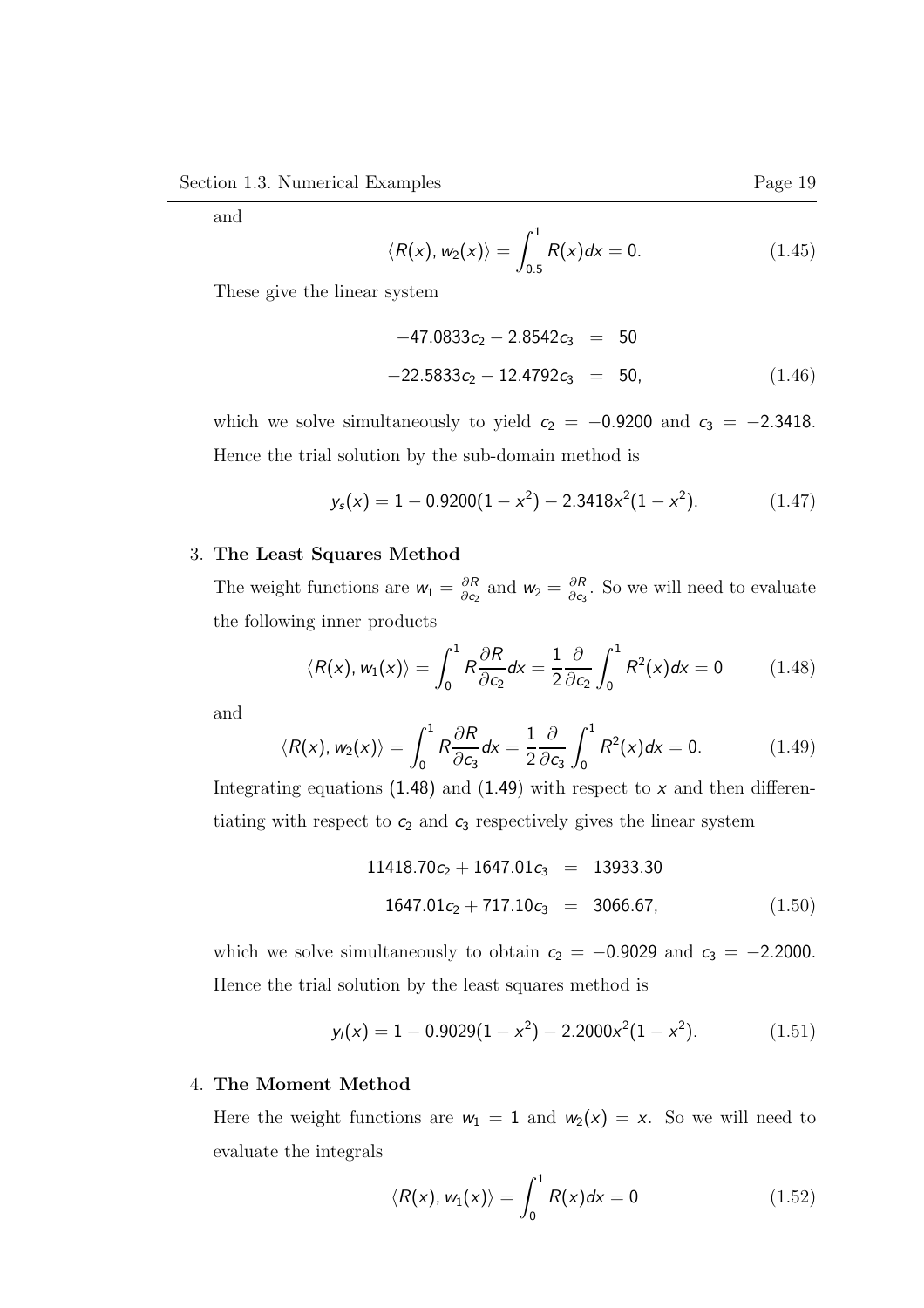and

$$
\langle R(x), w_2(x) \rangle = \int_{0.5}^1 R(x) dx = 0. \qquad (1.45)
$$

These give the linear system

$$
-47.0833c_2 - 2.8542c_3 = 50
$$
  

$$
-22.5833c_2 - 12.4792c_3 = 50,
$$
 (1.46)

which we solve simultaneously to yield  $c_2 = -0.9200$  and  $c_3 = -2.3418$ . Hence the trial solution by the sub-domain method is

$$
y_s(x) = 1 - 0.9200(1 - x^2) - 2.3418x^2(1 - x^2). \tag{1.47}
$$

#### 3. The Least Squares Method

The weight functions are  $w_1 = \frac{\partial R}{\partial \alpha}$  $\frac{\partial R}{\partial c_2}$  and  $w_2 = \frac{\partial R}{\partial c_3}$  $\frac{\partial R}{\partial c_3}$ . So we will need to evaluate the following inner products

$$
\langle R(x), w_1(x) \rangle = \int_0^1 R \frac{\partial R}{\partial c_2} dx = \frac{1}{2} \frac{\partial}{\partial c_2} \int_0^1 R^2(x) dx = 0 \qquad (1.48)
$$

and

$$
\langle R(x), w_2(x) \rangle = \int_0^1 R \frac{\partial R}{\partial c_3} dx = \frac{1}{2} \frac{\partial}{\partial c_3} \int_0^1 R^2(x) dx = 0. \quad (1.49)
$$

Integrating equations  $(1.48)$  and  $(1.49)$  with respect to x and then differentiating with respect to  $c_2$  and  $c_3$  respectively gives the linear system

$$
11418.70c_2 + 1647.01c_3 = 13933.30
$$
  

$$
1647.01c_2 + 717.10c_3 = 3066.67,
$$
 (1.50)

which we solve simultaneously to obtain  $c_2 = -0.9029$  and  $c_3 = -2.2000$ . Hence the trial solution by the least squares method is

$$
y_l(x) = 1 - 0.9029(1 - x^2) - 2.2000x^2(1 - x^2). \tag{1.51}
$$

### 4. The Moment Method

Here the weight functions are  $w_1 = 1$  and  $w_2(x) = x$ . So we will need to evaluate the integrals

$$
\langle R(x), w_1(x) \rangle = \int_0^1 R(x) dx = 0 \qquad (1.52)
$$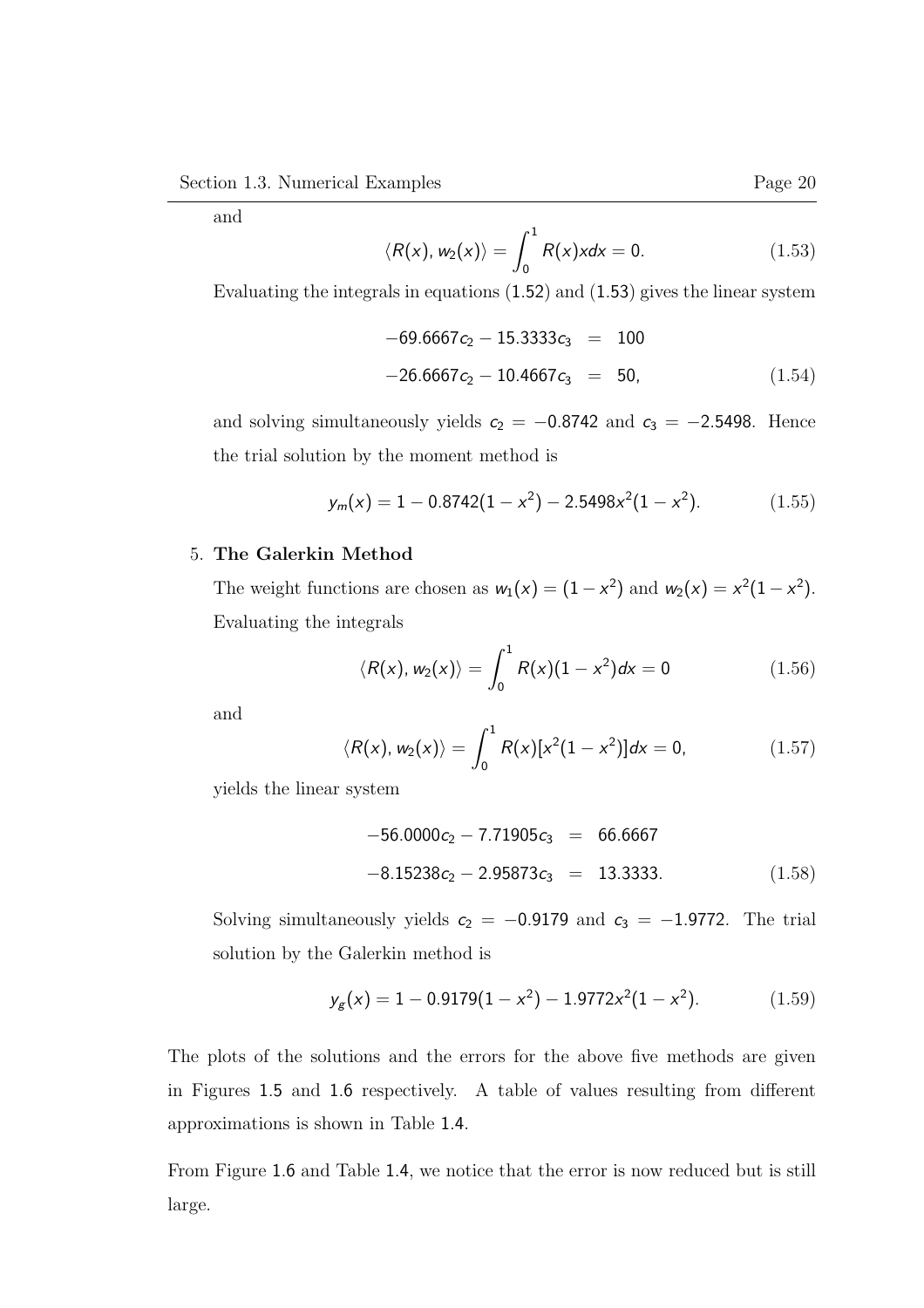and

$$
\langle R(x), w_2(x) \rangle = \int_0^1 R(x) x dx = 0. \qquad (1.53)
$$

Evaluating the integrals in equations (1.52) and (1.53) gives the linear system

$$
-69.6667c_2 - 15.3333c_3 = 100
$$
  

$$
-26.6667c_2 - 10.4667c_3 = 50,
$$
 (1.54)

and solving simultaneously yields  $c_2 = -0.8742$  and  $c_3 = -2.5498$ . Hence the trial solution by the moment method is

$$
y_m(x) = 1 - 0.8742(1 - x^2) - 2.5498x^2(1 - x^2). \tag{1.55}
$$

### 5. The Galerkin Method

The weight functions are chosen as  $w_1(x) = (1 - x^2)$  and  $w_2(x) = x^2(1 - x^2)$ . Evaluating the integrals

$$
\langle R(x), w_2(x) \rangle = \int_0^1 R(x)(1 - x^2) dx = 0 \qquad (1.56)
$$

and

$$
\langle R(x), w_2(x) \rangle = \int_0^1 R(x)[x^2(1-x^2)]dx = 0, \qquad (1.57)
$$

yields the linear system

$$
-56.0000c_2 - 7.71905c_3 = 66.6667
$$
  

$$
-8.15238c_2 - 2.95873c_3 = 13.3333.
$$
 (1.58)

Solving simultaneously yields  $c_2 = -0.9179$  and  $c_3 = -1.9772$ . The trial solution by the Galerkin method is

$$
y_g(x) = 1 - 0.9179(1 - x^2) - 1.9772x^2(1 - x^2). \tag{1.59}
$$

The plots of the solutions and the errors for the above five methods are given in Figures 1.5 and 1.6 respectively. A table of values resulting from different approximations is shown in Table 1.4.

From Figure 1.6 and Table 1.4, we notice that the error is now reduced but is still large.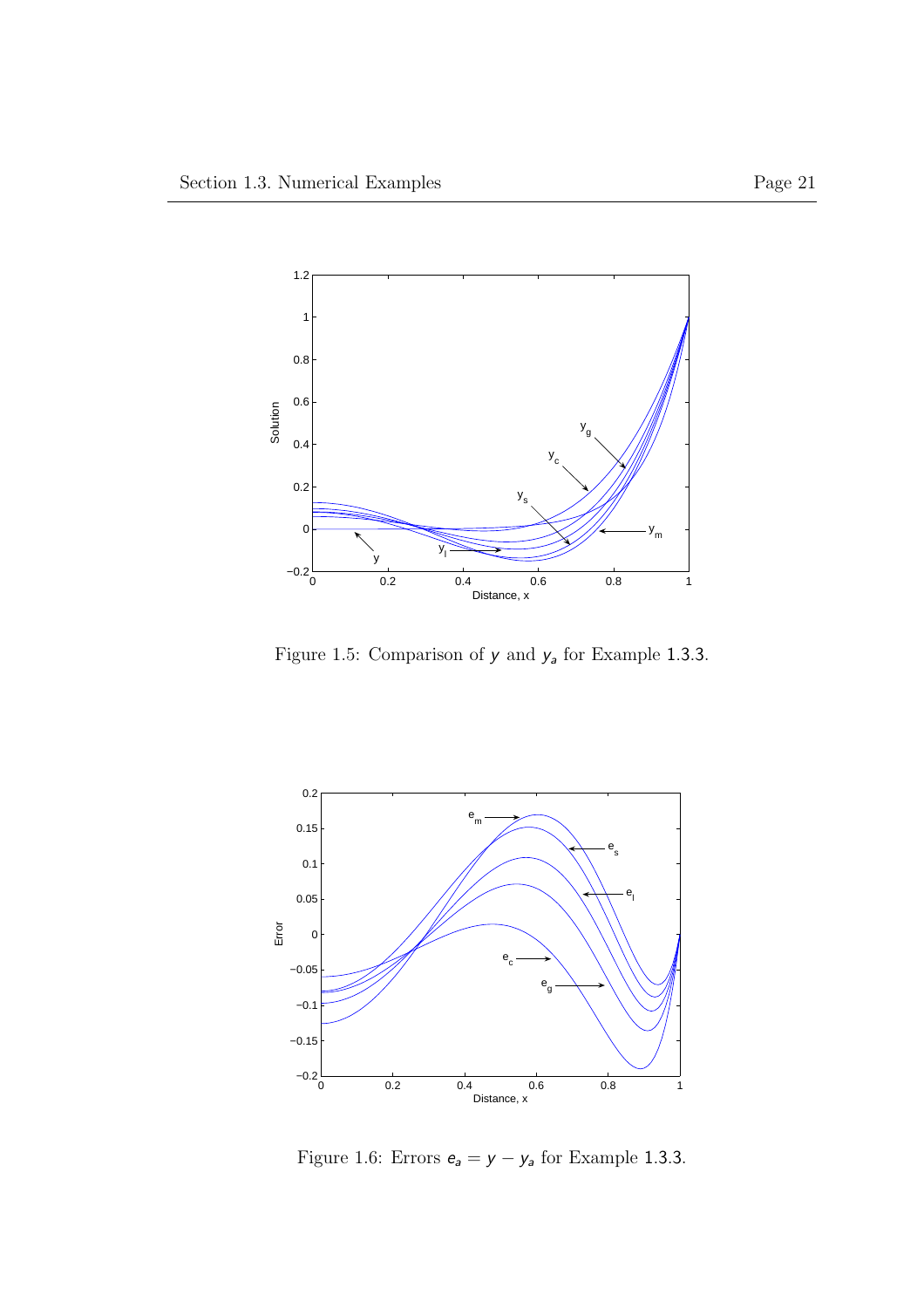

Figure 1.5: Comparison of  $y$  and  $y_a$  for Example 1.3.3.



Figure 1.6: Errors  $e_a = y - y_a$  for Example 1.3.3.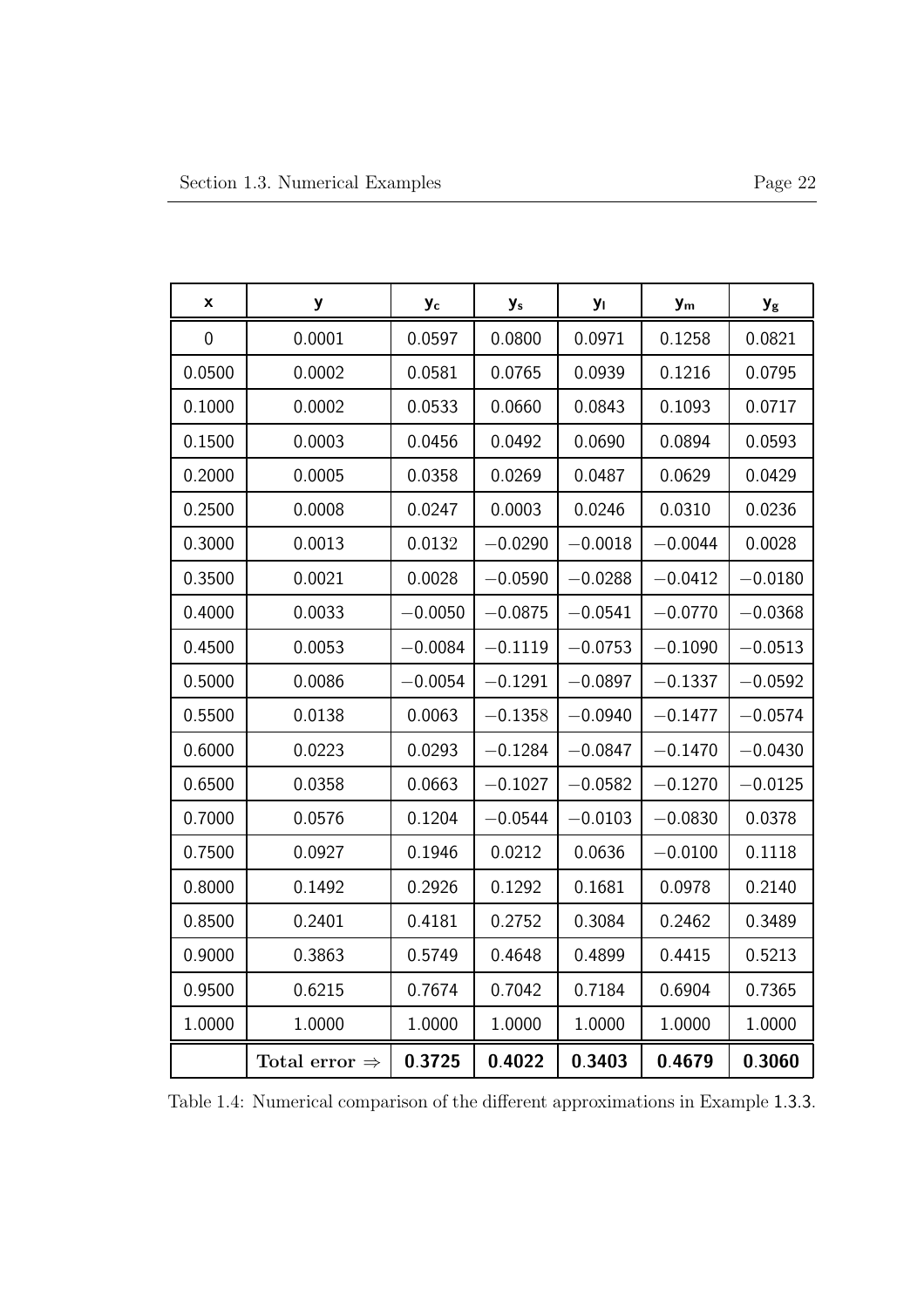| x              | y                         | Уc        | $y_s$     | Уı        | $y_m$     | $y_{\rm g}$ |
|----------------|---------------------------|-----------|-----------|-----------|-----------|-------------|
| $\overline{0}$ | 0.0001                    | 0.0597    | 0.0800    | 0.0971    | 0.1258    | 0.0821      |
| 0.0500         | 0.0002                    | 0.0581    | 0.0765    | 0.0939    | 0.1216    | 0.0795      |
| 0.1000         | 0.0002                    | 0.0533    | 0.0660    | 0.0843    | 0.1093    | 0.0717      |
| 0.1500         | 0.0003                    | 0.0456    | 0.0492    | 0.0690    | 0.0894    | 0.0593      |
| 0.2000         | 0.0005                    | 0.0358    | 0.0269    | 0.0487    | 0.0629    | 0.0429      |
| 0.2500         | 0.0008                    | 0.0247    | 0.0003    | 0.0246    | 0.0310    | 0.0236      |
| 0.3000         | 0.0013                    | 0.0132    | $-0.0290$ | $-0.0018$ | $-0.0044$ | 0.0028      |
| 0.3500         | 0.0021                    | 0.0028    | $-0.0590$ | $-0.0288$ | $-0.0412$ | $-0.0180$   |
| 0.4000         | 0.0033                    | $-0.0050$ | $-0.0875$ | $-0.0541$ | $-0.0770$ | $-0.0368$   |
| 0.4500         | 0.0053                    | $-0.0084$ | $-0.1119$ | $-0.0753$ | $-0.1090$ | $-0.0513$   |
| 0.5000         | 0.0086                    | $-0.0054$ | $-0.1291$ | $-0.0897$ | $-0.1337$ | $-0.0592$   |
| 0.5500         | 0.0138                    | 0.0063    | $-0.1358$ | $-0.0940$ | $-0.1477$ | $-0.0574$   |
| 0.6000         | 0.0223                    | 0.0293    | $-0.1284$ | $-0.0847$ | $-0.1470$ | $-0.0430$   |
| 0.6500         | 0.0358                    | 0.0663    | $-0.1027$ | $-0.0582$ | $-0.1270$ | $-0.0125$   |
| 0.7000         | 0.0576                    | 0.1204    | $-0.0544$ | $-0.0103$ | $-0.0830$ | 0.0378      |
| 0.7500         | 0.0927                    | 0.1946    | 0.0212    | 0.0636    | $-0.0100$ | 0.1118      |
| 0.8000         | 0.1492                    | 0.2926    | 0.1292    | 0.1681    | 0.0978    | 0.2140      |
| 0.8500         | 0.2401                    | 0.4181    | 0.2752    | 0.3084    | 0.2462    | 0.3489      |
| 0.9000         | 0.3863                    | 0.5749    | 0.4648    | 0.4899    | 0.4415    | 0.5213      |
| 0.9500         | 0.6215                    | 0.7674    | 0.7042    | 0.7184    | 0.6904    | 0.7365      |
| 1.0000         | 1.0000                    | 1.0000    | 1.0000    | 1.0000    | 1.0000    | 1.0000      |
|                | Total error $\Rightarrow$ | 0.3725    | 0.4022    | 0.3403    | 0.4679    | 0.3060      |

Table 1.4: Numerical comparison of the different approximations in Example 1.3.3.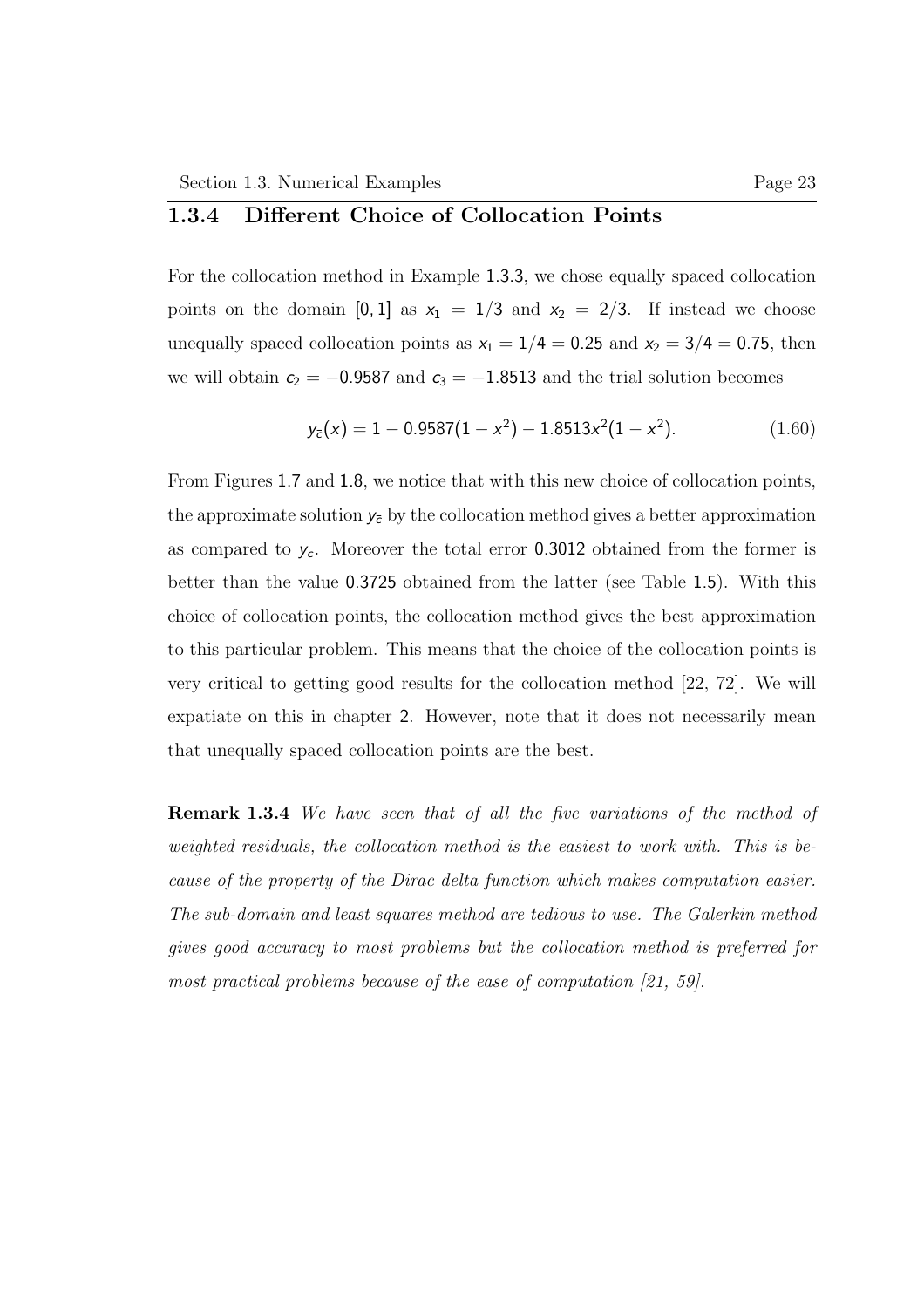## 1.3.4 Different Choice of Collocation Points

For the collocation method in Example 1.3.3, we chose equally spaced collocation points on the domain [0, 1] as  $x_1 = 1/3$  and  $x_2 = 2/3$ . If instead we choose unequally spaced collocation points as  $x_1 = 1/4 = 0.25$  and  $x_2 = 3/4 = 0.75$ , then we will obtain  $c_2 = -0.9587$  and  $c_3 = -1.8513$  and the trial solution becomes

$$
y_{\bar{c}}(x) = 1 - 0.9587(1 - x^2) - 1.8513x^2(1 - x^2). \tag{1.60}
$$

From Figures 1.7 and 1.8, we notice that with this new choice of collocation points, the approximate solution  $y_{\bar{c}}$  by the collocation method gives a better approximation as compared to  $y_c$ . Moreover the total error 0.3012 obtained from the former is better than the value 0.3725 obtained from the latter (see Table 1.5). With this choice of collocation points, the collocation method gives the best approximation to this particular problem. This means that the choice of the collocation points is very critical to getting good results for the collocation method [22, 72]. We will expatiate on this in chapter 2. However, note that it does not necessarily mean that unequally spaced collocation points are the best.

Remark 1.3.4 We have seen that of all the five variations of the method of weighted residuals, the collocation method is the easiest to work with. This is because of the property of the Dirac delta function which makes computation easier. The sub-domain and least squares method are tedious to use. The Galerkin method gives good accuracy to most problems but the collocation method is preferred for most practical problems because of the ease of computation [21, 59].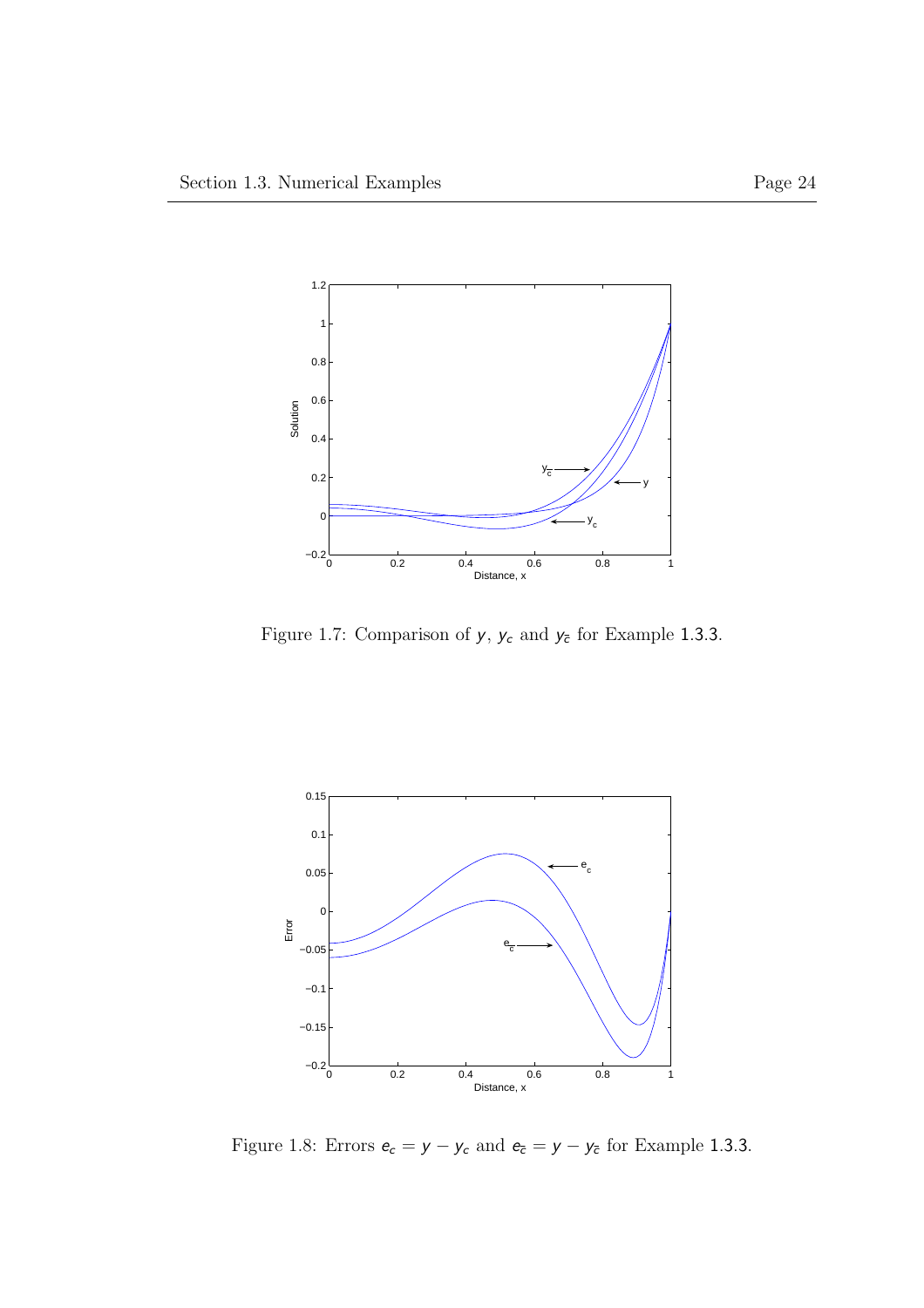

Figure 1.7: Comparison of  $y, \, y_c$  and  $y_{\bar c}$  for Example 1.3.3.



Figure 1.8: Errors  $e_c = y - y_c$  and  $e_{\bar{c}} = y - y_{\bar{c}}$  for Example 1.3.3.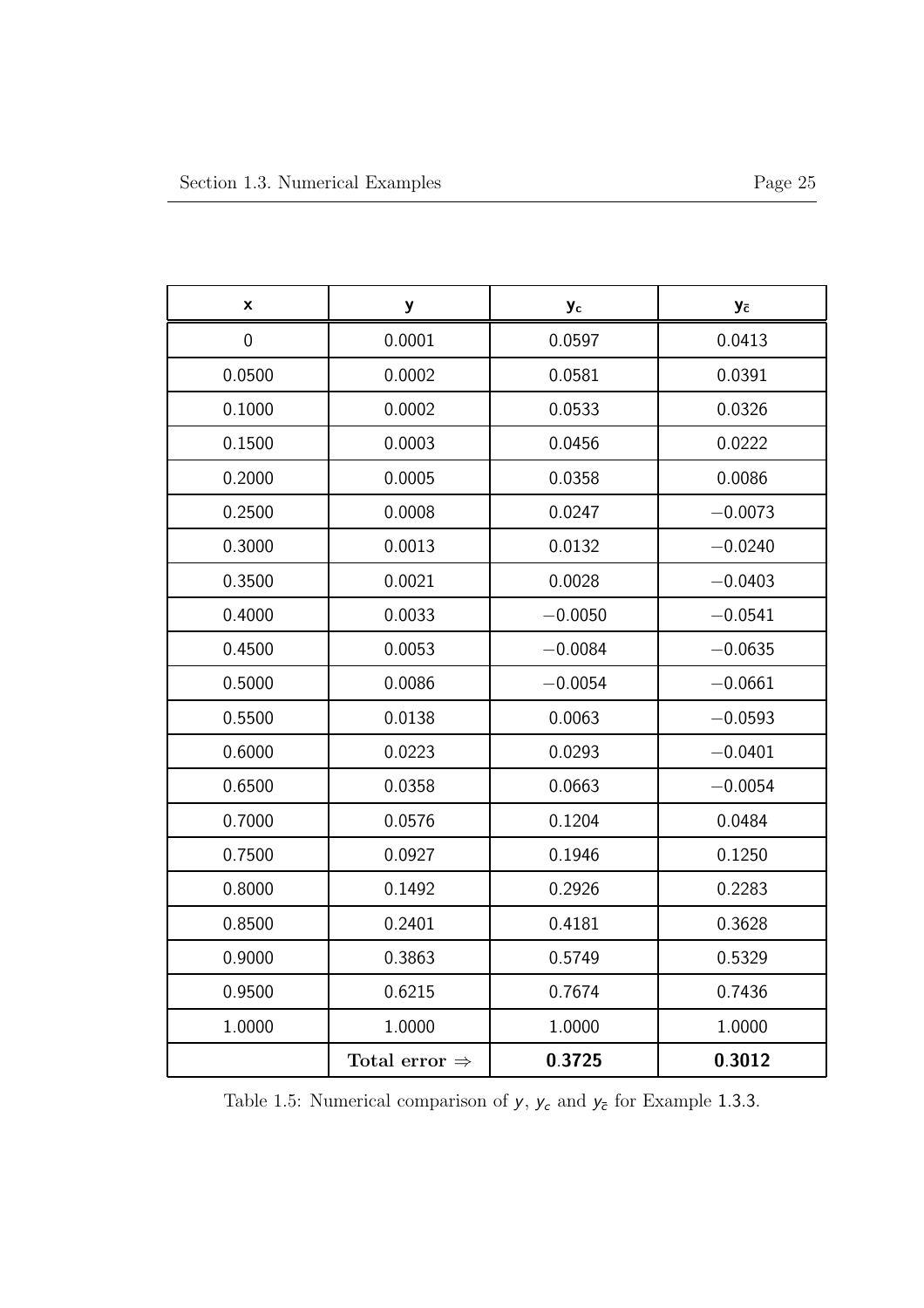| X           | у                         | Уc        | Уc        |
|-------------|---------------------------|-----------|-----------|
| $\mathbf 0$ | 0.0001                    | 0.0597    | 0.0413    |
| 0.0500      | 0.0002                    | 0.0581    | 0.0391    |
| 0.1000      | 0.0002                    | 0.0533    | 0.0326    |
| 0.1500      | 0.0003                    | 0.0456    | 0.0222    |
| 0.2000      | 0.0005                    | 0.0358    | 0.0086    |
| 0.2500      | 0.0008                    | 0.0247    | $-0.0073$ |
| 0.3000      | 0.0013                    | 0.0132    | $-0.0240$ |
| 0.3500      | 0.0021                    | 0.0028    | $-0.0403$ |
| 0.4000      | 0.0033                    | $-0.0050$ | $-0.0541$ |
| 0.4500      | 0.0053                    | $-0.0084$ | $-0.0635$ |
| 0.5000      | 0.0086                    | $-0.0054$ | $-0.0661$ |
| 0.5500      | 0.0138                    | 0.0063    | $-0.0593$ |
| 0.6000      | 0.0223                    | 0.0293    | $-0.0401$ |
| 0.6500      | 0.0358                    | 0.0663    | $-0.0054$ |
| 0.7000      | 0.0576                    | 0.1204    | 0.0484    |
| 0.7500      | 0.0927                    | 0.1946    | 0.1250    |
| 0.8000      | 0.1492                    | 0.2926    | 0.2283    |
| 0.8500      | 0.2401                    | 0.4181    | 0.3628    |
| 0.9000      | 0.3863                    | 0.5749    | 0.5329    |
| 0.9500      | 0.6215                    | 0.7674    | 0.7436    |
| 1.0000      | 1.0000                    | 1.0000    | 1.0000    |
|             | Total error $\Rightarrow$ | 0.3725    | 0.3012    |

Table 1.5: Numerical comparison of  $y, \, y_c$  and  $y_{\overline{c}}$  for Example 1.3.3.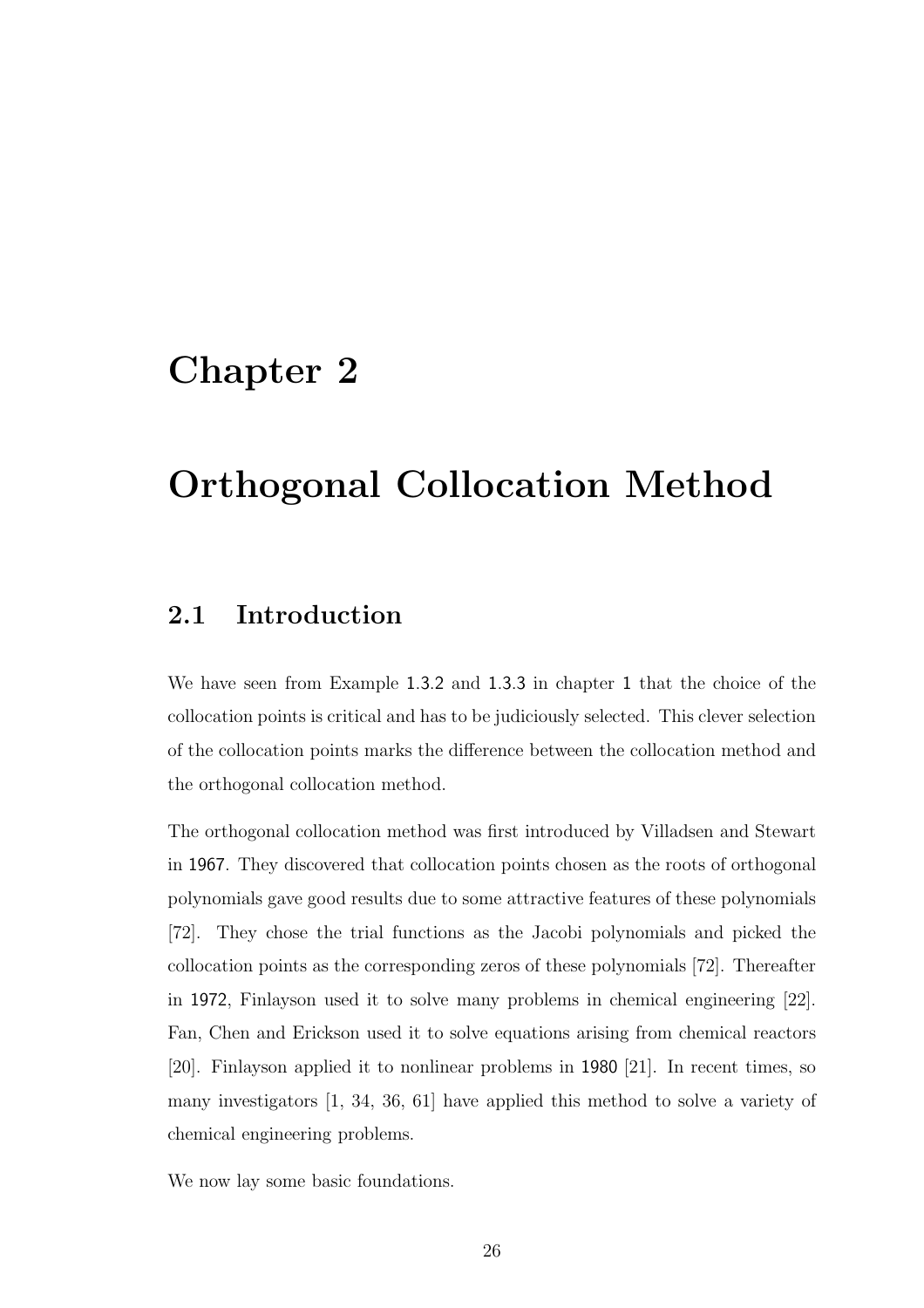# Chapter 2

# Orthogonal Collocation Method

# 2.1 Introduction

We have seen from Example 1.3.2 and 1.3.3 in chapter 1 that the choice of the collocation points is critical and has to be judiciously selected. This clever selection of the collocation points marks the difference between the collocation method and the orthogonal collocation method.

The orthogonal collocation method was first introduced by Villadsen and Stewart in 1967. They discovered that collocation points chosen as the roots of orthogonal polynomials gave good results due to some attractive features of these polynomials [72]. They chose the trial functions as the Jacobi polynomials and picked the collocation points as the corresponding zeros of these polynomials [72]. Thereafter in 1972, Finlayson used it to solve many problems in chemical engineering [22]. Fan, Chen and Erickson used it to solve equations arising from chemical reactors [20]. Finlayson applied it to nonlinear problems in 1980 [21]. In recent times, so many investigators [1, 34, 36, 61] have applied this method to solve a variety of chemical engineering problems.

We now lay some basic foundations.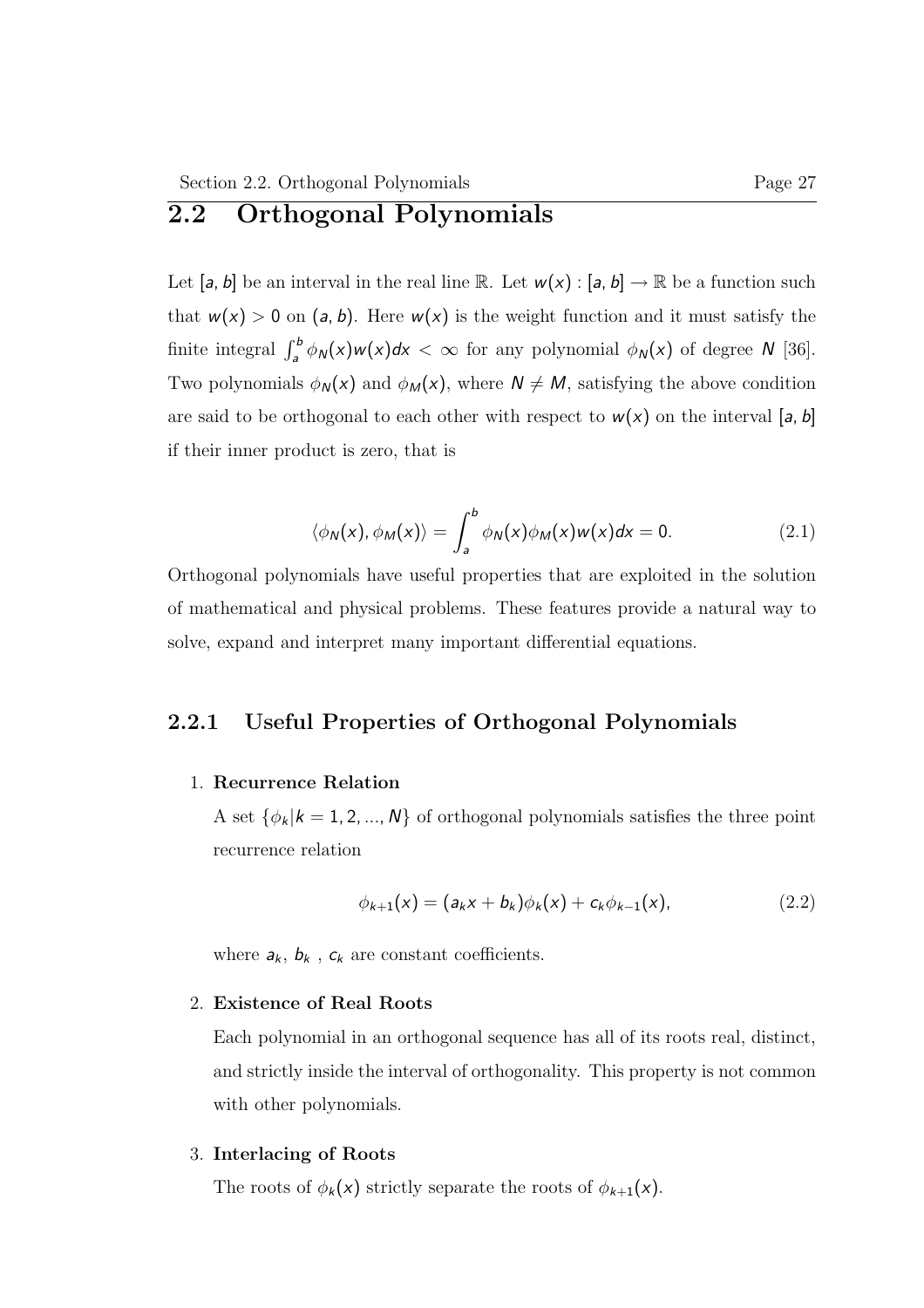# 2.2 Orthogonal Polynomials

Let  $[a, b]$  be an interval in the real line R. Let  $w(x) : [a, b] \to \mathbb{R}$  be a function such that  $w(x) > 0$  on  $(a, b)$ . Here  $w(x)$  is the weight function and it must satisfy the finite integral  $\int_a^b \phi_N(x)w(x)dx < \infty$  for any polynomial  $\phi_N(x)$  of degree N [36]. Two polynomials  $\phi_N(x)$  and  $\phi_M(x)$ , where  $N \neq M$ , satisfying the above condition are said to be orthogonal to each other with respect to  $w(x)$  on the interval [a, b] if their inner product is zero, that is

$$
\langle \phi_N(x), \phi_M(x) \rangle = \int_a^b \phi_N(x) \phi_M(x) w(x) dx = 0. \tag{2.1}
$$

Orthogonal polynomials have useful properties that are exploited in the solution of mathematical and physical problems. These features provide a natural way to solve, expand and interpret many important differential equations.

## 2.2.1 Useful Properties of Orthogonal Polynomials

### 1. Recurrence Relation

A set  $\{\phi_k | k = 1, 2, ..., N\}$  of orthogonal polynomials satisfies the three point recurrence relation

$$
\phi_{k+1}(x) = (a_k x + b_k)\phi_k(x) + c_k \phi_{k-1}(x), \qquad (2.2)
$$

where  $a_k$ ,  $b_k$ ,  $c_k$  are constant coefficients.

### 2. Existence of Real Roots

Each polynomial in an orthogonal sequence has all of its roots real, distinct, and strictly inside the interval of orthogonality. This property is not common with other polynomials.

#### 3. Interlacing of Roots

The roots of  $\phi_k(x)$  strictly separate the roots of  $\phi_{k+1}(x)$ .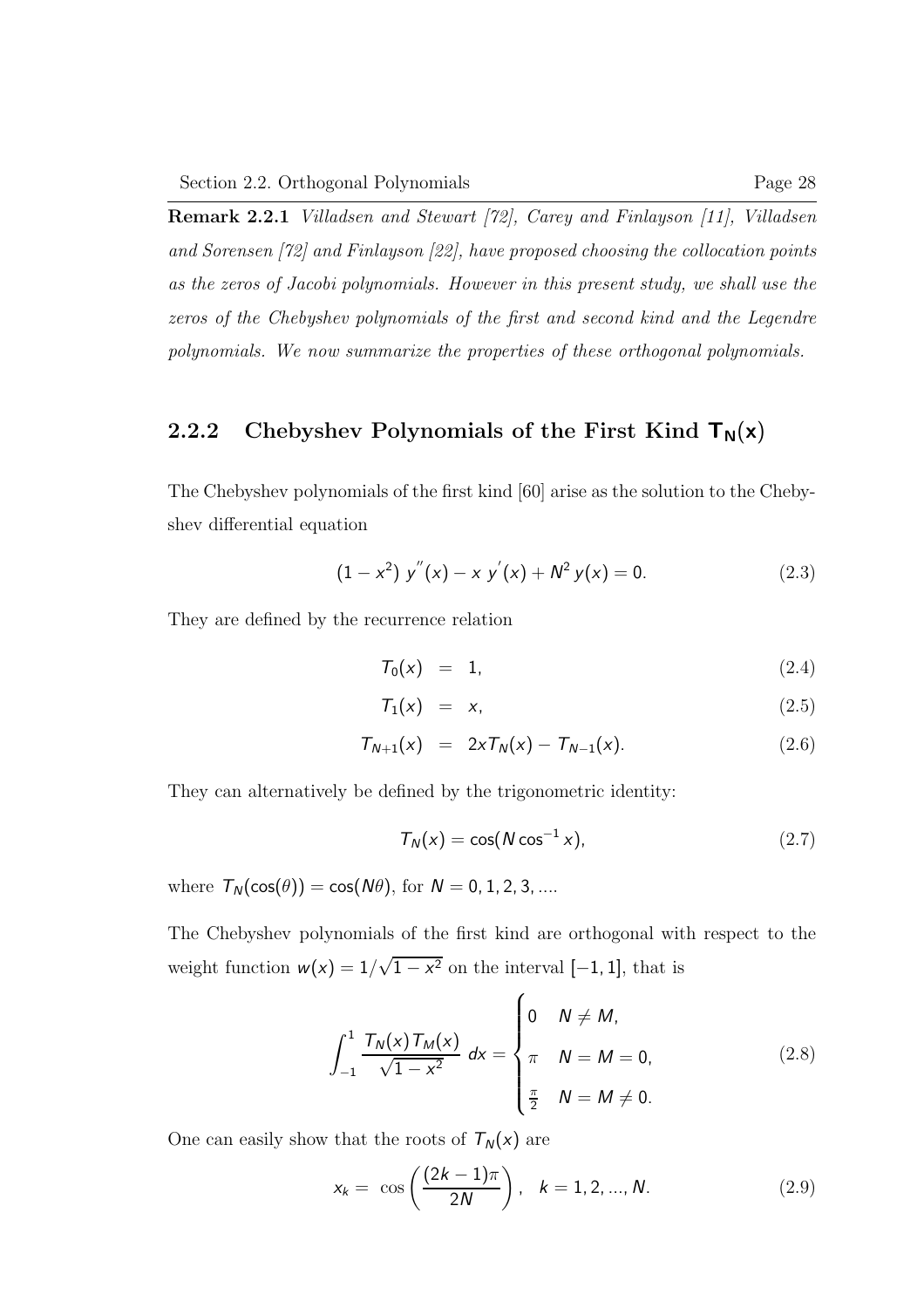Remark 2.2.1 Villadsen and Stewart [72], Carey and Finlayson [11], Villadsen and Sorensen [72] and Finlayson [22], have proposed choosing the collocation points as the zeros of Jacobi polynomials. However in this present study, we shall use the zeros of the Chebyshev polynomials of the first and second kind and the Legendre polynomials. We now summarize the properties of these orthogonal polynomials.

## 2.2.2 Chebyshev Polynomials of the First Kind  $T_N(x)$

The Chebyshev polynomials of the first kind [60] arise as the solution to the Chebyshev differential equation

$$
(1 - x2) y''(x) - x y'(x) + N2 y(x) = 0.
$$
 (2.3)

They are defined by the recurrence relation

$$
T_0(x) = 1, \tag{2.4}
$$

$$
T_1(x) = x, \tag{2.5}
$$

$$
T_{N+1}(x) = 2xT_N(x) - T_{N-1}(x).
$$
 (2.6)

They can alternatively be defined by the trigonometric identity:

$$
T_N(x) = \cos(N \cos^{-1} x), \qquad (2.7)
$$

where  $\mathcal{T}_N(\cos(\theta)) = \cos(N\theta)$ , for  $N = 0, 1, 2, 3, \dots$ 

The Chebyshev polynomials of the first kind are orthogonal with respect to the weight function  $w(x) = 1/\sqrt{1 - x^2}$  on the interval  $[-1, 1]$ , that is

$$
\int_{-1}^{1} \frac{T_N(x) T_M(x)}{\sqrt{1 - x^2}} dx = \begin{cases} 0 & N \neq M, \\ \pi & N = M = 0, \\ \frac{\pi}{2} & N = M \neq 0. \end{cases}
$$
 (2.8)

One can easily show that the roots of  $T_N(x)$  are

$$
x_k = \cos\left(\frac{(2k-1)\pi}{2N}\right), \quad k = 1, 2, ..., N. \tag{2.9}
$$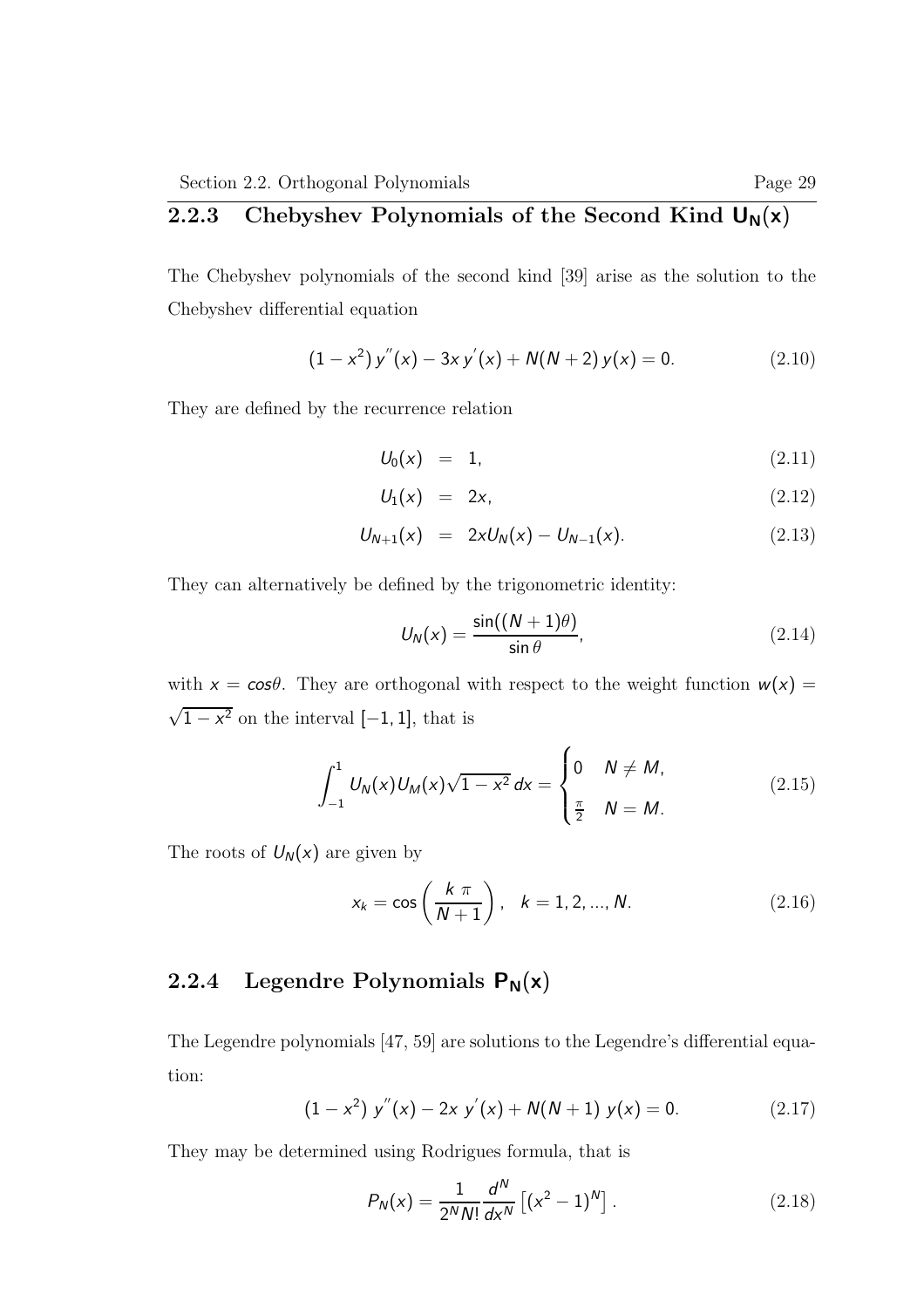# 2.2.3 Chebyshev Polynomials of the Second Kind  $U_N(x)$

The Chebyshev polynomials of the second kind [39] arise as the solution to the Chebyshev differential equation

$$
(1 - x2) y''(x) - 3xy'(x) + N(N + 2) y(x) = 0.
$$
 (2.10)

They are defined by the recurrence relation

$$
U_0(x) = 1, \t(2.11)
$$

$$
U_1(x) = 2x, \qquad (2.12)
$$

$$
U_{N+1}(x) = 2xU_N(x) - U_{N-1}(x). \qquad (2.13)
$$

They can alternatively be defined by the trigonometric identity:

$$
U_N(x) = \frac{\sin((N+1)\theta)}{\sin \theta}, \qquad (2.14)
$$

with  $x = \cos\theta$ . They are orthogonal with respect to the weight function  $w(x) =$  $\sqrt{1-x^2}$  on the interval [-1, 1], that is

$$
\int_{-1}^{1} U_N(x) U_M(x) \sqrt{1 - x^2} \, dx = \begin{cases} 0 & N \neq M, \\ \frac{\pi}{2} & N = M. \end{cases} \tag{2.15}
$$

The roots of  $U_N(x)$  are given by

$$
x_k = \cos\left(\frac{k \pi}{N+1}\right), \quad k = 1, 2, ..., N. \tag{2.16}
$$

# 2.2.4 Legendre Polynomials  $P_N(x)$

The Legendre polynomials [47, 59] are solutions to the Legendre's differential equation:

$$
(1 - x2) y''(x) - 2x y'(x) + N(N + 1) y(x) = 0.
$$
 (2.17)

They may be determined using Rodrigues formula, that is

$$
P_N(x) = \frac{1}{2^N N!} \frac{d^N}{dx^N} \left[ (x^2 - 1)^N \right].
$$
 (2.18)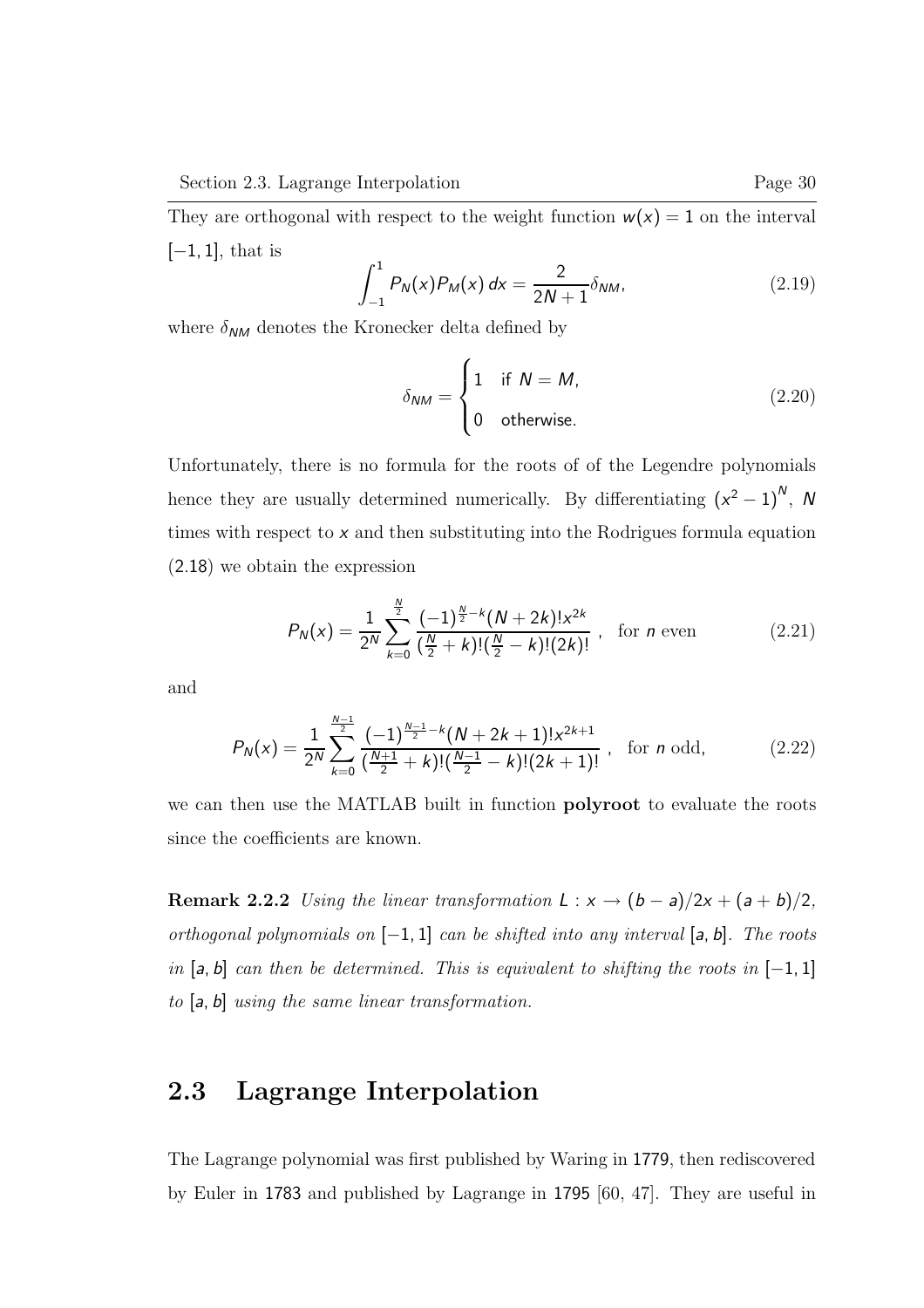They are orthogonal with respect to the weight function  $w(x) = 1$  on the interval  $[-1, 1]$ , that is

$$
\int_{-1}^{1} P_{N}(x) P_{M}(x) dx = \frac{2}{2N+1} \delta_{NM}, \qquad (2.19)
$$

where  $\delta_{NM}$  denotes the Kronecker delta defined by

$$
\delta_{NM} = \begin{cases} 1 & \text{if } N = M, \\ 0 & \text{otherwise.} \end{cases}
$$
 (2.20)

Unfortunately, there is no formula for the roots of of the Legendre polynomials hence they are usually determined numerically. By differentiating  $(x^2 - 1)^N$ , N times with respect to x and then substituting into the Rodrigues formula equation (2.18) we obtain the expression

$$
P_N(x) = \frac{1}{2^N} \sum_{k=0}^{\frac{N}{2}} \frac{(-1)^{\frac{N}{2}-k} (N+2k)! x^{2k}}{(\frac{N}{2}+k)!(\frac{N}{2}-k)!(2k)!}, \text{ for } n \text{ even}
$$
 (2.21)

and

$$
P_N(x) = \frac{1}{2^N} \sum_{k=0}^{\frac{N-1}{2}} \frac{(-1)^{\frac{N-1}{2} - k} (N + 2k + 1)! x^{2k+1}}{(\frac{N+1}{2} + k)!(\frac{N-1}{2} - k)!(2k+1)!}, \text{ for } n \text{ odd},
$$
 (2.22)

we can then use the MATLAB built in function **polyroot** to evaluate the roots since the coefficients are known.

Remark 2.2.2 Using the linear transformation  $L : x \rightarrow (b - a)/2x + (a + b)/2$ , orthogonal polynomials on  $[-1, 1]$  can be shifted into any interval  $[a, b]$ . The roots in  $[a, b]$  can then be determined. This is equivalent to shifting the roots in  $[-1, 1]$ to [a, b] using the same linear transformation.

## 2.3 Lagrange Interpolation

The Lagrange polynomial was first published by Waring in 1779, then rediscovered by Euler in 1783 and published by Lagrange in 1795 [60, 47]. They are useful in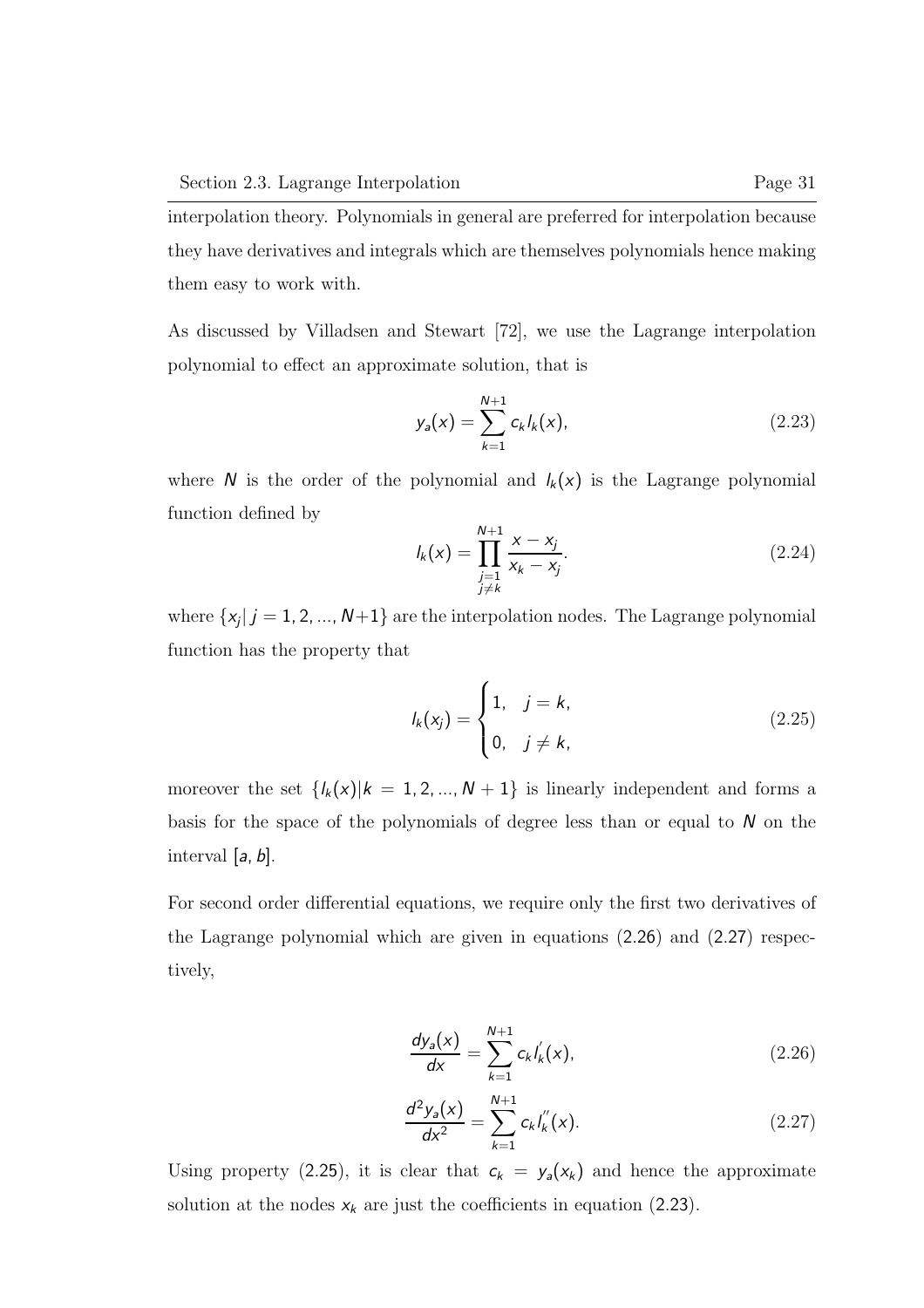interpolation theory. Polynomials in general are preferred for interpolation because they have derivatives and integrals which are themselves polynomials hence making them easy to work with.

As discussed by Villadsen and Stewart [72], we use the Lagrange interpolation polynomial to effect an approximate solution, that is

$$
y_a(x) = \sum_{k=1}^{N+1} c_k I_k(x),
$$
 (2.23)

where  $N$  is the order of the polynomial and  $l_k(x)$  is the Lagrange polynomial function defined by

$$
I_k(x) = \prod_{\substack{j=1 \ j \neq k}}^{N+1} \frac{x - x_j}{x_k - x_j}.
$$
 (2.24)

where  $\{x_j | j = 1, 2, ..., N+1\}$  are the interpolation nodes. The Lagrange polynomial function has the property that

$$
I_k(x_j) = \begin{cases} 1, & j = k, \\ 0, & j \neq k, \end{cases}
$$
 (2.25)

moreover the set  $\{l_k(x)|k = 1, 2, ..., N + 1\}$  is linearly independent and forms a basis for the space of the polynomials of degree less than or equal to  $N$  on the interval  $[a, b]$ .

For second order differential equations, we require only the first two derivatives of the Lagrange polynomial which are given in equations (2.26) and (2.27) respectively,

$$
\frac{dy_a(x)}{dx} = \sum_{k=1}^{N+1} c_k I'_k(x),
$$
\n(2.26)

$$
\frac{d^2y_a(x)}{dx^2} = \sum_{k=1}^{N+1} c_k I'_k(x).
$$
 (2.27)

Using property (2.25), it is clear that  $c_k = y_a(x_k)$  and hence the approximate solution at the nodes  $x_k$  are just the coefficients in equation (2.23).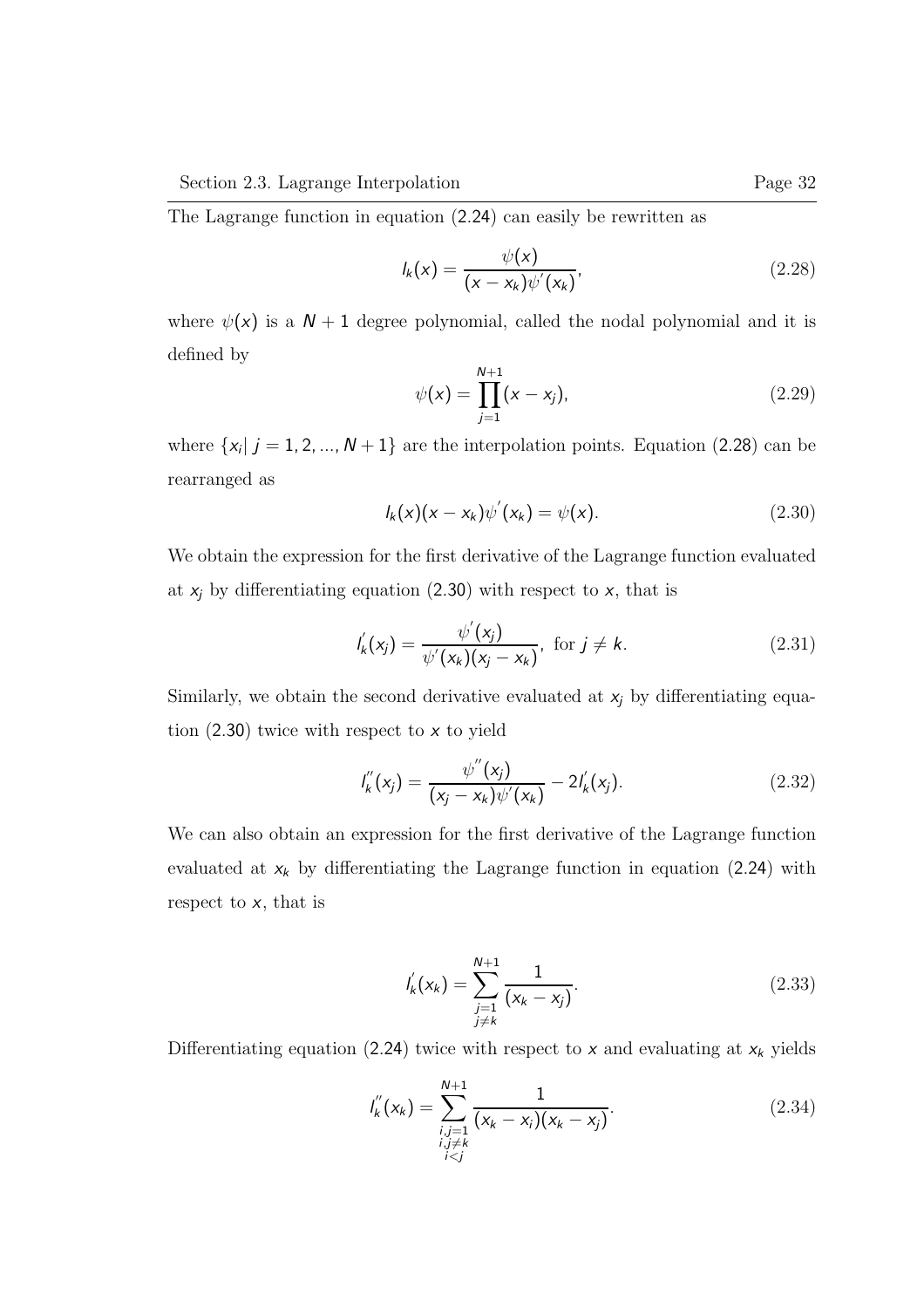The Lagrange function in equation (2.24) can easily be rewritten as

$$
I_k(x) = \frac{\psi(x)}{(x - x_k)\psi'(x_k)},
$$
\n(2.28)

where  $\psi(x)$  is a  $N + 1$  degree polynomial, called the nodal polynomial and it is defined by

$$
\psi(x) = \prod_{j=1}^{N+1} (x - x_j), \tag{2.29}
$$

where  $\{x_i | j = 1, 2, ..., N + 1\}$  are the interpolation points. Equation (2.28) can be rearranged as

$$
I_k(x)(x - x_k)\psi'(x_k) = \psi(x).
$$
 (2.30)

We obtain the expression for the first derivative of the Lagrange function evaluated at  $x_j$  by differentiating equation (2.30) with respect to  $x$ , that is

$$
I'_{k}(x_{j}) = \frac{\psi'(x_{j})}{\psi'(x_{k})(x_{j} - x_{k})}, \text{ for } j \neq k.
$$
 (2.31)

Similarly, we obtain the second derivative evaluated at  $x_j$  by differentiating equation  $(2.30)$  twice with respect to x to yield

$$
I'_{k}(x_{j}) = \frac{\psi''(x_{j})}{(x_{j} - x_{k})\psi'(x_{k})} - 2I'_{k}(x_{j}).
$$
\n(2.32)

We can also obtain an expression for the first derivative of the Lagrange function evaluated at  $x_k$  by differentiating the Lagrange function in equation (2.24) with respect to x, that is

$$
I'_{k}(x_{k}) = \sum_{\substack{j=1 \ j \neq k}}^{N+1} \frac{1}{(x_{k} - x_{j})}.
$$
 (2.33)

Differentiating equation (2.24) twice with respect to  $x$  and evaluating at  $x_k$  yields

$$
I'_{k}(x_{k}) = \sum_{\substack{i,j=1 \ i,j \neq k}}^{N+1} \frac{1}{(x_{k} - x_{i})(x_{k} - x_{j})}.
$$
 (2.34)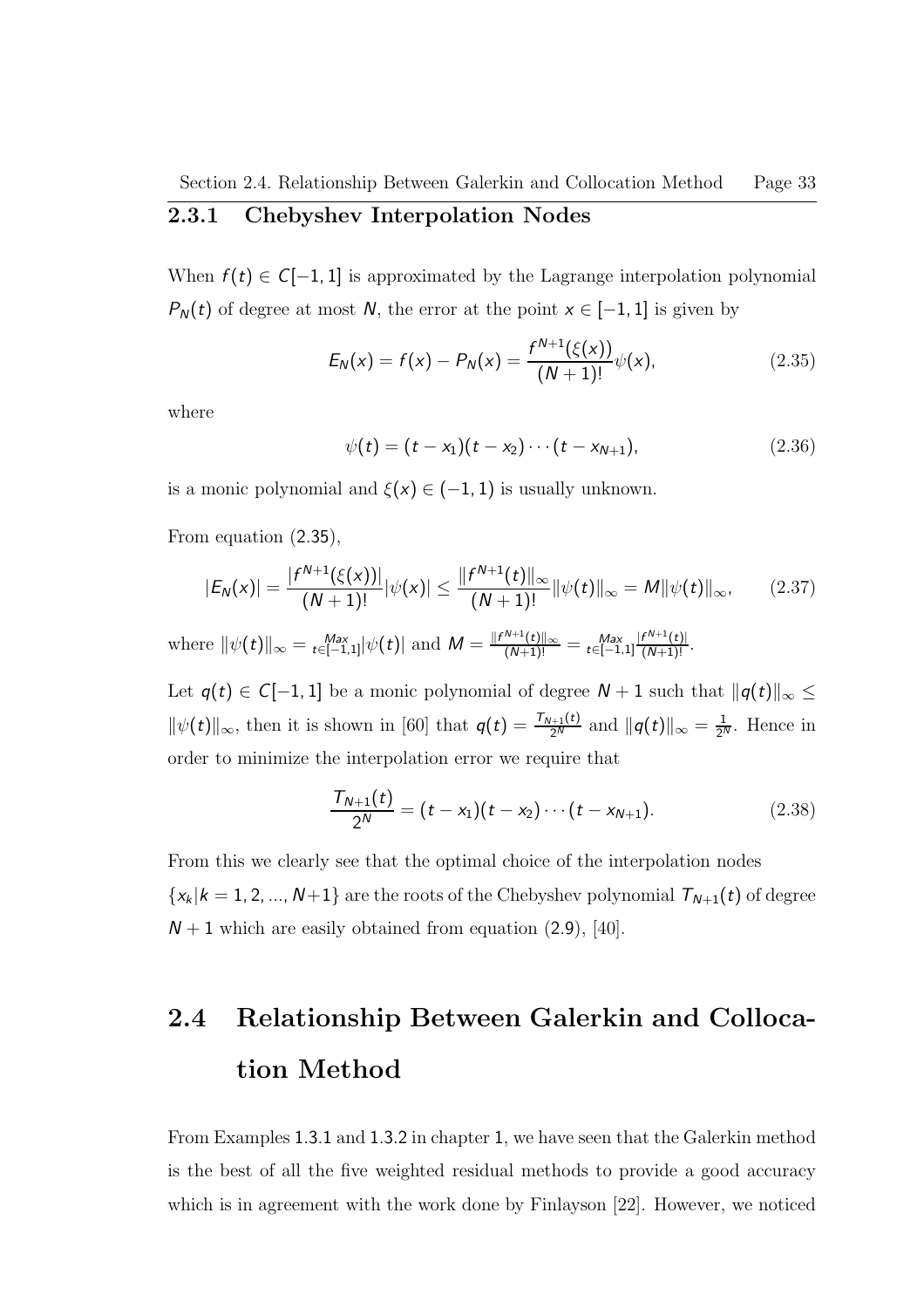When  $f(t) \in C[-1, 1]$  is approximated by the Lagrange interpolation polynomial  $P_N(t)$  of degree at most N, the error at the point  $x \in [-1, 1]$  is given by

$$
E_N(x) = f(x) - P_N(x) = \frac{f^{N+1}(\xi(x))}{(N+1)!} \psi(x), \qquad (2.35)
$$

where

$$
\psi(t) = (t - x_1)(t - x_2) \cdots (t - x_{N+1}), \qquad (2.36)
$$

is a monic polynomial and  $\xi(x) \in (-1, 1)$  is usually unknown.

From equation (2.35),

$$
|E_N(x)| = \frac{|f^{N+1}(\xi(x))|}{(N+1)!}|\psi(x)| \le \frac{\|f^{N+1}(t)\|_{\infty}}{(N+1)!} \|\psi(t)\|_{\infty} = M \|\psi(t)\|_{\infty}, \qquad (2.37)
$$

where  $\|\psi(t)\|_{\infty} = \max_{t \in [-1,1]} |\psi(t)|$  and  $M = \frac{\|f^{N+1}(t)\|_{\infty}}{(N+1)!} = \max_{t \in [-1,1]} \frac{|f^{N+1}(t)|}{(N+1)!}$ .

Let  $q(t) \in C[-1,1]$  be a monic polynomial of degree  $N + 1$  such that  $||q(t)||_{\infty} \leq$  $\|\psi(t)\|_{\infty}$ , then it is shown in [60] that  $q(t) = \frac{\tau_{N+1}(t)}{2^N}$  and  $\|q(t)\|_{\infty} = \frac{1}{2^N}$  $\frac{1}{2^N}$ . Hence in order to minimize the interpolation error we require that

$$
\frac{\mathcal{T}_{N+1}(t)}{2^N} = (t - x_1)(t - x_2) \cdots (t - x_{N+1}). \tag{2.38}
$$

From this we clearly see that the optimal choice of the interpolation nodes  $\{x_k | k=1,2,...,N+1\}$  are the roots of the Chebyshev polynomial  $\mathcal{T}_{N+1}(t)$  of degree  $N + 1$  which are easily obtained from equation (2.9), [40].

# 2.4 Relationship Between Galerkin and Collocation Method

From Examples 1.3.1 and 1.3.2 in chapter 1, we have seen that the Galerkin method is the best of all the five weighted residual methods to provide a good accuracy which is in agreement with the work done by Finlayson [22]. However, we noticed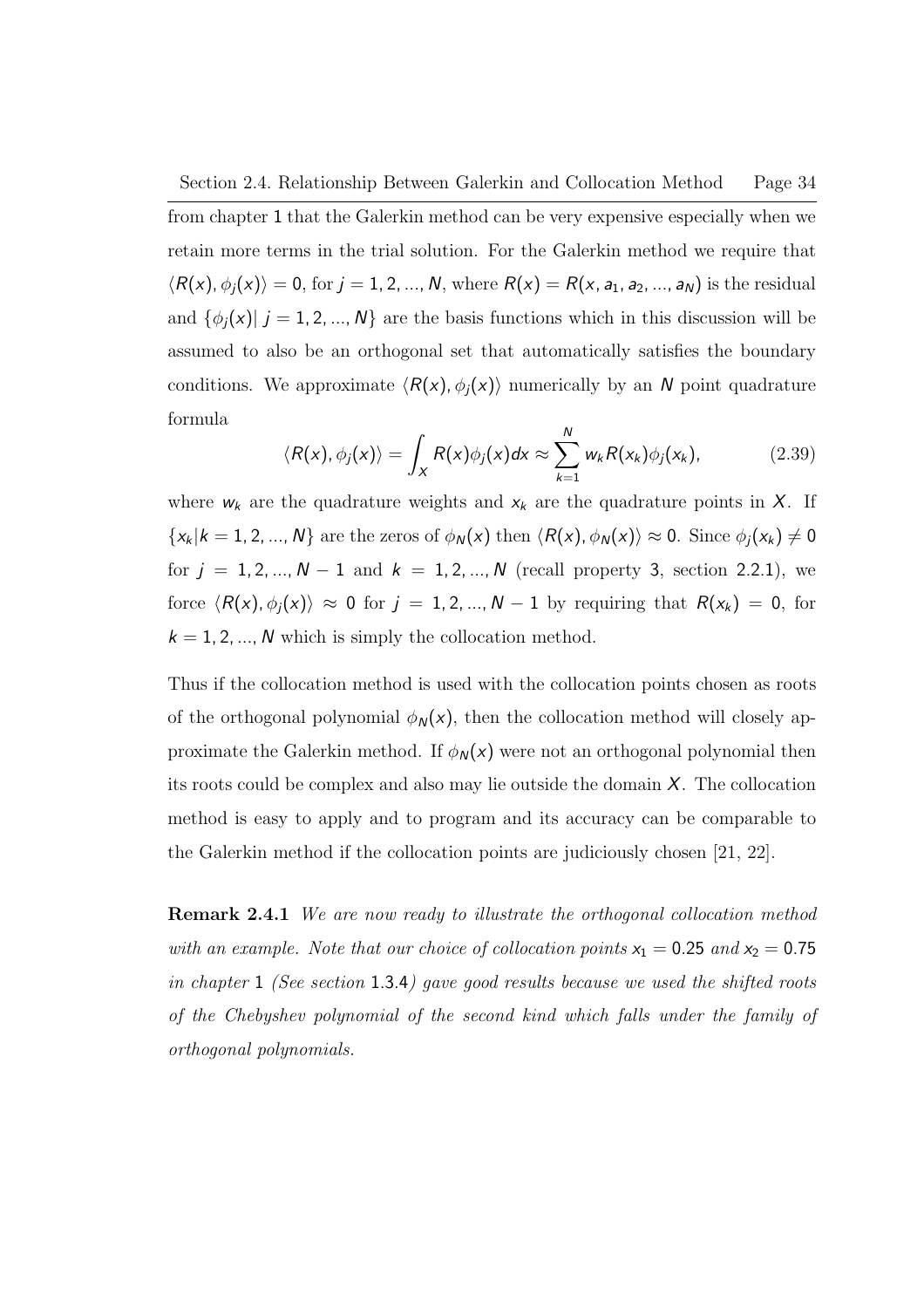#### Section 2.4. Relationship Between Galerkin and Collocation Method Page 34

from chapter 1 that the Galerkin method can be very expensive especially when we retain more terms in the trial solution. For the Galerkin method we require that  $\langle R(x), \phi_j(x)\rangle = 0$ , for  $j = 1, 2, ..., N$ , where  $R(x) = R(x, a_1, a_2, ..., a_N)$  is the residual and  $\{\phi_j(x) \mid j = 1, 2, ..., N\}$  are the basis functions which in this discussion will be assumed to also be an orthogonal set that automatically satisfies the boundary conditions. We approximate  $\langle R(x), \phi_i(x) \rangle$  numerically by an N point quadrature formula

$$
\langle R(x), \phi_j(x) \rangle = \int_X R(x) \phi_j(x) dx \approx \sum_{k=1}^N w_k R(x_k) \phi_j(x_k), \qquad (2.39)
$$

where  $w_k$  are the quadrature weights and  $x_k$  are the quadrature points in  $X$ . If  $\{x_k | k = 1, 2, ..., N\}$  are the zeros of  $\phi_N(x)$  then  $\langle R(x), \phi_N(x) \rangle \approx 0$ . Since  $\phi_j(x_k) \neq 0$ for  $j = 1, 2, ..., N - 1$  and  $k = 1, 2, ..., N$  (recall property 3, section 2.2.1), we force  $\langle R(x), \phi_j(x)\rangle \approx 0$  for  $j = 1, 2, ..., N-1$  by requiring that  $R(x_k) = 0$ , for  $k = 1, 2, ..., N$  which is simply the collocation method.

Thus if the collocation method is used with the collocation points chosen as roots of the orthogonal polynomial  $\phi_N(x)$ , then the collocation method will closely approximate the Galerkin method. If  $\phi_N(x)$  were not an orthogonal polynomial then its roots could be complex and also may lie outside the domain X. The collocation method is easy to apply and to program and its accuracy can be comparable to the Galerkin method if the collocation points are judiciously chosen [21, 22].

**Remark 2.4.1** We are now ready to illustrate the orthogonal collocation method with an example. Note that our choice of collocation points  $x_1 = 0.25$  and  $x_2 = 0.75$ in chapter 1 (See section 1.3.4) gave good results because we used the shifted roots of the Chebyshev polynomial of the second kind which falls under the family of orthogonal polynomials.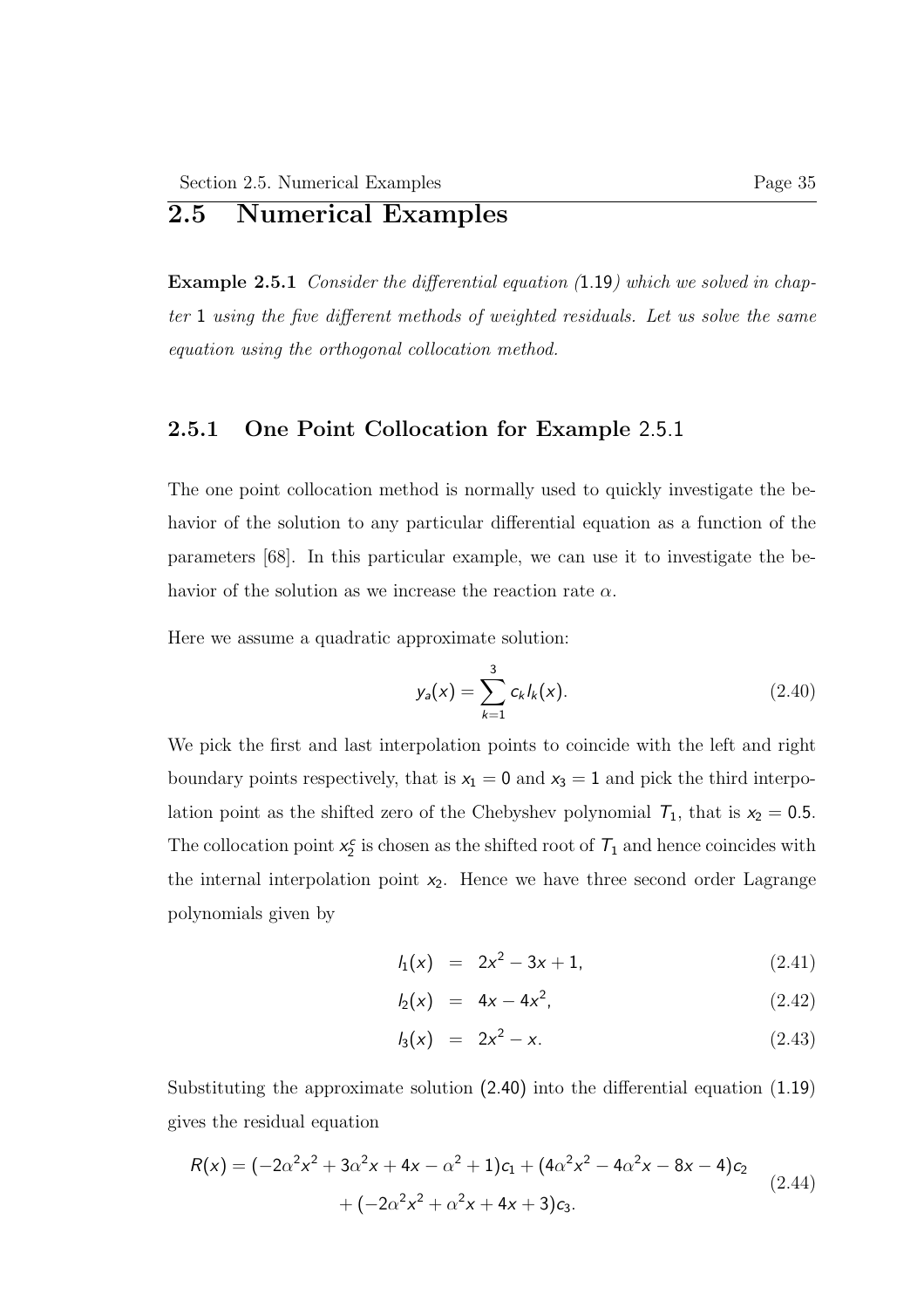# 2.5 Numerical Examples

Example 2.5.1 Consider the differential equation (1.19) which we solved in chapter 1 using the five different methods of weighted residuals. Let us solve the same equation using the orthogonal collocation method.

## 2.5.1 One Point Collocation for Example 2.5.1

The one point collocation method is normally used to quickly investigate the behavior of the solution to any particular differential equation as a function of the parameters [68]. In this particular example, we can use it to investigate the behavior of the solution as we increase the reaction rate  $\alpha$ .

Here we assume a quadratic approximate solution:

$$
y_a(x) = \sum_{k=1}^{3} c_k I_k(x).
$$
 (2.40)

We pick the first and last interpolation points to coincide with the left and right boundary points respectively, that is  $x_1 = 0$  and  $x_3 = 1$  and pick the third interpolation point as the shifted zero of the Chebyshev polynomial  $T_1$ , that is  $x_2 = 0.5$ . The collocation point  $x_2^c$  is chosen as the shifted root of  $T_1$  and hence coincides with the internal interpolation point  $x_2$ . Hence we have three second order Lagrange polynomials given by

$$
l_1(x) = 2x^2 - 3x + 1, \tag{2.41}
$$

$$
I_2(x) = 4x - 4x^2, \tag{2.42}
$$

$$
I_3(x) = 2x^2 - x. \tag{2.43}
$$

Substituting the approximate solution (2.40) into the differential equation (1.19) gives the residual equation

$$
R(x) = (-2\alpha^2 x^2 + 3\alpha^2 x + 4x - \alpha^2 + 1)c_1 + (4\alpha^2 x^2 - 4\alpha^2 x - 8x - 4)c_2
$$
  
+  $(-2\alpha^2 x^2 + \alpha^2 x + 4x + 3)c_3$ . (2.44)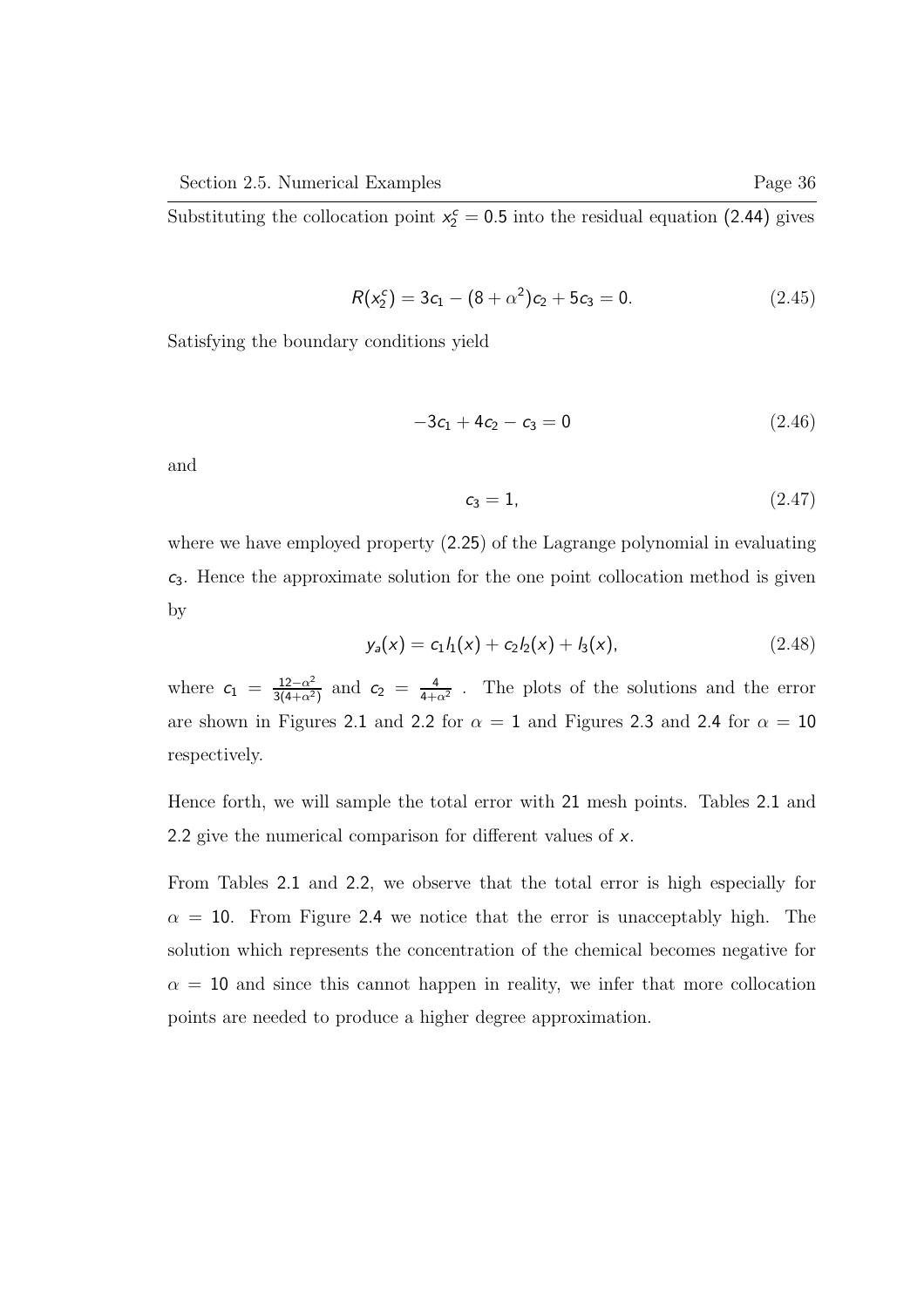Substituting the collocation point  $x_2^c = 0.5$  into the residual equation (2.44) gives

$$
R(x_2^c) = 3c_1 - (8 + \alpha^2)c_2 + 5c_3 = 0.
$$
 (2.45)

Satisfying the boundary conditions yield

$$
-3c_1 + 4c_2 - c_3 = 0 \tag{2.46}
$$

and

$$
c_3 = 1,\tag{2.47}
$$

where we have employed property (2.25) of the Lagrange polynomial in evaluating  $c_3$ . Hence the approximate solution for the one point collocation method is given by

$$
y_a(x) = c_1 l_1(x) + c_2 l_2(x) + l_3(x), \qquad (2.48)
$$

where  $c_1 = \frac{12-\alpha^2}{3(4+\alpha^2)}$  $\frac{12-\alpha^2}{3(4+\alpha^2)}$  and  $c_2 = \frac{4}{4+\alpha^2}$  $\frac{4}{4+\alpha^2}$ . The plots of the solutions and the error are shown in Figures 2.1 and 2.2 for  $\alpha = 1$  and Figures 2.3 and 2.4 for  $\alpha = 10$ respectively.

Hence forth, we will sample the total error with 21 mesh points. Tables 2.1 and 2.2 give the numerical comparison for different values of x.

From Tables 2.1 and 2.2, we observe that the total error is high especially for  $\alpha = 10$ . From Figure 2.4 we notice that the error is unacceptably high. The solution which represents the concentration of the chemical becomes negative for  $\alpha = 10$  and since this cannot happen in reality, we infer that more collocation points are needed to produce a higher degree approximation.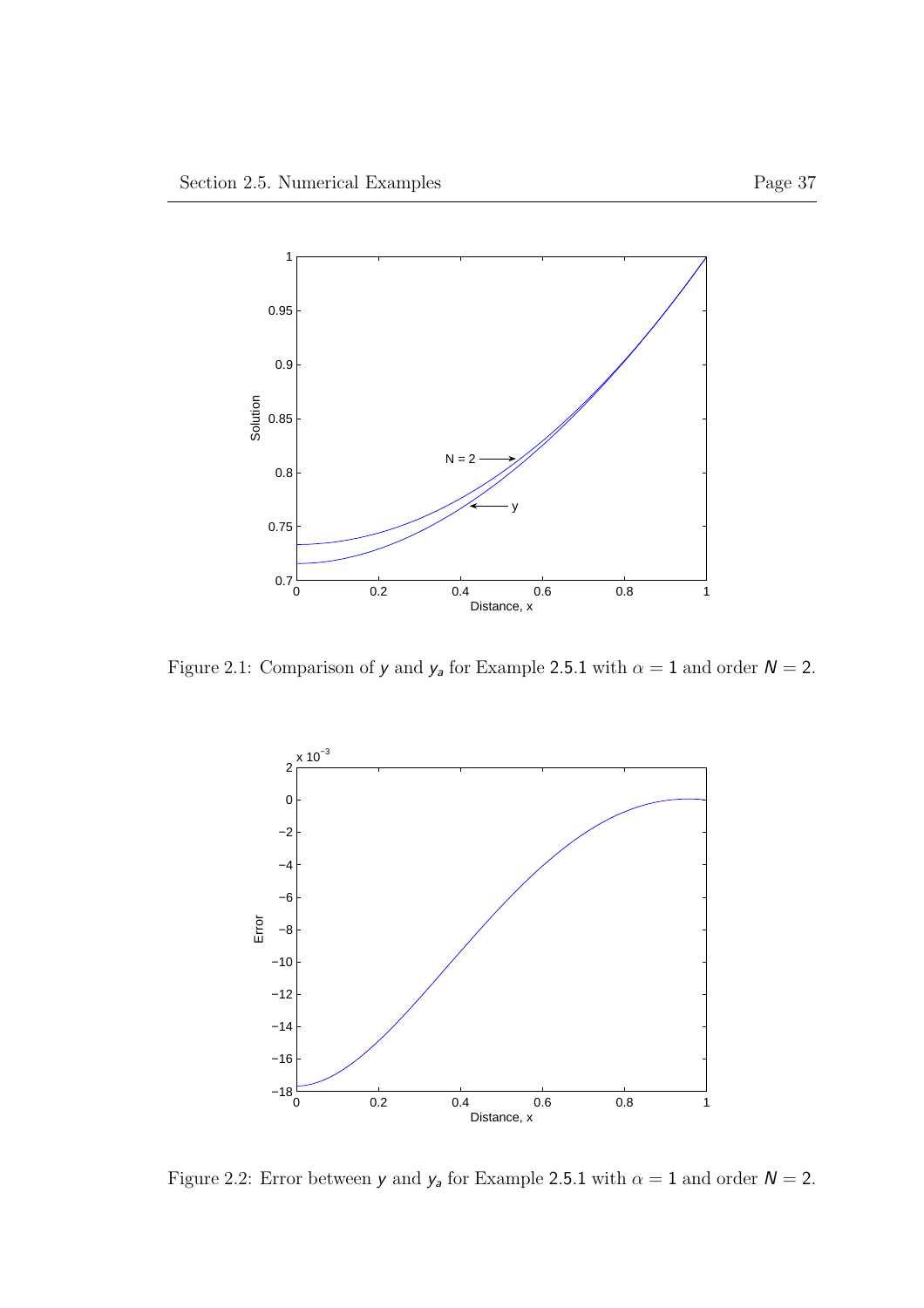

Figure 2.1: Comparison of  $y$  and  $y_a$  for Example 2.5.1 with  $\alpha = 1$  and order  $N = 2$ .



Figure 2.2: Error between  $y$  and  $y_a$  for Example 2.5.1 with  $\alpha = 1$  and order  $N = 2$ .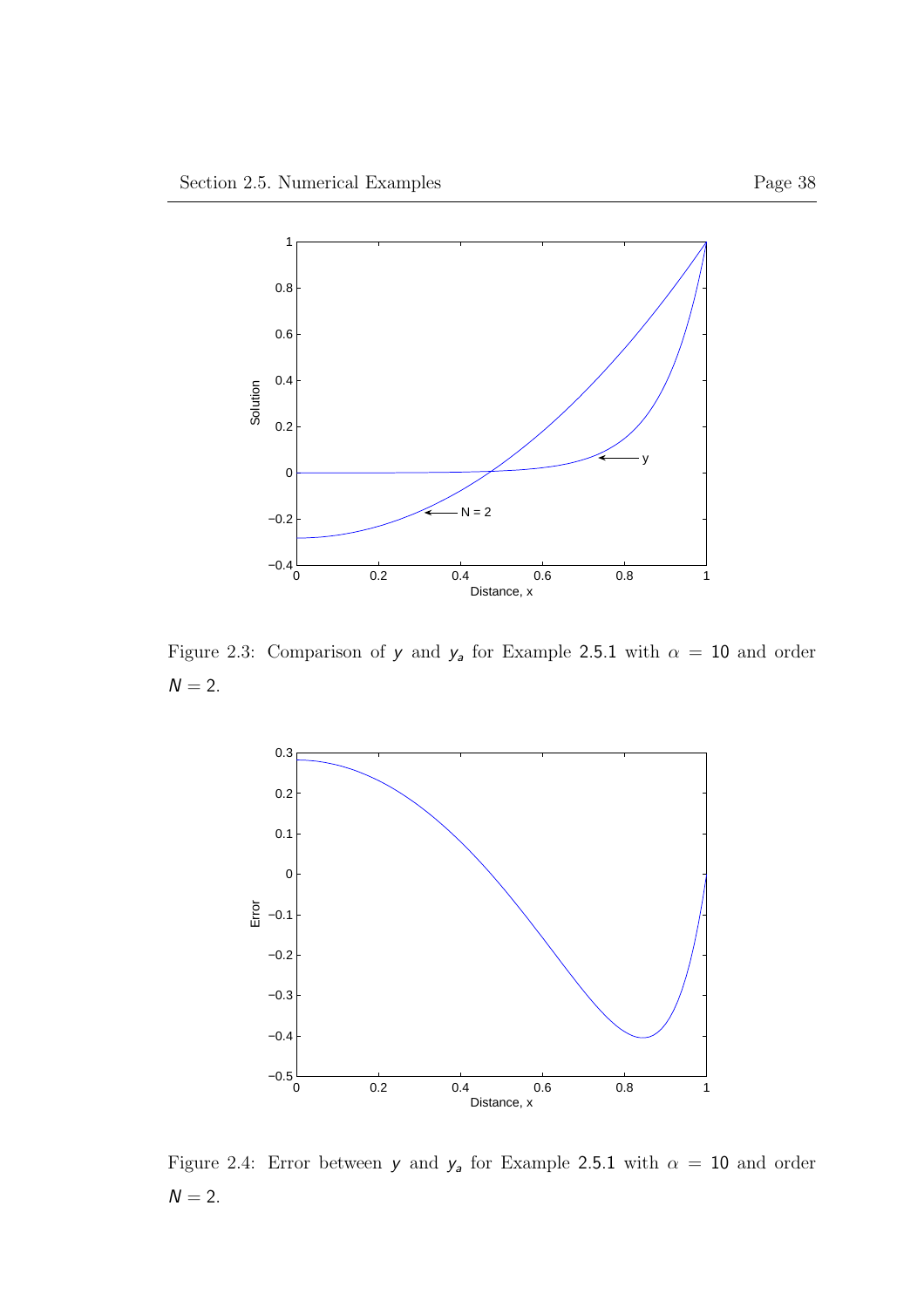

Figure 2.3: Comparison of y and  $y_a$  for Example 2.5.1 with  $\alpha = 10$  and order  $N = 2$ .



Figure 2.4: Error between  $y$  and  $y_a$  for Example 2.5.1 with  $\alpha = 10$  and order  $N = 2$ .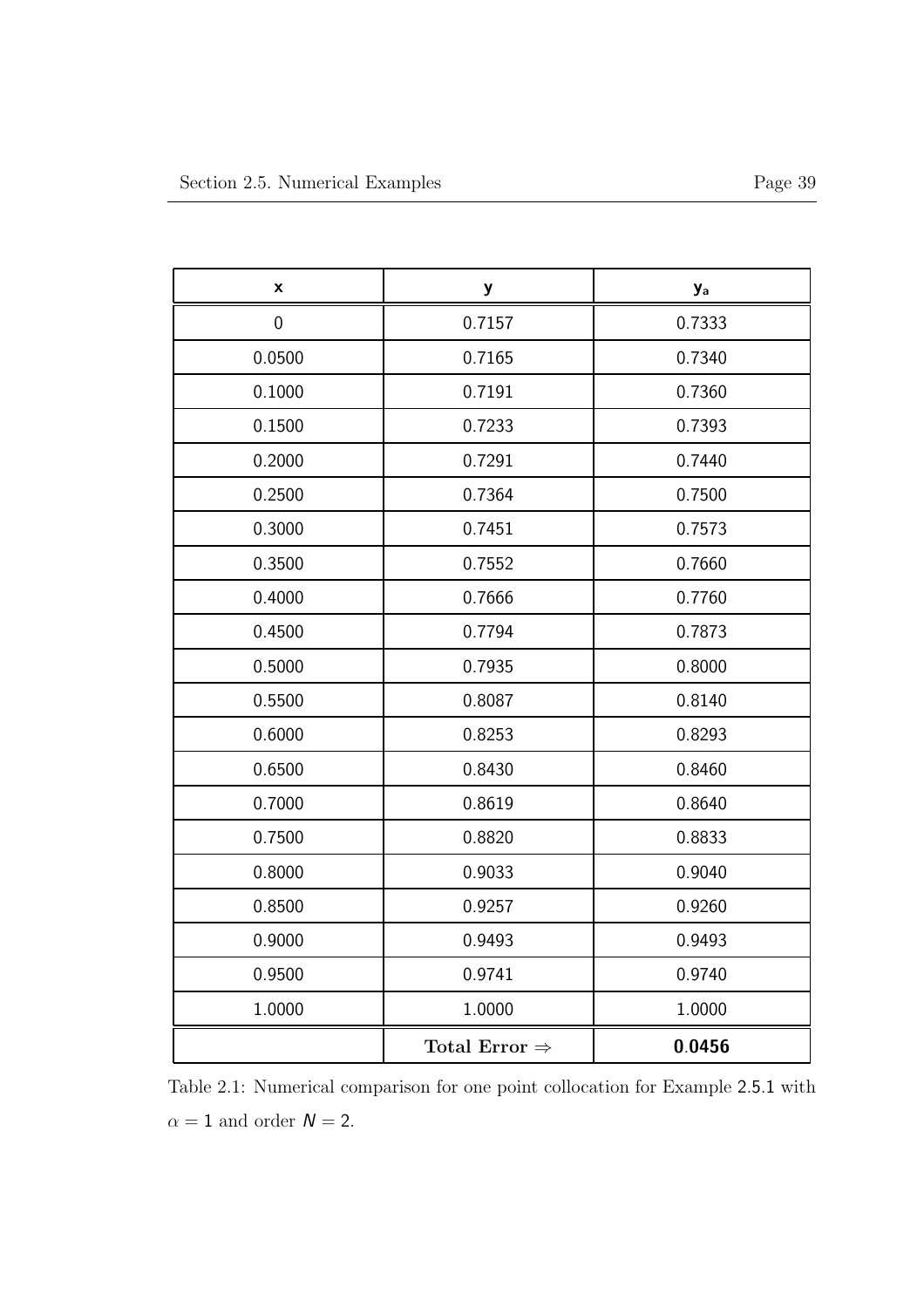| X      | y                         | <b>y</b> <sub>a</sub> |
|--------|---------------------------|-----------------------|
| 0      | 0.7157                    | 0.7333                |
| 0.0500 | 0.7165                    | 0.7340                |
| 0.1000 | 0.7191                    | 0.7360                |
| 0.1500 | 0.7233                    | 0.7393                |
| 0.2000 | 0.7291                    | 0.7440                |
| 0.2500 | 0.7364                    | 0.7500                |
| 0.3000 | 0.7451                    | 0.7573                |
| 0.3500 | 0.7552                    | 0.7660                |
| 0.4000 | 0.7666                    | 0.7760                |
| 0.4500 | 0.7794                    | 0.7873                |
| 0.5000 | 0.7935                    | 0.8000                |
| 0.5500 | 0.8087                    | 0.8140                |
| 0.6000 | 0.8253                    | 0.8293                |
| 0.6500 | 0.8430                    | 0.8460                |
| 0.7000 | 0.8619                    | 0.8640                |
| 0.7500 | 0.8820                    | 0.8833                |
| 0.8000 | 0.9033                    | 0.9040                |
| 0.8500 | 0.9257                    | 0.9260                |
| 0.9000 | 0.9493                    | 0.9493                |
| 0.9500 | 0.9741                    | 0.9740                |
| 1.0000 | 1.0000                    | 1.0000                |
|        | Total Error $\Rightarrow$ | 0.0456                |

Table 2.1: Numerical comparison for one point collocation for Example 2.5.1 with  $\alpha = 1$  and order  $N = 2$ .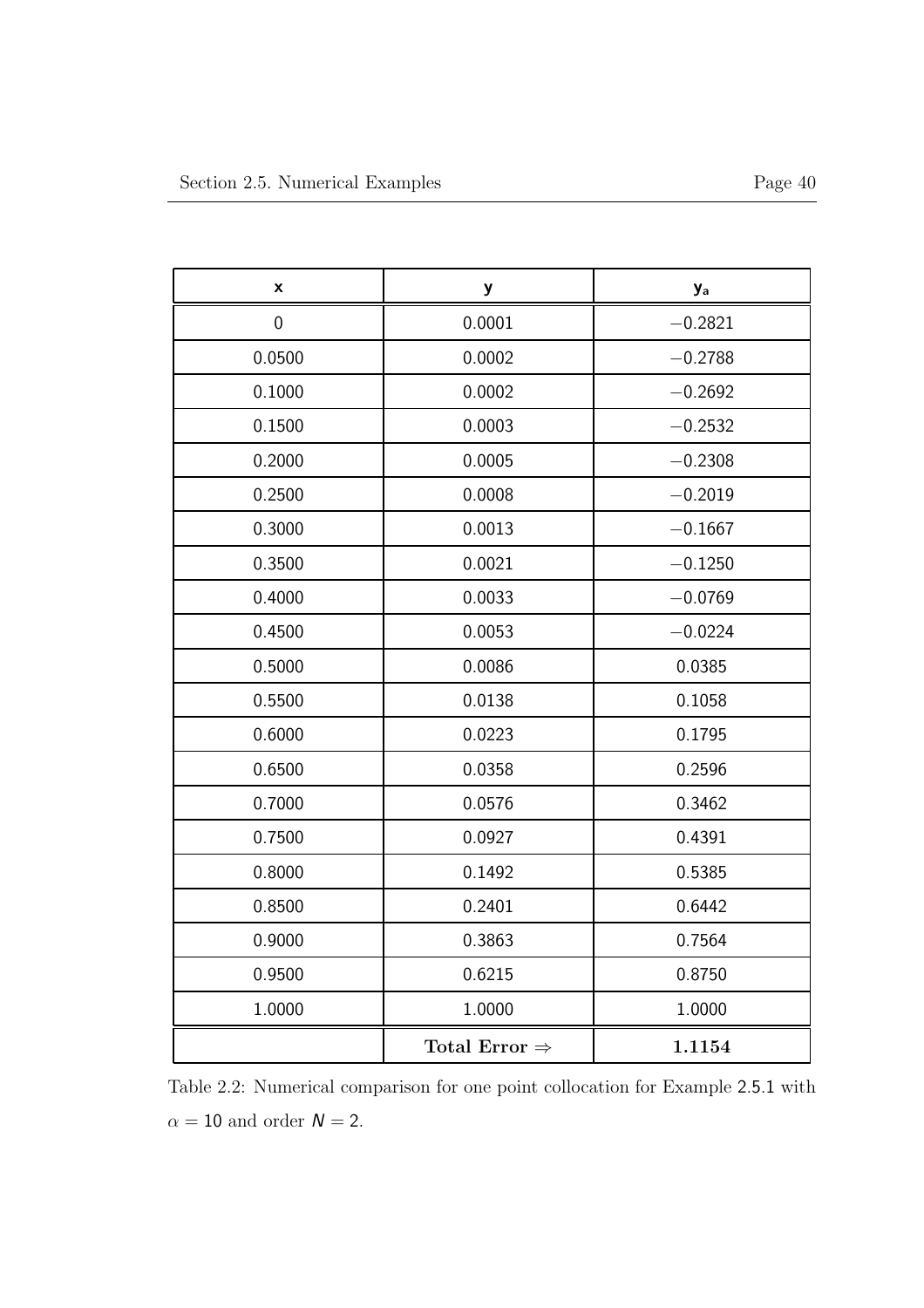| X           | y                         | <b>y</b> <sub>a</sub> |
|-------------|---------------------------|-----------------------|
| $\mathbf 0$ | 0.0001                    | $-0.2821$             |
| 0.0500      | 0.0002                    | $-0.2788$             |
| 0.1000      | 0.0002                    | $-0.2692$             |
| 0.1500      | 0.0003                    | $-0.2532$             |
| 0.2000      | 0.0005                    | $-0.2308$             |
| 0.2500      | 0.0008                    | $-0.2019$             |
| 0.3000      | 0.0013                    | $-0.1667$             |
| 0.3500      | 0.0021                    | $-0.1250$             |
| 0.4000      | 0.0033                    | $-0.0769$             |
| 0.4500      | 0.0053                    | $-0.0224$             |
| 0.5000      | 0.0086                    | 0.0385                |
| 0.5500      | 0.0138                    | 0.1058                |
| 0.6000      | 0.0223                    | 0.1795                |
| 0.6500      | 0.0358                    | 0.2596                |
| 0.7000      | 0.0576                    | 0.3462                |
| 0.7500      | 0.0927                    | 0.4391                |
| 0.8000      | 0.1492                    | 0.5385                |
| 0.8500      | 0.2401                    | 0.6442                |
| 0.9000      | 0.3863                    | 0.7564                |
| 0.9500      | 0.6215                    | 0.8750                |
| 1.0000      | 1.0000                    | 1.0000                |
|             | Total Error $\Rightarrow$ | 1.1154                |

Table 2.2: Numerical comparison for one point collocation for Example 2.5.1 with  $\alpha = 10$  and order  $N = 2$ .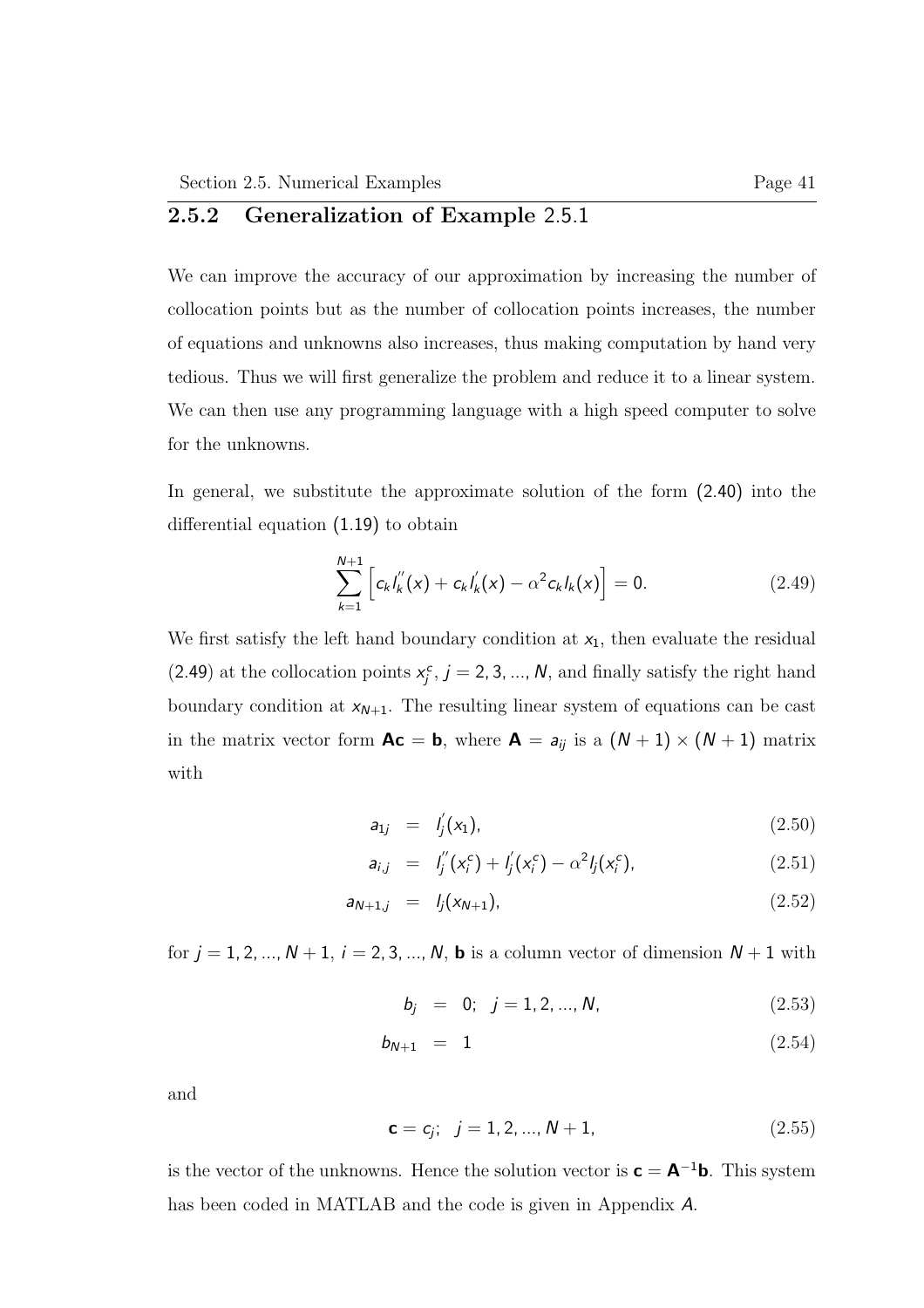## 2.5.2 Generalization of Example 2.5.1

We can improve the accuracy of our approximation by increasing the number of collocation points but as the number of collocation points increases, the number of equations and unknowns also increases, thus making computation by hand very tedious. Thus we will first generalize the problem and reduce it to a linear system. We can then use any programming language with a high speed computer to solve for the unknowns.

In general, we substitute the approximate solution of the form (2.40) into the differential equation (1.19) to obtain

$$
\sum_{k=1}^{N+1} \left[ c_k I_k''(x) + c_k I_k'(x) - \alpha^2 c_k I_k(x) \right] = 0.
$$
 (2.49)

We first satisfy the left hand boundary condition at  $x_1$ , then evaluate the residual (2.49) at the collocation points  $x_j^c$ ,  $j = 2, 3, ..., N$ , and finally satisfy the right hand boundary condition at  $x_{N+1}$ . The resulting linear system of equations can be cast in the matrix vector form  $Ac = b$ , where  $A = a_{ij}$  is a  $(N + 1) \times (N + 1)$  matrix with

$$
a_{1j} = l'_j(x_1), \t\t(2.50)
$$

$$
a_{i,j} = I_j''(x_i^c) + I_j'(x_i^c) - \alpha^2 I_j(x_i^c), \qquad (2.51)
$$

$$
a_{N+1,j} = l_j(x_{N+1}), \t\t(2.52)
$$

for  $j = 1, 2, ..., N + 1$ ,  $i = 2, 3, ..., N$ , **b** is a column vector of dimension  $N + 1$  with

$$
b_j = 0; j = 1, 2, ..., N,
$$
 (2.53)

$$
b_{N+1} = 1 \t\t(2.54)
$$

and

$$
\mathbf{c} = c_j; \quad j = 1, 2, ..., N + 1,\tag{2.55}
$$

is the vector of the unknowns. Hence the solution vector is  $\mathbf{c} = \mathbf{A}^{-1}\mathbf{b}$ . This system has been coded in MATLAB and the code is given in Appendix A.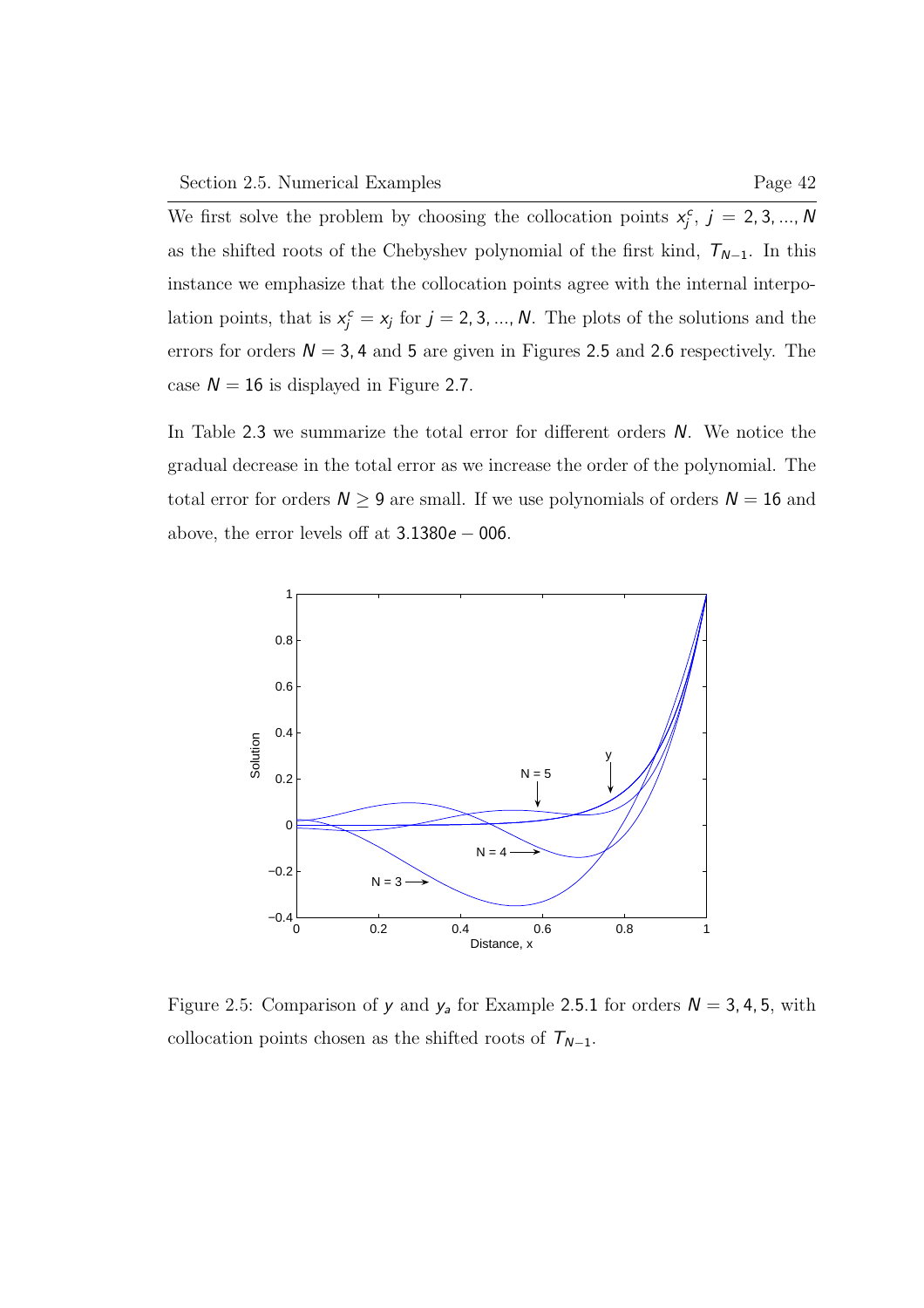We first solve the problem by choosing the collocation points  $x_j^c$ ,  $j = 2, 3, ..., N$ as the shifted roots of the Chebyshev polynomial of the first kind,  $T_{N-1}$ . In this instance we emphasize that the collocation points agree with the internal interpolation points, that is  $x_j^c = x_j$  for  $j = 2, 3, ..., N$ . The plots of the solutions and the errors for orders  $N = 3, 4$  and 5 are given in Figures 2.5 and 2.6 respectively. The case  $N = 16$  is displayed in Figure 2.7.

In Table 2.3 we summarize the total error for different orders N. We notice the gradual decrease in the total error as we increase the order of the polynomial. The total error for orders  $N \geq 9$  are small. If we use polynomials of orders  $N = 16$  and above, the error levels off at  $3.1380e - 006$ .



Figure 2.5: Comparison of y and  $y_a$  for Example 2.5.1 for orders  $N = 3, 4, 5$ , with collocation points chosen as the shifted roots of  $T_{N-1}$ .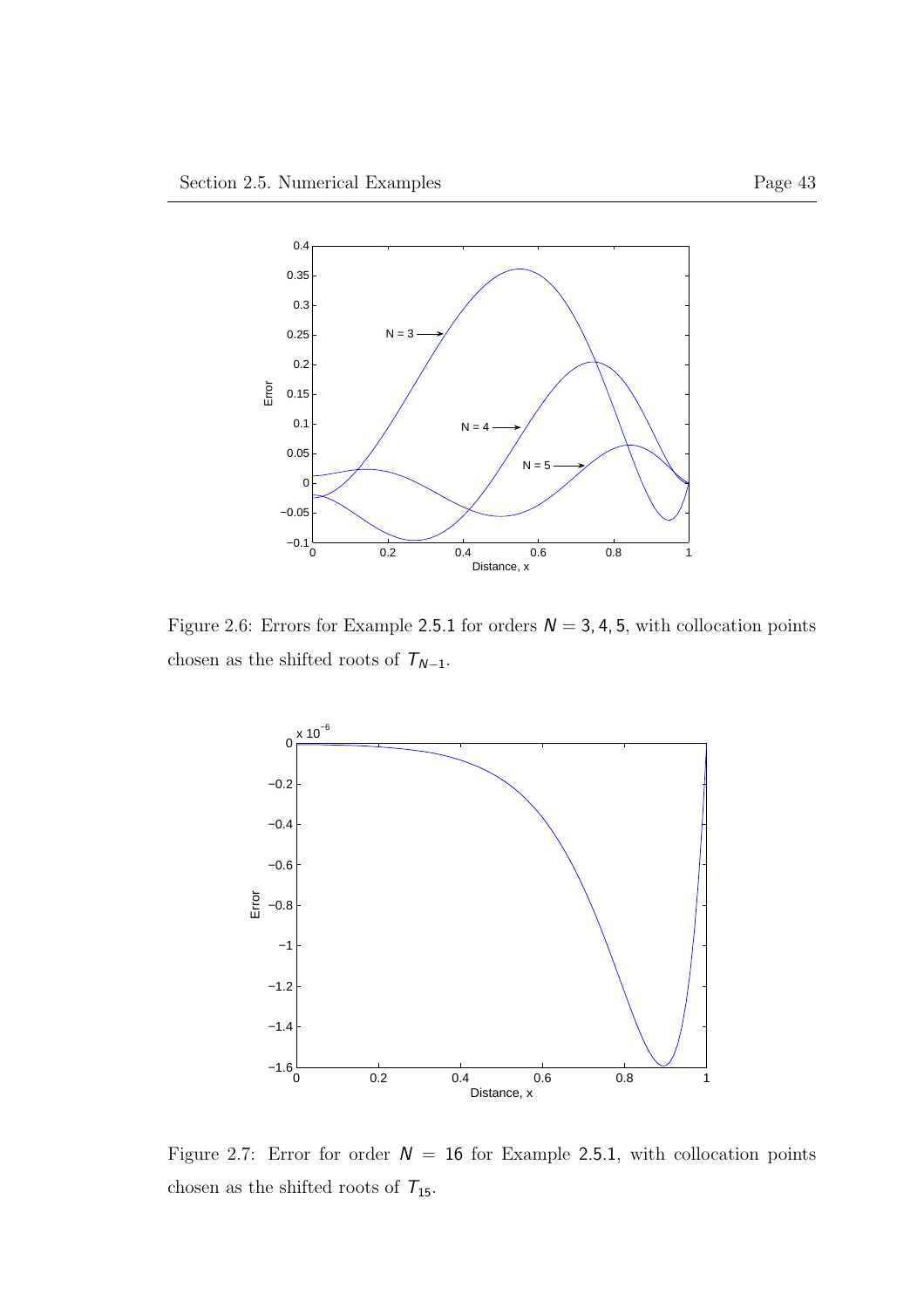

Figure 2.6: Errors for Example 2.5.1 for orders  $N = 3, 4, 5$ , with collocation points chosen as the shifted roots of  $\mathcal{T}_{N-1}.$ 



Figure 2.7: Error for order  $N = 16$  for Example 2.5.1, with collocation points chosen as the shifted roots of  $\mathcal{T}_{15}.$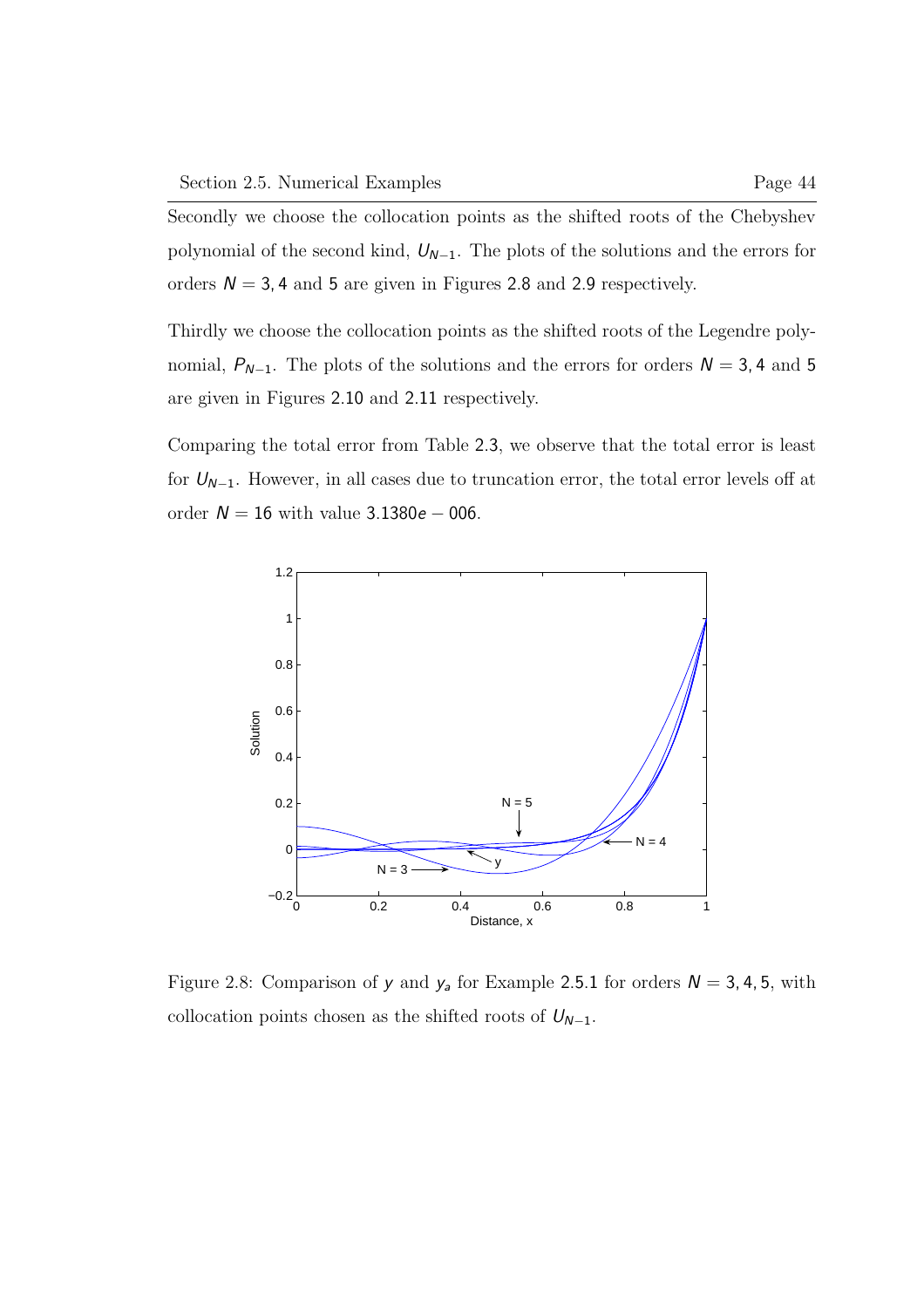Secondly we choose the collocation points as the shifted roots of the Chebyshev polynomial of the second kind,  $U_{N-1}$ . The plots of the solutions and the errors for orders  $N = 3, 4$  and 5 are given in Figures 2.8 and 2.9 respectively.

Thirdly we choose the collocation points as the shifted roots of the Legendre polynomial,  $P_{N-1}$ . The plots of the solutions and the errors for orders  $N = 3, 4$  and 5 are given in Figures 2.10 and 2.11 respectively.

Comparing the total error from Table 2.3, we observe that the total error is least for  $U_{N-1}$ . However, in all cases due to truncation error, the total error levels off at order  $N = 16$  with value 3.1380e – 006.



Figure 2.8: Comparison of y and  $y_a$  for Example 2.5.1 for orders  $N = 3, 4, 5$ , with collocation points chosen as the shifted roots of  $U_{N-1}$ .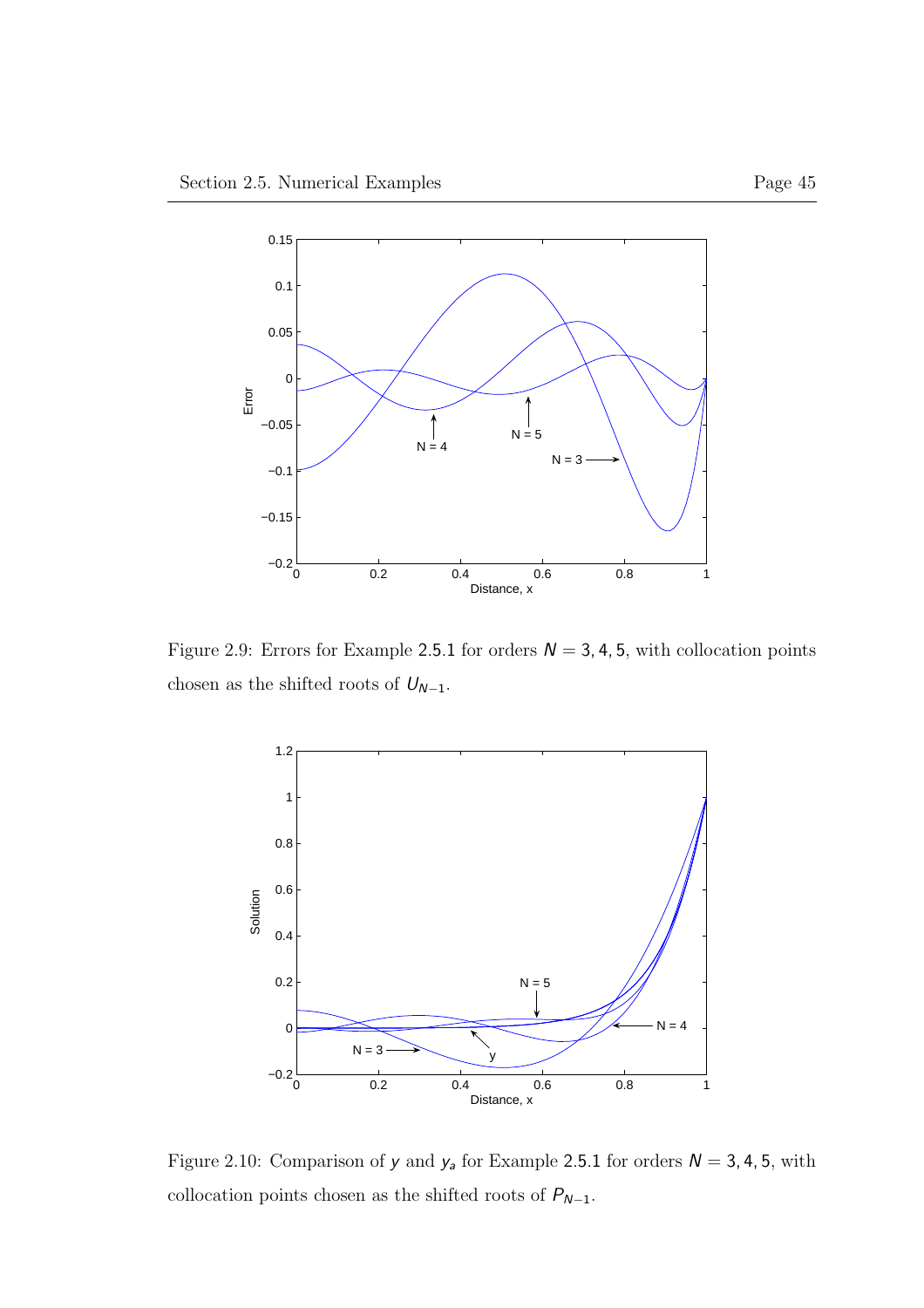

Figure 2.9: Errors for Example 2.5.1 for orders  $N = 3, 4, 5$ , with collocation points chosen as the shifted roots of  ${\cal U}_{N-1}.$ 



Figure 2.10: Comparison of  $y$  and  $y_a$  for Example 2.5.1 for orders  $N = 3, 4, 5$ , with collocation points chosen as the shifted roots of  $P_{N-1}.$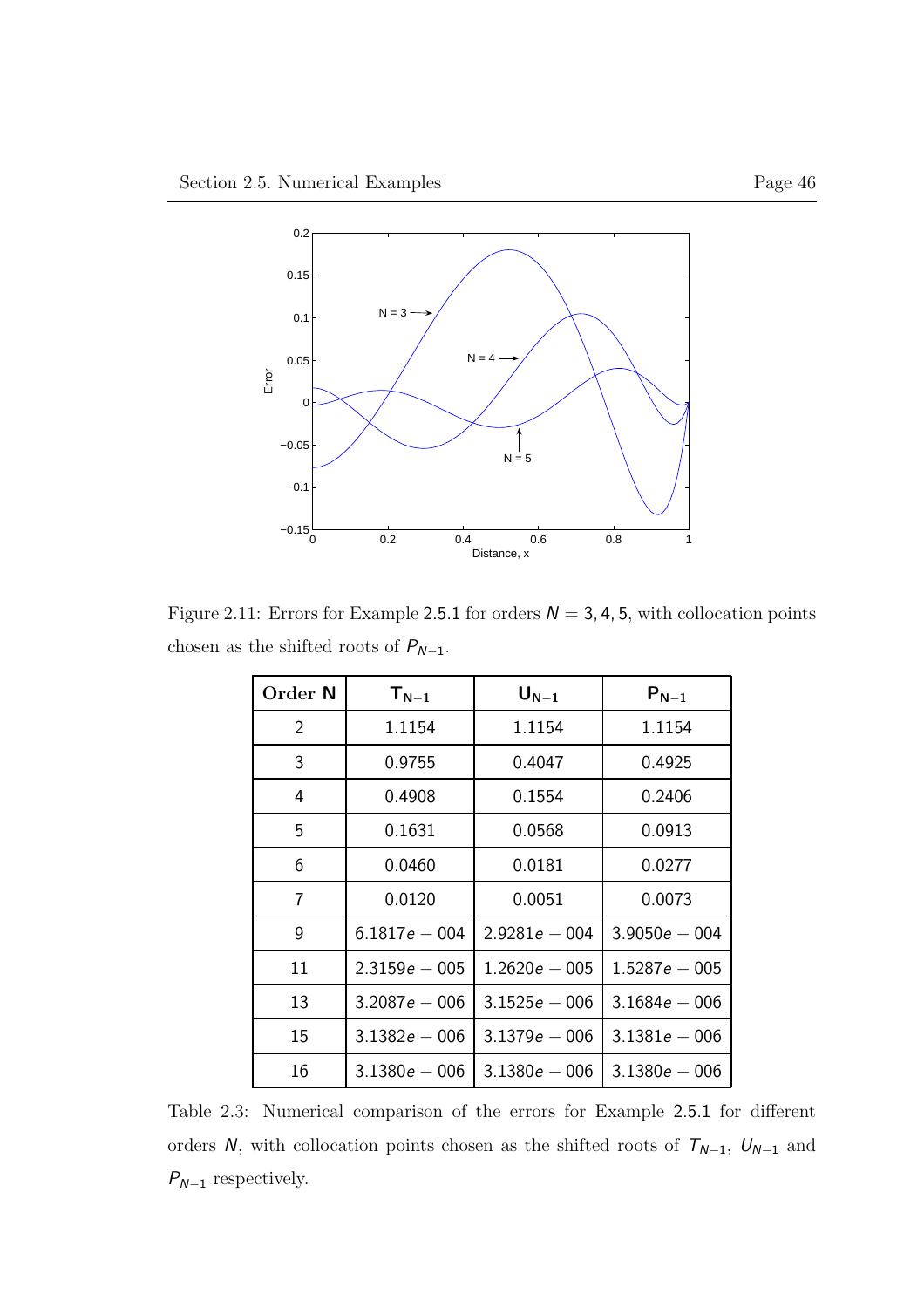

Figure 2.11: Errors for Example 2.5.1 for orders  $N = 3, 4, 5$ , with collocation points chosen as the shifted roots of  $P_{N-1}.$ 

| Order N        | $T_{N-1}$       | $\mathsf{U}_{\mathsf{N}-1}$ | $P_{N-1}$       |  |
|----------------|-----------------|-----------------------------|-----------------|--|
| $\overline{2}$ | 1.1154          | 1.1154                      | 1.1154          |  |
| 3              | 0.9755          | 0.4047                      | 0.4925          |  |
| 4              | 0.4908          | 0.1554                      | 0.2406          |  |
| 5              | 0.1631          | 0.0568                      | 0.0913          |  |
| 6              | 0.0460          | 0.0181                      | 0.0277          |  |
| 7              | 0.0120          | 0.0051                      | 0.0073          |  |
| 9              | $6.1817e - 004$ | $2.9281e - 004$             | $3.9050e - 004$ |  |
| 11             | $2.3159e - 005$ | $1.2620e - 005$             | $1.5287e - 005$ |  |
| 13             | $3.2087e - 006$ | $3.1525e - 006$             | $3.1684e - 006$ |  |
| 15             | $3.1382e - 006$ | $3.1379e - 006$             | $3.1381e - 006$ |  |
| 16             | $3.1380e - 006$ | $3.1380e - 006$             | $3.1380e - 006$ |  |

Table 2.3: Numerical comparison of the errors for Example 2.5.1 for different orders  $N,$  with collocation points chosen as the shifted roots of  $T_{N-1},\ U_{N-1}$  and  $P_{N-1}$  respectively.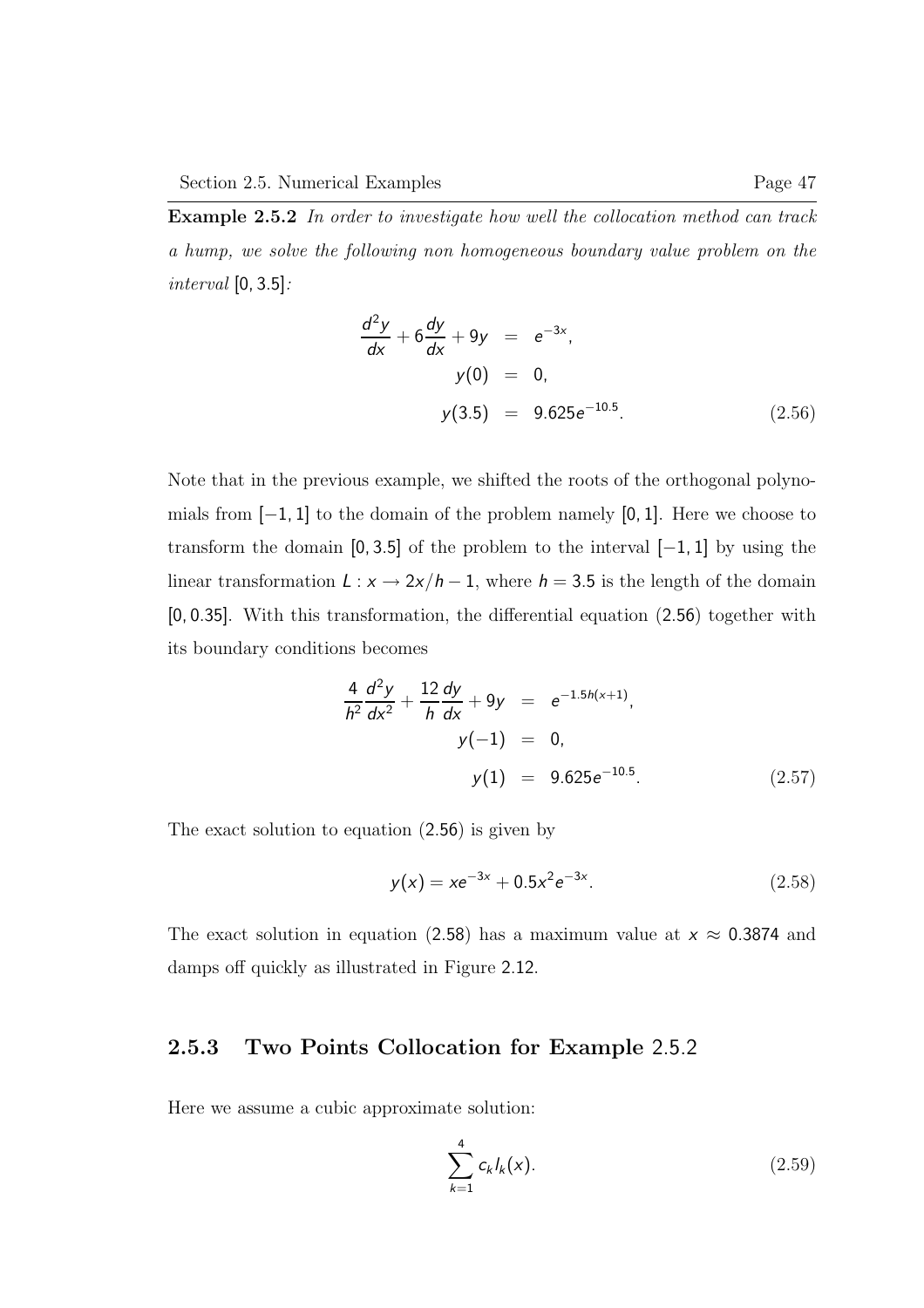Example 2.5.2 In order to investigate how well the collocation method can track a hump, we solve the following non homogeneous boundary value problem on the interval [0, 3.5]:

$$
\frac{d^2y}{dx} + 6\frac{dy}{dx} + 9y = e^{-3x},
$$
  
y(0) = 0,  
y(3.5) = 9.625e<sup>-10.5</sup>. (2.56)

Note that in the previous example, we shifted the roots of the orthogonal polynomials from  $[-1, 1]$  to the domain of the problem namely [0, 1]. Here we choose to transform the domain  $[0, 3.5]$  of the problem to the interval  $[-1, 1]$  by using the linear transformation  $L : x \rightarrow 2x/h - 1$ , where  $h = 3.5$  is the length of the domain [0, 0.35]. With this transformation, the differential equation (2.56) together with its boundary conditions becomes

$$
\frac{4}{h^2}\frac{d^2y}{dx^2} + \frac{12}{h}\frac{dy}{dx} + 9y = e^{-1.5h(x+1)},
$$
  
\n
$$
y(-1) = 0,
$$
  
\n
$$
y(1) = 9.625e^{-10.5}.
$$
\n(2.57)

The exact solution to equation (2.56) is given by

$$
y(x) = xe^{-3x} + 0.5x^2e^{-3x}.
$$
 (2.58)

The exact solution in equation (2.58) has a maximum value at  $x \approx 0.3874$  and damps off quickly as illustrated in Figure 2.12.

## 2.5.3 Two Points Collocation for Example 2.5.2

Here we assume a cubic approximate solution:

$$
\sum_{k=1}^{4} c_k l_k(x).
$$
 (2.59)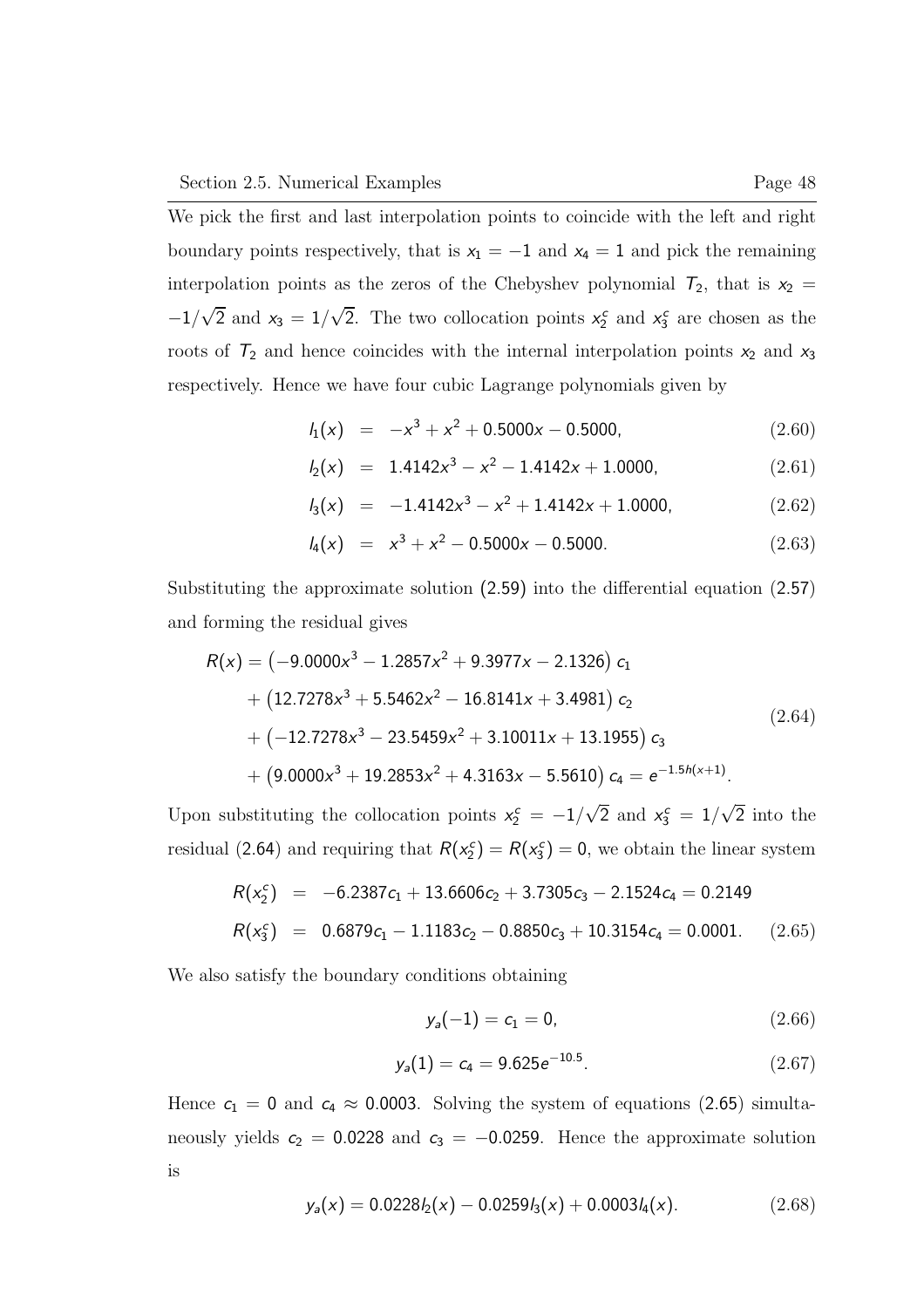We pick the first and last interpolation points to coincide with the left and right boundary points respectively, that is  $x_1 = -1$  and  $x_4 = 1$  and pick the remaining interpolation points as the zeros of the Chebyshev polynomial  $T_2$ , that is  $x_2 =$  $-1/\sqrt{2}$  and  $x_3 = 1/\sqrt{2}$ . The two collocation points  $x_2^c$  and  $x_3^c$  are chosen as the roots of  $T_2$  and hence coincides with the internal interpolation points  $x_2$  and  $x_3$ respectively. Hence we have four cubic Lagrange polynomials given by

 $l_1(x) = -x^3 + x^2 + 0.5000x - 0.5000,$  (2.60)

$$
l_2(x) = 1.4142x^3 - x^2 - 1.4142x + 1.0000, \qquad (2.61)
$$

$$
I_3(x) = -1.4142x^3 - x^2 + 1.4142x + 1.0000,
$$
 (2.62)

$$
l_4(x) = x^3 + x^2 - 0.5000x - 0.5000.
$$
 (2.63)

Substituting the approximate solution (2.59) into the differential equation (2.57) and forming the residual gives

$$
R(x) = (-9.0000x3 - 1.2857x2 + 9.3977x - 2.1326) c1+ (12.7278x3 + 5.5462x2 - 16.8141x + 3.4981) c2+ (-12.7278x3 - 23.5459x2 + 3.10011x + 13.1955) c3+ (9.0000x3 + 19.2853x2 + 4.3163x - 5.5610) c4 = e-1.5h(x+1). (2.64)
$$

Upon substituting the collocation points  $x_2^c = -1/\sqrt{2}$  and  $x_3^c = 1/\sqrt{2}$  into the residual (2.64) and requiring that  $R(x_2^c) = R(x_3^c) = 0$ , we obtain the linear system

$$
R(x_2^c) = -6.2387c_1 + 13.6606c_2 + 3.7305c_3 - 2.1524c_4 = 0.2149
$$
  

$$
R(x_3^c) = 0.6879c_1 - 1.1183c_2 - 0.8850c_3 + 10.3154c_4 = 0.0001. \quad (2.65)
$$

We also satisfy the boundary conditions obtaining

$$
y_a(-1) = c_1 = 0, \tag{2.66}
$$

$$
y_a(1) = c_4 = 9.625e^{-10.5}.
$$
 (2.67)

Hence  $c_1 = 0$  and  $c_4 \approx 0.0003$ . Solving the system of equations (2.65) simultaneously yields  $c_2 = 0.0228$  and  $c_3 = -0.0259$ . Hence the approximate solution is

$$
y_a(x) = 0.0228I_2(x) - 0.0259I_3(x) + 0.0003I_4(x). \qquad (2.68)
$$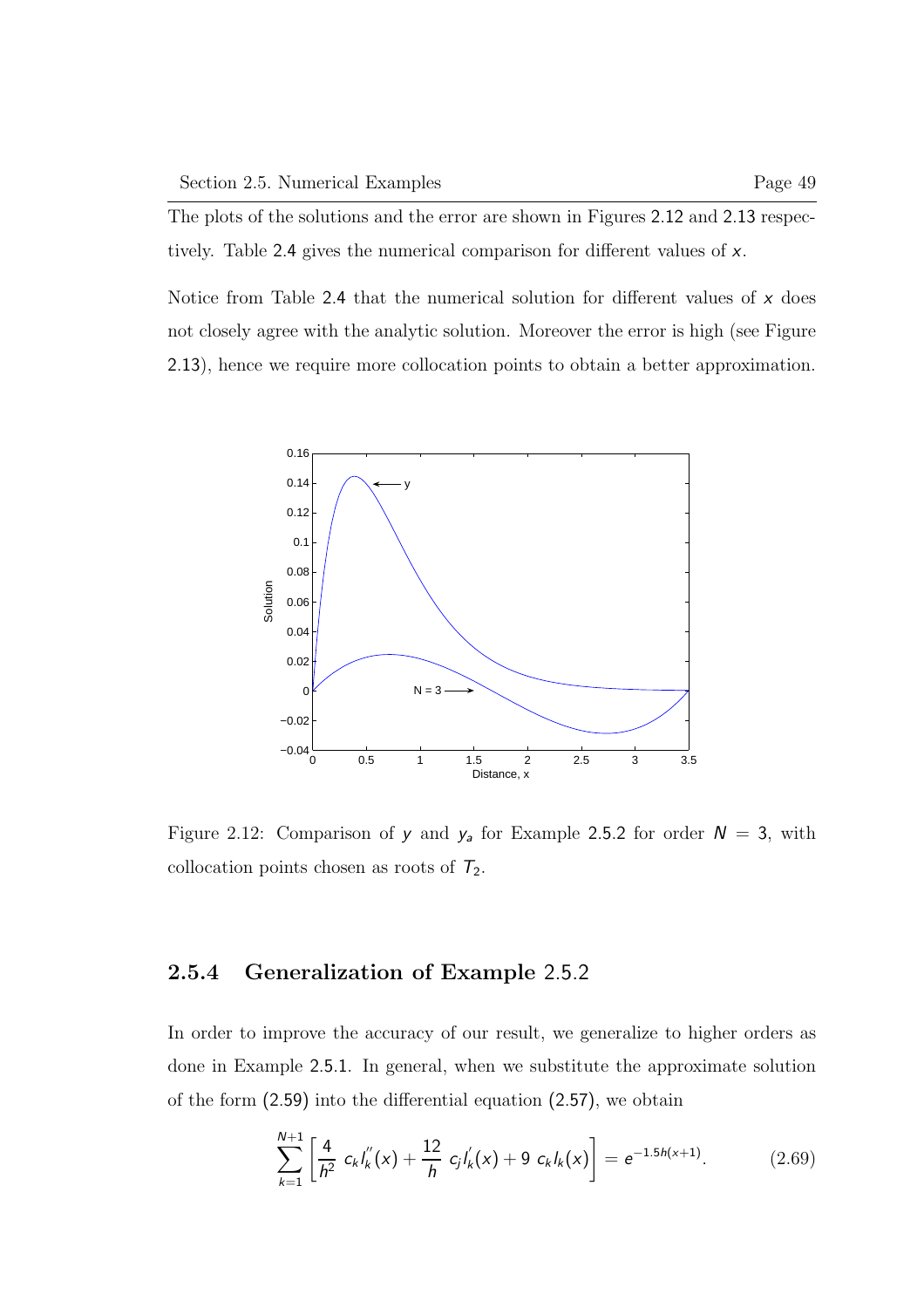The plots of the solutions and the error are shown in Figures 2.12 and 2.13 respectively. Table 2.4 gives the numerical comparison for different values of x.

Notice from Table 2.4 that the numerical solution for different values of  $x$  does not closely agree with the analytic solution. Moreover the error is high (see Figure 2.13), hence we require more collocation points to obtain a better approximation.



Figure 2.12: Comparison of y and  $y_a$  for Example 2.5.2 for order  $N = 3$ , with collocation points chosen as roots of  $T_2$ .

## 2.5.4 Generalization of Example 2.5.2

In order to improve the accuracy of our result, we generalize to higher orders as done in Example 2.5.1. In general, when we substitute the approximate solution of the form (2.59) into the differential equation (2.57), we obtain

$$
\sum_{k=1}^{N+1} \left[ \frac{4}{h^2} c_k I_k''(x) + \frac{12}{h} c_j I_k'(x) + 9 c_k I_k(x) \right] = e^{-1.5h(x+1)}.
$$
 (2.69)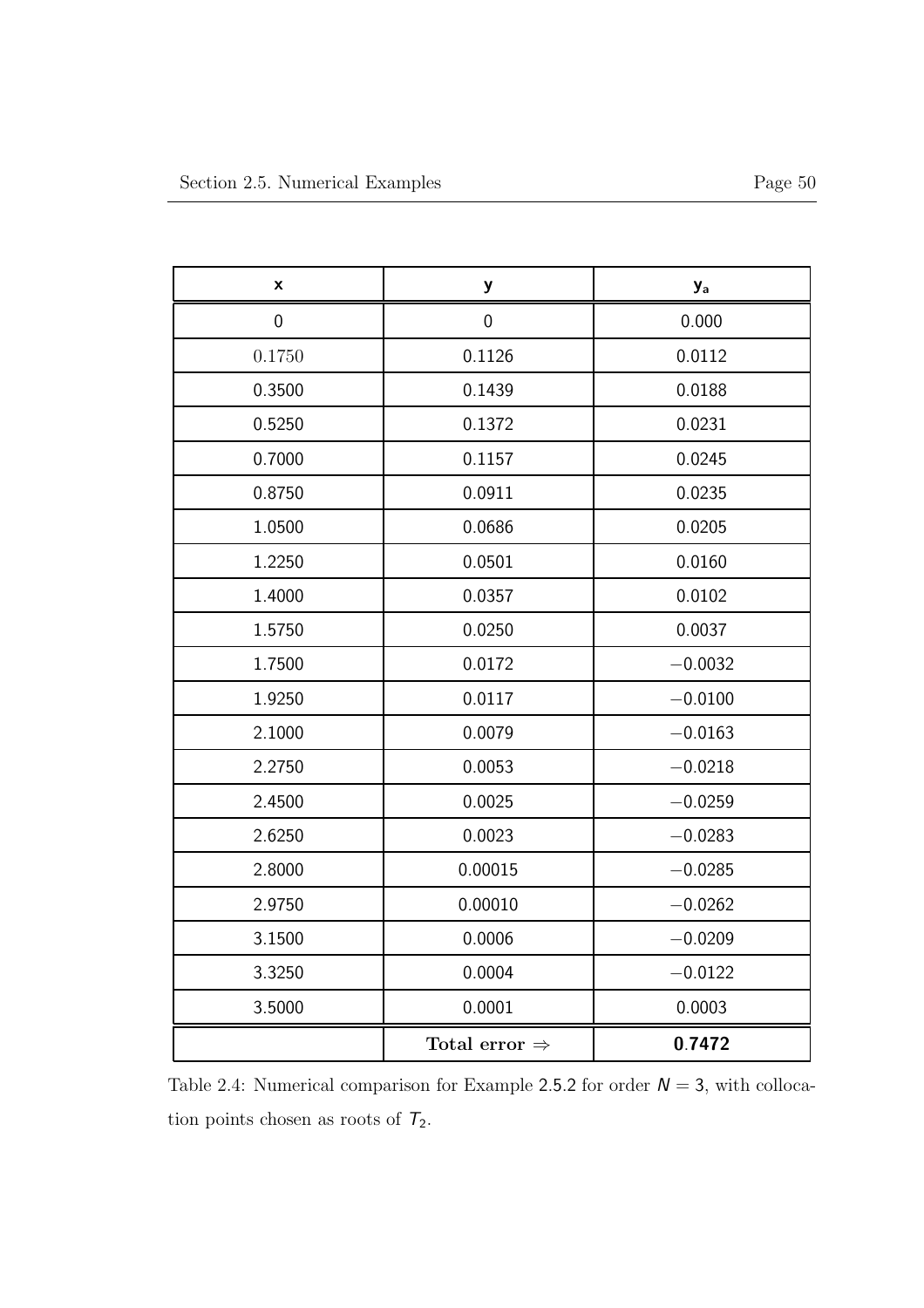| X           | ${\bf y}$                 | <b>y</b> <sub>a</sub> |
|-------------|---------------------------|-----------------------|
| $\mathbf 0$ | $\mathbf 0$               | 0.000                 |
| 0.1750      | 0.1126                    | 0.0112                |
| 0.3500      | 0.1439                    | 0.0188                |
| 0.5250      | 0.1372                    | 0.0231                |
| 0.7000      | 0.1157                    | 0.0245                |
| 0.8750      | 0.0911                    | 0.0235                |
| 1.0500      | 0.0686                    | 0.0205                |
| 1.2250      | 0.0501                    | 0.0160                |
| 1.4000      | 0.0357                    | 0.0102                |
| 1.5750      | 0.0250                    | 0.0037                |
| 1.7500      | 0.0172                    | $-0.0032$             |
| 1.9250      | 0.0117                    | $-0.0100$             |
| 2.1000      | 0.0079                    | $-0.0163$             |
| 2.2750      | 0.0053                    | $-0.0218$             |
| 2.4500      | 0.0025                    | $-0.0259$             |
| 2.6250      | 0.0023                    | $-0.0283$             |
| 2.8000      | 0.00015                   | $-0.0285$             |
| 2.9750      | 0.00010                   | $-0.0262$             |
| 3.1500      | 0.0006                    | $-0.0209$             |
| 3.3250      | 0.0004                    | $-0.0122$             |
| 3.5000      | 0.0001                    | 0.0003                |
|             | Total error $\Rightarrow$ | 0.7472                |

Table 2.4: Numerical comparison for Example 2.5.2 for order  $N = 3$ , with collocation points chosen as roots of  $T_2$ .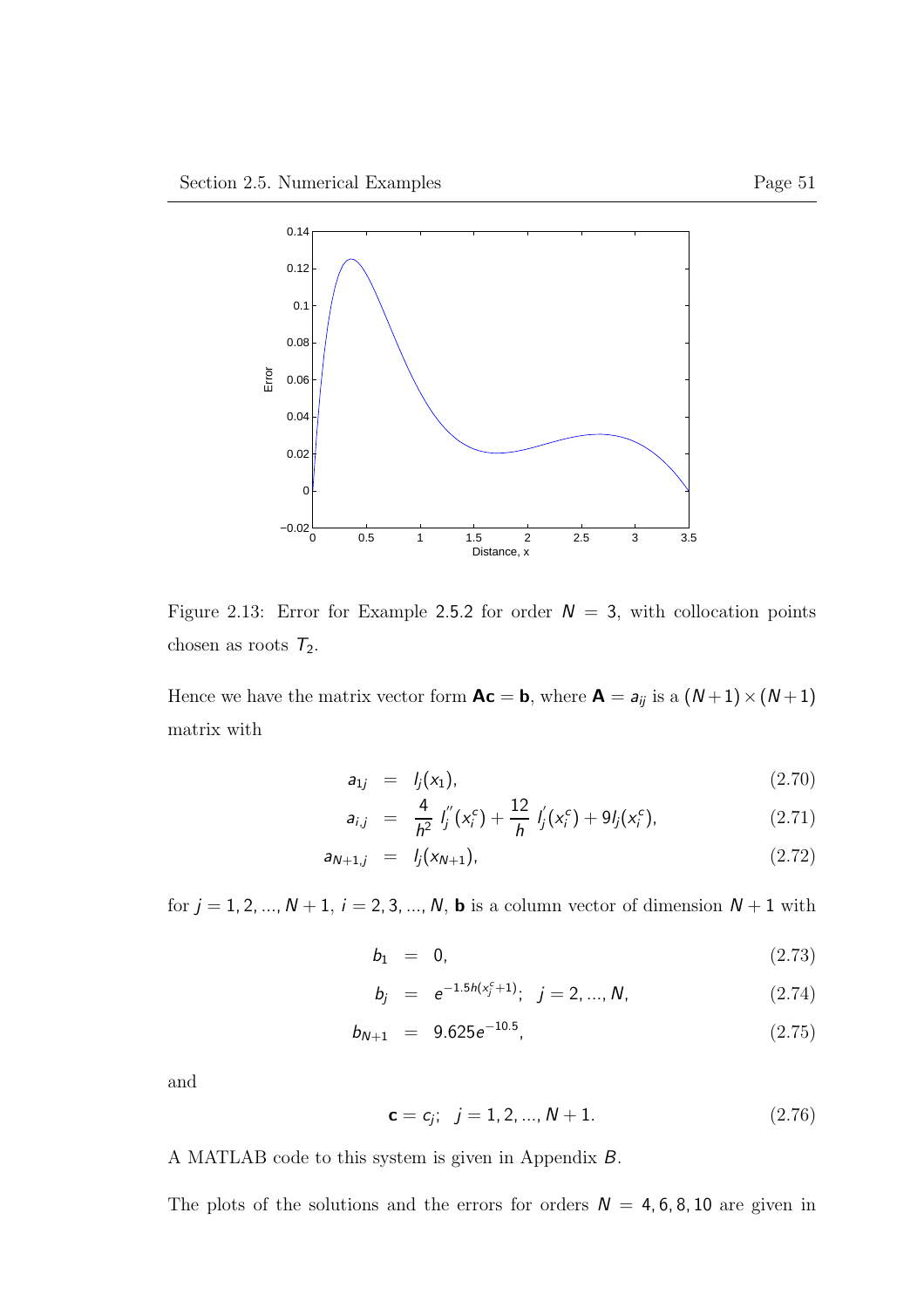

Figure 2.13: Error for Example 2.5.2 for order  $N = 3$ , with collocation points chosen as roots  $T_2$ .

Hence we have the matrix vector form  $Ac = b$ , where  $A = a_{ij}$  is a  $(N+1) \times (N+1)$ matrix with

$$
a_{1j} = l_j(x_1), \t\t(2.70)
$$

$$
a_{i,j} = \frac{4}{h^2} I_j''(x_i^c) + \frac{12}{h} I_j'(x_i^c) + 9I_j(x_i^c), \qquad (2.71)
$$

$$
a_{N+1,j} = l_j(x_{N+1}), \qquad (2.72)
$$

for  $j = 1, 2, ..., N + 1$ ,  $i = 2, 3, ..., N$ , **b** is a column vector of dimension  $N + 1$  with

$$
b_1 = 0, \tag{2.73}
$$

$$
b_j = e^{-1.5h(x_j^c + 1)}; \quad j = 2, ..., N,
$$
 (2.74)

$$
b_{N+1} = 9.625e^{-10.5}, \t\t(2.75)
$$

and

$$
\mathbf{c} = c_j; \quad j = 1, 2, ..., N + 1. \tag{2.76}
$$

A MATLAB code to this system is given in Appendix B.

The plots of the solutions and the errors for orders  $N = 4, 6, 8, 10$  are given in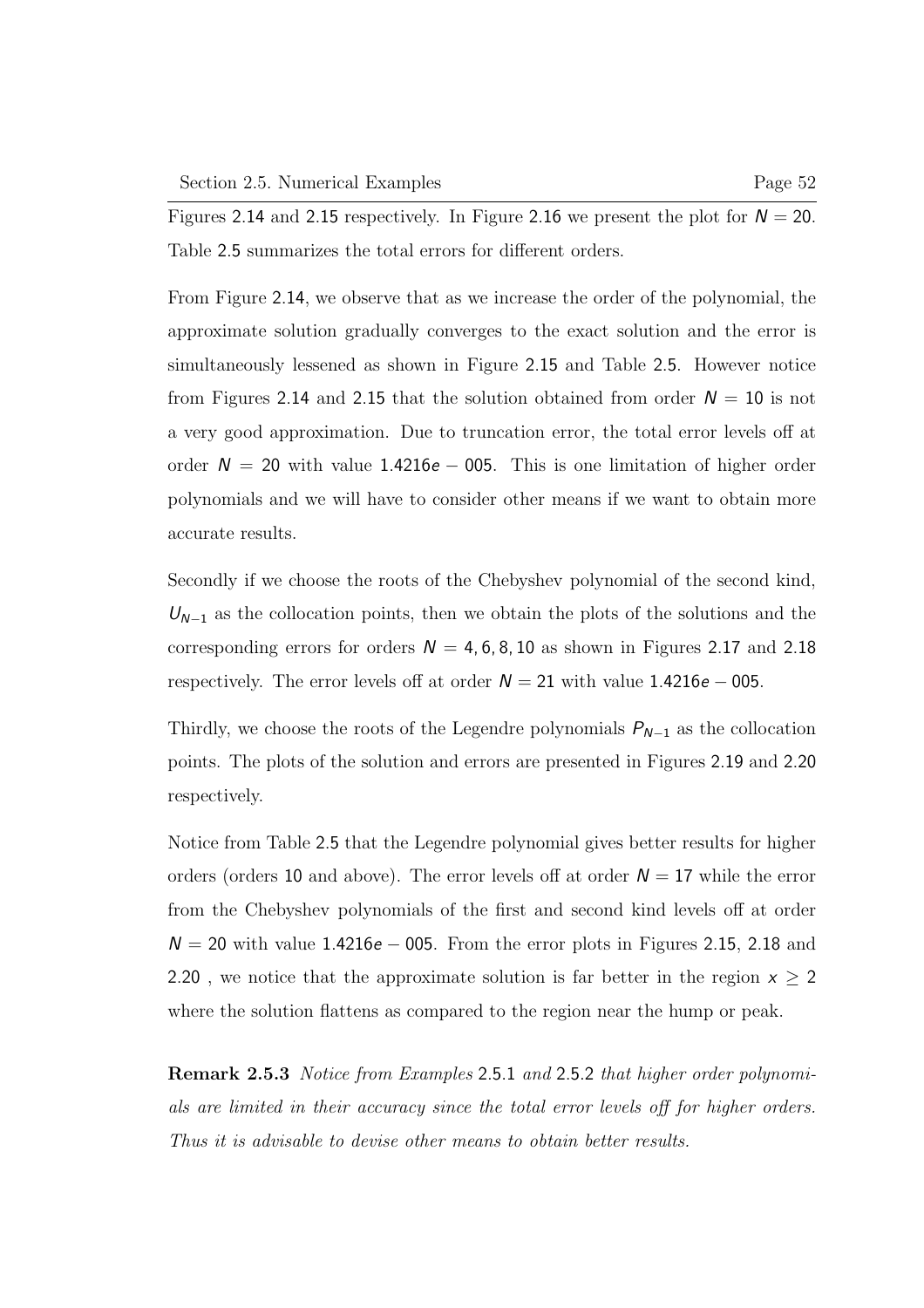Figures 2.14 and 2.15 respectively. In Figure 2.16 we present the plot for  $N = 20$ . Table 2.5 summarizes the total errors for different orders.

From Figure 2.14, we observe that as we increase the order of the polynomial, the approximate solution gradually converges to the exact solution and the error is simultaneously lessened as shown in Figure 2.15 and Table 2.5. However notice from Figures 2.14 and 2.15 that the solution obtained from order  $N = 10$  is not a very good approximation. Due to truncation error, the total error levels off at order  $N = 20$  with value 1.4216e – 005. This is one limitation of higher order polynomials and we will have to consider other means if we want to obtain more accurate results.

Secondly if we choose the roots of the Chebyshev polynomial of the second kind,  $U_{N-1}$  as the collocation points, then we obtain the plots of the solutions and the corresponding errors for orders  $N = 4, 6, 8, 10$  as shown in Figures 2.17 and 2.18 respectively. The error levels off at order  $N = 21$  with value 1.4216e – 005.

Thirdly, we choose the roots of the Legendre polynomials  $P_{N-1}$  as the collocation points. The plots of the solution and errors are presented in Figures 2.19 and 2.20 respectively.

Notice from Table 2.5 that the Legendre polynomial gives better results for higher orders (orders 10 and above). The error levels off at order  $N = 17$  while the error from the Chebyshev polynomials of the first and second kind levels off at order  $N = 20$  with value 1.4216e – 005. From the error plots in Figures 2.15, 2.18 and 2.20, we notice that the approximate solution is far better in the region  $x \ge 2$ where the solution flattens as compared to the region near the hump or peak.

Remark 2.5.3 Notice from Examples 2.5.1 and 2.5.2 that higher order polynomials are limited in their accuracy since the total error levels off for higher orders. Thus it is advisable to devise other means to obtain better results.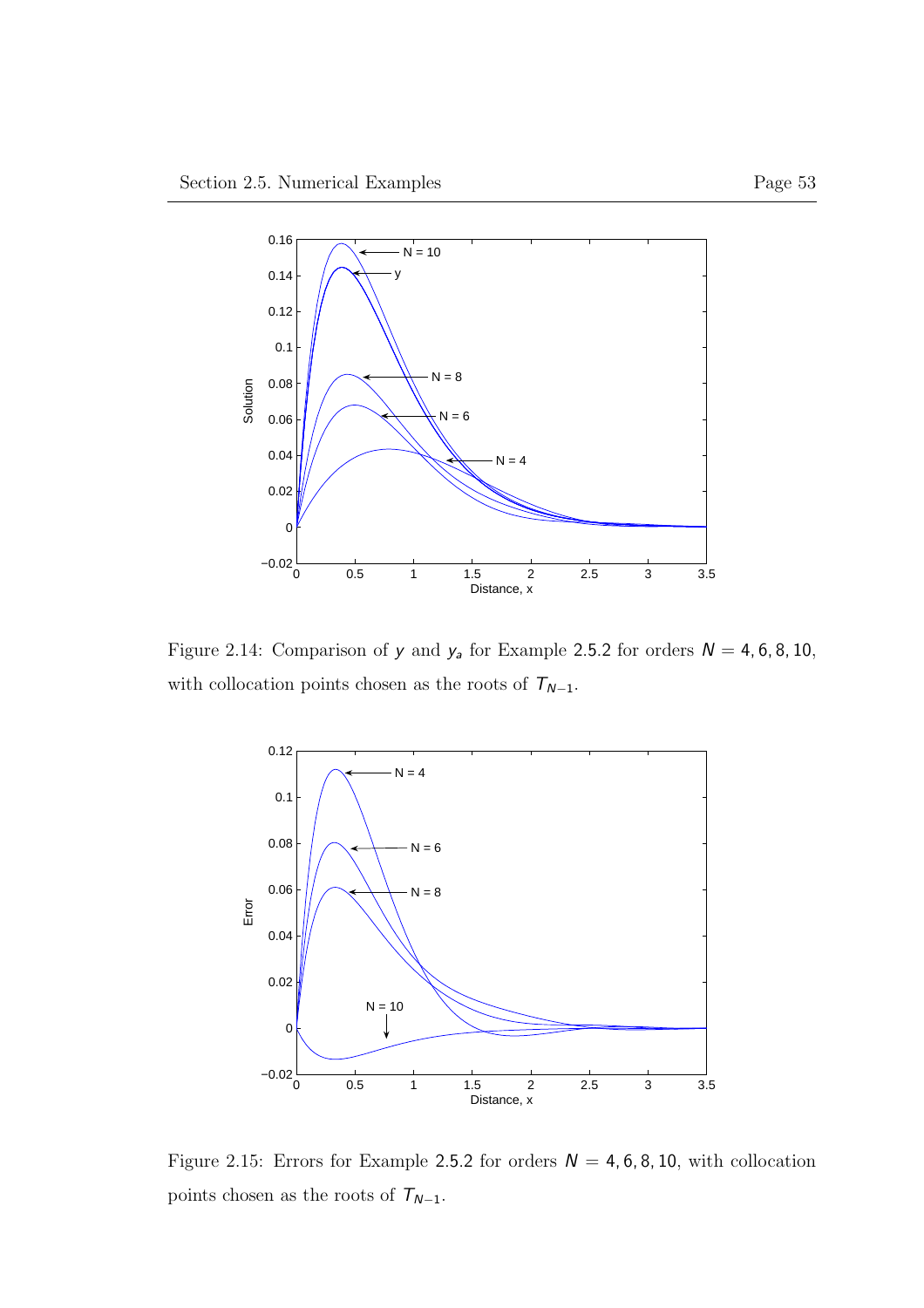

Figure 2.14: Comparison of y and  $y_a$  for Example 2.5.2 for orders  $N = 4, 6, 8, 10$ , with collocation points chosen as the roots of  $\mathcal{T}_{N-1}.$ 



Figure 2.15: Errors for Example 2.5.2 for orders  $N = 4, 6, 8, 10$ , with collocation points chosen as the roots of  $\mathcal{T}_{N-1}.$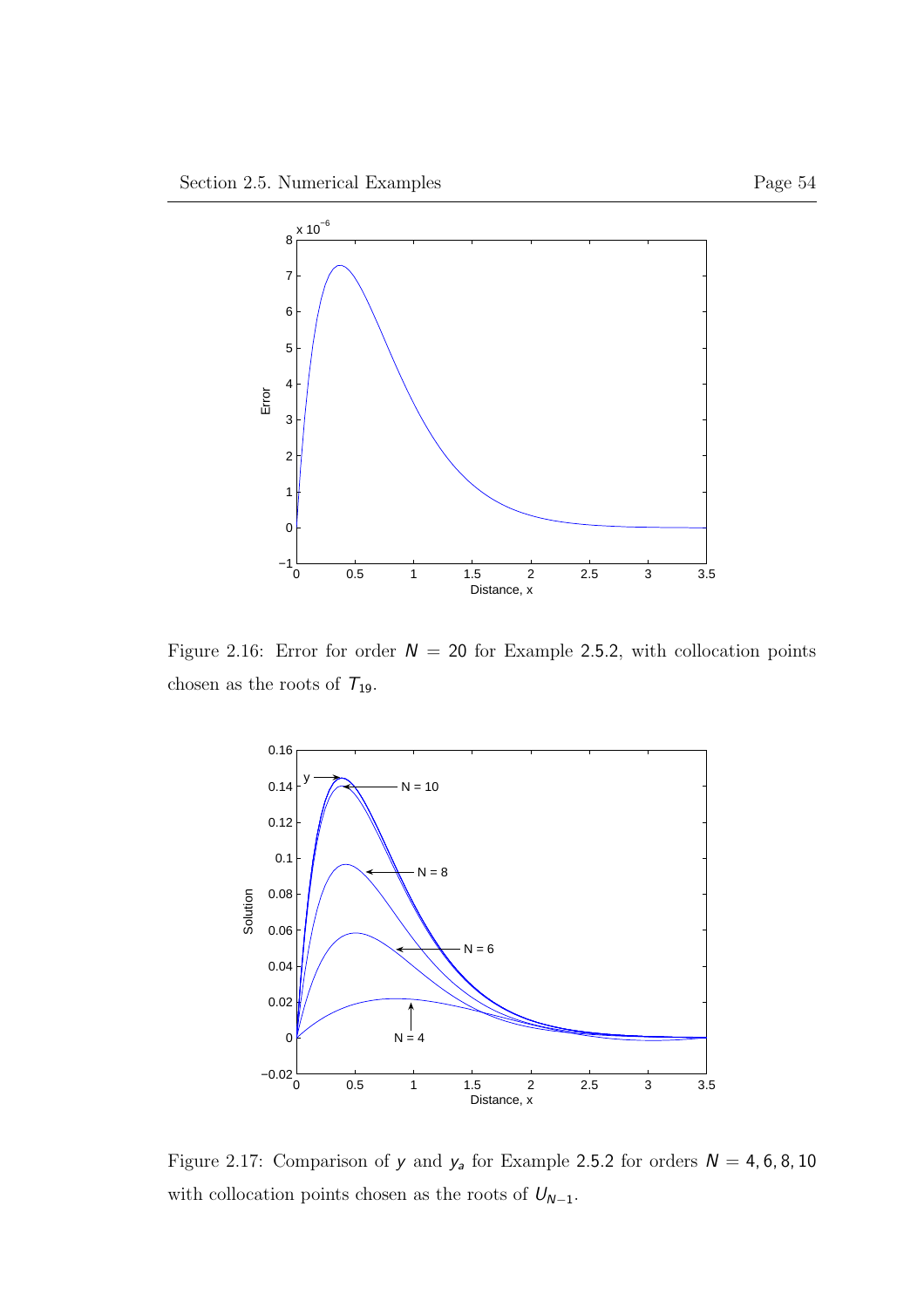

Figure 2.16: Error for order  $N = 20$  for Example 2.5.2, with collocation points chosen as the roots of  $T_{19}.$ 



Figure 2.17: Comparison of  $y$  and  $y_a$  for Example 2.5.2 for orders  $N = 4, 6, 8, 10$ with collocation points chosen as the roots of  $U_{N-1}.$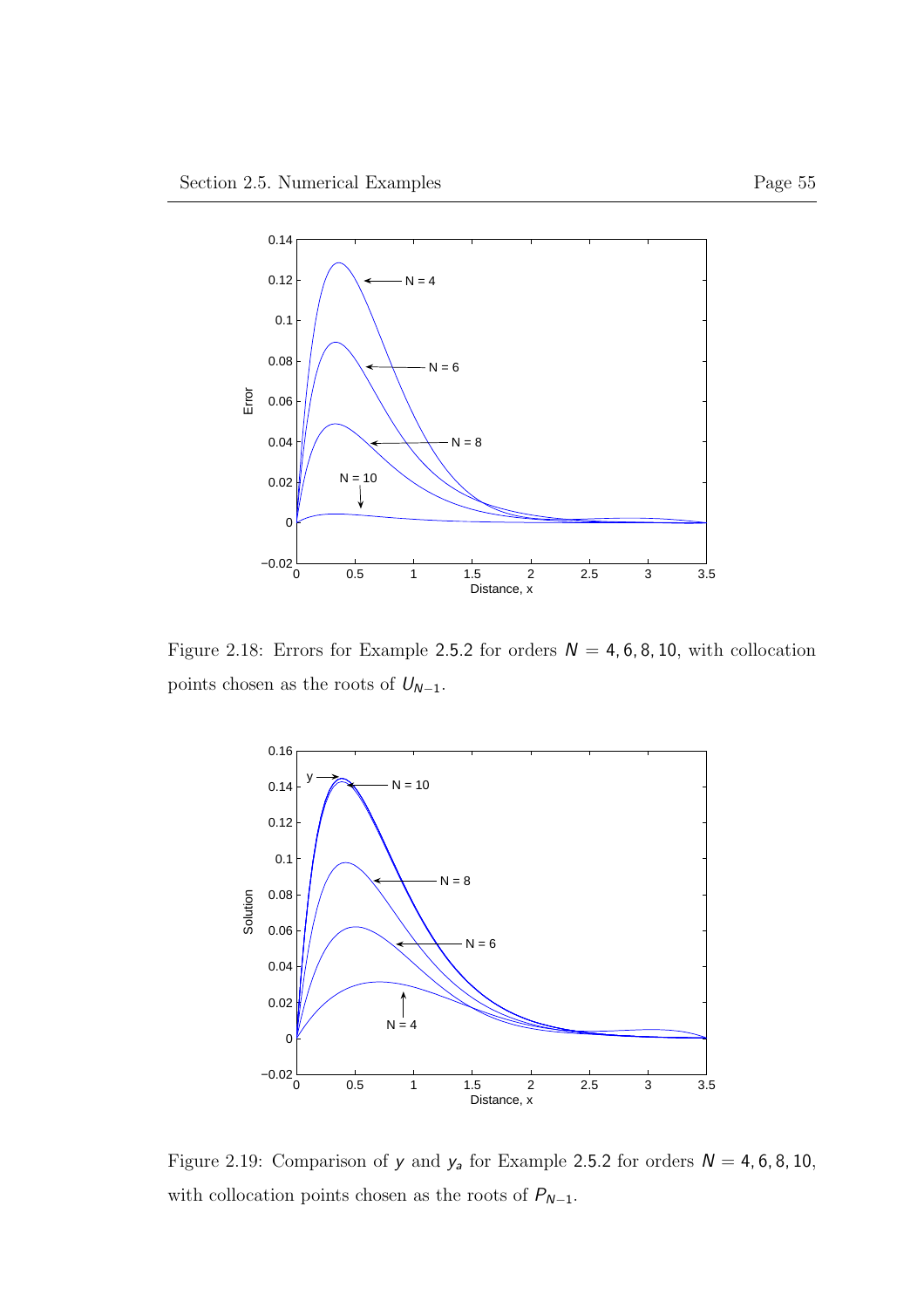

Figure 2.18: Errors for Example 2.5.2 for orders  $N = 4, 6, 8, 10$ , with collocation points chosen as the roots of  $U_{N-1}.$ 



Figure 2.19: Comparison of  $y$  and  $y_a$  for Example 2.5.2 for orders  $N = 4, 6, 8, 10$ , with collocation points chosen as the roots of  $P_{N-1}.$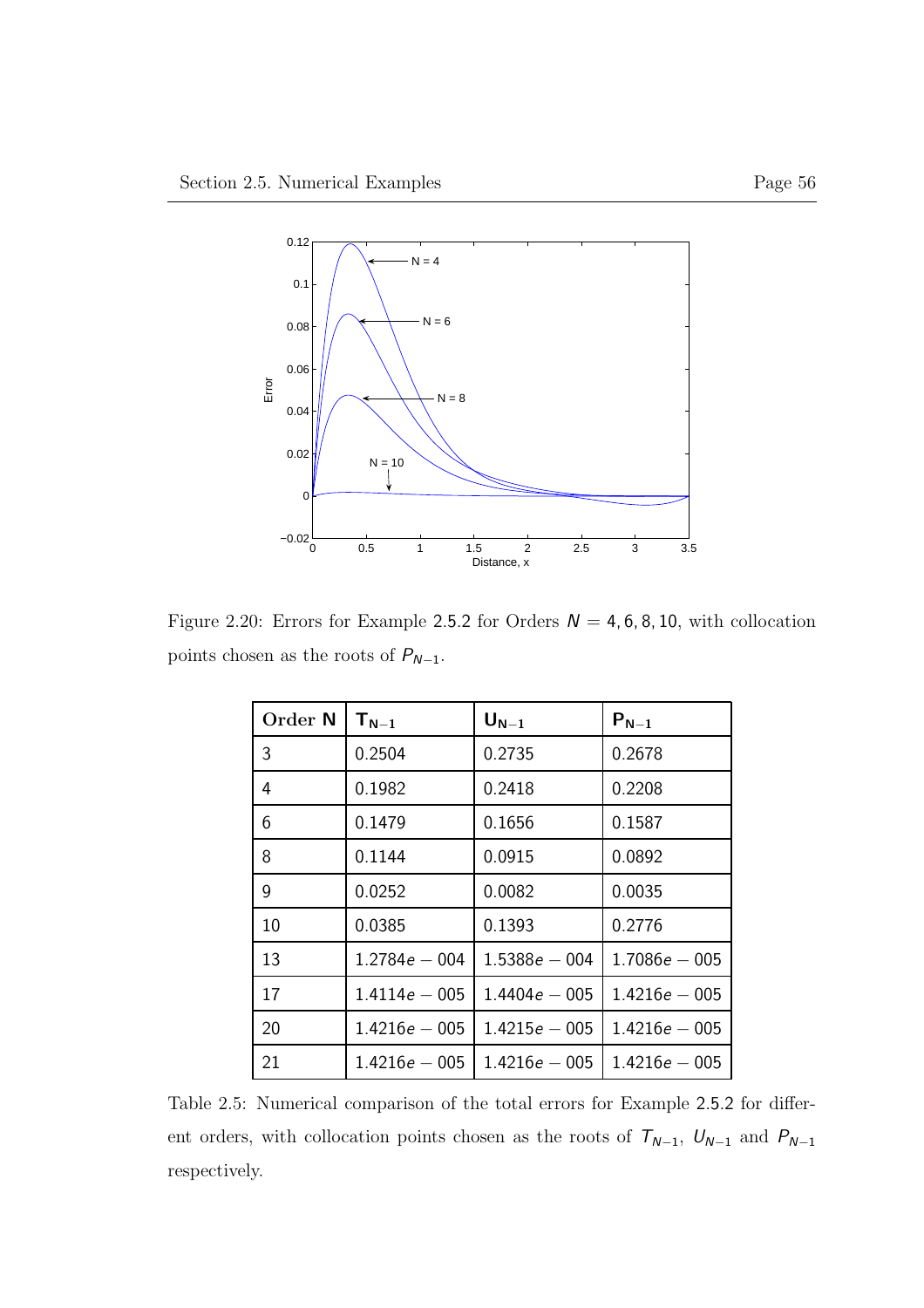

Figure 2.20: Errors for Example 2.5.2 for Orders  $N = 4, 6, 8, 10$ , with collocation points chosen as the roots of  $P_{N-1}.$ 

| Order N | $T_{N-1}$       | $U_{N-1}$       | $P_{N-1}$       |
|---------|-----------------|-----------------|-----------------|
| 3       | 0.2504          | 0.2735          | 0.2678          |
| 4       | 0.1982          | 0.2418          | 0.2208          |
| 6       | 0.1479          | 0.1656          | 0.1587          |
| 8       | 0.1144          | 0.0915          | 0.0892          |
| 9       | 0.0252          | 0.0082          | 0.0035          |
| 10      | 0.0385          | 0.1393          | 0.2776          |
| 13      | $1.2784e - 004$ | $1.5388e - 004$ | $1.7086e - 005$ |
| 17      | $1.4114e - 005$ | $1.4404e - 005$ | $1.4216e - 005$ |
| 20      | $1.4216e - 005$ | $1.4215e - 005$ | $1.4216e - 005$ |
| 21      | $1.4216e - 005$ | $1.4216e - 005$ | $1.4216e - 005$ |

Table 2.5: Numerical comparison of the total errors for Example 2.5.2 for different orders, with collocation points chosen as the roots of  $T_{N-1},\ U_{N-1}$  and  $P_{N-1}$ respectively.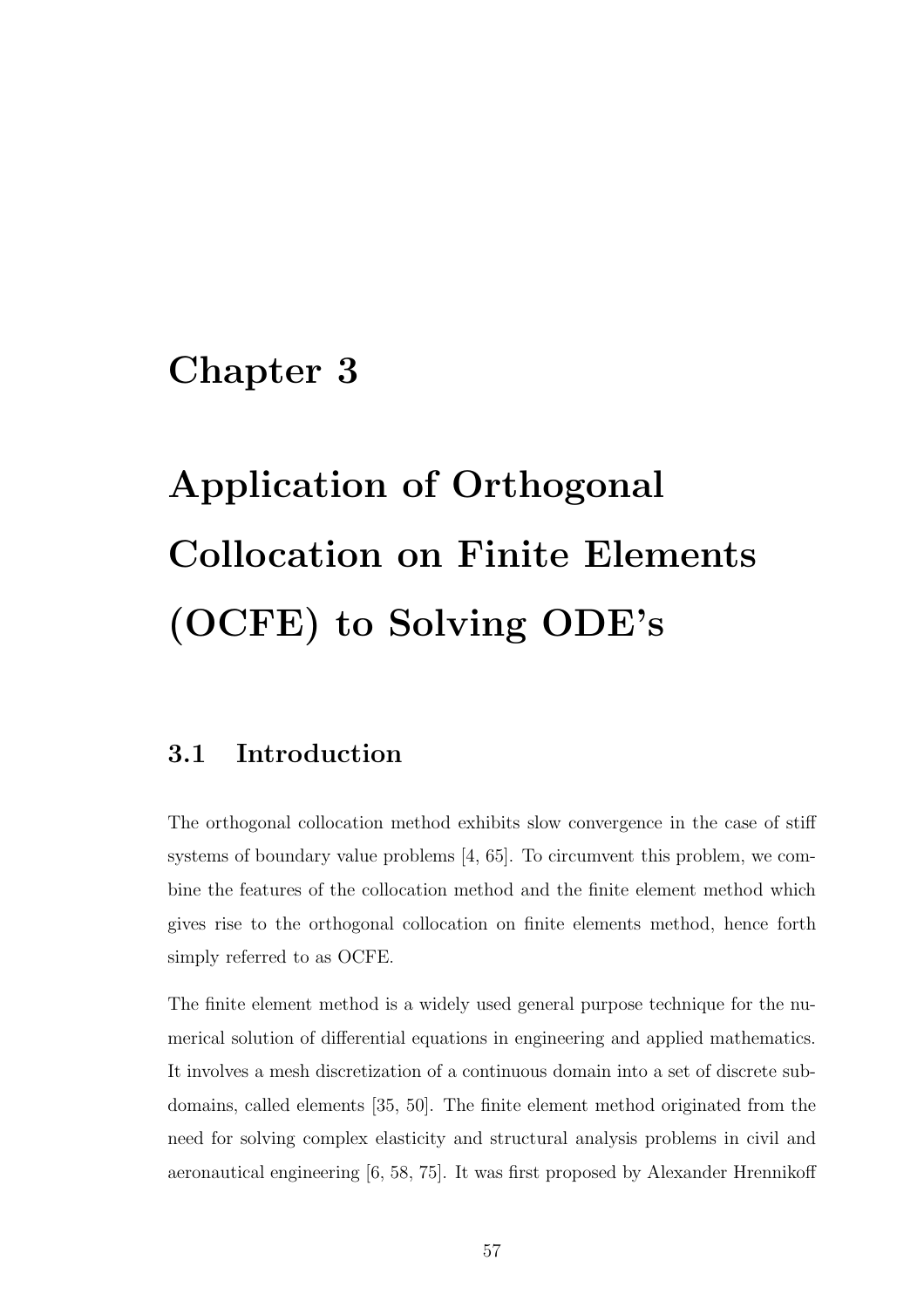# Chapter 3

# Application of Orthogonal Collocation on Finite Elements (OCFE) to Solving ODE's

## 3.1 Introduction

The orthogonal collocation method exhibits slow convergence in the case of stiff systems of boundary value problems [4, 65]. To circumvent this problem, we combine the features of the collocation method and the finite element method which gives rise to the orthogonal collocation on finite elements method, hence forth simply referred to as OCFE.

The finite element method is a widely used general purpose technique for the numerical solution of differential equations in engineering and applied mathematics. It involves a mesh discretization of a continuous domain into a set of discrete subdomains, called elements [35, 50]. The finite element method originated from the need for solving complex elasticity and structural analysis problems in civil and aeronautical engineering [6, 58, 75]. It was first proposed by Alexander Hrennikoff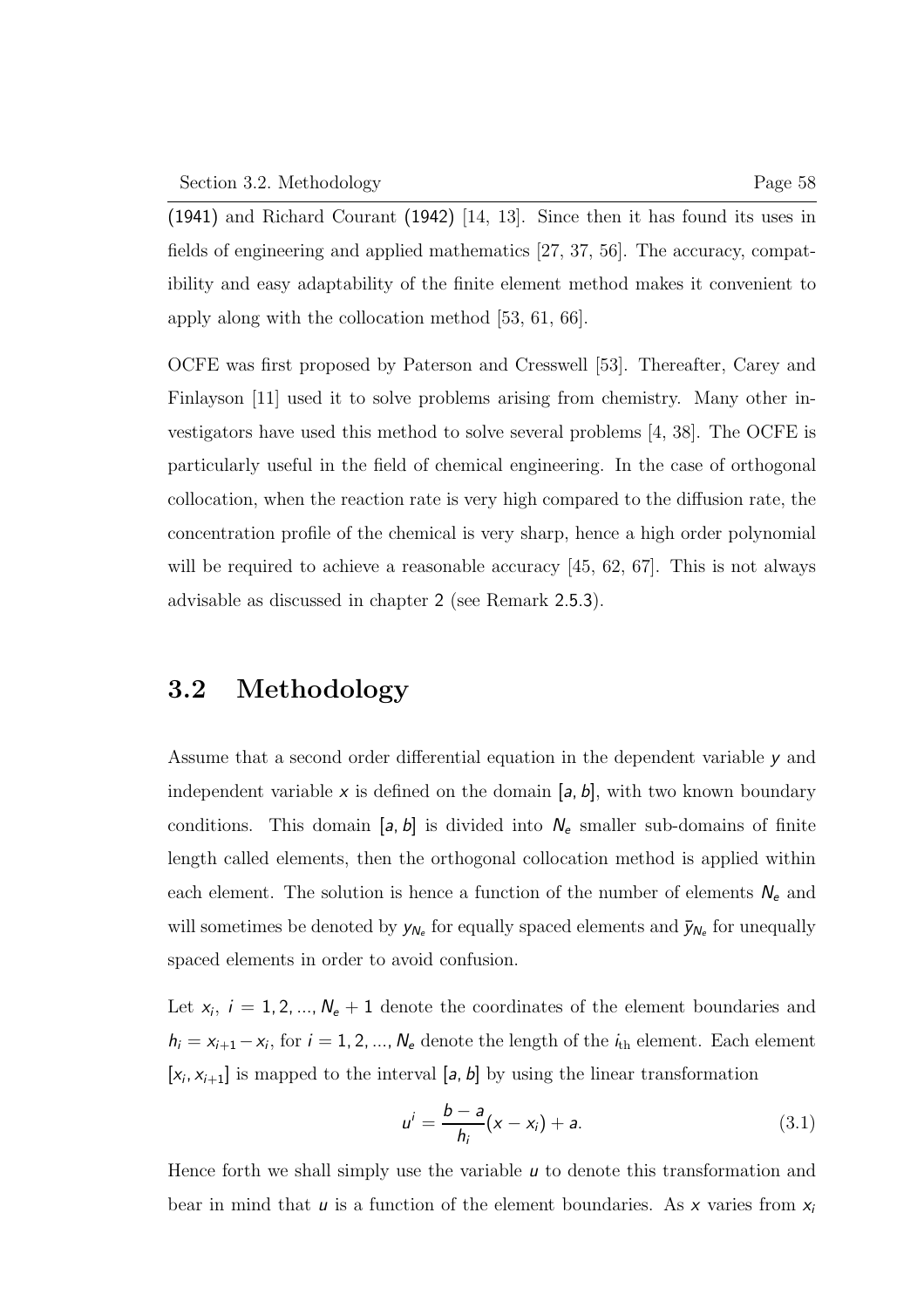(1941) and Richard Courant (1942) [14, 13]. Since then it has found its uses in fields of engineering and applied mathematics [27, 37, 56]. The accuracy, compatibility and easy adaptability of the finite element method makes it convenient to apply along with the collocation method [53, 61, 66].

OCFE was first proposed by Paterson and Cresswell [53]. Thereafter, Carey and Finlayson [11] used it to solve problems arising from chemistry. Many other investigators have used this method to solve several problems [4, 38]. The OCFE is particularly useful in the field of chemical engineering. In the case of orthogonal collocation, when the reaction rate is very high compared to the diffusion rate, the concentration profile of the chemical is very sharp, hence a high order polynomial will be required to achieve a reasonable accuracy [45, 62, 67]. This is not always advisable as discussed in chapter 2 (see Remark 2.5.3).

# 3.2 Methodology

Assume that a second order differential equation in the dependent variable y and independent variable x is defined on the domain  $[a, b]$ , with two known boundary conditions. This domain  $[a, b]$  is divided into  $N_e$  smaller sub-domains of finite length called elements, then the orthogonal collocation method is applied within each element. The solution is hence a function of the number of elements  $N_e$  and will sometimes be denoted by  $y_{N_e}$  for equally spaced elements and  $\bar{y}_{N_e}$  for unequally spaced elements in order to avoid confusion.

Let  $x_i$ ,  $i = 1, 2, ..., N_e + 1$  denote the coordinates of the element boundaries and  $h_i = x_{i+1} - x_i$ , for  $i = 1, 2, ..., N_e$  denote the length of the  $i_{th}$  element. Each element  $[x_i, x_{i+1}]$  is mapped to the interval  $[a, b]$  by using the linear transformation

$$
u^{i} = \frac{b-a}{h_{i}}(x - x_{i}) + a.
$$
 (3.1)

Hence forth we shall simply use the variable  $\mu$  to denote this transformation and bear in mind that u is a function of the element boundaries. As x varies from  $x_i$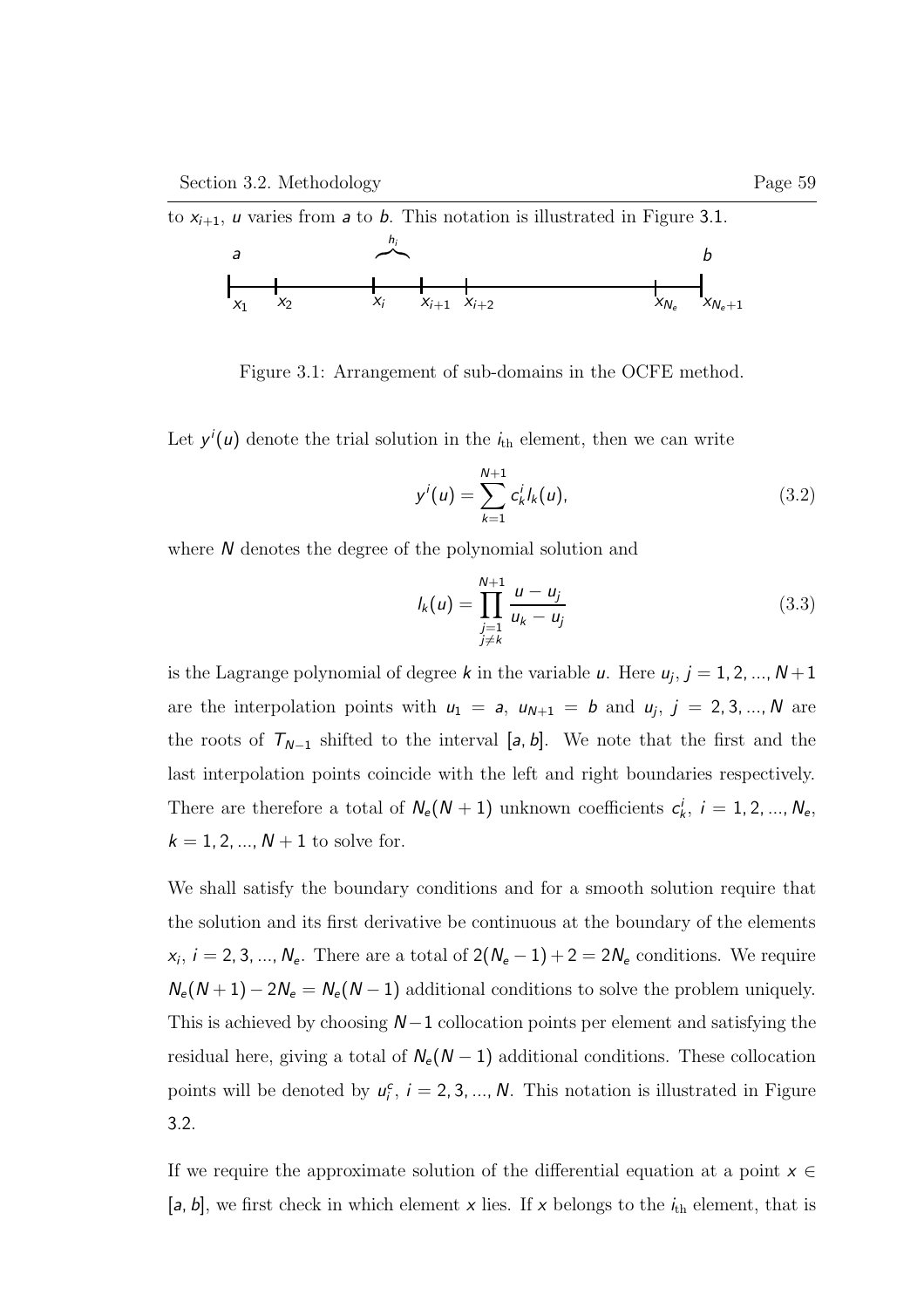

Figure 3.1: Arrangement of sub-domains in the OCFE method.

Let  $y'(u)$  denote the trial solution in the  $i<sub>th</sub>$  element, then we can write

$$
y^{i}(u) = \sum_{k=1}^{N+1} c_{k}^{i} l_{k}(u), \qquad (3.2)
$$

where N denotes the degree of the polynomial solution and

$$
I_k(u) = \prod_{\substack{j=1 \ j \neq k}}^{N+1} \frac{u - u_j}{u_k - u_j} \tag{3.3}
$$

is the Lagrange polynomial of degree k in the variable  $u$ . Here  $u_j$ ,  $j = 1, 2, ..., N+1$ are the interpolation points with  $u_1 = a$ ,  $u_{N+1} = b$  and  $u_j$ ,  $j = 2, 3, ..., N$  are the roots of  $T_{N-1}$  shifted to the interval [a, b]. We note that the first and the last interpolation points coincide with the left and right boundaries respectively. There are therefore a total of  $N_e(N + 1)$  unknown coefficients  $c_k^i$ ,  $i = 1, 2, ..., N_e$ ,  $k = 1, 2, ..., N + 1$  to solve for.

We shall satisfy the boundary conditions and for a smooth solution require that the solution and its first derivative be continuous at the boundary of the elements  $x_i$ ,  $i = 2, 3, ..., N_e$ . There are a total of  $2(N_e - 1) + 2 = 2N_e$  conditions. We require  $N_e(N+1) - 2N_e = N_e(N-1)$  additional conditions to solve the problem uniquely. This is achieved by choosing  $N-1$  collocation points per element and satisfying the residual here, giving a total of  $N_e(N-1)$  additional conditions. These collocation points will be denoted by  $u_i^c$ ,  $i = 2, 3, ..., N$ . This notation is illustrated in Figure 3.2.

If we require the approximate solution of the differential equation at a point  $x \in$ [a, b], we first check in which element x lies. If x belongs to the  $i_{th}$  element, that is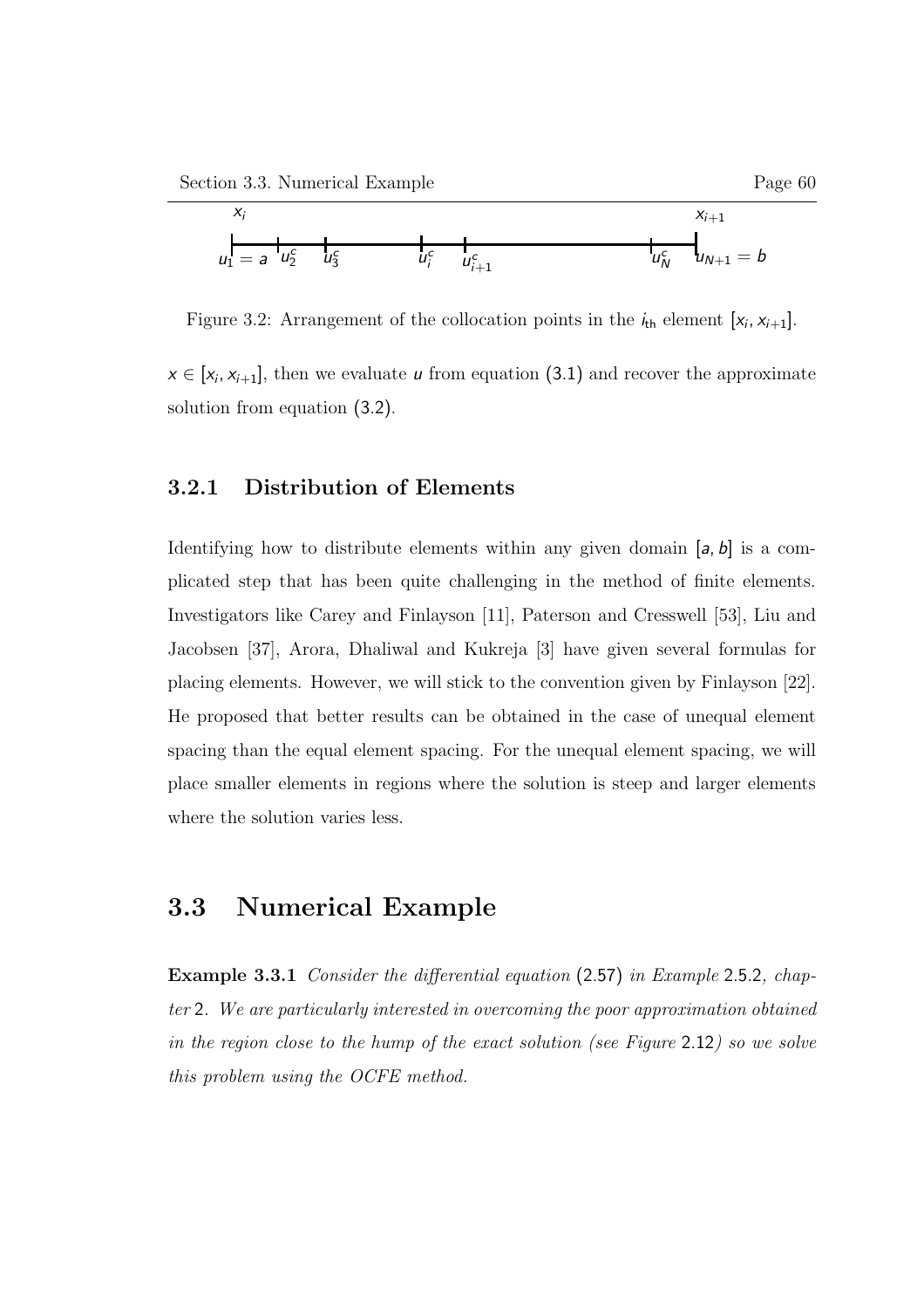

Figure 3.2: Arrangement of the collocation points in the  $i_{\text{th}}$  element  $[x_i, x_{i+1}]$ .

 $x \in [x_i, x_{i+1}]$ , then we evaluate *u* from equation (3.1) and recover the approximate solution from equation (3.2).

### 3.2.1 Distribution of Elements

Identifying how to distribute elements within any given domain [a, b] is a complicated step that has been quite challenging in the method of finite elements. Investigators like Carey and Finlayson [11], Paterson and Cresswell [53], Liu and Jacobsen [37], Arora, Dhaliwal and Kukreja [3] have given several formulas for placing elements. However, we will stick to the convention given by Finlayson [22]. He proposed that better results can be obtained in the case of unequal element spacing than the equal element spacing. For the unequal element spacing, we will place smaller elements in regions where the solution is steep and larger elements where the solution varies less.

### 3.3 Numerical Example

Example 3.3.1 Consider the differential equation (2.57) in Example 2.5.2, chapter 2. We are particularly interested in overcoming the poor approximation obtained in the region close to the hump of the exact solution (see Figure 2.12) so we solve this problem using the OCFE method.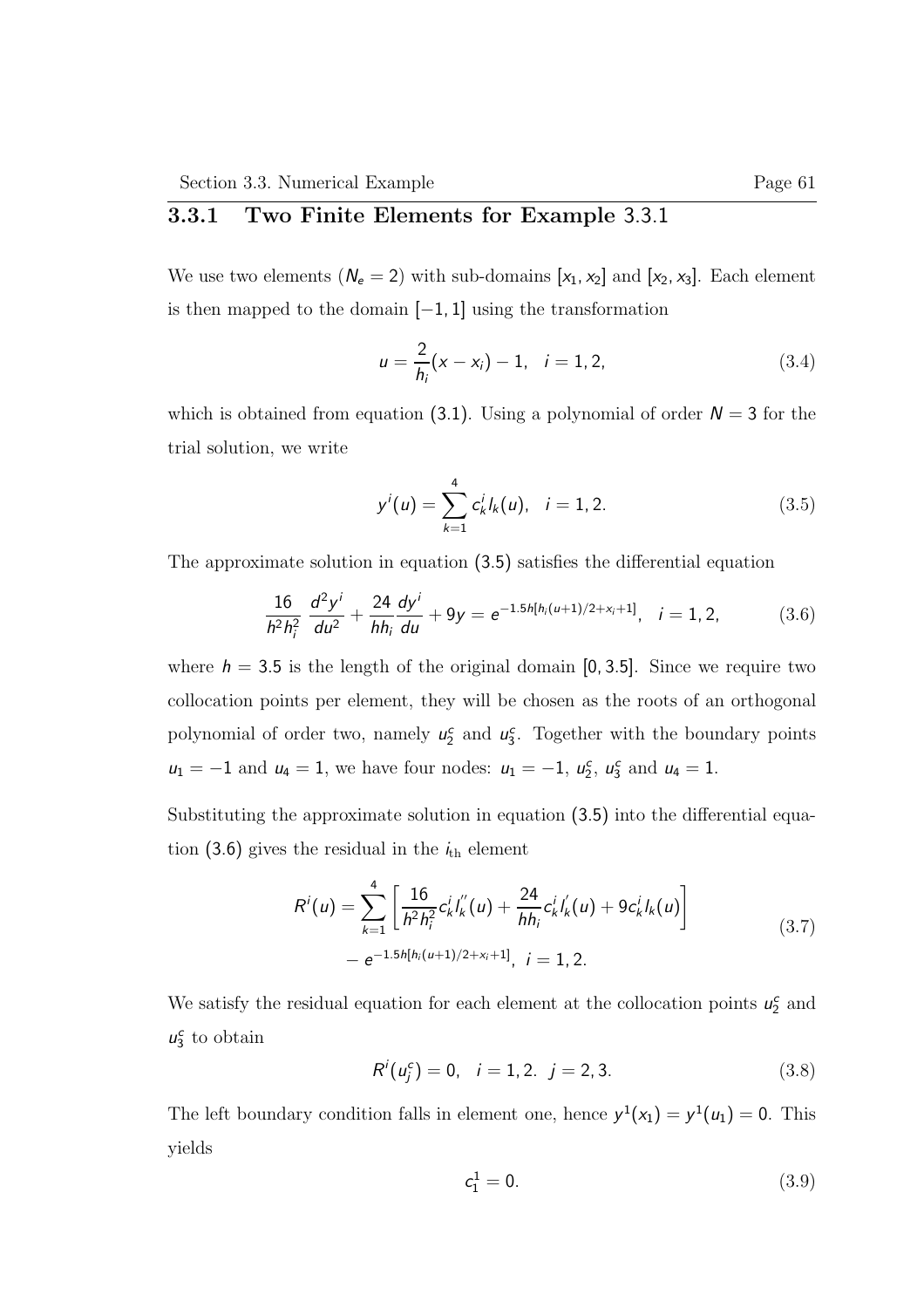### 3.3.1 Two Finite Elements for Example 3.3.1

We use two elements  $(N_e = 2)$  with sub-domains  $[x_1, x_2]$  and  $[x_2, x_3]$ . Each element is then mapped to the domain [−1, 1] using the transformation

$$
u = \frac{2}{h_i}(x - x_i) - 1, \quad i = 1, 2,
$$
\n(3.4)

which is obtained from equation (3.1). Using a polynomial of order  $N = 3$  for the trial solution, we write

$$
y^{i}(u) = \sum_{k=1}^{4} c_{k}^{i} l_{k}(u), \quad i = 1, 2.
$$
 (3.5)

The approximate solution in equation (3.5) satisfies the differential equation

$$
\frac{16}{h^2h_i^2}\,\frac{d^2y^i}{du^2} + \frac{24}{hh_i}\frac{dy^i}{du} + 9y = e^{-1.5h[h_i(u+1)/2 + x_i + 1]}, \quad i = 1, 2,\tag{3.6}
$$

where  $h = 3.5$  is the length of the original domain [0, 3.5]. Since we require two collocation points per element, they will be chosen as the roots of an orthogonal polynomial of order two, namely  $u_2^c$  and  $u_3^c$ . Together with the boundary points  $u_1 = -1$  and  $u_4 = 1$ , we have four nodes:  $u_1 = -1$ ,  $u_2^c$ ,  $u_3^c$  and  $u_4 = 1$ .

Substituting the approximate solution in equation (3.5) into the differential equation (3.6) gives the residual in the  $i_{th}$  element

$$
R^{i}(u) = \sum_{k=1}^{4} \left[ \frac{16}{h^{2}h_{i}^{2}} c_{k}^{i} l_{k}^{''}(u) + \frac{24}{hh_{i}} c_{k}^{i} l_{k}^{'}(u) + 9c_{k}^{i} l_{k}(u) \right] - e^{-1.5h[h_{i}(u+1)/2+x_{i}+1]}, \quad i = 1, 2.
$$
\n(3.7)

We satisfy the residual equation for each element at the collocation points  $u_2^c$  and  $u_3^c$  to obtain

$$
R^{i}(u_{j}^{c}) = 0, \quad i = 1, 2, \quad j = 2, 3. \tag{3.8}
$$

The left boundary condition falls in element one, hence  $y^1(x_1) = y^1(u_1) = 0$ . This yields

$$
c_1^1 = 0. \t\t(3.9)
$$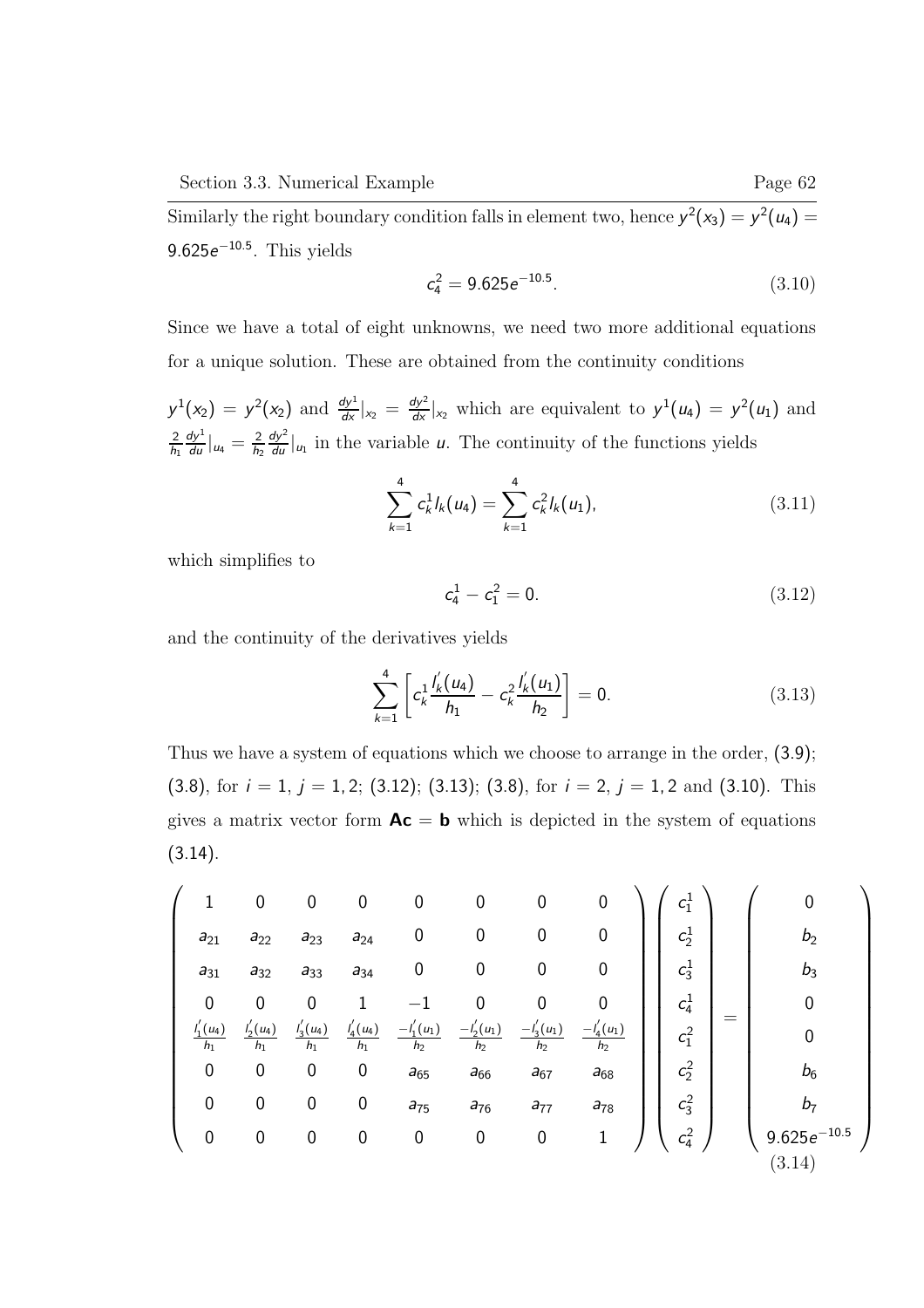Similarly the right boundary condition falls in element two, hence  $y^2(x_3) = y^2(u_4) =$  $9.625e^{-10.5}$ . This yields

$$
c_4^2 = 9.625e^{-10.5}.\tag{3.10}
$$

Since we have a total of eight unknowns, we need two more additional equations for a unique solution. These are obtained from the continuity conditions

 $y^1(x_2) = y^2(x_2)$  and  $\frac{dy^1}{dx}|_{x_2} = \frac{dy^2}{dx}|_{x_2}$  which are equivalent to  $y^1(u_4) = y^2(u_1)$  and 2  $h_1$  $\frac{dy^1}{du}|_{u_4}=\frac{2}{h_2}$  $h<sub>2</sub>$  $\frac{dy^2}{du}|_{u_1}$  in the variable u. The continuity of the functions yields

$$
\sum_{k=1}^{4} c_k^1 l_k(u_4) = \sum_{k=1}^{4} c_k^2 l_k(u_1), \qquad (3.11)
$$

which simplifies to

$$
c_4^1 - c_1^2 = 0. \t\t(3.12)
$$

and the continuity of the derivatives yields

$$
\sum_{k=1}^{4} \left[ c_k^1 \frac{I'_k(u_4)}{h_1} - c_k^2 \frac{I'_k(u_1)}{h_2} \right] = 0. \tag{3.13}
$$

Thus we have a system of equations which we choose to arrange in the order, (3.9); (3.8), for  $i = 1$ ,  $j = 1, 2$ ; (3.12); (3.13); (3.8), for  $i = 2$ ,  $j = 1, 2$  and (3.10). This gives a matrix vector form  $Ac = b$  which is depicted in the system of equations  $(3.14).$ 

$$
\begin{pmatrix}\n1 & 0 & 0 & 0 & 0 & 0 & 0 & 0 \\
a_{21} & a_{22} & a_{23} & a_{24} & 0 & 0 & 0 & 0 \\
a_{31} & a_{32} & a_{33} & a_{34} & 0 & 0 & 0 & 0 \\
0 & 0 & 0 & 1 & -1 & 0 & 0 & 0 \\
\frac{I_1'(u_4)}{h_1} & \frac{I_2'(u_4)}{h_1} & \frac{I_3'(u_4)}{h_1} & \frac{I_4'(u_4)}{h_1} & \frac{-I_1'(u_1)}{h_2} & \frac{-I_2'(u_1)}{h_2} & \frac{-I_3'(u_1)}{h_2} & \frac{-I_4'(u_1)}{h_2} \\
0 & 0 & 0 & 0 & a_{65} & a_{66} & a_{67} & a_{68} \\
0 & 0 & 0 & 0 & a_{75} & a_{76} & a_{77} & a_{78} \\
0 & 0 & 0 & 0 & 0 & 0 & 1\n\end{pmatrix}\n\begin{pmatrix}\nc_1^1 \\
c_2^1 \\
c_3^1 \\
c_4^2 \\
c_5^2 \\
c_6^2 \\
c_6^3 \\
c_7^4 \\
c_8^2 \\
c_9^2 \\
c_9^2 \\
c_1^3 \\
c_2^4\n\end{pmatrix} = \begin{pmatrix}\n0 \\
b_2 \\
c_2 \\
c_3 \\
c_4^2 \\
c_5^3 \\
c_6^4 \\
c_7^4 \\
c_8^2 \\
c_9^2 \\
c_1^3 \\
c_1^4 \\
c_2^4\n\end{pmatrix} = \begin{pmatrix}\n0 \\
b_2 \\
c_3 \\
c_4 \\
c_5 \\
c_6 \\
c_7 \\
c_8^3 \\
c_9^4 \\
c_1^5 \\
c_1^6 \\
c_2^6 \\
c_3^7 \\
c_4^8\n\end{pmatrix}
$$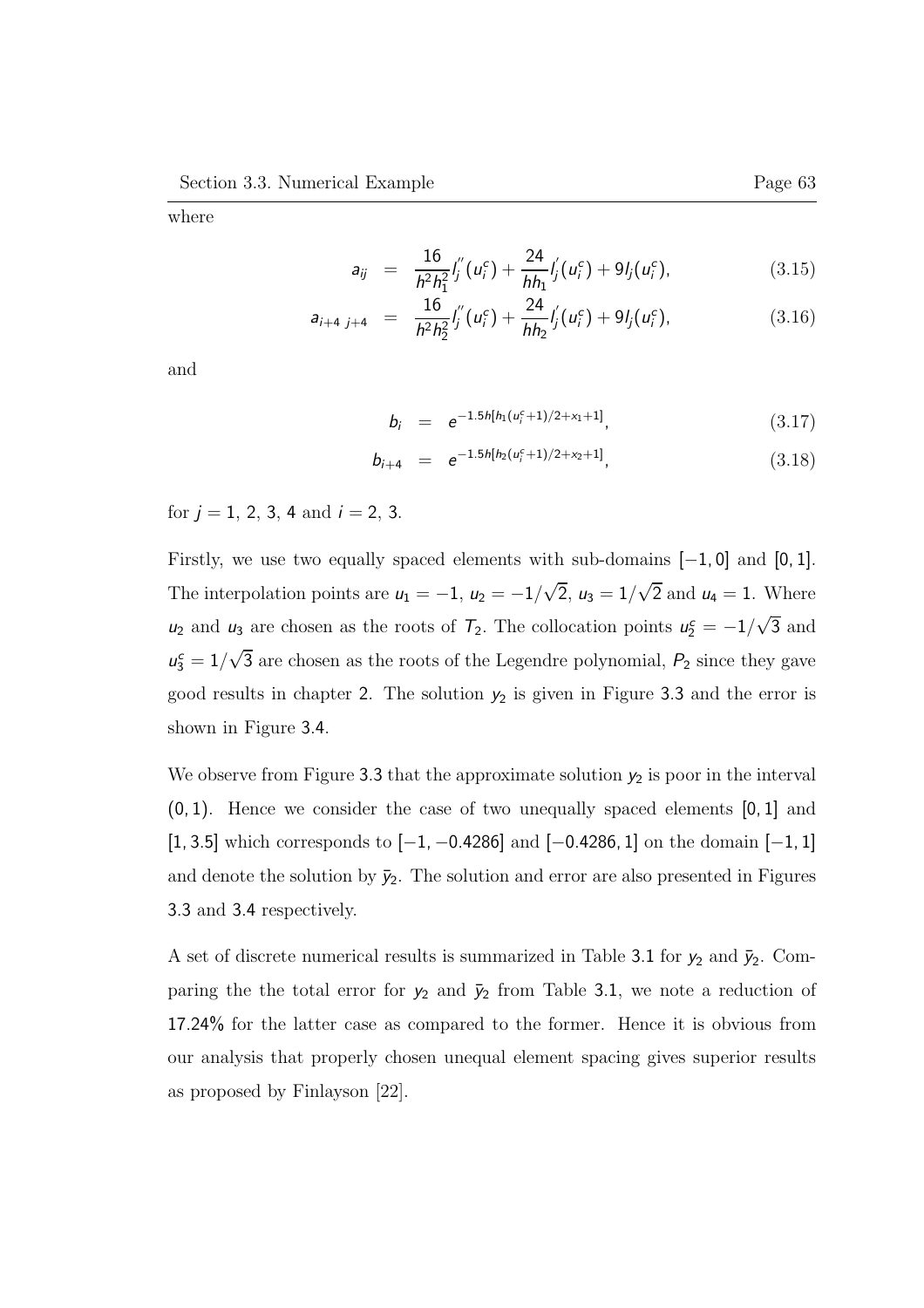where

$$
a_{ij} = \frac{16}{h^2 h_1^2} I_j''(u_i^c) + \frac{24}{h h_1} I_j'(u_i^c) + 9 I_j(u_i^c), \qquad (3.15)
$$

$$
a_{i+4 j+4} = \frac{16}{h^2 h_2^2} I_j''(u_i^c) + \frac{24}{h h_2} I_j'(u_i^c) + 9 I_j(u_i^c), \qquad (3.16)
$$

and

$$
b_i = e^{-1.5h[h_1(\mu_i^c + 1)/2 + x_1 + 1]}, \qquad (3.17)
$$

$$
b_{i+4} = e^{-1.5h[h_2(u_i^c+1)/2+x_2+1]}, \qquad (3.18)
$$

for  $j = 1, 2, 3, 4$  and  $i = 2, 3$ .

Firstly, we use two equally spaced elements with sub-domains [−1, 0] and [0, 1]. The interpolation points are  $u_1 = -1$ ,  $u_2 = -1/\sqrt{2}$ ,  $u_3 = 1/\sqrt{2}$  and  $u_4 = 1$ . Where  $u_2$  and  $u_3$  are chosen as the roots of  $\mathcal{T}_2$ . The collocation points  $u_2^c = -1/\sqrt{3}$  and  $u_3^c = 1/\sqrt{3}$  are chosen as the roots of the Legendre polynomial,  $P_2$  since they gave good results in chapter 2. The solution  $y_2$  is given in Figure 3.3 and the error is shown in Figure 3.4.

We observe from Figure 3.3 that the approximate solution  $y_2$  is poor in the interval (0, 1). Hence we consider the case of two unequally spaced elements [0, 1] and [1, 3.5] which corresponds to [−1, −0.4286] and [−0.4286, 1] on the domain [−1, 1] and denote the solution by  $\bar{y}_2$ . The solution and error are also presented in Figures 3.3 and 3.4 respectively.

A set of discrete numerical results is summarized in Table 3.1 for  $y_2$  and  $\bar{y}_2$ . Comparing the the total error for  $y_2$  and  $\bar{y}_2$  from Table 3.1, we note a reduction of 17.24% for the latter case as compared to the former. Hence it is obvious from our analysis that properly chosen unequal element spacing gives superior results as proposed by Finlayson [22].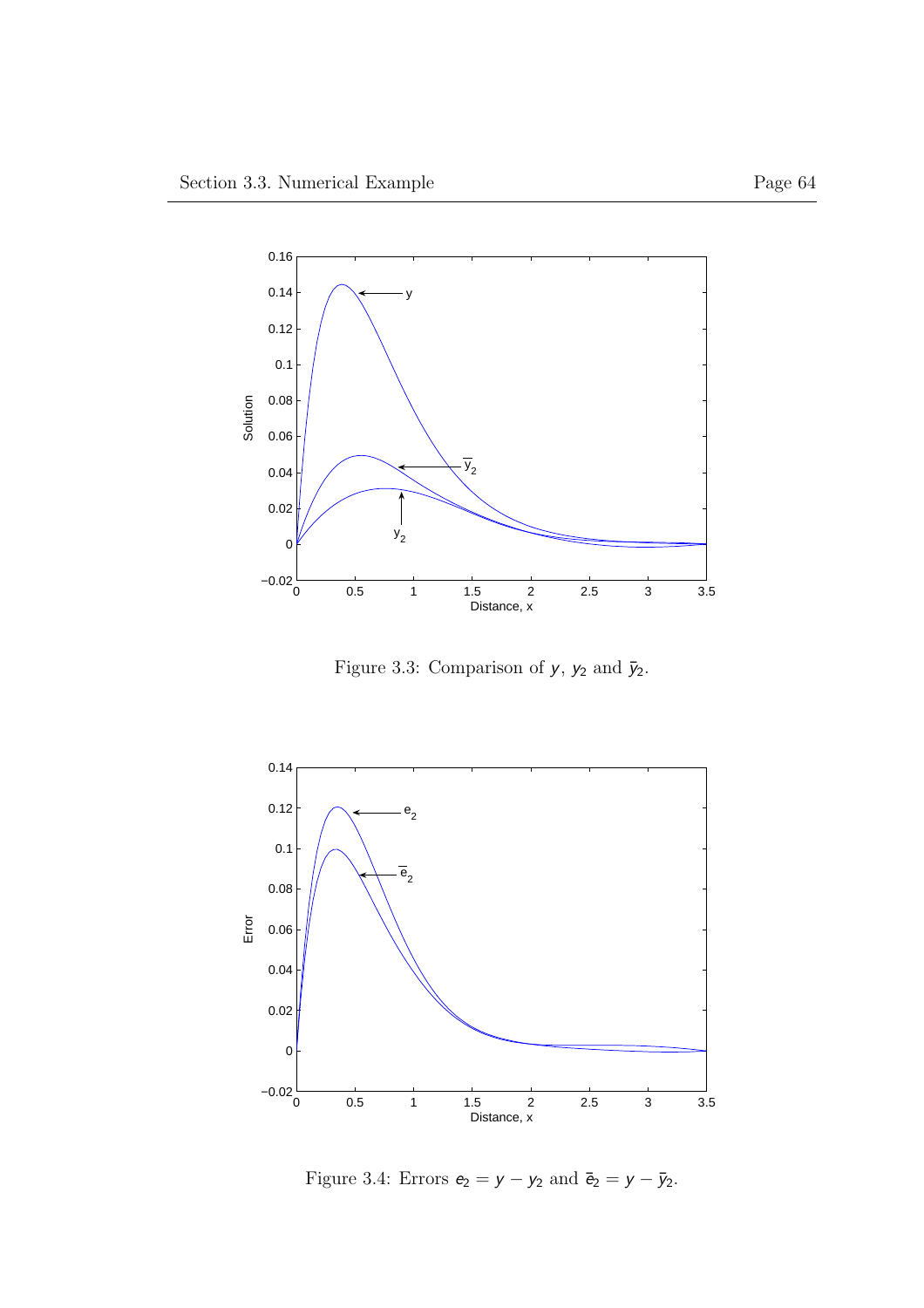

Figure 3.3: Comparison of  $y, \, y_2$  and  $\bar y_2.$ 



Figure 3.4: Errors  $e_2 = y - y_2$  and  $\bar{e}_2 = y - \bar{y}_2$ .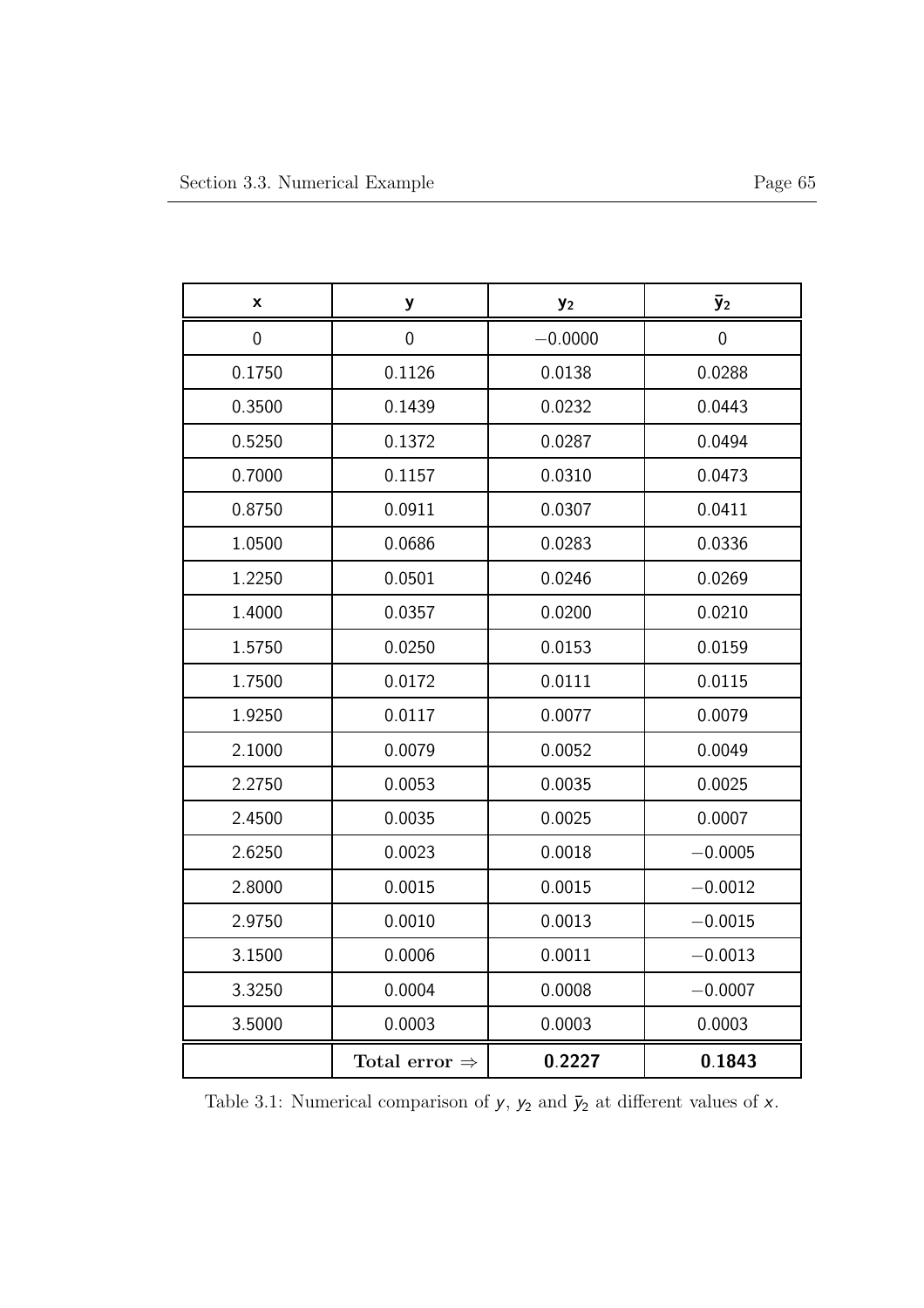| X                | y                         | y <sub>2</sub> | $\bar{y}_2$ |
|------------------|---------------------------|----------------|-------------|
| $\boldsymbol{0}$ | $\boldsymbol{0}$          | $-0.0000$      | 0           |
| 0.1750           | 0.1126                    | 0.0138         | 0.0288      |
| 0.3500           | 0.1439                    | 0.0232         | 0.0443      |
| 0.5250           | 0.1372                    | 0.0287         | 0.0494      |
| 0.7000           | 0.1157                    | 0.0310         | 0.0473      |
| 0.8750           | 0.0911                    | 0.0307         | 0.0411      |
| 1.0500           | 0.0686                    | 0.0283         | 0.0336      |
| 1.2250           | 0.0501                    | 0.0246         | 0.0269      |
| 1.4000           | 0.0357                    | 0.0200         | 0.0210      |
| 1.5750           | 0.0250                    | 0.0153         | 0.0159      |
| 1.7500           | 0.0172                    | 0.0111         | 0.0115      |
| 1.9250           | 0.0117                    | 0.0077         | 0.0079      |
| 2.1000           | 0.0079                    | 0.0052         | 0.0049      |
| 2.2750           | 0.0053                    | 0.0035         | 0.0025      |
| 2.4500           | 0.0035                    | 0.0025         | 0.0007      |
| 2.6250           | 0.0023                    | 0.0018         | $-0.0005$   |
| 2.8000           | 0.0015                    | 0.0015         | $-0.0012$   |
| 2.9750           | 0.0010                    | 0.0013         | $-0.0015$   |
| 3.1500           | 0.0006                    | 0.0011         | $-0.0013$   |
| 3.3250           | 0.0004                    | 0.0008         | $-0.0007$   |
| 3.5000           | 0.0003                    | 0.0003         | 0.0003      |
|                  | Total error $\Rightarrow$ | 0.2227         | 0.1843      |

Table 3.1: Numerical comparison of  $y, \, y_2$  and  $\bar y_2$  at different values of  $x.$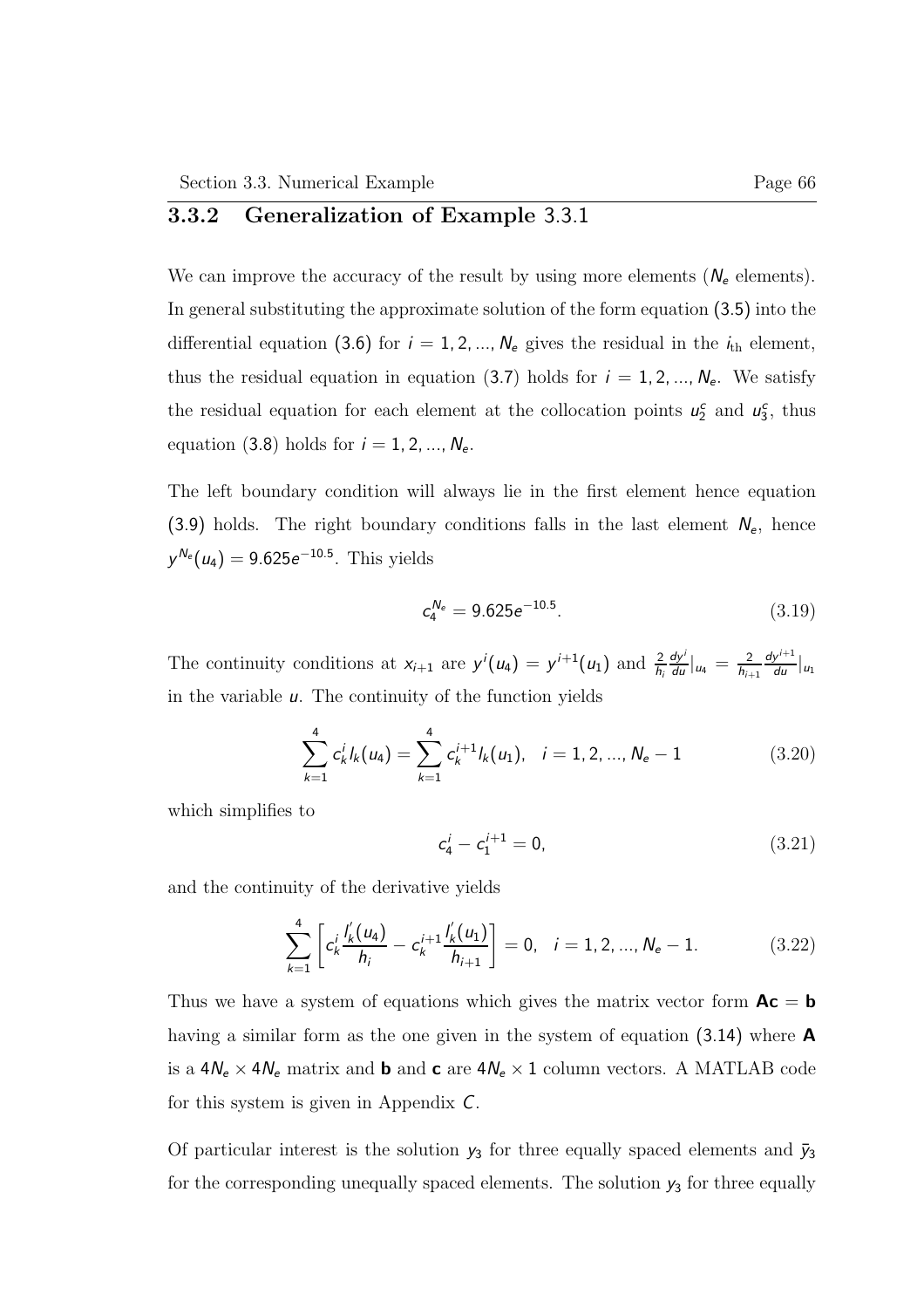### 3.3.2 Generalization of Example 3.3.1

We can improve the accuracy of the result by using more elements  $(N_e$  elements). In general substituting the approximate solution of the form equation (3.5) into the differential equation (3.6) for  $i = 1, 2, ..., N_e$  gives the residual in the  $i_{th}$  element, thus the residual equation in equation (3.7) holds for  $i = 1, 2, ..., N_e$ . We satisfy the residual equation for each element at the collocation points  $u_2^c$  and  $u_3^c$ , thus equation (3.8) holds for  $i = 1, 2, ..., N_e$ .

The left boundary condition will always lie in the first element hence equation (3.9) holds. The right boundary conditions falls in the last element  $N_e$ , hence  $y^{N_e}(u_4) = 9.625e^{-10.5}$ . This yields

$$
c_4^{N_e} = 9.625e^{-10.5}.\tag{3.19}
$$

The continuity conditions at  $x_{i+1}$  are  $y^{i}(u_4) = y^{i+1}(u_1)$  and  $\frac{2}{h_i}$  $\frac{dy^i}{du}|_{u_4} = \frac{2}{h_{i+1}}$  $h_{i+1}$  $\frac{dy^{i+1}}{du}\Big|_{u_1}$ in the variable  $u$ . The continuity of the function yields

$$
\sum_{k=1}^{4} c_k^{i} l_k(u_4) = \sum_{k=1}^{4} c_k^{i+1} l_k(u_1), \quad i = 1, 2, ..., N_e - 1
$$
 (3.20)

which simplifies to

$$
c_4^i - c_1^{i+1} = 0,\t\t(3.21)
$$

and the continuity of the derivative yields

$$
\sum_{k=1}^{4} \left[ c_k^i \frac{I'_k(u_4)}{h_i} - c_k^{i+1} \frac{I'_k(u_1)}{h_{i+1}} \right] = 0, \quad i = 1, 2, ..., N_e - 1.
$$
 (3.22)

Thus we have a system of equations which gives the matrix vector form  $Ac = b$ having a similar form as the one given in the system of equation (3.14) where **A** is a  $4N_e\times 4N_e$  matrix and  ${\bf b}$  and  ${\bf c}$  are  $4N_e\times 1$  column vectors. A MATLAB code for this system is given in Appendix C.

Of particular interest is the solution  $y_3$  for three equally spaced elements and  $\bar{y}_3$ for the corresponding unequally spaced elements. The solution  $y_3$  for three equally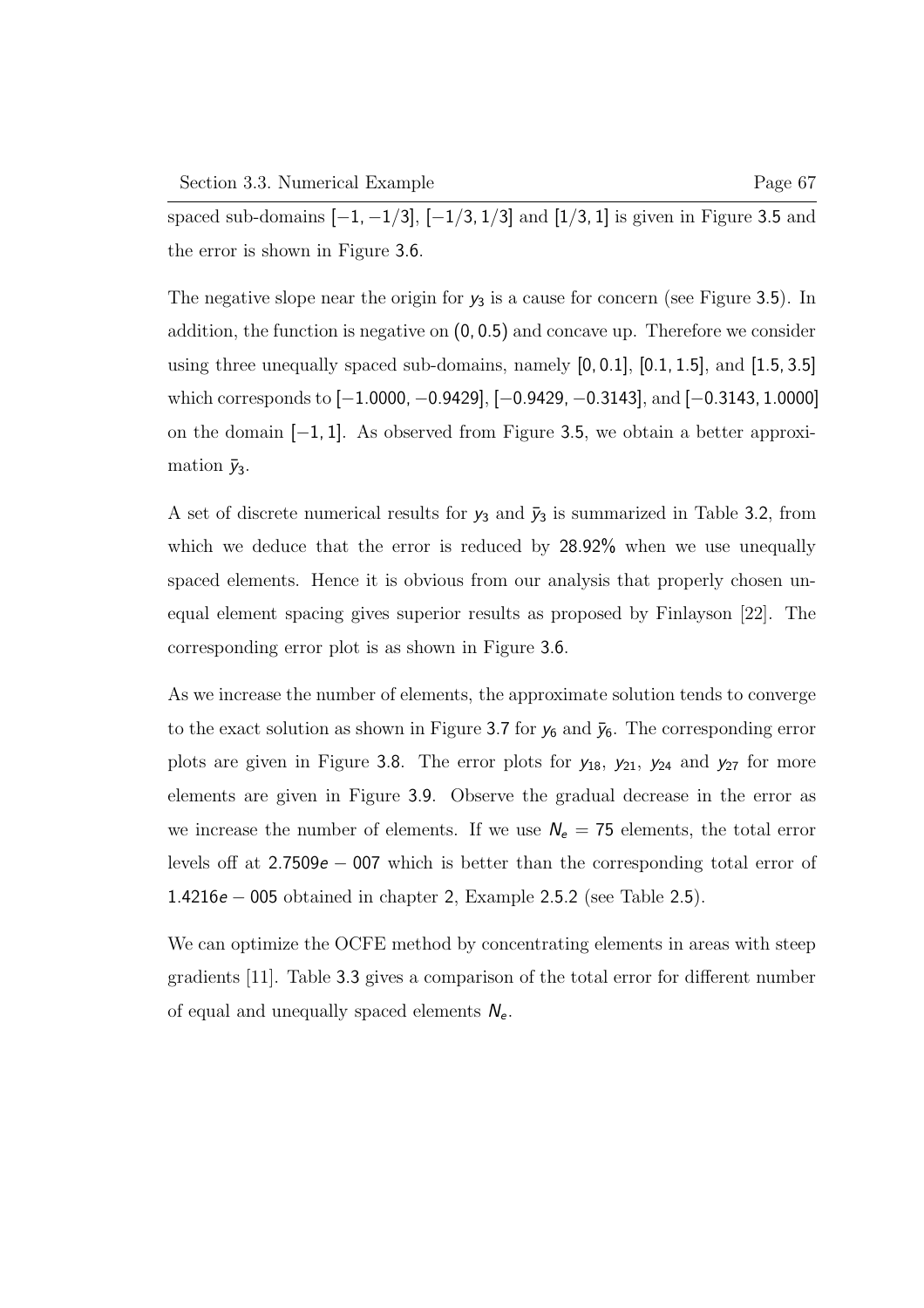spaced sub-domains  $[-1, -1/3]$ ,  $[-1/3, 1/3]$  and  $[1/3, 1]$  is given in Figure 3.5 and the error is shown in Figure 3.6.

The negative slope near the origin for  $y_3$  is a cause for concern (see Figure 3.5). In addition, the function is negative on (0, 0.5) and concave up. Therefore we consider using three unequally spaced sub-domains, namely  $[0, 0.1]$ ,  $[0.1, 1.5]$ , and  $[1.5, 3.5]$ which corresponds to [−1.0000, −0.9429], [−0.9429, −0.3143], and [−0.3143, 1.0000] on the domain [−1, 1]. As observed from Figure 3.5, we obtain a better approximation  $\bar{y}_3$ .

A set of discrete numerical results for  $y_3$  and  $\bar{y}_3$  is summarized in Table 3.2, from which we deduce that the error is reduced by 28.92% when we use unequally spaced elements. Hence it is obvious from our analysis that properly chosen unequal element spacing gives superior results as proposed by Finlayson [22]. The corresponding error plot is as shown in Figure 3.6.

As we increase the number of elements, the approximate solution tends to converge to the exact solution as shown in Figure 3.7 for  $y_6$  and  $\bar{y}_6$ . The corresponding error plots are given in Figure 3.8. The error plots for  $y_{18}$ ,  $y_{21}$ ,  $y_{24}$  and  $y_{27}$  for more elements are given in Figure 3.9. Observe the gradual decrease in the error as we increase the number of elements. If we use  $N_e = 75$  elements, the total error levels off at 2.7509e − 007 which is better than the corresponding total error of 1.4216e − 005 obtained in chapter 2, Example 2.5.2 (see Table 2.5).

We can optimize the OCFE method by concentrating elements in areas with steep gradients [11]. Table 3.3 gives a comparison of the total error for different number of equal and unequally spaced elements  $N_e$ .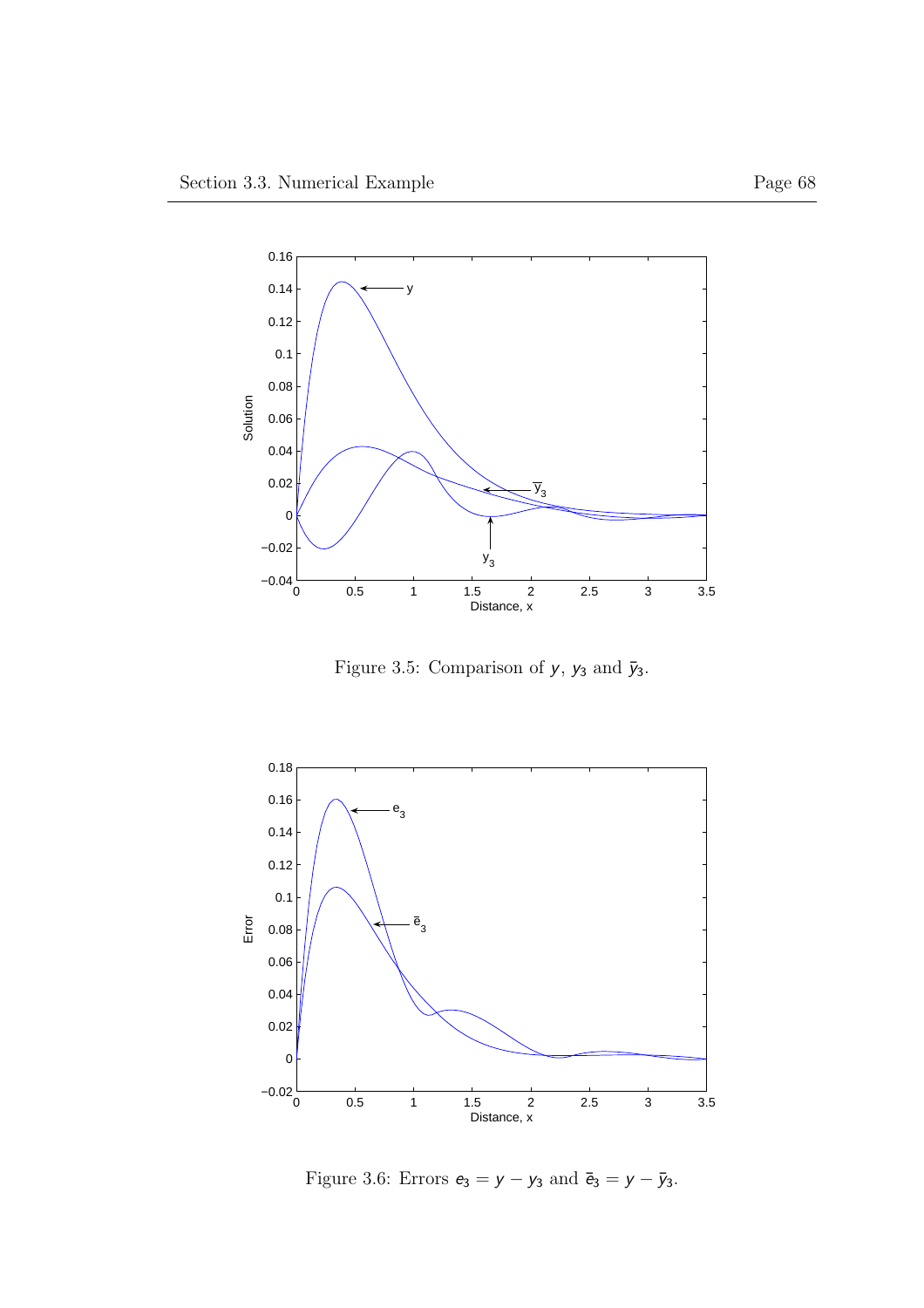

Figure 3.5: Comparison of  $y, \, y_3$  and  $\bar y_3.$ 



Figure 3.6: Errors  $e_3 = y - y_3$  and  $\bar{e}_3 = y - \bar{y}_3$ .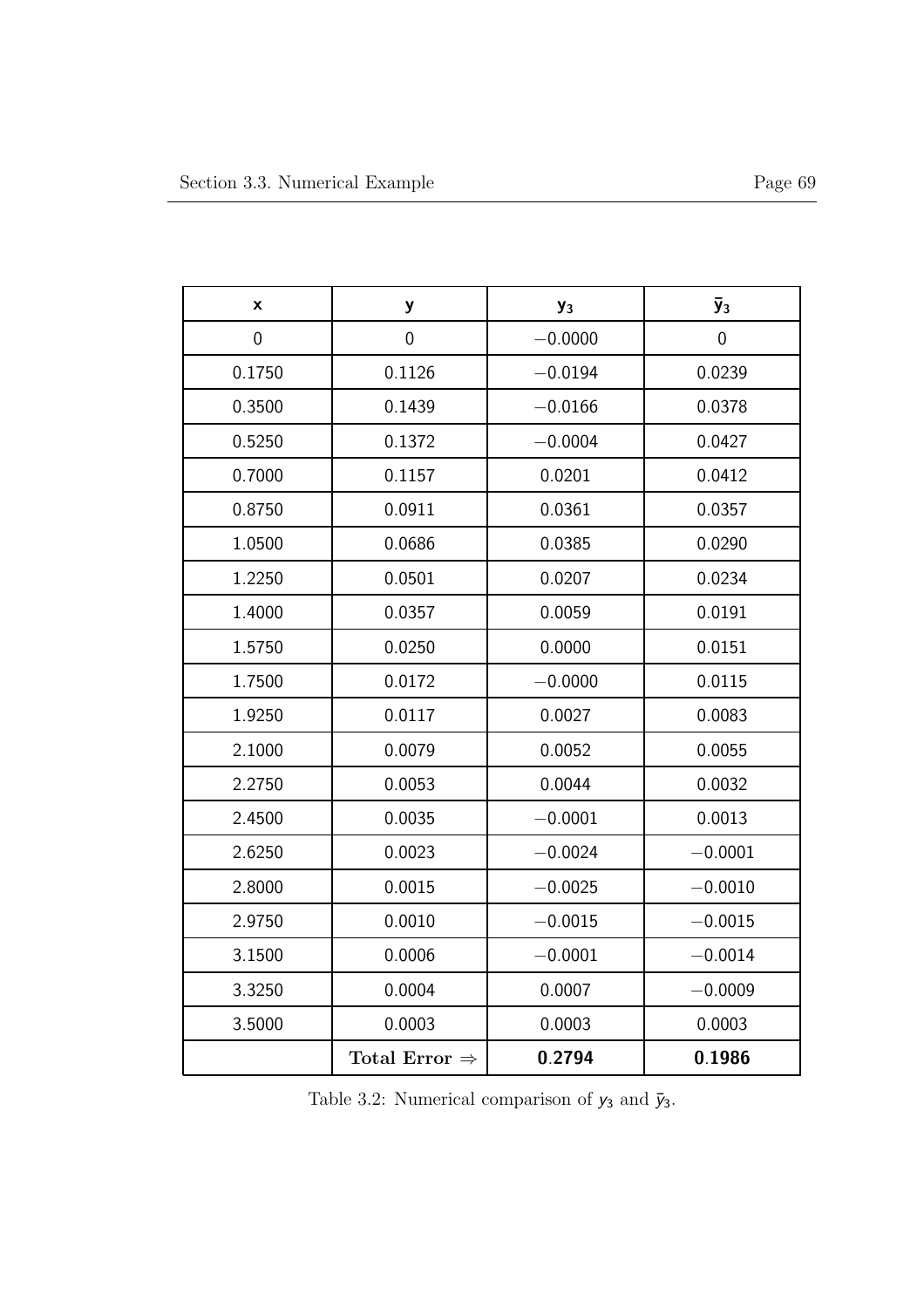| X              | y                         | $y_3$     | $\bar{y}_3$    |
|----------------|---------------------------|-----------|----------------|
| $\overline{0}$ | $\mathbf 0$               | $-0.0000$ | $\overline{0}$ |
| 0.1750         | 0.1126                    | $-0.0194$ | 0.0239         |
| 0.3500         | 0.1439                    | $-0.0166$ | 0.0378         |
| 0.5250         | 0.1372                    | $-0.0004$ | 0.0427         |
| 0.7000         | 0.1157                    | 0.0201    | 0.0412         |
| 0.8750         | 0.0911                    | 0.0361    | 0.0357         |
| 1.0500         | 0.0686                    | 0.0385    | 0.0290         |
| 1.2250         | 0.0501                    | 0.0207    | 0.0234         |
| 1.4000         | 0.0357                    | 0.0059    | 0.0191         |
| 1.5750         | 0.0250                    | 0.0000    | 0.0151         |
| 1.7500         | 0.0172                    | $-0.0000$ | 0.0115         |
| 1.9250         | 0.0117                    | 0.0027    | 0.0083         |
| 2.1000         | 0.0079                    | 0.0052    | 0.0055         |
| 2.2750         | 0.0053                    | 0.0044    | 0.0032         |
| 2.4500         | 0.0035                    | $-0.0001$ | 0.0013         |
| 2.6250         | 0.0023                    | $-0.0024$ | $-0.0001$      |
| 2.8000         | 0.0015                    | $-0.0025$ | $-0.0010$      |
| 2.9750         | 0.0010                    | $-0.0015$ | $-0.0015$      |
| 3.1500         | 0.0006                    | $-0.0001$ | $-0.0014$      |
| 3.3250         | 0.0004                    | 0.0007    | $-0.0009$      |
| 3.5000         | 0.0003                    | 0.0003    | 0.0003         |
|                | Total Error $\Rightarrow$ | 0.2794    | 0.1986         |

Table 3.2: Numerical comparison of  $y_3$  and  $\bar{y}_3.$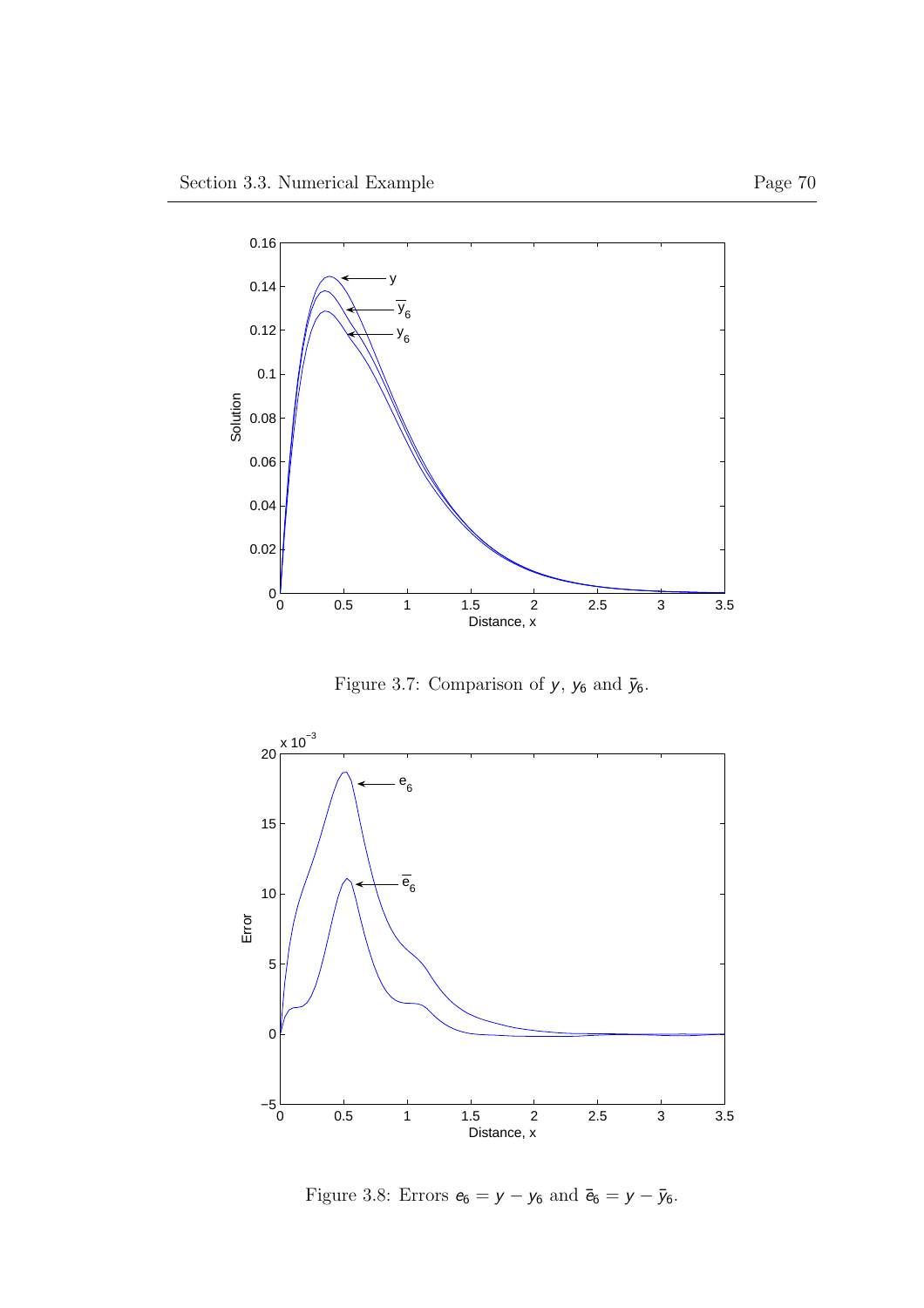

Figure 3.7: Comparison of  $y,\,y_6$  and  $\bar{y}_6.$ 



Figure 3.8: Errors  $e_6 = y - y_6$  and  $\bar{e}_6 = y - \bar{y}_6$ .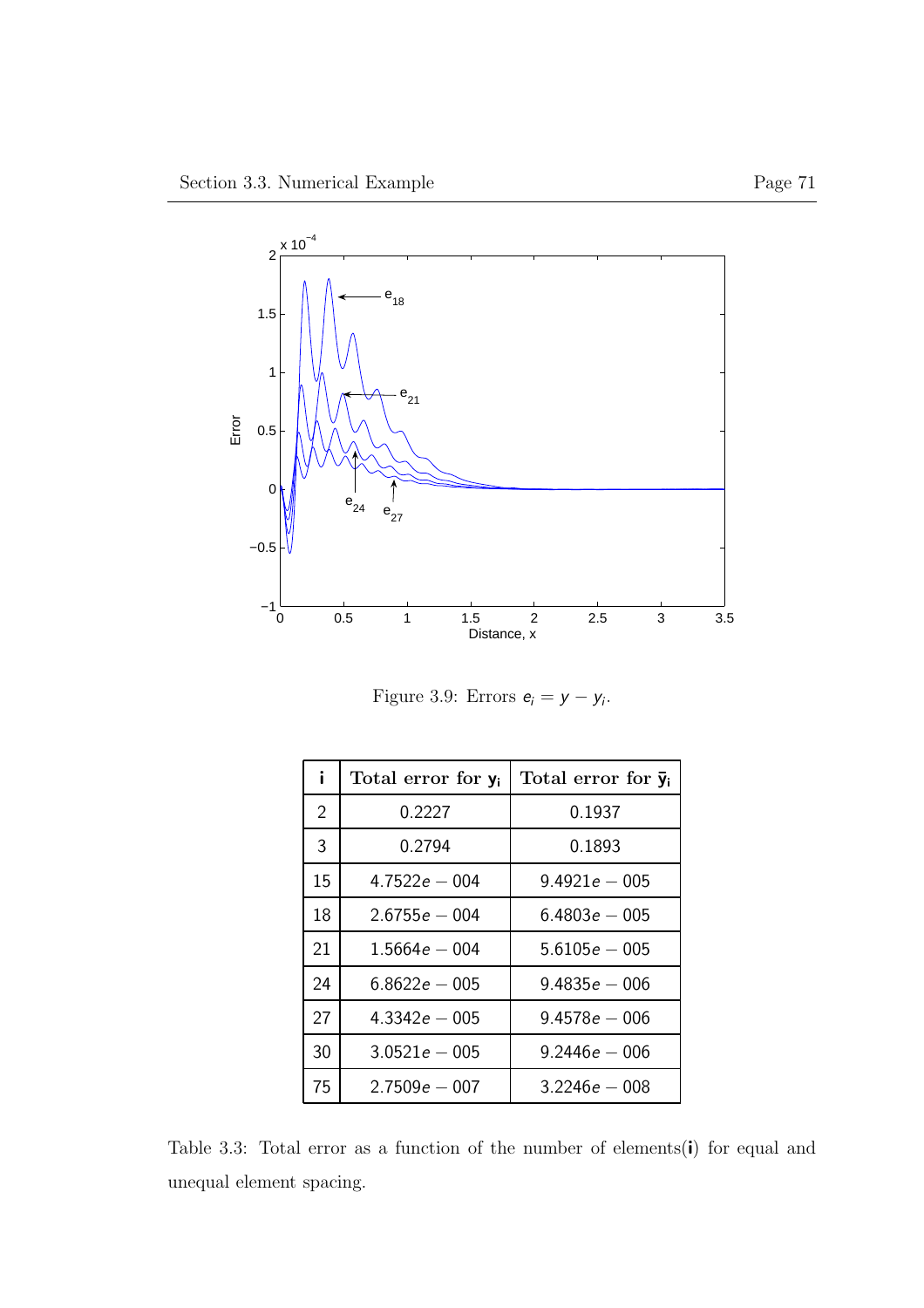

Figure 3.9: Errors  $e_i = y - y_i$ .

| i.             | Total error for y <sub>i</sub> | Total error for $\bar{y}_i$ |
|----------------|--------------------------------|-----------------------------|
| $\overline{2}$ | 0.2227                         | 0.1937                      |
| 3              | 0.2794                         | 0.1893                      |
| 15             | $4.7522e - 004$                | $9.4921e - 005$             |
| 18             | $2.6755e - 004$                | $6.4803e - 005$             |
| 21             | $1.5664e - 004$                | $5.6105e - 005$             |
| 24             | $6.8622e - 005$                | $9.4835e - 006$             |
| 27             | $4.3342e - 005$                | $9.4578e - 006$             |
| 30             | $3.0521e - 005$                | $9.2446e - 006$             |
| 75             | $2.7509e - 007$                | $3.2246e - 008$             |

Table 3.3: Total error as a function of the number of elements(i) for equal and unequal element spacing.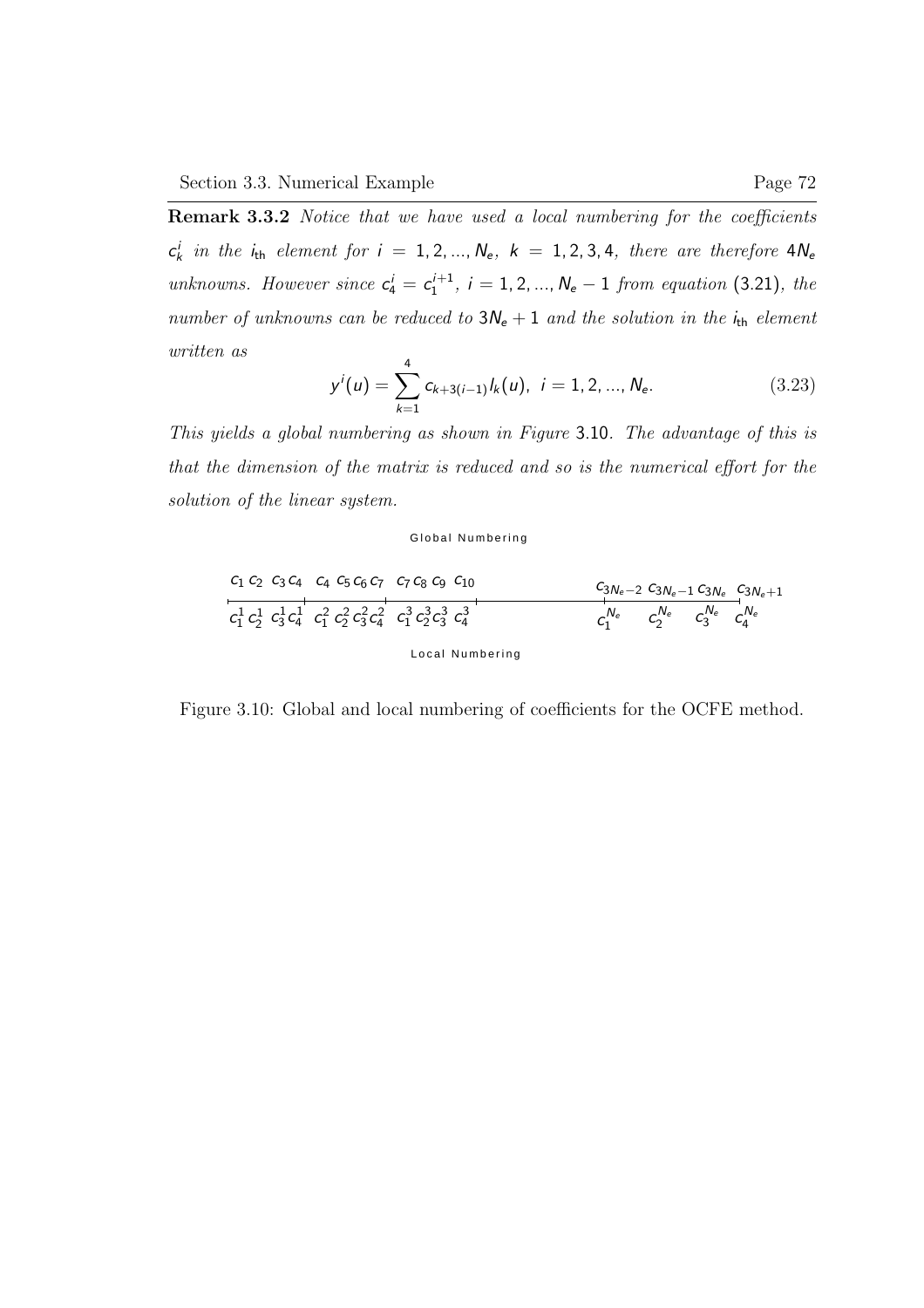Remark 3.3.2 Notice that we have used a local numbering for the coefficients  $c_k^i$  in the  $i_{th}$  element for  $i = 1, 2, ..., N_e$ ,  $k = 1, 2, 3, 4$ , there are therefore  $4N_e$ unknowns. However since  $c_4^i = c_1^{i+1}$  $1<sup>{t+1}</sup>$ ,  $i = 1, 2, ..., N<sub>e</sub> - 1$  from equation (3.21), the number of unknowns can be reduced to  $3N_e + 1$  and the solution in the  $i_{th}$  element written as

$$
y^{i}(u) = \sum_{k=1}^{4} c_{k+3(i-1)} l_{k}(u), \quad i = 1, 2, ..., N_{e}.
$$
 (3.23)

This yields a global numbering as shown in Figure 3.10. The advantage of this is that the dimension of the matrix is reduced and so is the numerical effort for the solution of the linear system.

#### Global Numbering

Local Numbering <sup>c</sup><sup>1</sup> <sup>c</sup><sup>2</sup> <sup>c</sup><sup>3</sup> <sup>c</sup><sup>4</sup> <sup>c</sup><sup>4</sup> <sup>c</sup><sup>5</sup> <sup>c</sup><sup>6</sup> <sup>c</sup><sup>7</sup> <sup>c</sup><sup>7</sup> <sup>c</sup><sup>8</sup> <sup>c</sup><sup>9</sup> <sup>c</sup><sup>10</sup> <sup>c</sup>3Ne−<sup>2</sup> <sup>c</sup>3Ne−<sup>1</sup> <sup>c</sup>3N<sup>e</sup> <sup>c</sup>3Ne+1 c 1 1 c 1 2 c 1 3 c 1 <sup>4</sup> c 2 1 c 2 2 c 2 3 c 2 4 c 3 1 c 3 2 c 3 3 c 3 <sup>4</sup> c Ne 1 c Ne 2 c Ne <sup>3</sup> c Ne 4

Figure 3.10: Global and local numbering of coefficients for the OCFE method.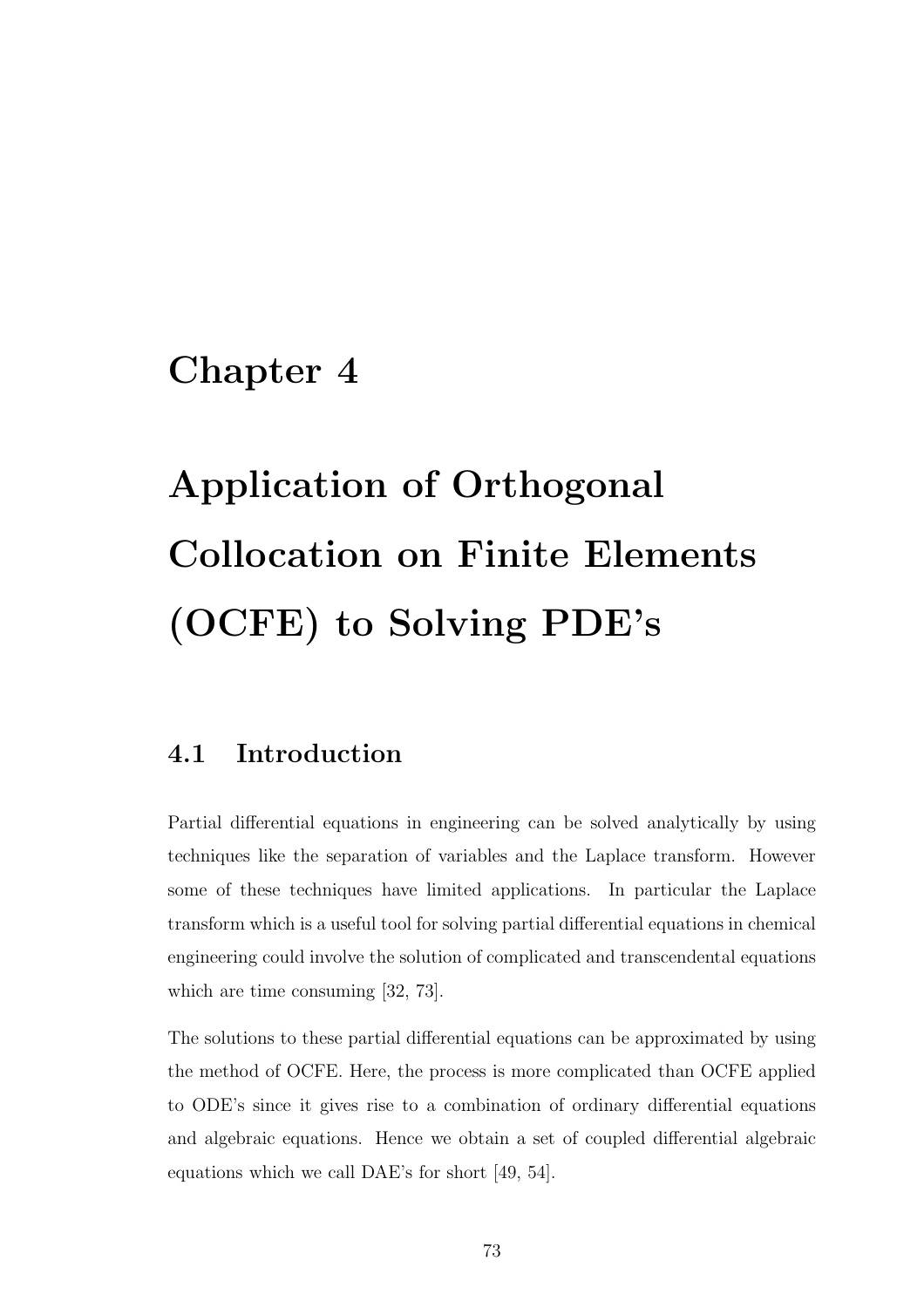# Chapter 4

# Application of Orthogonal Collocation on Finite Elements (OCFE) to Solving PDE's

## 4.1 Introduction

Partial differential equations in engineering can be solved analytically by using techniques like the separation of variables and the Laplace transform. However some of these techniques have limited applications. In particular the Laplace transform which is a useful tool for solving partial differential equations in chemical engineering could involve the solution of complicated and transcendental equations which are time consuming [32, 73].

The solutions to these partial differential equations can be approximated by using the method of OCFE. Here, the process is more complicated than OCFE applied to ODE's since it gives rise to a combination of ordinary differential equations and algebraic equations. Hence we obtain a set of coupled differential algebraic equations which we call DAE's for short [49, 54].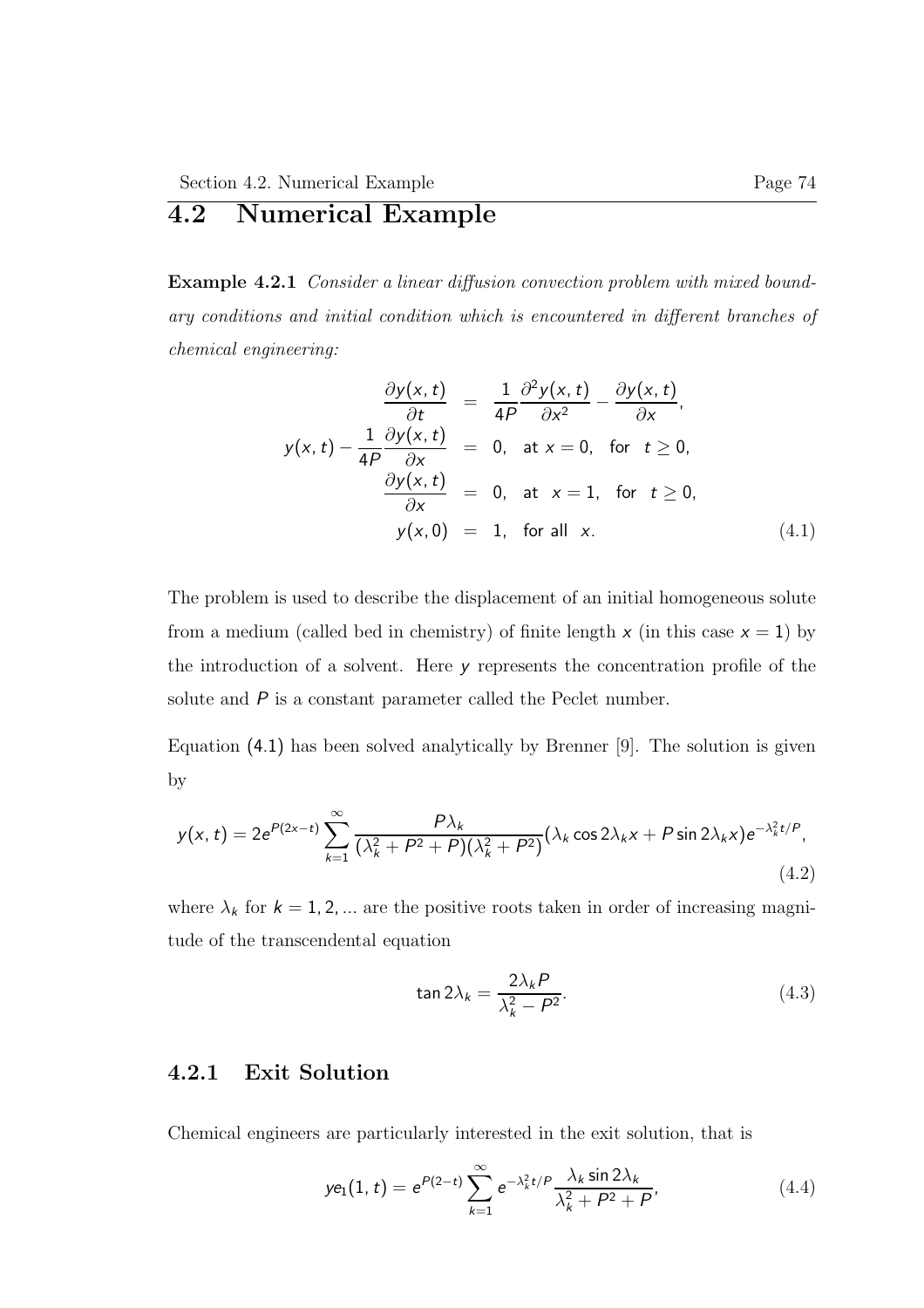# 4.2 Numerical Example

Example 4.2.1 Consider a linear diffusion convection problem with mixed boundary conditions and initial condition which is encountered in different branches of chemical engineering:

$$
\frac{\partial y(x,t)}{\partial t} = \frac{1}{4P} \frac{\partial^2 y(x,t)}{\partial x^2} - \frac{\partial y(x,t)}{\partial x},
$$
  

$$
y(x,t) - \frac{1}{4P} \frac{\partial y(x,t)}{\partial x} = 0, \text{ at } x = 0, \text{ for } t \ge 0,
$$
  

$$
\frac{\partial y(x,t)}{\partial x} = 0, \text{ at } x = 1, \text{ for } t \ge 0,
$$
  

$$
y(x,0) = 1, \text{ for all } x. \tag{4.1}
$$

The problem is used to describe the displacement of an initial homogeneous solute from a medium (called bed in chemistry) of finite length  $x$  (in this case  $x = 1$ ) by the introduction of a solvent. Here y represents the concentration profile of the solute and  $P$  is a constant parameter called the Peclet number.

Equation (4.1) has been solved analytically by Brenner [9]. The solution is given by

$$
y(x,t) = 2e^{P(2x-t)} \sum_{k=1}^{\infty} \frac{P\lambda_k}{(\lambda_k^2 + P^2 + P)(\lambda_k^2 + P^2)} (\lambda_k \cos 2\lambda_k x + P \sin 2\lambda_k x) e^{-\lambda_k^2 t/P},
$$
\n(4.2)

where  $\lambda_k$  for  $k = 1, 2, \dots$  are the positive roots taken in order of increasing magnitude of the transcendental equation

$$
\tan 2\lambda_k = \frac{2\lambda_k P}{\lambda_k^2 - P^2}.
$$
\n(4.3)

### 4.2.1 Exit Solution

Chemical engineers are particularly interested in the exit solution, that is

$$
ye_1(1,t) = e^{P(2-t)} \sum_{k=1}^{\infty} e^{-\lambda_k^2 t/P} \frac{\lambda_k \sin 2\lambda_k}{\lambda_k^2 + P^2 + P},
$$
\n(4.4)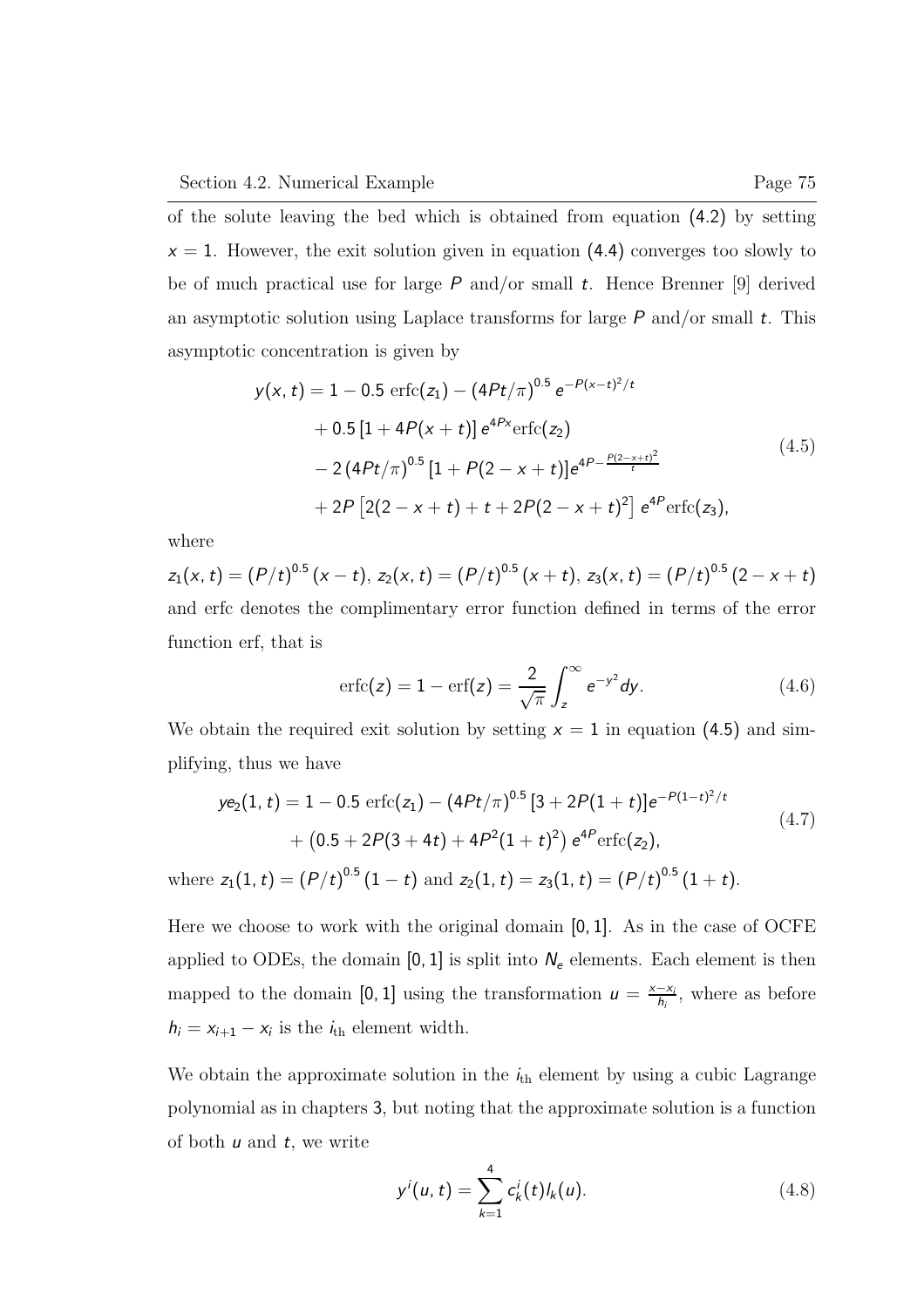of the solute leaving the bed which is obtained from equation (4.2) by setting  $x = 1$ . However, the exit solution given in equation (4.4) converges too slowly to be of much practical use for large  $P$  and/or small  $t$ . Hence Brenner [9] derived an asymptotic solution using Laplace transforms for large  $P$  and/or small  $t$ . This asymptotic concentration is given by

$$
y(x, t) = 1 - 0.5 \operatorname{erfc}(z_1) - (4Pt/\pi)^{0.5} e^{-P(x-t)^2/t} + 0.5 [1 + 4P(x+t)] e^{4Px} \operatorname{erfc}(z_2) - 2 (4Pt/\pi)^{0.5} [1 + P(2-x+t)] e^{4P - \frac{P(2-x+t)^2}{t}} + 2P [2(2-x+t) + t + 2P(2-x+t)^2] e^{4P} \operatorname{erfc}(z_3),
$$
\n(4.5)

where

 $z_{1}(x,t)=(P/t)^{0.5}\left( x-t\right)$ ,  $z_{2}(x,t)=(P/t)^{0.5}\left( x+t\right)$ ,  $z_{3}(x,t)=(P/t)^{0.5}\left( 2-x+t\right)$ and erfc denotes the complimentary error function defined in terms of the error function erf, that is

$$
\text{erfc}(z) = 1 - \text{erf}(z) = \frac{2}{\sqrt{\pi}} \int_{z}^{\infty} e^{-y^2} dy.
$$
 (4.6)

We obtain the required exit solution by setting  $x = 1$  in equation (4.5) and simplifying, thus we have

$$
ye_2(1, t) = 1 - 0.5 \operatorname{erfc}(z_1) - (4Pt/\pi)^{0.5} [3 + 2P(1 + t)]e^{-P(1-t)^2/t}
$$
  
+  $(0.5 + 2P(3 + 4t) + 4P^2(1 + t)^2) e^{4P} \operatorname{erfc}(z_2),$   
where  $z_1(1, t) = (P/t)^{0.5} (1 - t)$  and  $z_2(1, t) = z_3(1, t) = (P/t)^{0.5} (1 + t).$  (4.7)

Here we choose to work with the original domain [0, 1]. As in the case of OCFE applied to ODEs, the domain  $[0, 1]$  is split into  $N_e$  elements. Each element is then mapped to the domain [0, 1] using the transformation  $u = \frac{x - x_i}{h_i}$ , where as before  $h_i = x_{i+1} - x_i$  is the  $i_{th}$  element width.

We obtain the approximate solution in the  $i<sub>th</sub>$  element by using a cubic Lagrange polynomial as in chapters 3, but noting that the approximate solution is a function of both  $u$  and  $t$ , we write

$$
y^{i}(u,t) = \sum_{k=1}^{4} c_{k}^{i}(t)l_{k}(u).
$$
 (4.8)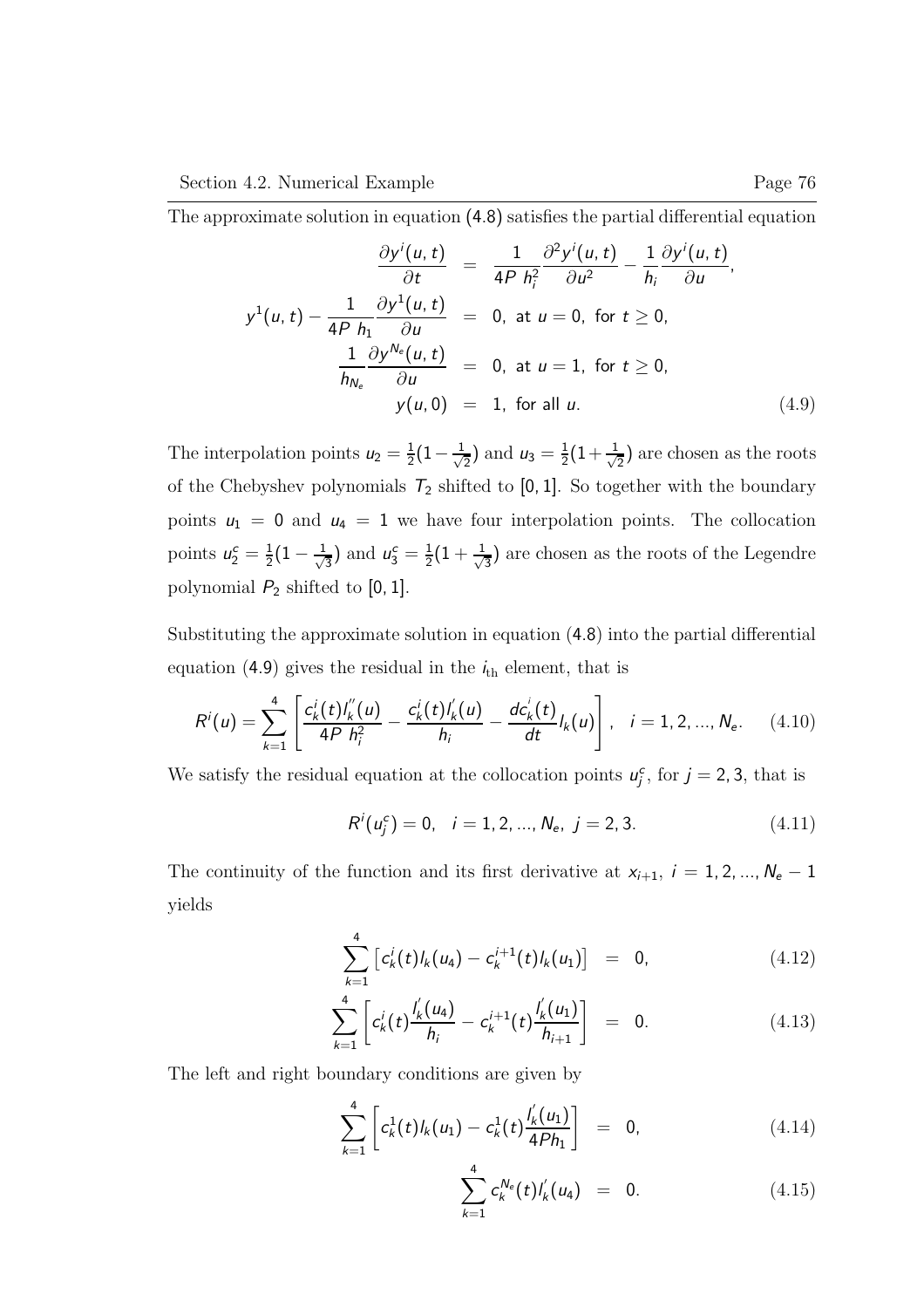$$
\frac{\partial y^{i}(u,t)}{\partial t} = \frac{1}{4P h_{i}^{2}} \frac{\partial^{2} y^{i}(u,t)}{\partial u^{2}} - \frac{1}{h_{i}} \frac{\partial y^{i}(u,t)}{\partial u},
$$
\n
$$
y^{1}(u,t) - \frac{1}{4P h_{1}} \frac{\partial y^{1}(u,t)}{\partial u} = 0, \text{ at } u = 0, \text{ for } t \ge 0,
$$
\n
$$
\frac{1}{h_{N_{e}}} \frac{\partial y^{N_{e}}(u,t)}{\partial u} = 0, \text{ at } u = 1, \text{ for } t \ge 0,
$$
\n
$$
y(u,0) = 1, \text{ for all } u. \tag{4.9}
$$

The interpolation points  $u_2 = \frac{1}{2}$  $\frac{1}{2}(1-\frac{1}{\sqrt{2}}$  $\frac{1}{2}$ ) and  $u_3 = \frac{1}{2}$  $\frac{1}{2}(1+\frac{1}{\sqrt{2}})$  $\frac{1}{2}$ ) are chosen as the roots of the Chebyshev polynomials  $T_2$  shifted to [0, 1]. So together with the boundary points  $u_1 = 0$  and  $u_4 = 1$  we have four interpolation points. The collocation points  $u_2^c = \frac{1}{2}$  $\frac{1}{2}(1-\frac{1}{\sqrt{2}}$  $\frac{1}{3}$ ) and  $u_3^c = \frac{1}{2}$  $\frac{1}{2}(1+\frac{1}{\sqrt{2}}$  $\frac{1}{3}$ ) are chosen as the roots of the Legendre polynomial  $P_2$  shifted to [0, 1].

Substituting the approximate solution in equation (4.8) into the partial differential equation (4.9) gives the residual in the  $i_{th}$  element, that is

$$
R^{i}(u) = \sum_{k=1}^{4} \left[ \frac{c_{k}^{i}(t)I_{k}^{i}(u)}{4P h_{i}^{2}} - \frac{c_{k}^{i}(t)I_{k}^{i}(u)}{h_{i}} - \frac{dc_{k}^{i}(t)}{dt}I_{k}(u) \right], \quad i = 1, 2, ..., N_{e}. \quad (4.10)
$$

We satisfy the residual equation at the collocation points  $u_j^c$ , for  $j = 2, 3$ , that is

$$
R^{i}(u_{j}^{c}) = 0, \quad i = 1, 2, ..., N_{e}, \quad j = 2, 3. \tag{4.11}
$$

The continuity of the function and its first derivative at  $x_{i+1}$ ,  $i = 1, 2, ..., N_e - 1$ yields

$$
\sum_{k=1}^{4} \left[ c'_k(t)l_k(u_4) - c'^{+1}_k(t)l_k(u_1) \right] = 0, \qquad (4.12)
$$

$$
\sum_{k=1}^{4} \left[ c_k^{i}(t) \frac{I'_{k}(u_4)}{h_i} - c_k^{i+1}(t) \frac{I'_{k}(u_1)}{h_{i+1}} \right] = 0.
$$
 (4.13)

The left and right boundary conditions are given by

$$
\sum_{k=1}^{4} \left[ c_k^1(t)l_k(u_1) - c_k^1(t) \frac{l'_k(u_1)}{4Ph_1} \right] = 0, \qquad (4.14)
$$

$$
\sum_{k=1}^{4} c_k^{N_e}(t) l'_k(u_4) = 0. \qquad (4.15)
$$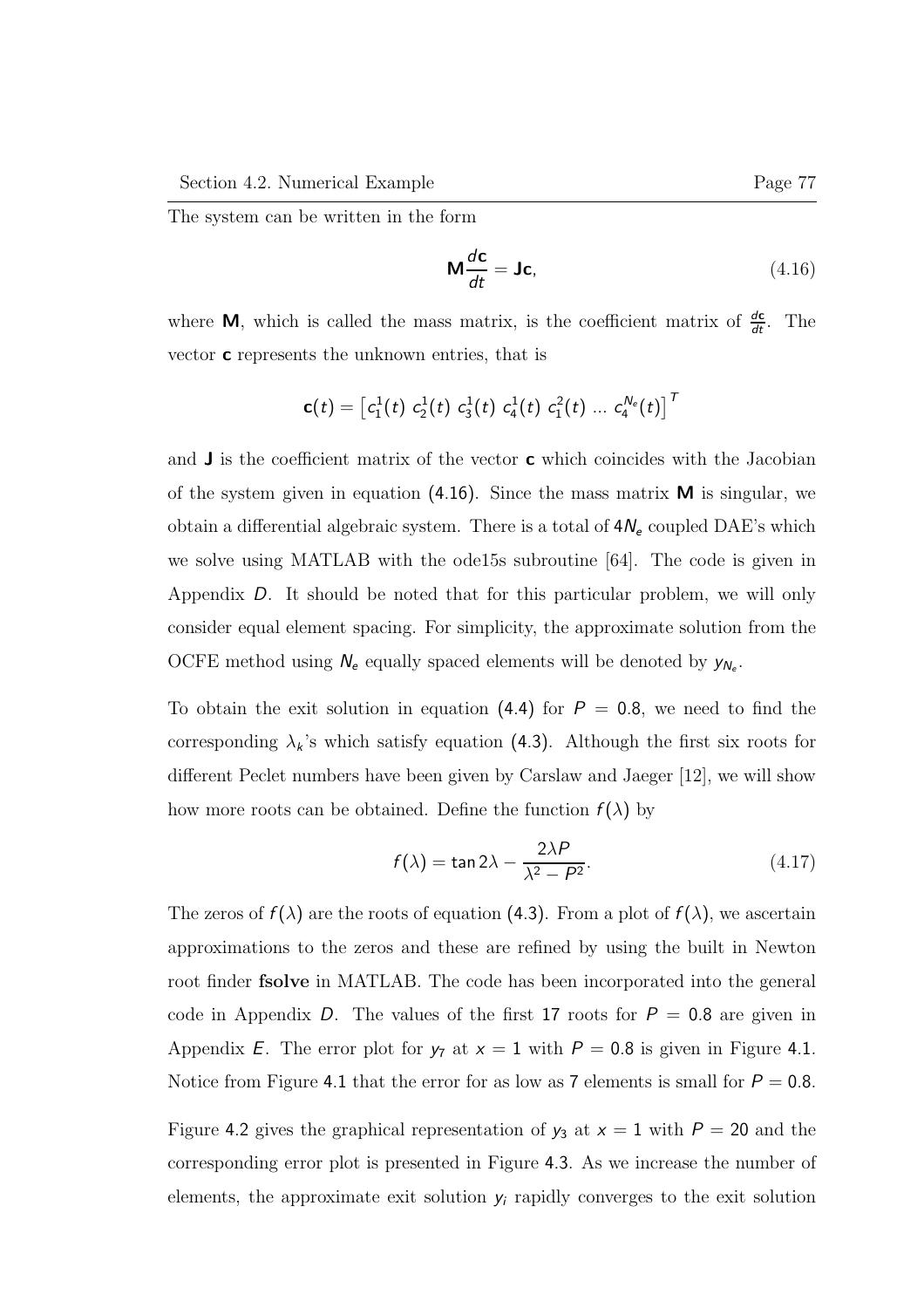The system can be written in the form

$$
\mathbf{M}\frac{d\mathbf{c}}{dt} = \mathbf{J}\mathbf{c},\tag{4.16}
$$

where **M**, which is called the mass matrix, is the coefficient matrix of  $\frac{d\mathbf{c}}{dt}$ . The vector c represents the unknown entries, that is

$$
\mathbf{c}(t) = \left[c_1^1(t) \ c_2^1(t) \ c_3^1(t) \ c_4^1(t) \ c_1^2(t) \ ... \ c_4^{N_e}(t)\right]^T
$$

and  $\bf{J}$  is the coefficient matrix of the vector **c** which coincides with the Jacobian of the system given in equation (4.16). Since the mass matrix  $M$  is singular, we obtain a differential algebraic system. There is a total of  $4N_e$  coupled DAE's which we solve using MATLAB with the ode15s subroutine [64]. The code is given in Appendix D. It should be noted that for this particular problem, we will only consider equal element spacing. For simplicity, the approximate solution from the OCFE method using  $N_e$  equally spaced elements will be denoted by  $y_{N_e}$ .

To obtain the exit solution in equation (4.4) for  $P = 0.8$ , we need to find the corresponding  $\lambda_k$ 's which satisfy equation (4.3). Although the first six roots for different Peclet numbers have been given by Carslaw and Jaeger [12], we will show how more roots can be obtained. Define the function  $f(\lambda)$  by

$$
f(\lambda) = \tan 2\lambda - \frac{2\lambda P}{\lambda^2 - P^2}.
$$
 (4.17)

The zeros of  $f(\lambda)$  are the roots of equation (4.3). From a plot of  $f(\lambda)$ , we ascertain approximations to the zeros and these are refined by using the built in Newton root finder fsolve in MATLAB. The code has been incorporated into the general code in Appendix D. The values of the first 17 roots for  $P = 0.8$  are given in Appendix E. The error plot for  $y_7$  at  $x = 1$  with  $P = 0.8$  is given in Figure 4.1. Notice from Figure 4.1 that the error for as low as 7 elements is small for  $P = 0.8$ .

Figure 4.2 gives the graphical representation of  $y_3$  at  $x = 1$  with  $P = 20$  and the corresponding error plot is presented in Figure 4.3. As we increase the number of elements, the approximate exit solution  $y_i$  rapidly converges to the exit solution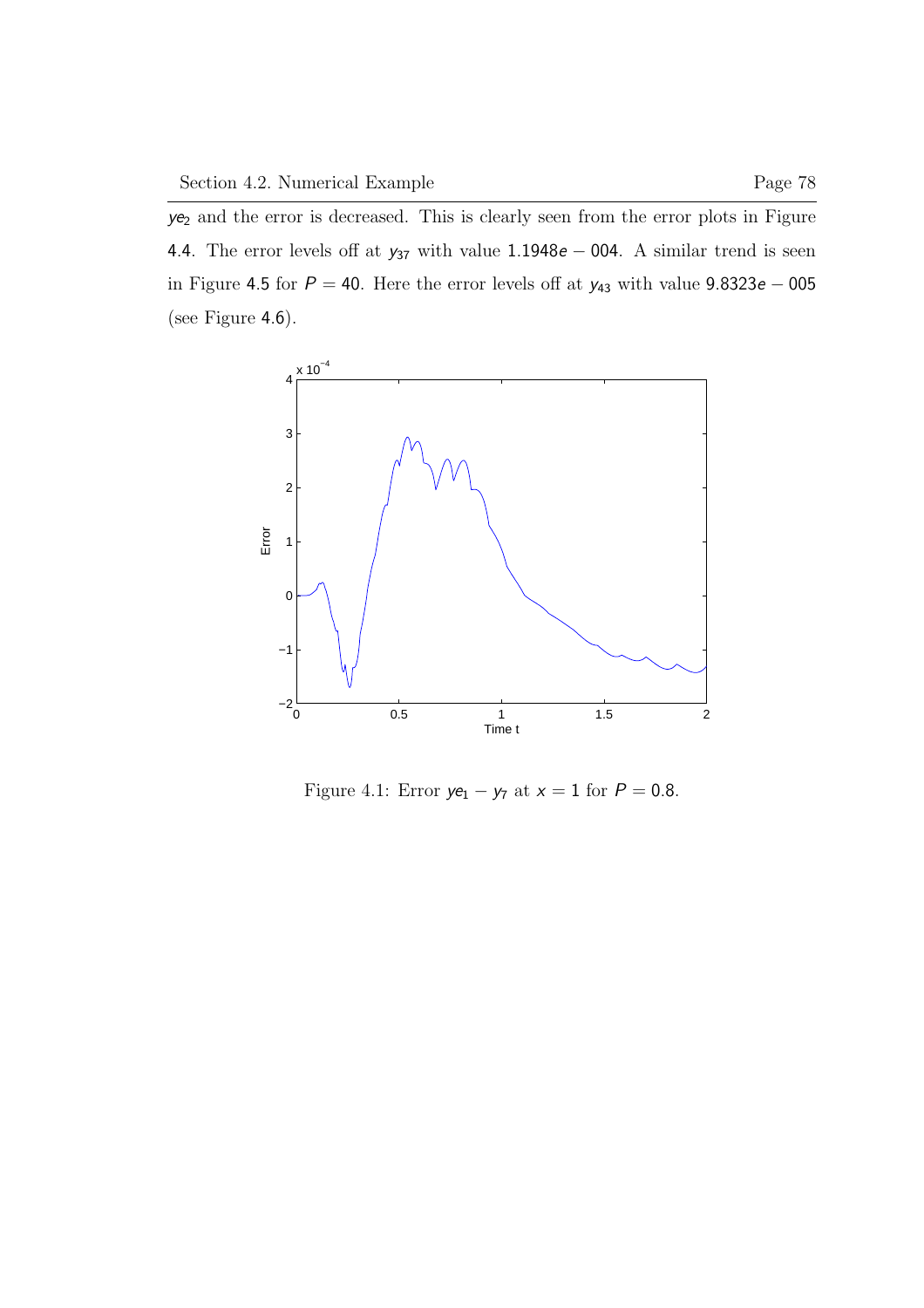$ye<sub>2</sub>$  and the error is decreased. This is clearly seen from the error plots in Figure 4.4. The error levels off at  $y_{37}$  with value 1.1948e – 004. A similar trend is seen in Figure 4.5 for  $P = 40$ . Here the error levels off at  $y_{43}$  with value 9.8323e – 005 (see Figure 4.6).



Figure 4.1: Error  $ye_1 - y_7$  at  $x = 1$  for  $P = 0.8$ .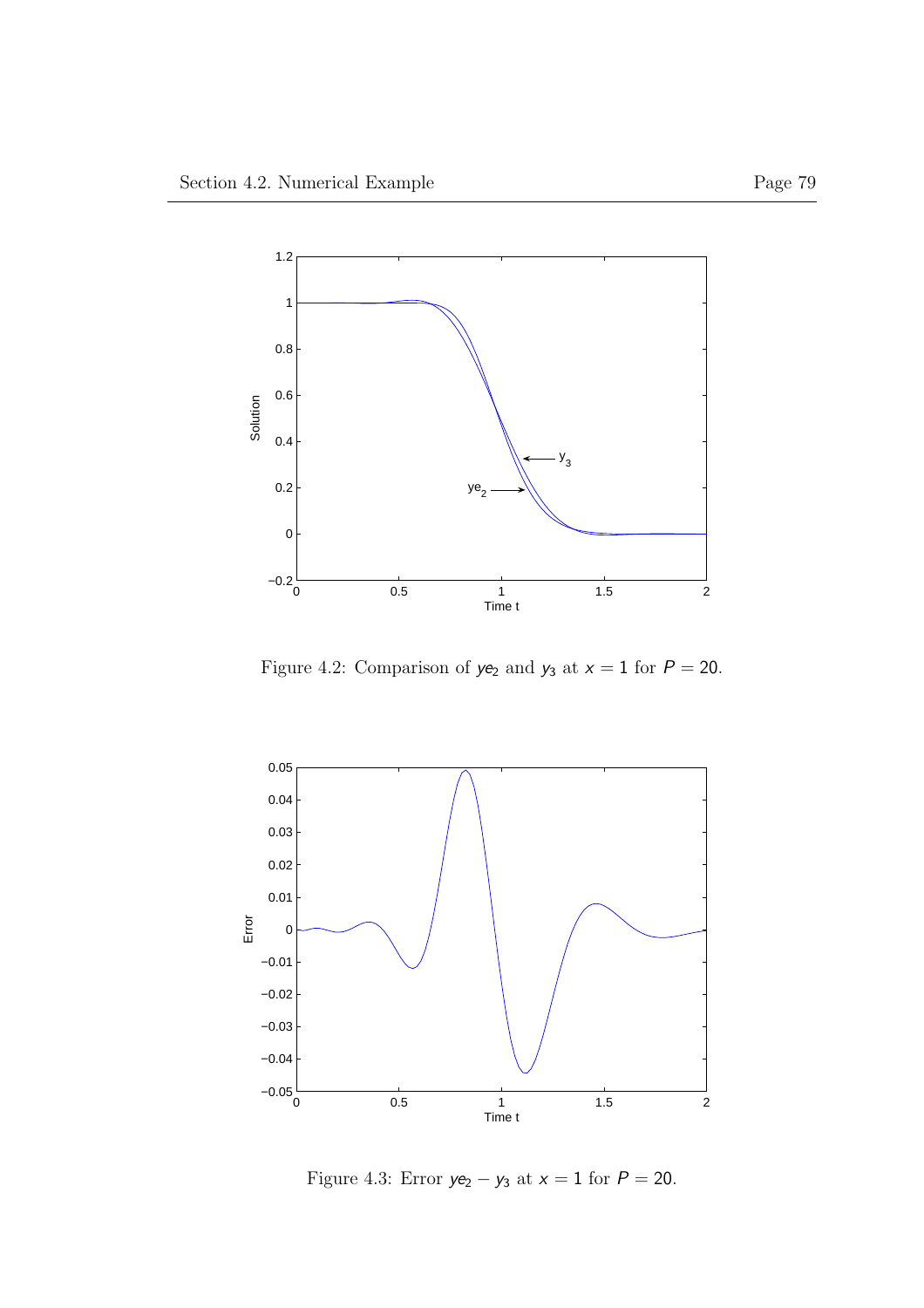

Figure 4.2: Comparison of  $ye_2$  and  $y_3$  at  $x = 1$  for  $P = 20$ .



Figure 4.3: Error  $ye_2 - y_3$  at  $x = 1$  for  $P = 20$ .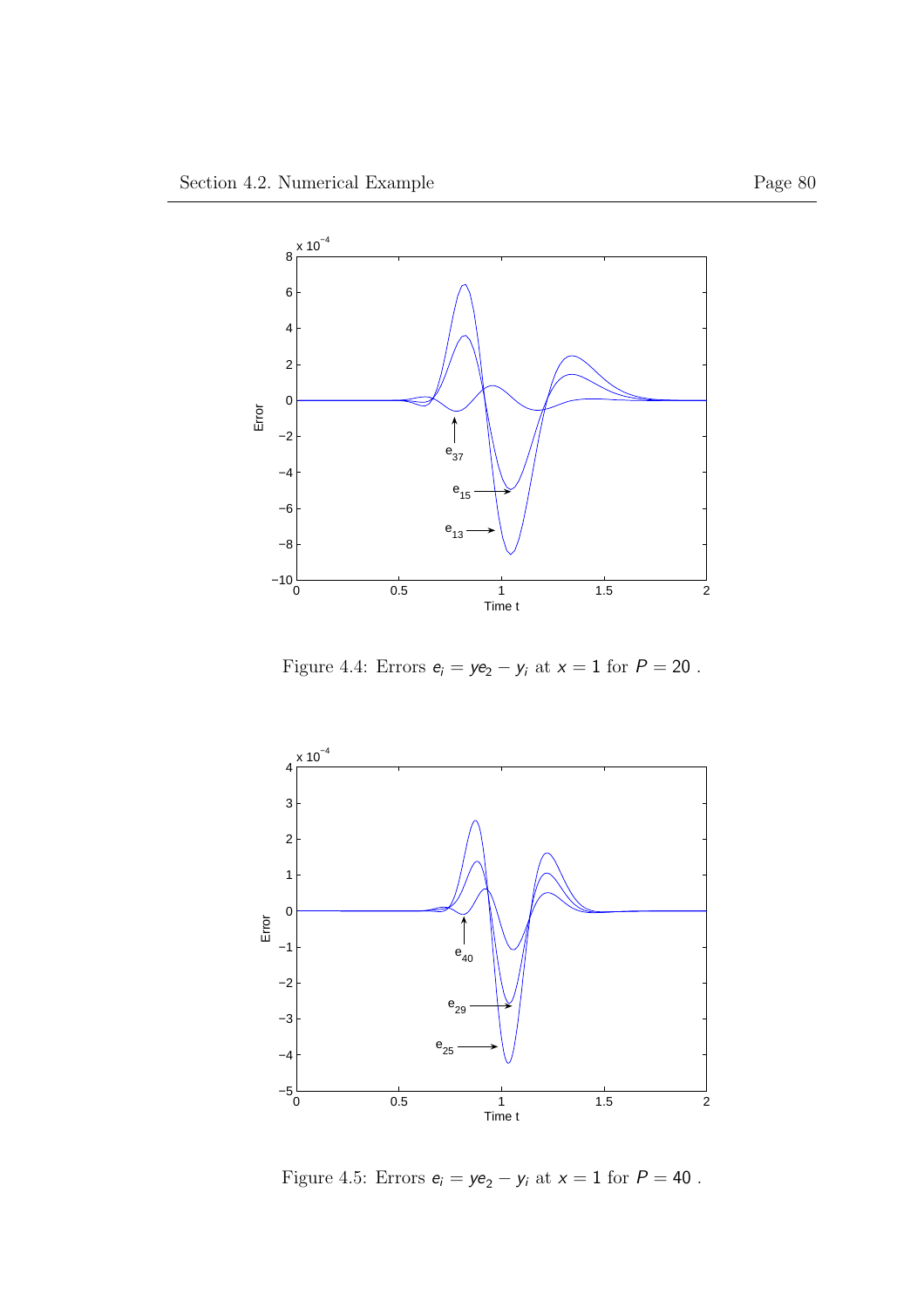

Figure 4.4: Errors  $\mathsf{e}_i = \mathsf{ye}_2 - \mathsf{y}_i$  at  $\mathsf{x} = 1$  for  $P = 20$  .



Figure 4.5: Errors  $e_i = ye_2 - y_i$  at  $x = 1$  for  $P = 40$ .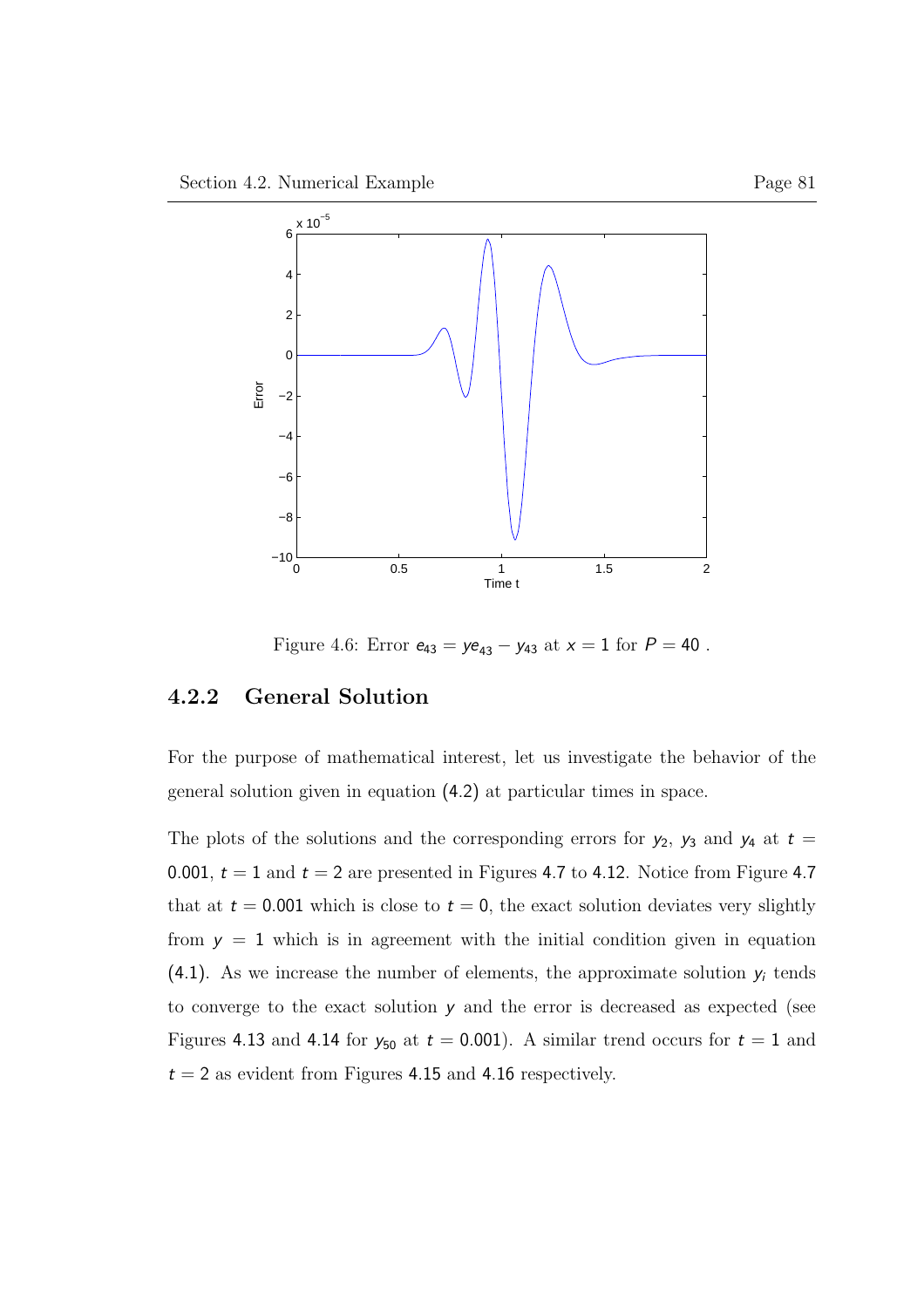

Figure 4.6: Error  $e_{43} = ye_{43} - y_{43}$  at  $x = 1$  for  $P = 40$ .

### 4.2.2 General Solution

For the purpose of mathematical interest, let us investigate the behavior of the general solution given in equation (4.2) at particular times in space.

The plots of the solutions and the corresponding errors for  $y_2$ ,  $y_3$  and  $y_4$  at  $t =$ 0.001,  $t = 1$  and  $t = 2$  are presented in Figures 4.7 to 4.12. Notice from Figure 4.7 that at  $t = 0.001$  which is close to  $t = 0$ , the exact solution deviates very slightly from  $y = 1$  which is in agreement with the initial condition given in equation  $(4.1)$ . As we increase the number of elements, the approximate solution  $y_i$  tends to converge to the exact solution y and the error is decreased as expected (see Figures 4.13 and 4.14 for  $y_{50}$  at  $t = 0.001$ ). A similar trend occurs for  $t = 1$  and  $t = 2$  as evident from Figures 4.15 and 4.16 respectively.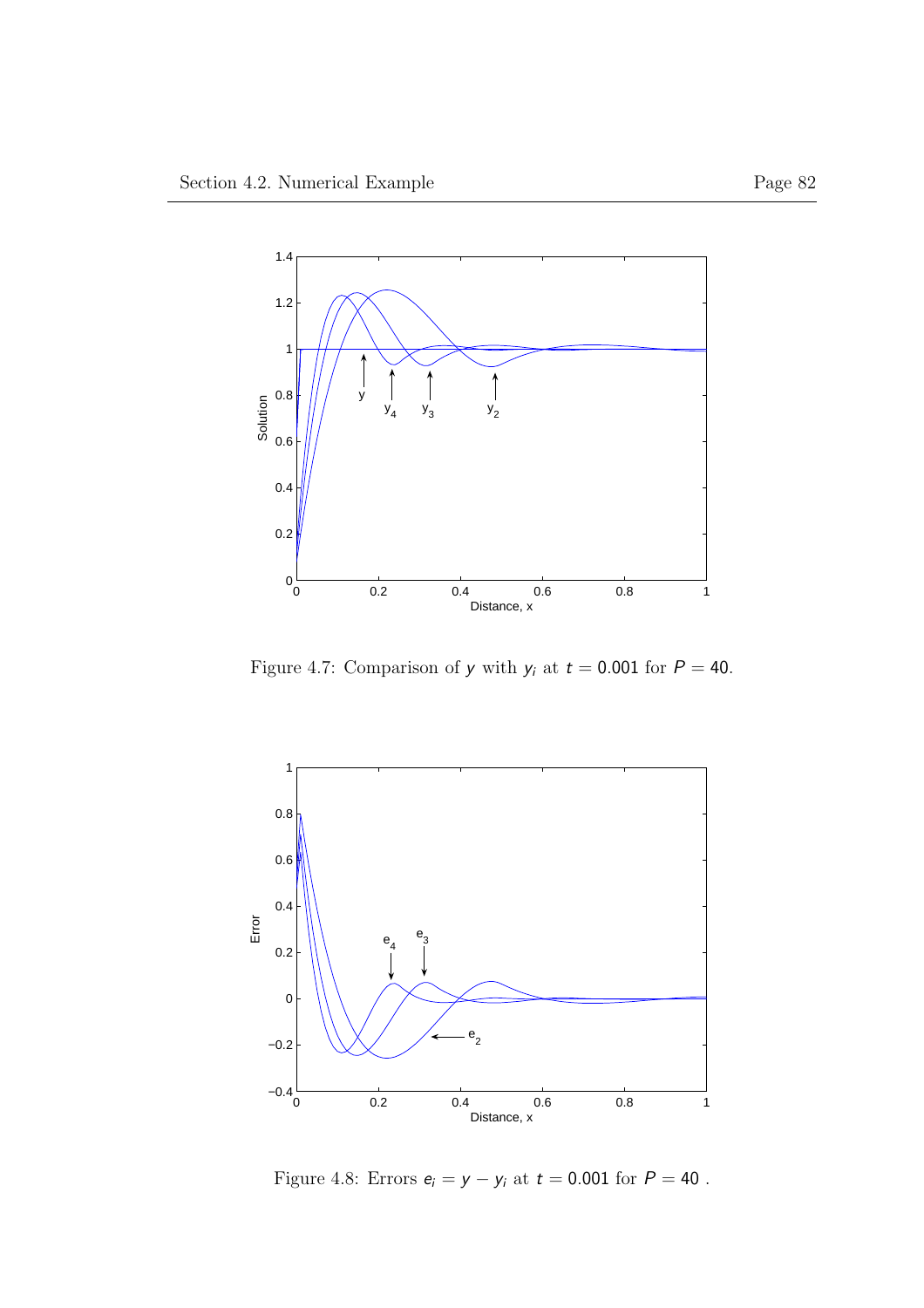

Figure 4.7: Comparison of  $y$  with  $y_i$  at  $t = 0.001$  for  $P = 40$ .



Figure 4.8: Errors  $\boldsymbol{e}_i = \boldsymbol{y} - \boldsymbol{y}_i$  at  $t=0.001$  for  $P=40$  .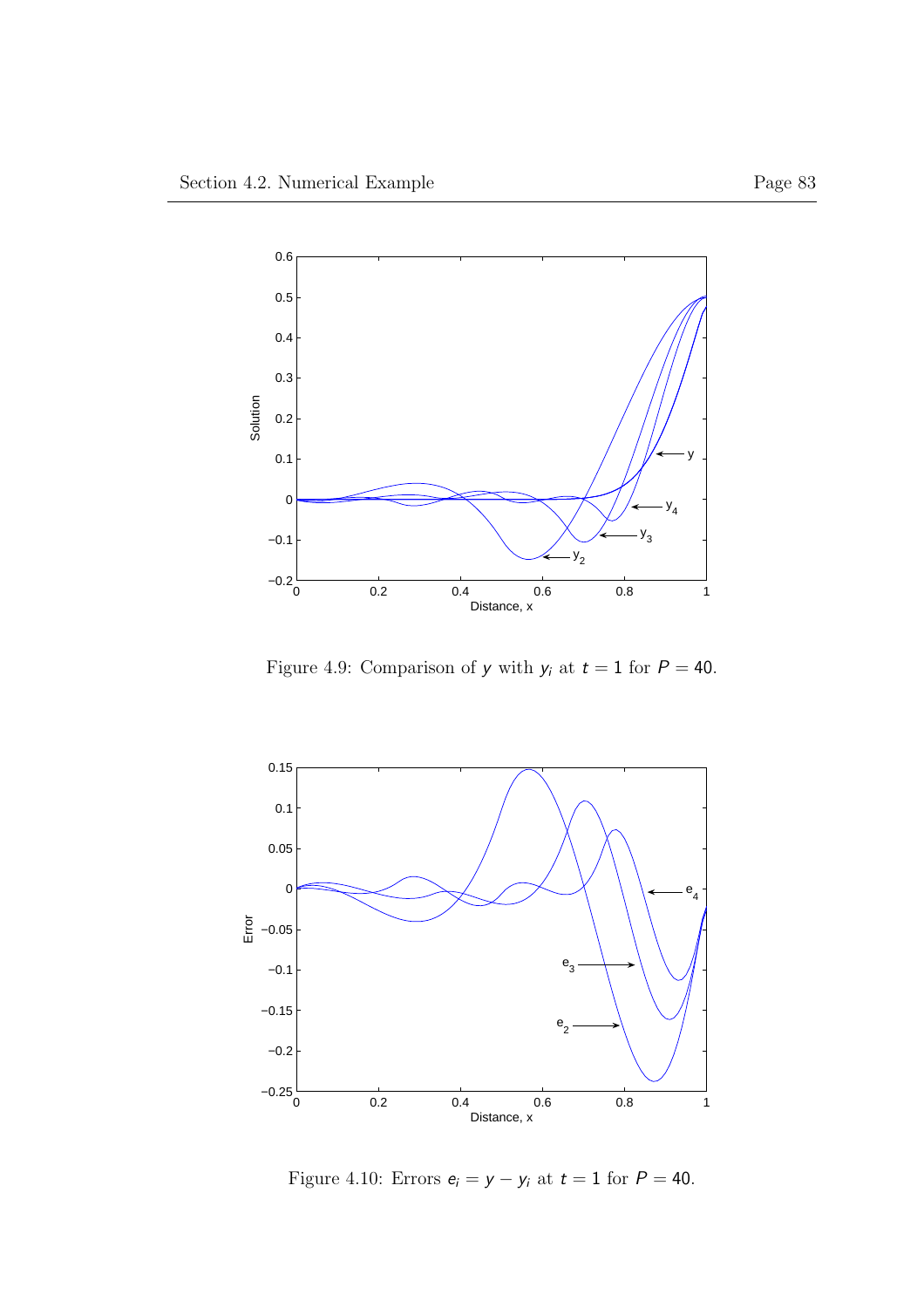

Figure 4.9: Comparison of  $y$  with  $y_i$  at  $t = 1$  for  $P = 40$ .



Figure 4.10: Errors  $e_i = y - y_i$  at  $t = 1$  for  $P = 40$ .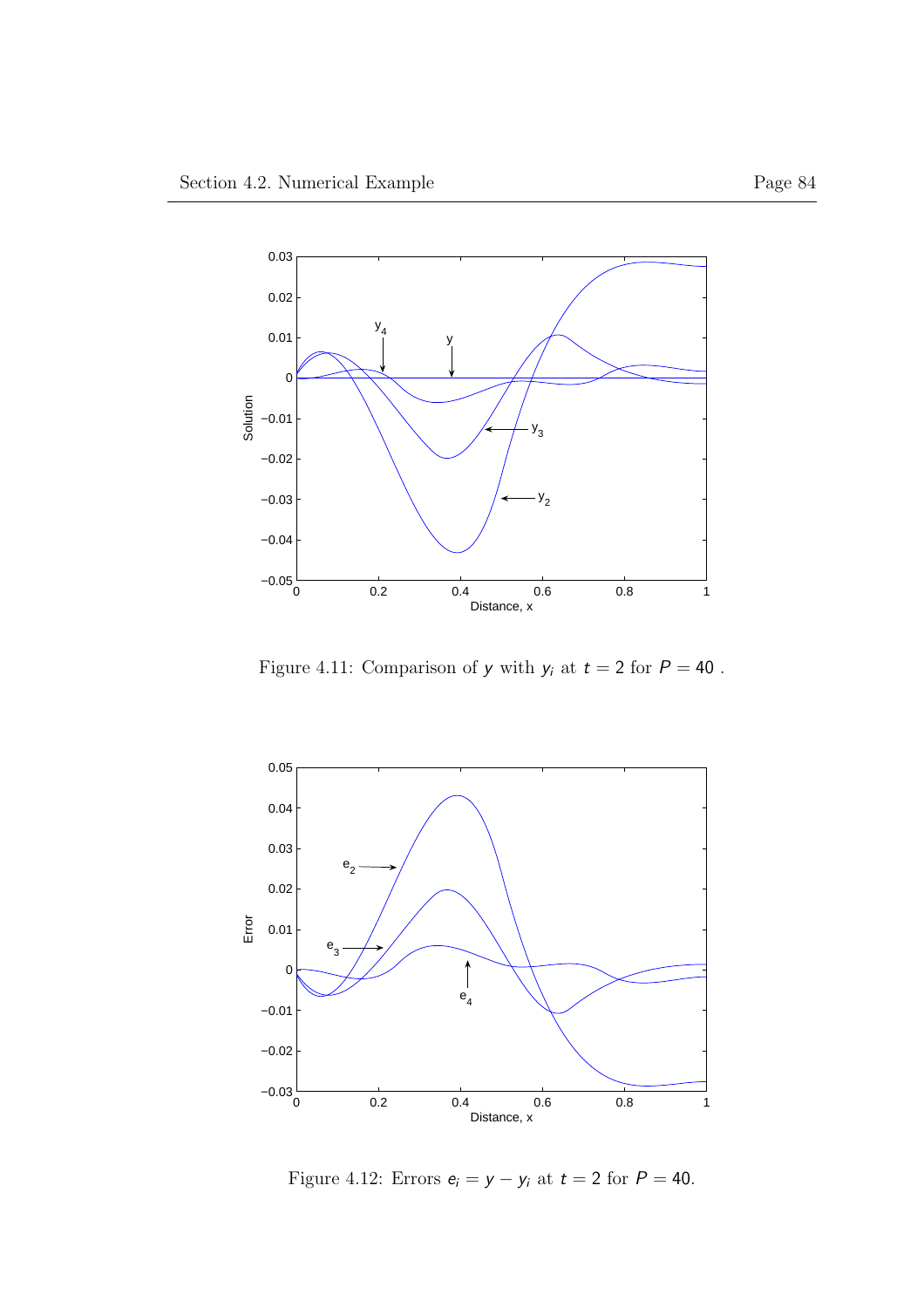

Figure 4.11: Comparison of  $y$  with  $y_i$  at  $t=2$  for  ${\cal P}=40$  .



Figure 4.12: Errors  $e_i = y - y_i$  at  $t = 2$  for  $P = 40$ .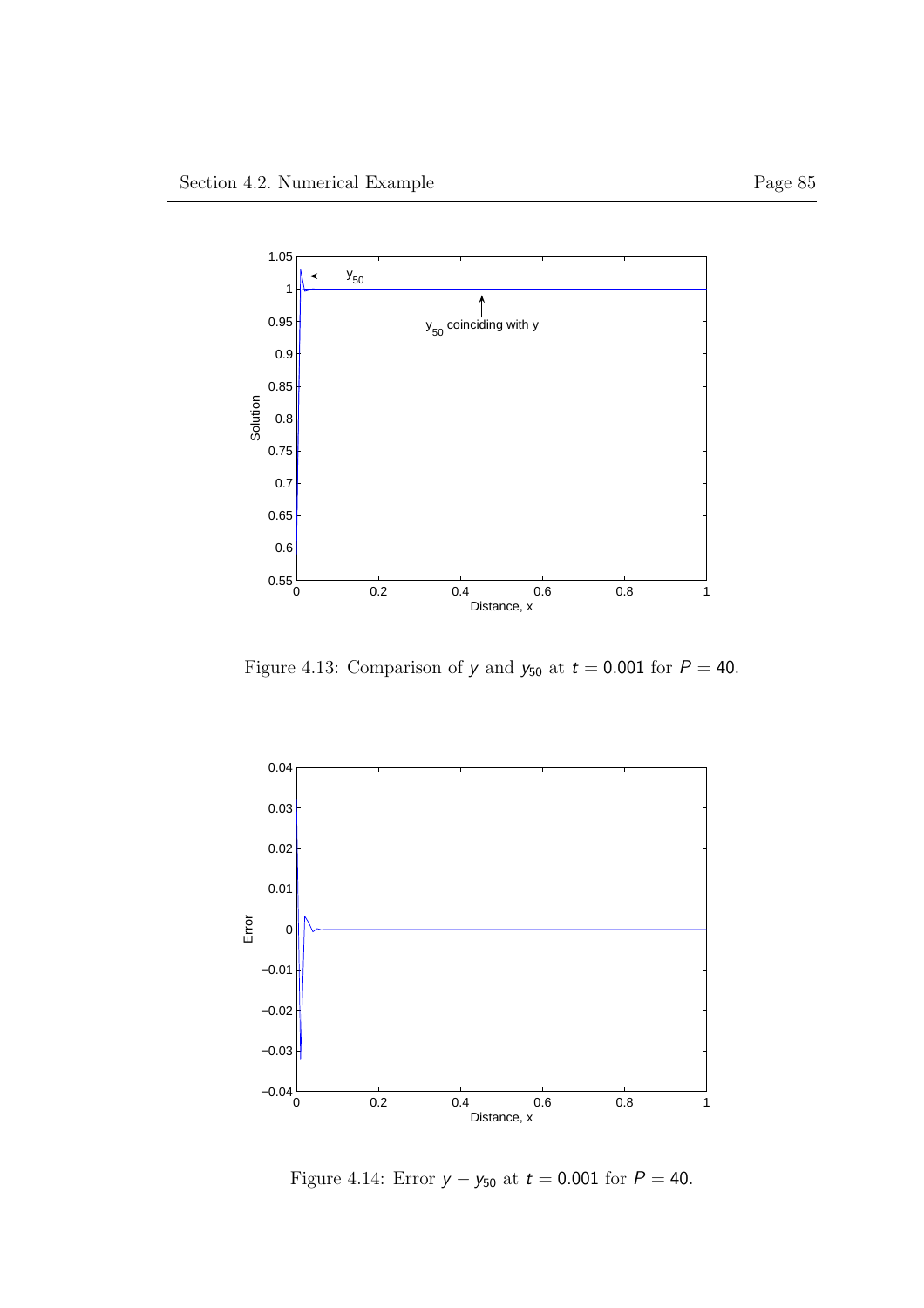

Figure 4.13: Comparison of  $y$  and  $y_{50}$  at  $t = 0.001$  for  $P = 40$ .



Figure 4.14: Error  $y - y_{50}$  at  $t = 0.001$  for  $P = 40$ .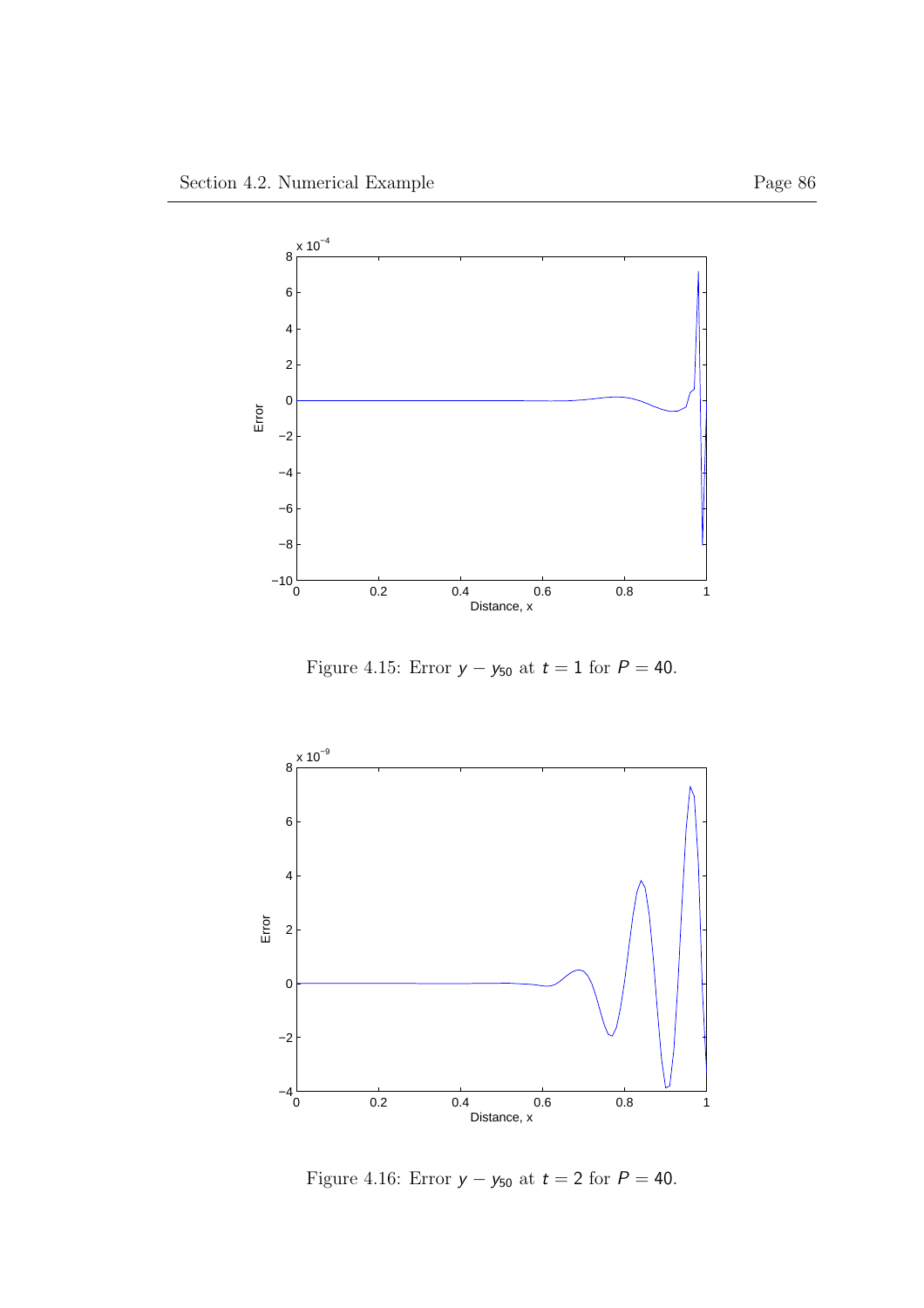

Figure 4.15: Error  $y - y_{50}$  at  $t = 1$  for  $P = 40$ .



Figure 4.16: Error  $y - y_{50}$  at  $t = 2$  for  $P = 40$ .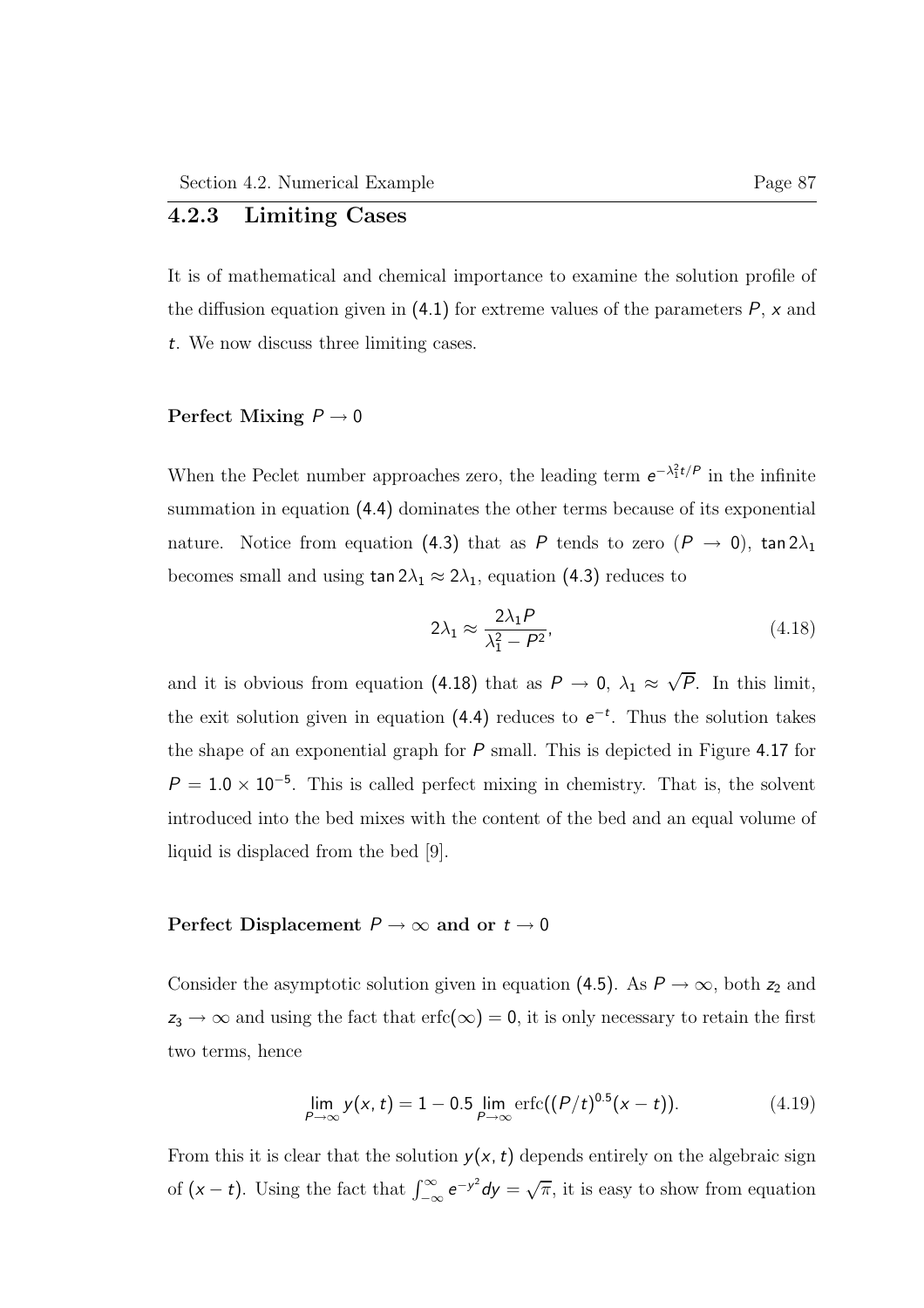### 4.2.3 Limiting Cases

It is of mathematical and chemical importance to examine the solution profile of the diffusion equation given in  $(4.1)$  for extreme values of the parameters  $P$ , x and t. We now discuss three limiting cases.

### Perfect Mixing  $P \rightarrow 0$

When the Peclet number approaches zero, the leading term  $e^{-\lambda_1^2 t/P}$  in the infinite summation in equation (4.4) dominates the other terms because of its exponential nature. Notice from equation (4.3) that as P tends to zero  $(P \rightarrow 0)$ , tan  $2\lambda_1$ becomes small and using  $\tan 2\lambda_1 \approx 2\lambda_1$ , equation (4.3) reduces to

$$
2\lambda_1 \approx \frac{2\lambda_1 P}{\lambda_1^2 - P^2},\tag{4.18}
$$

and it is obvious from equation (4.18) that as  $P \to 0$ ,  $\lambda_1 \approx \sqrt{P}$ . In this limit, the exit solution given in equation (4.4) reduces to  $e^{-t}$ . Thus the solution takes the shape of an exponential graph for P small. This is depicted in Figure 4.17 for  $P = 1.0 \times 10^{-5}$ . This is called perfect mixing in chemistry. That is, the solvent introduced into the bed mixes with the content of the bed and an equal volume of liquid is displaced from the bed [9].

### Perfect Displacement  $P \rightarrow \infty$  and or  $t \rightarrow 0$

Consider the asymptotic solution given in equation (4.5). As  $P \to \infty$ , both  $z_2$  and  $z_3 \to \infty$  and using the fact that  $erfc(\infty) = 0$ , it is only necessary to retain the first two terms, hence

$$
\lim_{P \to \infty} y(x, t) = 1 - 0.5 \lim_{P \to \infty} \text{erfc}((P/t)^{0.5}(x - t)). \tag{4.19}
$$

From this it is clear that the solution  $y(x, t)$  depends entirely on the algebraic sign of  $(x - t)$ . Using the fact that  $\int_{-\infty}^{\infty} e^{-y^2} dy = \sqrt{\pi}$ , it is easy to show from equation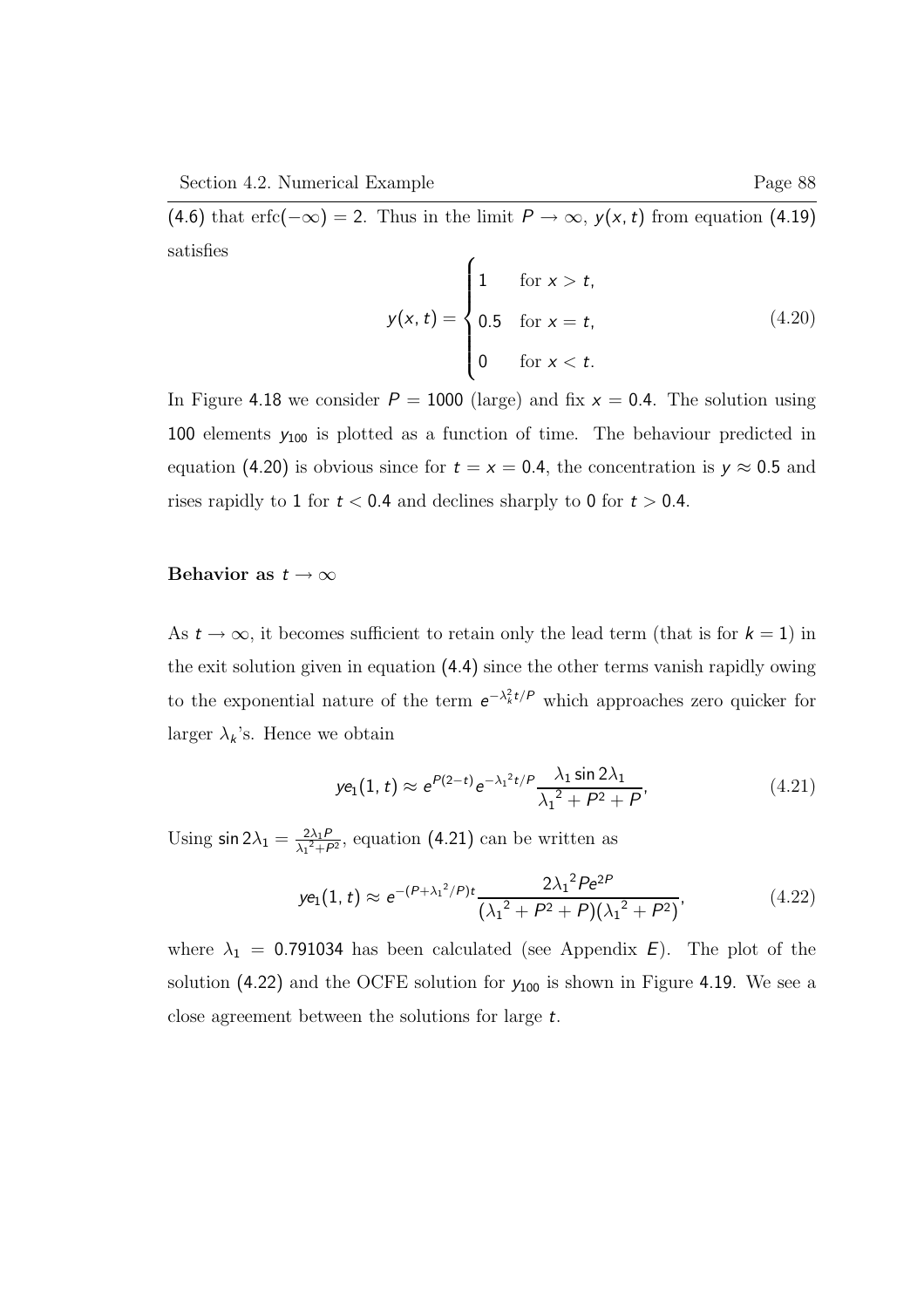(4.6) that erfc( $-\infty$ ) = 2. Thus in the limit  $P \to \infty$ ,  $y(x, t)$  from equation (4.19) satisfies

$$
y(x, t) = \begin{cases} 1 & \text{for } x > t, \\ 0.5 & \text{for } x = t, \\ 0 & \text{for } x < t. \end{cases}
$$
(4.20)

In Figure 4.18 we consider  $P = 1000$  (large) and fix  $x = 0.4$ . The solution using 100 elements  $y_{100}$  is plotted as a function of time. The behaviour predicted in equation (4.20) is obvious since for  $t = x = 0.4$ , the concentration is  $y \approx 0.5$  and rises rapidly to 1 for  $t < 0.4$  and declines sharply to 0 for  $t > 0.4$ .

### Behavior as  $t \to \infty$

As  $t \to \infty$ , it becomes sufficient to retain only the lead term (that is for  $k = 1$ ) in the exit solution given in equation (4.4) since the other terms vanish rapidly owing to the exponential nature of the term  $e^{-\lambda_k^2 t/P}$  which approaches zero quicker for larger  $\lambda_k$ 's. Hence we obtain

$$
ye_1(1, t) \approx e^{P(2-t)} e^{-\lambda_1^2 t/P} \frac{\lambda_1 \sin 2\lambda_1}{\lambda_1^2 + P^2 + P},
$$
 (4.21)

Using  $\sin 2\lambda_1 = \frac{2\lambda_1 P}{\lambda_1^2 + P}$  $\frac{2\lambda_1 P}{\lambda_1^2 + P^2}$ , equation (4.21) can be written as

$$
ye_1(1, t) \approx e^{-(P + \lambda_1^2/P)t} \frac{2\lambda_1^2 Pe^{2P}}{(\lambda_1^2 + P^2 + P)(\lambda_1^2 + P^2)}
$$
, (4.22)

where  $\lambda_1$  = 0.791034 has been calculated (see Appendix E). The plot of the solution (4.22) and the OCFE solution for  $y_{100}$  is shown in Figure 4.19. We see a close agreement between the solutions for large t.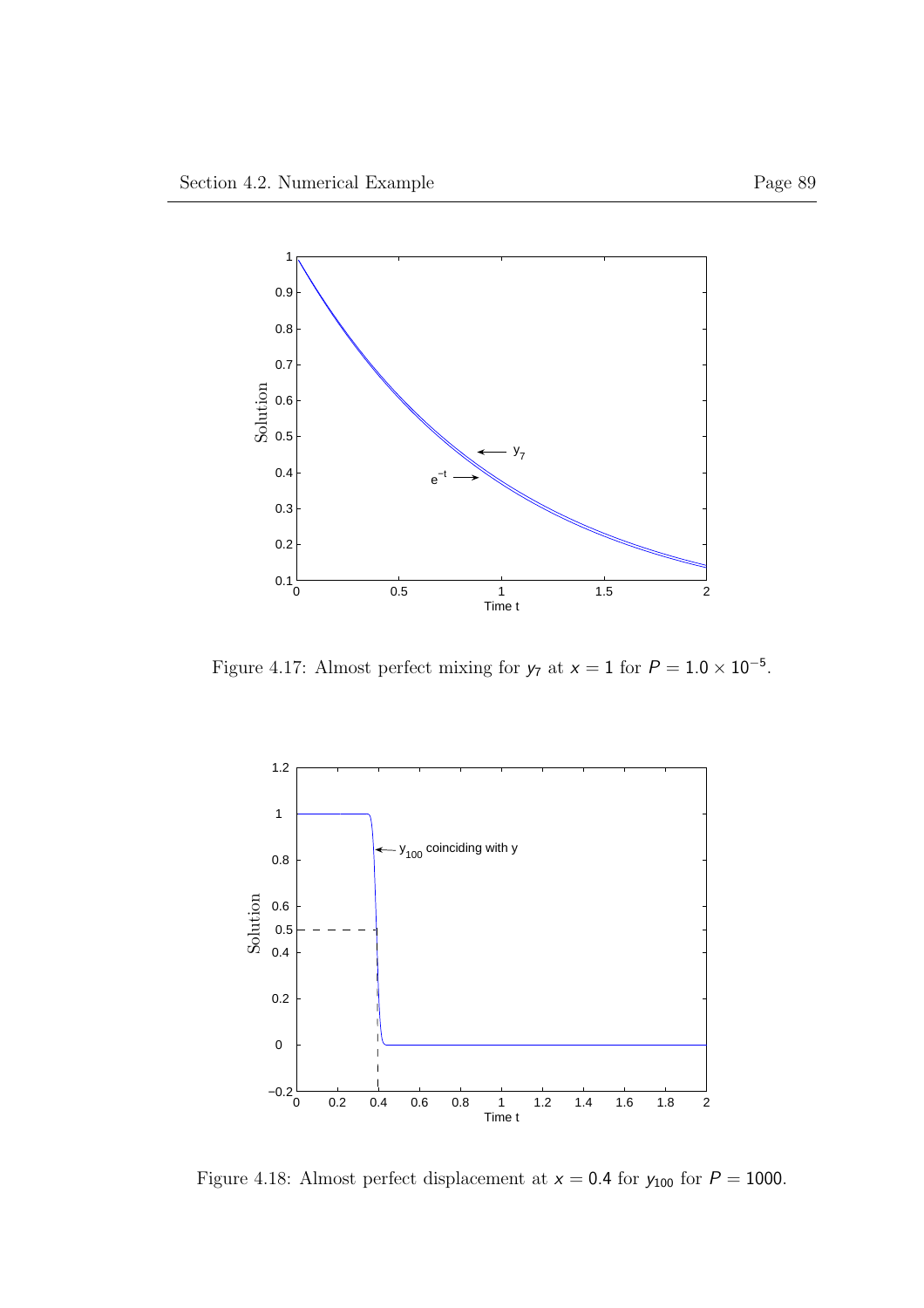

Figure 4.17: Almost perfect mixing for  $y_7$  at  $x = 1$  for  $P = 1.0 \times 10^{-5}$ .



Figure 4.18: Almost perfect displacement at  $x = 0.4$  for  $y_{100}$  for  $P = 1000$ .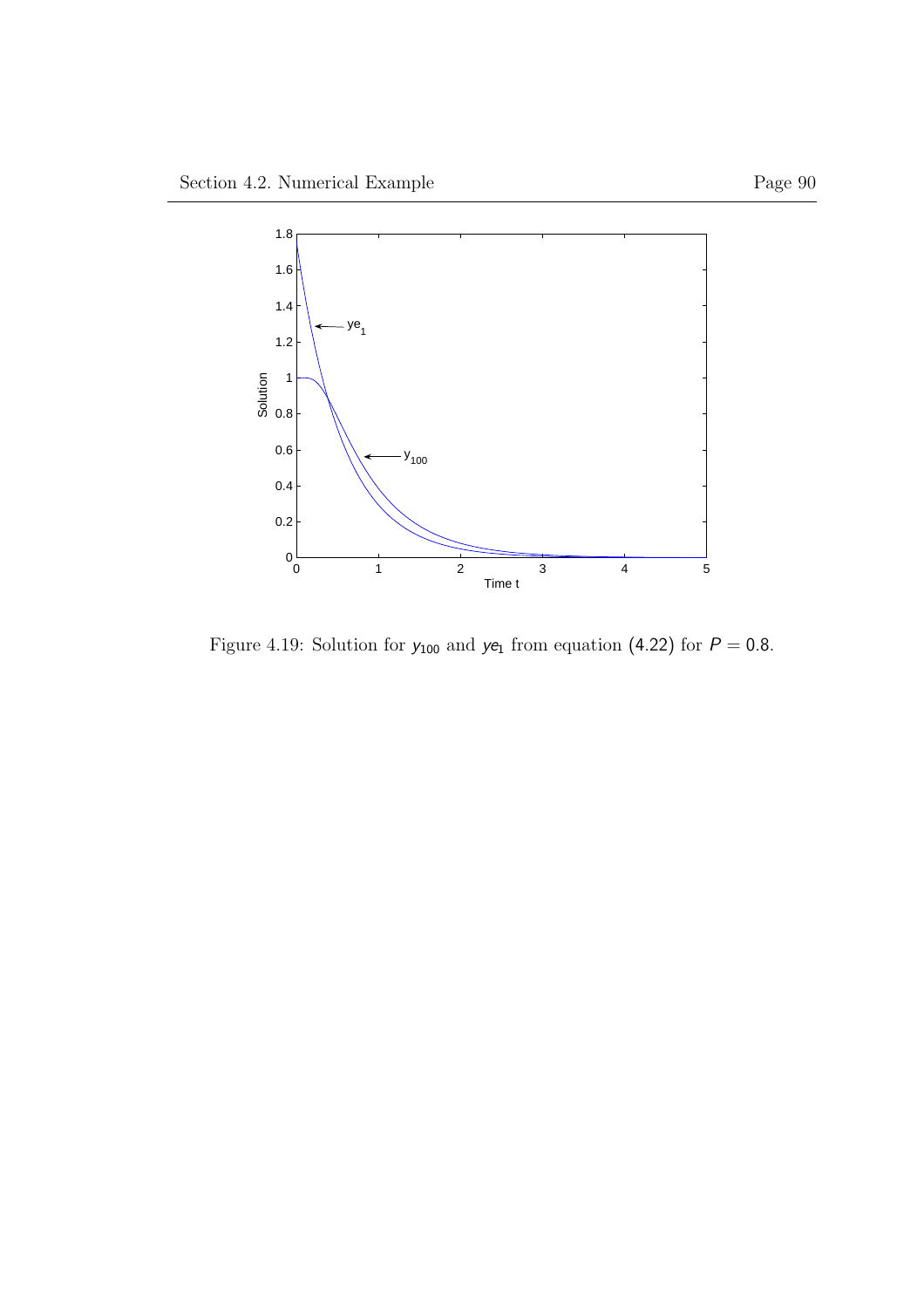

Figure 4.19: Solution for  $y_{100}$  and  $ye_1$  from equation (4.22) for  $P = 0.8$ .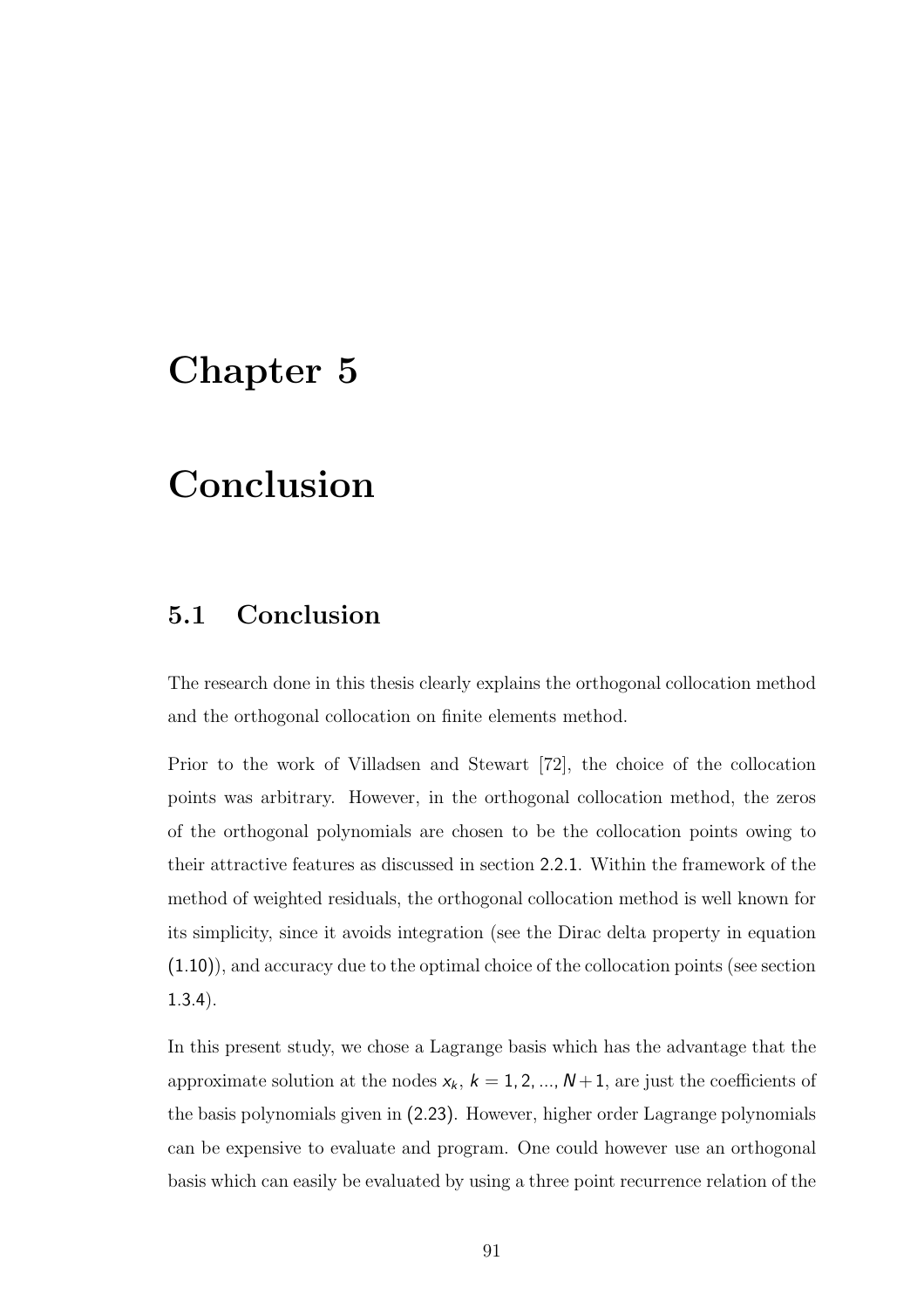#### Chapter 5

#### Conclusion

#### 5.1 Conclusion

The research done in this thesis clearly explains the orthogonal collocation method and the orthogonal collocation on finite elements method.

Prior to the work of Villadsen and Stewart [72], the choice of the collocation points was arbitrary. However, in the orthogonal collocation method, the zeros of the orthogonal polynomials are chosen to be the collocation points owing to their attractive features as discussed in section 2.2.1. Within the framework of the method of weighted residuals, the orthogonal collocation method is well known for its simplicity, since it avoids integration (see the Dirac delta property in equation (1.10)), and accuracy due to the optimal choice of the collocation points (see section 1.3.4).

In this present study, we chose a Lagrange basis which has the advantage that the approximate solution at the nodes  $x_k$ ,  $k = 1, 2, ..., N+1$ , are just the coefficients of the basis polynomials given in (2.23). However, higher order Lagrange polynomials can be expensive to evaluate and program. One could however use an orthogonal basis which can easily be evaluated by using a three point recurrence relation of the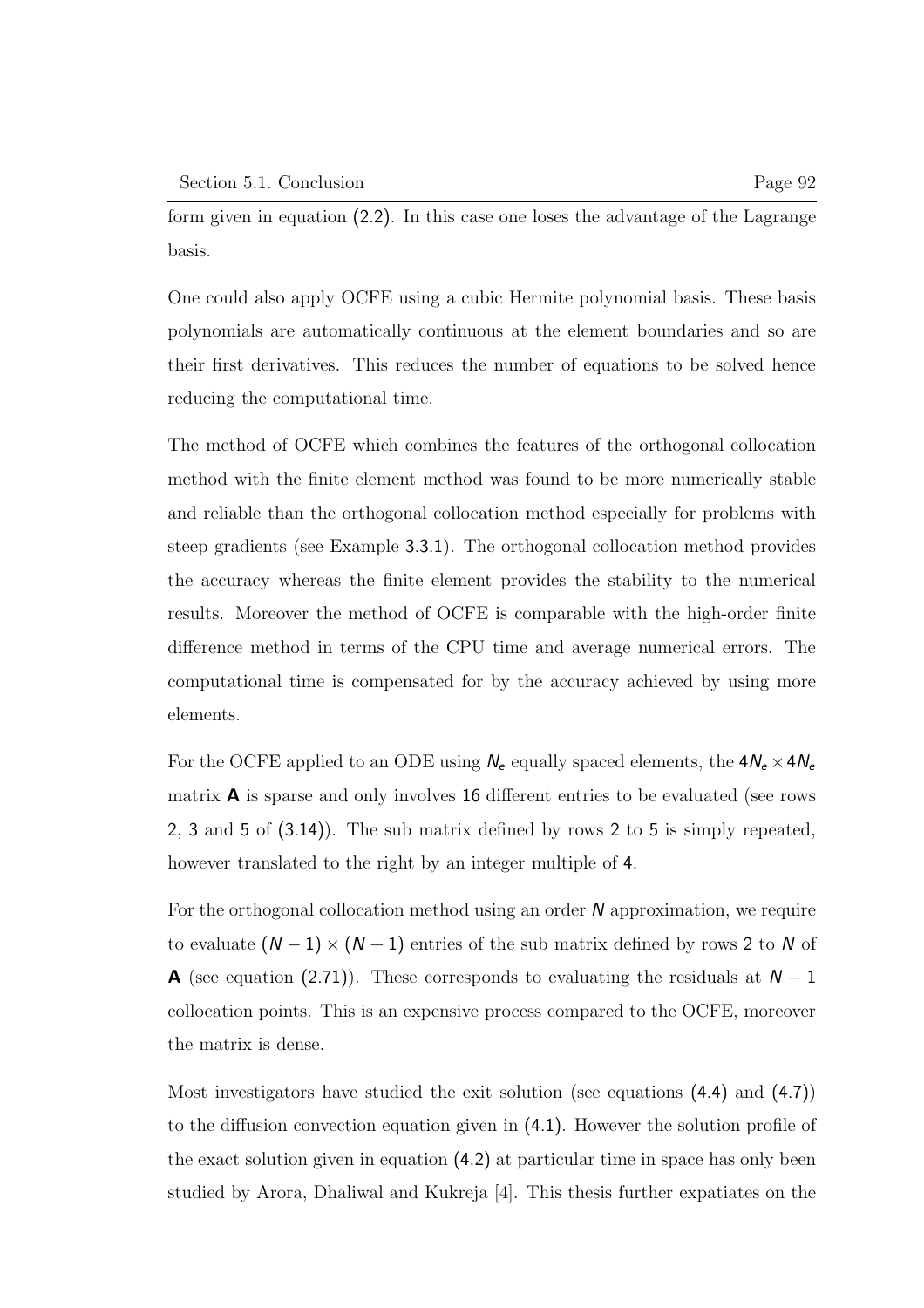form given in equation (2.2). In this case one loses the advantage of the Lagrange basis.

One could also apply OCFE using a cubic Hermite polynomial basis. These basis polynomials are automatically continuous at the element boundaries and so are their first derivatives. This reduces the number of equations to be solved hence reducing the computational time.

The method of OCFE which combines the features of the orthogonal collocation method with the finite element method was found to be more numerically stable and reliable than the orthogonal collocation method especially for problems with steep gradients (see Example 3.3.1). The orthogonal collocation method provides the accuracy whereas the finite element provides the stability to the numerical results. Moreover the method of OCFE is comparable with the high-order finite difference method in terms of the CPU time and average numerical errors. The computational time is compensated for by the accuracy achieved by using more elements.

For the OCFE applied to an ODE using  $N_e$  equally spaced elements, the  $4N_e\times4N_e$ matrix  $\bf{A}$  is sparse and only involves 16 different entries to be evaluated (see rows 2, 3 and 5 of (3.14)). The sub matrix defined by rows 2 to 5 is simply repeated, however translated to the right by an integer multiple of 4.

For the orthogonal collocation method using an order  $N$  approximation, we require to evaluate  $(N-1) \times (N+1)$  entries of the sub matrix defined by rows 2 to N of **A** (see equation (2.71)). These corresponds to evaluating the residuals at  $N-1$ collocation points. This is an expensive process compared to the OCFE, moreover the matrix is dense.

Most investigators have studied the exit solution (see equations (4.4) and (4.7)) to the diffusion convection equation given in (4.1). However the solution profile of the exact solution given in equation (4.2) at particular time in space has only been studied by Arora, Dhaliwal and Kukreja [4]. This thesis further expatiates on the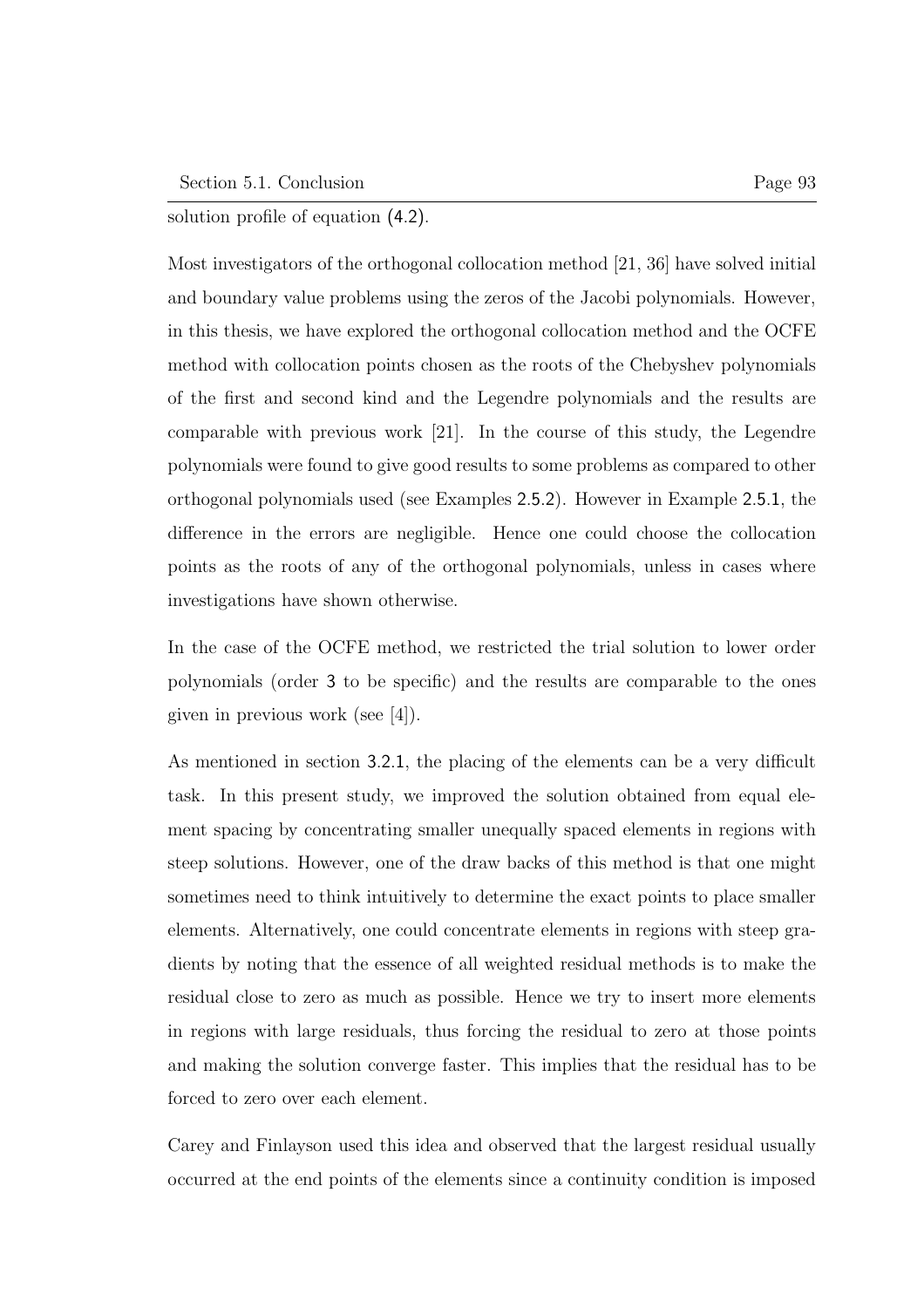solution profile of equation (4.2).

Most investigators of the orthogonal collocation method [21, 36] have solved initial and boundary value problems using the zeros of the Jacobi polynomials. However, in this thesis, we have explored the orthogonal collocation method and the OCFE method with collocation points chosen as the roots of the Chebyshev polynomials of the first and second kind and the Legendre polynomials and the results are comparable with previous work [21]. In the course of this study, the Legendre polynomials were found to give good results to some problems as compared to other orthogonal polynomials used (see Examples 2.5.2). However in Example 2.5.1, the difference in the errors are negligible. Hence one could choose the collocation points as the roots of any of the orthogonal polynomials, unless in cases where investigations have shown otherwise.

In the case of the OCFE method, we restricted the trial solution to lower order polynomials (order 3 to be specific) and the results are comparable to the ones given in previous work (see [4]).

As mentioned in section 3.2.1, the placing of the elements can be a very difficult task. In this present study, we improved the solution obtained from equal element spacing by concentrating smaller unequally spaced elements in regions with steep solutions. However, one of the draw backs of this method is that one might sometimes need to think intuitively to determine the exact points to place smaller elements. Alternatively, one could concentrate elements in regions with steep gradients by noting that the essence of all weighted residual methods is to make the residual close to zero as much as possible. Hence we try to insert more elements in regions with large residuals, thus forcing the residual to zero at those points and making the solution converge faster. This implies that the residual has to be forced to zero over each element.

Carey and Finlayson used this idea and observed that the largest residual usually occurred at the end points of the elements since a continuity condition is imposed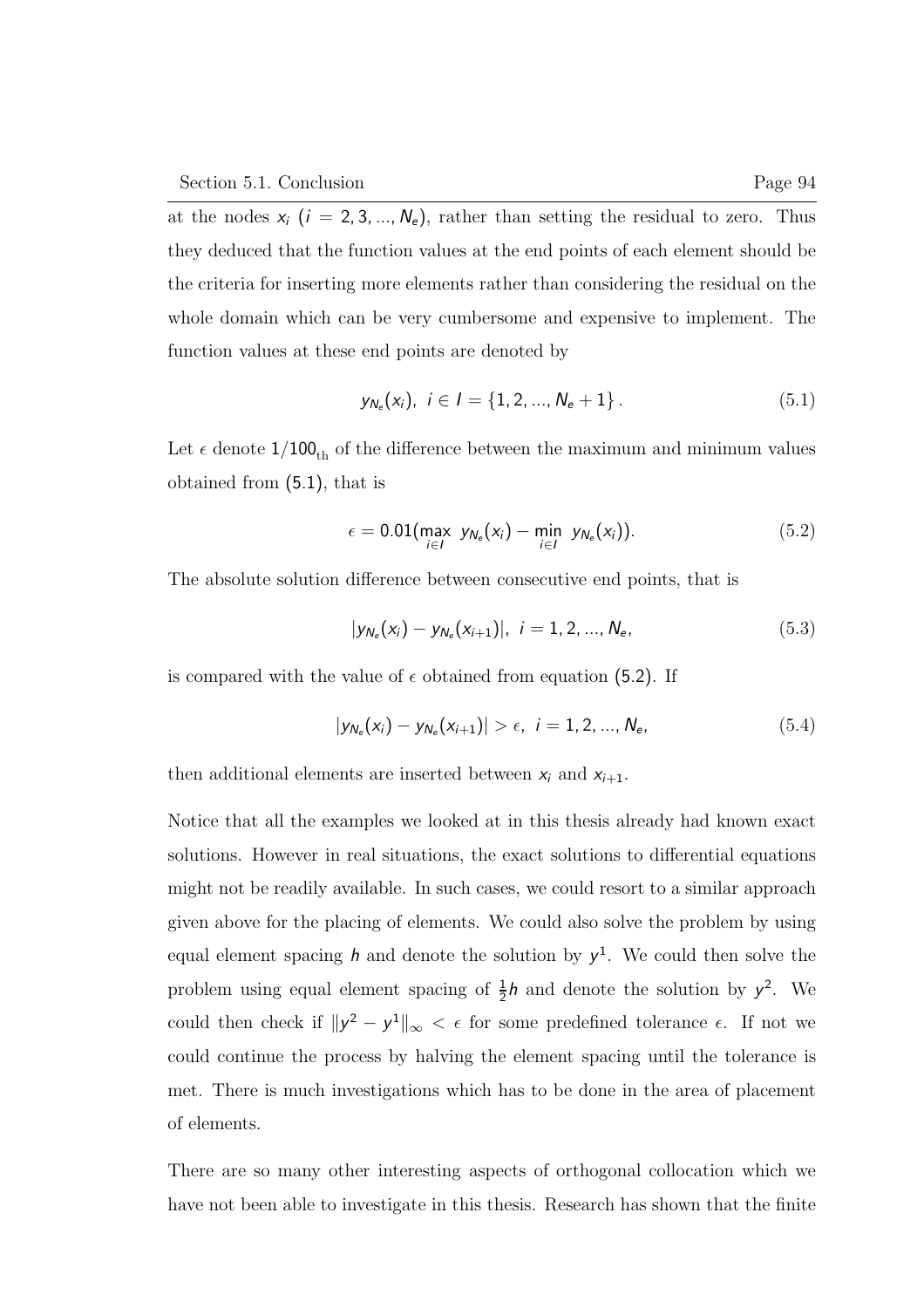at the nodes  $x_i$  ( $i = 2, 3, ..., N_e$ ), rather than setting the residual to zero. Thus they deduced that the function values at the end points of each element should be the criteria for inserting more elements rather than considering the residual on the whole domain which can be very cumbersome and expensive to implement. The function values at these end points are denoted by

$$
y_{N_e}(x_i), i \in I = \{1, 2, ..., N_e + 1\}.
$$
 (5.1)

Let  $\epsilon$  denote  $1/100_{th}$  of the difference between the maximum and minimum values obtained from (5.1), that is

$$
\epsilon = 0.01 \left( \max_{i \in I} y_{N_e}(x_i) - \min_{i \in I} y_{N_e}(x_i) \right). \tag{5.2}
$$

The absolute solution difference between consecutive end points, that is

$$
|y_{N_e}(x_i) - y_{N_e}(x_{i+1})|, i = 1, 2, ..., N_e,
$$
\n(5.3)

is compared with the value of  $\epsilon$  obtained from equation (5.2). If

$$
|y_{N_e}(x_i) - y_{N_e}(x_{i+1})| > \epsilon, \ i = 1, 2, ..., N_e,
$$
 (5.4)

then additional elements are inserted between  $x_i$  and  $x_{i+1}$ .

Notice that all the examples we looked at in this thesis already had known exact solutions. However in real situations, the exact solutions to differential equations might not be readily available. In such cases, we could resort to a similar approach given above for the placing of elements. We could also solve the problem by using equal element spacing h and denote the solution by  $y^1$ . We could then solve the problem using equal element spacing of  $\frac{1}{2}h$  and denote the solution by  $y^2$ . We could then check if  $||y^2 - y^1||_{\infty} < \epsilon$  for some predefined tolerance  $\epsilon$ . If not we could continue the process by halving the element spacing until the tolerance is met. There is much investigations which has to be done in the area of placement of elements.

There are so many other interesting aspects of orthogonal collocation which we have not been able to investigate in this thesis. Research has shown that the finite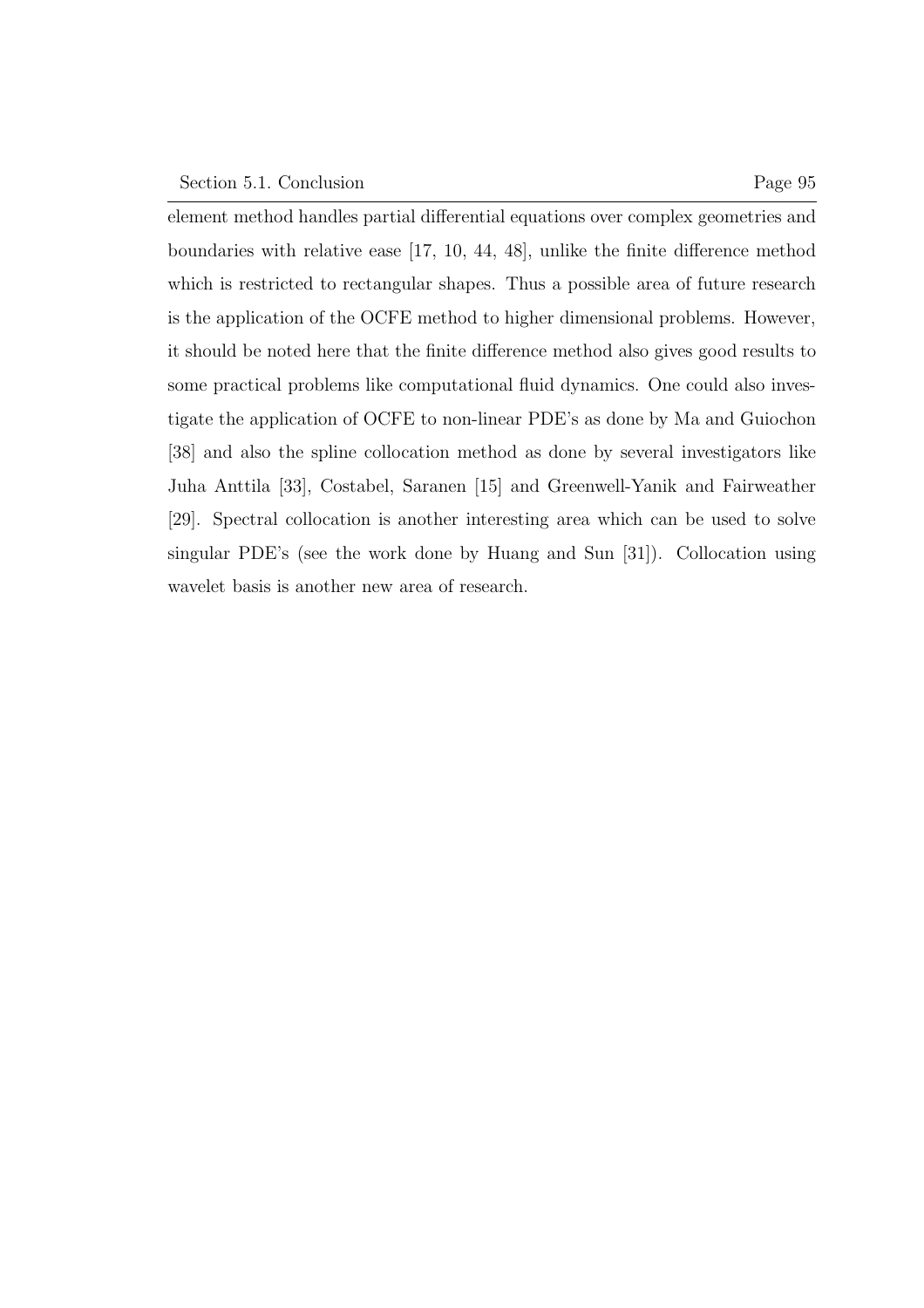element method handles partial differential equations over complex geometries and boundaries with relative ease [17, 10, 44, 48], unlike the finite difference method which is restricted to rectangular shapes. Thus a possible area of future research is the application of the OCFE method to higher dimensional problems. However, it should be noted here that the finite difference method also gives good results to some practical problems like computational fluid dynamics. One could also investigate the application of OCFE to non-linear PDE's as done by Ma and Guiochon [38] and also the spline collocation method as done by several investigators like Juha Anttila [33], Costabel, Saranen [15] and Greenwell-Yanik and Fairweather [29]. Spectral collocation is another interesting area which can be used to solve singular PDE's (see the work done by Huang and Sun [31]). Collocation using wavelet basis is another new area of research.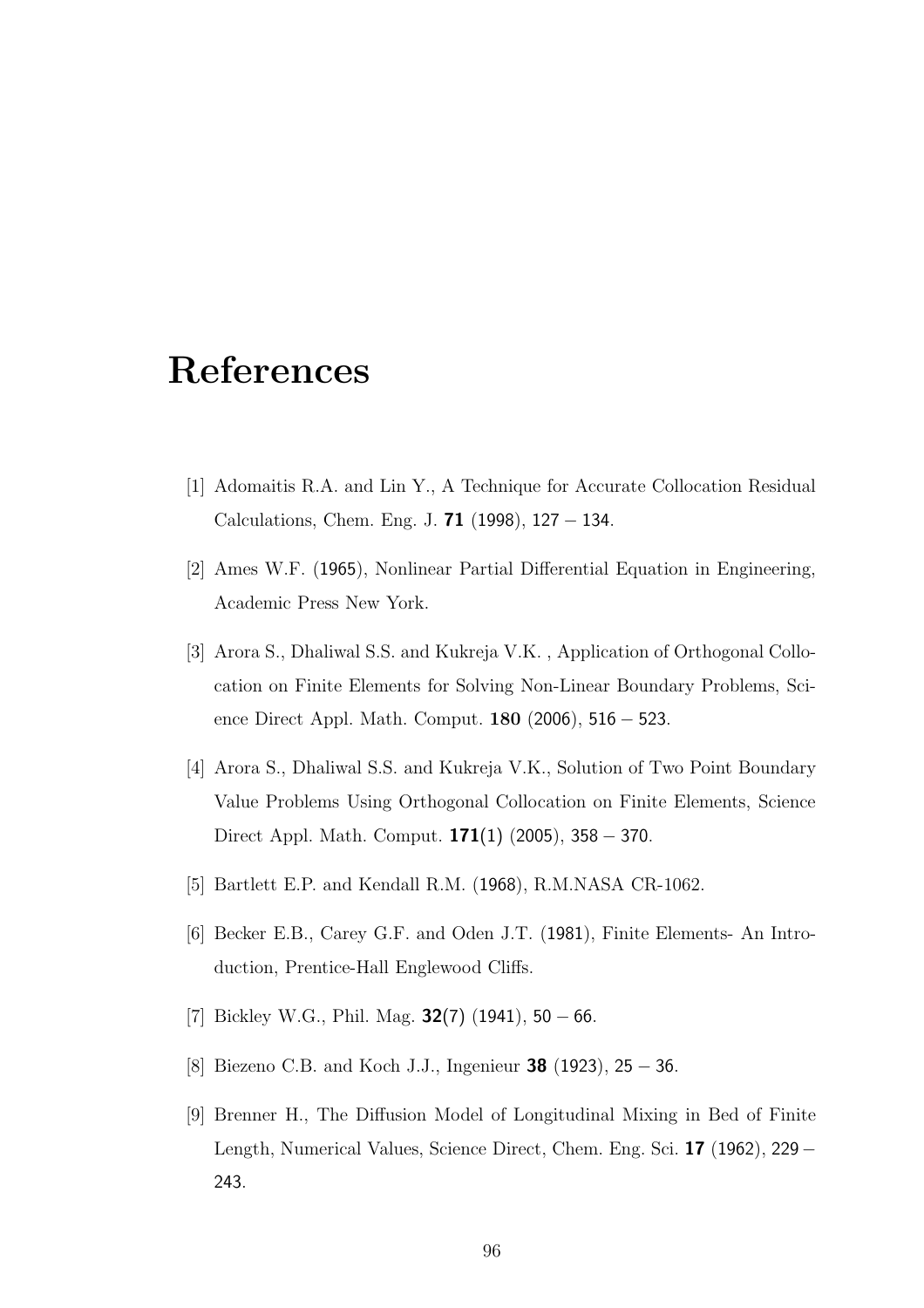#### References

- [1] Adomaitis R.A. and Lin Y., A Technique for Accurate Collocation Residual Calculations, Chem. Eng. J. **71** (1998),  $127 - 134$ .
- [2] Ames W.F. (1965), Nonlinear Partial Differential Equation in Engineering, Academic Press New York.
- [3] Arora S., Dhaliwal S.S. and Kukreja V.K. , Application of Orthogonal Collocation on Finite Elements for Solving Non-Linear Boundary Problems, Science Direct Appl. Math. Comput. 180 (2006), 516 − 523.
- [4] Arora S., Dhaliwal S.S. and Kukreja V.K., Solution of Two Point Boundary Value Problems Using Orthogonal Collocation on Finite Elements, Science Direct Appl. Math. Comput. **171**(1) (2005), 358 – 370.
- [5] Bartlett E.P. and Kendall R.M. (1968), R.M.NASA CR-1062.
- [6] Becker E.B., Carey G.F. and Oden J.T. (1981), Finite Elements- An Introduction, Prentice-Hall Englewood Cliffs.
- [7] Bickley W.G., Phil. Mag.  $32(7)$  (1941), 50 66.
- [8] Biezeno C.B. and Koch J.J., Ingenieur **38** (1923), 25 − 36.
- [9] Brenner H., The Diffusion Model of Longitudinal Mixing in Bed of Finite Length, Numerical Values, Science Direct, Chem. Eng. Sci. 17 (1962), 229− 243.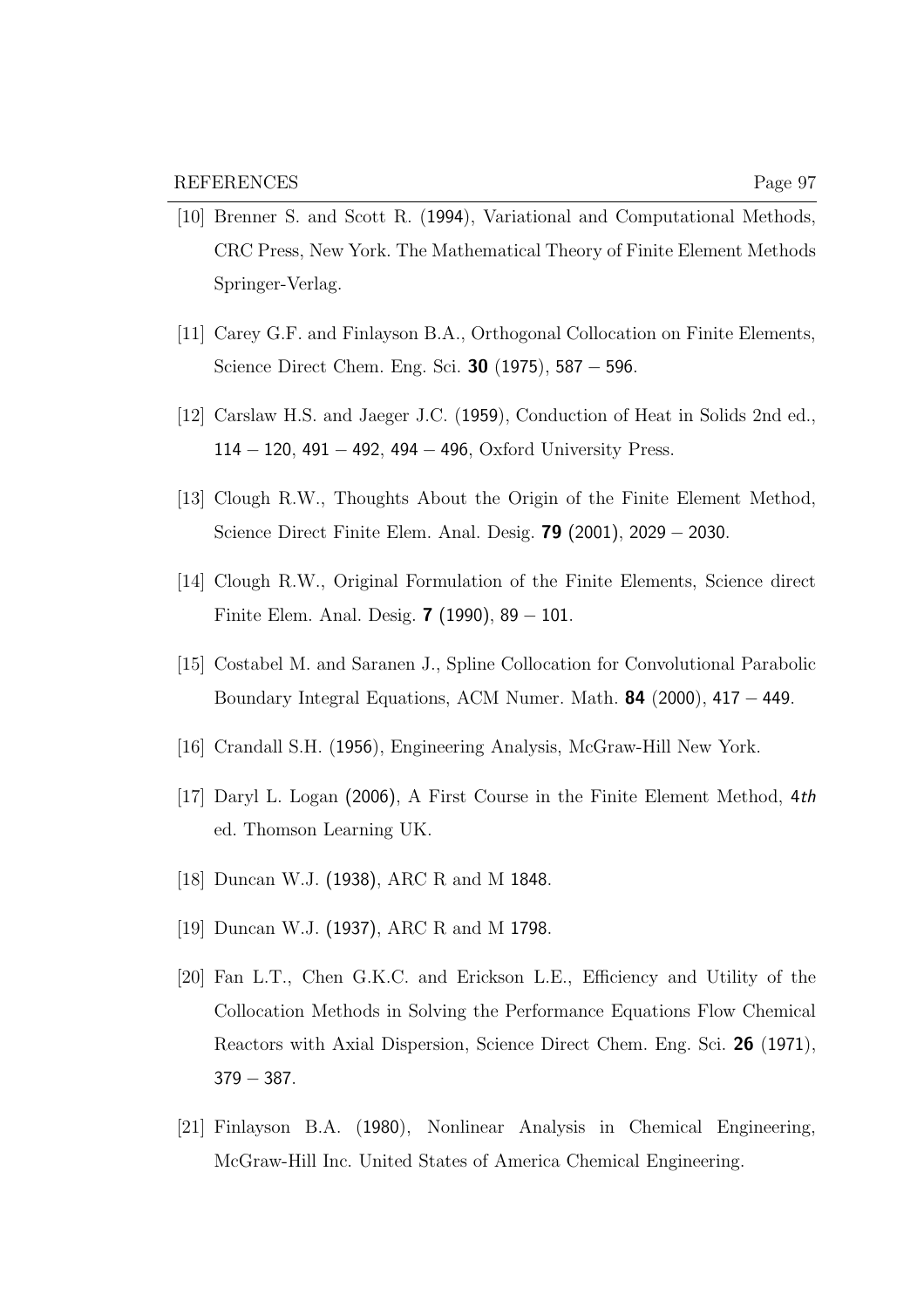- [10] Brenner S. and Scott R. (1994), Variational and Computational Methods, CRC Press, New York. The Mathematical Theory of Finite Element Methods Springer-Verlag.
- [11] Carey G.F. and Finlayson B.A., Orthogonal Collocation on Finite Elements, Science Direct Chem. Eng. Sci. 30 (1975), 587 − 596.
- [12] Carslaw H.S. and Jaeger J.C. (1959), Conduction of Heat in Solids 2nd ed., 114 − 120, 491 − 492, 494 − 496, Oxford University Press.
- [13] Clough R.W., Thoughts About the Origin of the Finite Element Method, Science Direct Finite Elem. Anal. Desig. 79 (2001), 2029 − 2030.
- [14] Clough R.W., Original Formulation of the Finite Elements, Science direct Finite Elem. Anal. Desig. **7** (1990),  $89 - 101$ .
- [15] Costabel M. and Saranen J., Spline Collocation for Convolutional Parabolic Boundary Integral Equations, ACM Numer. Math. **84** (2000),  $417 - 449$ .
- [16] Crandall S.H. (1956), Engineering Analysis, McGraw-Hill New York.
- [17] Daryl L. Logan (2006), A First Course in the Finite Element Method, 4th ed. Thomson Learning UK.
- [18] Duncan W.J. (1938), ARC R and M 1848.
- [19] Duncan W.J. (1937), ARC R and M 1798.
- [20] Fan L.T., Chen G.K.C. and Erickson L.E., Efficiency and Utility of the Collocation Methods in Solving the Performance Equations Flow Chemical Reactors with Axial Dispersion, Science Direct Chem. Eng. Sci. 26 (1971),  $379 - 387.$
- [21] Finlayson B.A. (1980), Nonlinear Analysis in Chemical Engineering, McGraw-Hill Inc. United States of America Chemical Engineering.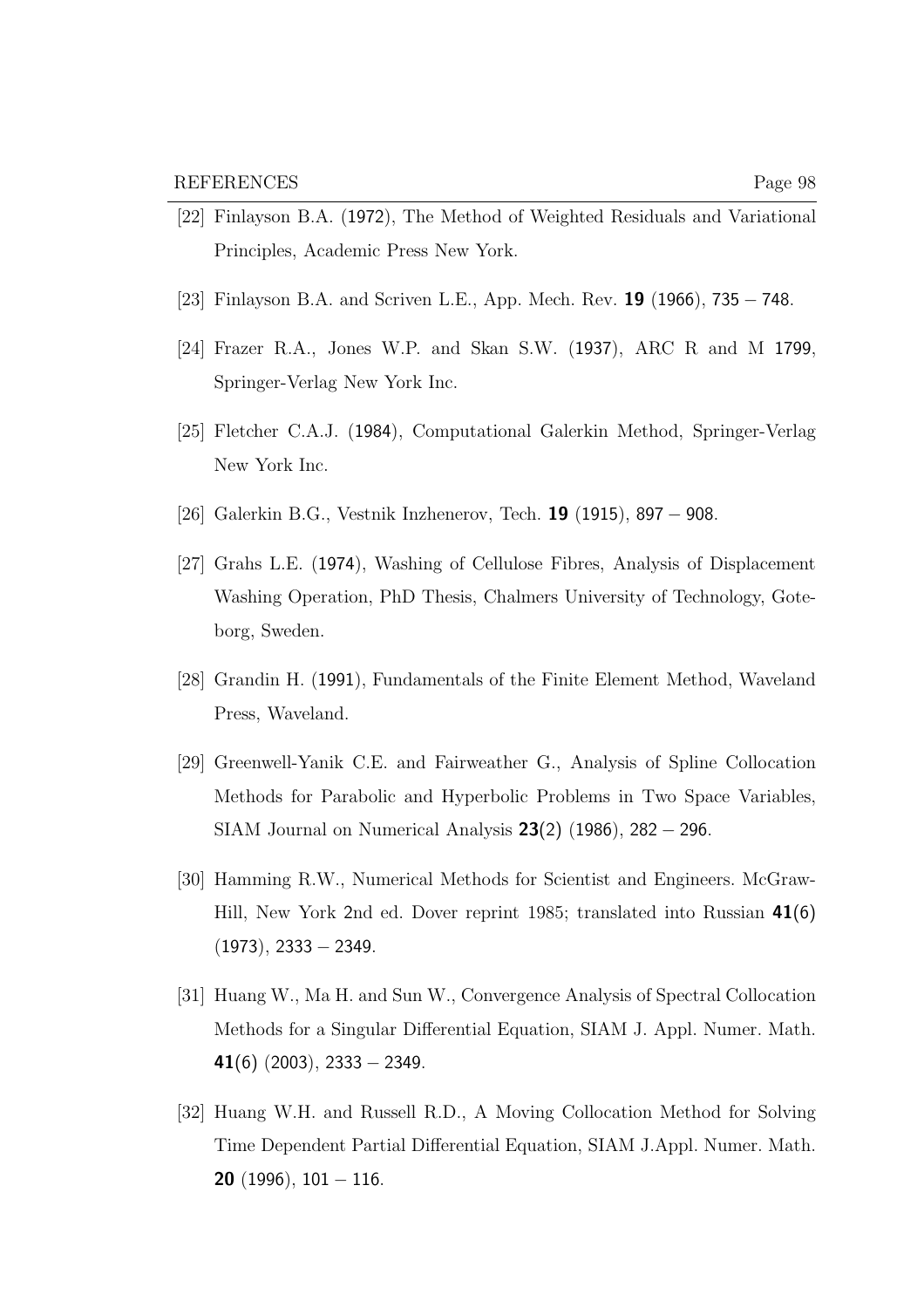- [22] Finlayson B.A. (1972), The Method of Weighted Residuals and Variational Principles, Academic Press New York.
- [23] Finlayson B.A. and Scriven L.E., App. Mech. Rev. **19** (1966), 735 748.
- [24] Frazer R.A., Jones W.P. and Skan S.W. (1937), ARC R and M 1799, Springer-Verlag New York Inc.
- [25] Fletcher C.A.J. (1984), Computational Galerkin Method, Springer-Verlag New York Inc.
- [26] Galerkin B.G., Vestnik Inzhenerov, Tech. 19 (1915), 897 − 908.
- [27] Grahs L.E. (1974), Washing of Cellulose Fibres, Analysis of Displacement Washing Operation, PhD Thesis, Chalmers University of Technology, Goteborg, Sweden.
- [28] Grandin H. (1991), Fundamentals of the Finite Element Method, Waveland Press, Waveland.
- [29] Greenwell-Yanik C.E. and Fairweather G., Analysis of Spline Collocation Methods for Parabolic and Hyperbolic Problems in Two Space Variables, SIAM Journal on Numerical Analysis 23(2) (1986), 282 − 296.
- [30] Hamming R.W., Numerical Methods for Scientist and Engineers. McGraw-Hill, New York 2nd ed. Dover reprint 1985; translated into Russian 41(6)  $(1973), 2333 - 2349.$
- [31] Huang W., Ma H. and Sun W., Convergence Analysis of Spectral Collocation Methods for a Singular Differential Equation, SIAM J. Appl. Numer. Math. 41(6)  $(2003)$ , 2333 – 2349.
- [32] Huang W.H. and Russell R.D., A Moving Collocation Method for Solving Time Dependent Partial Differential Equation, SIAM J.Appl. Numer. Math. **20** (1996),  $101 - 116$ .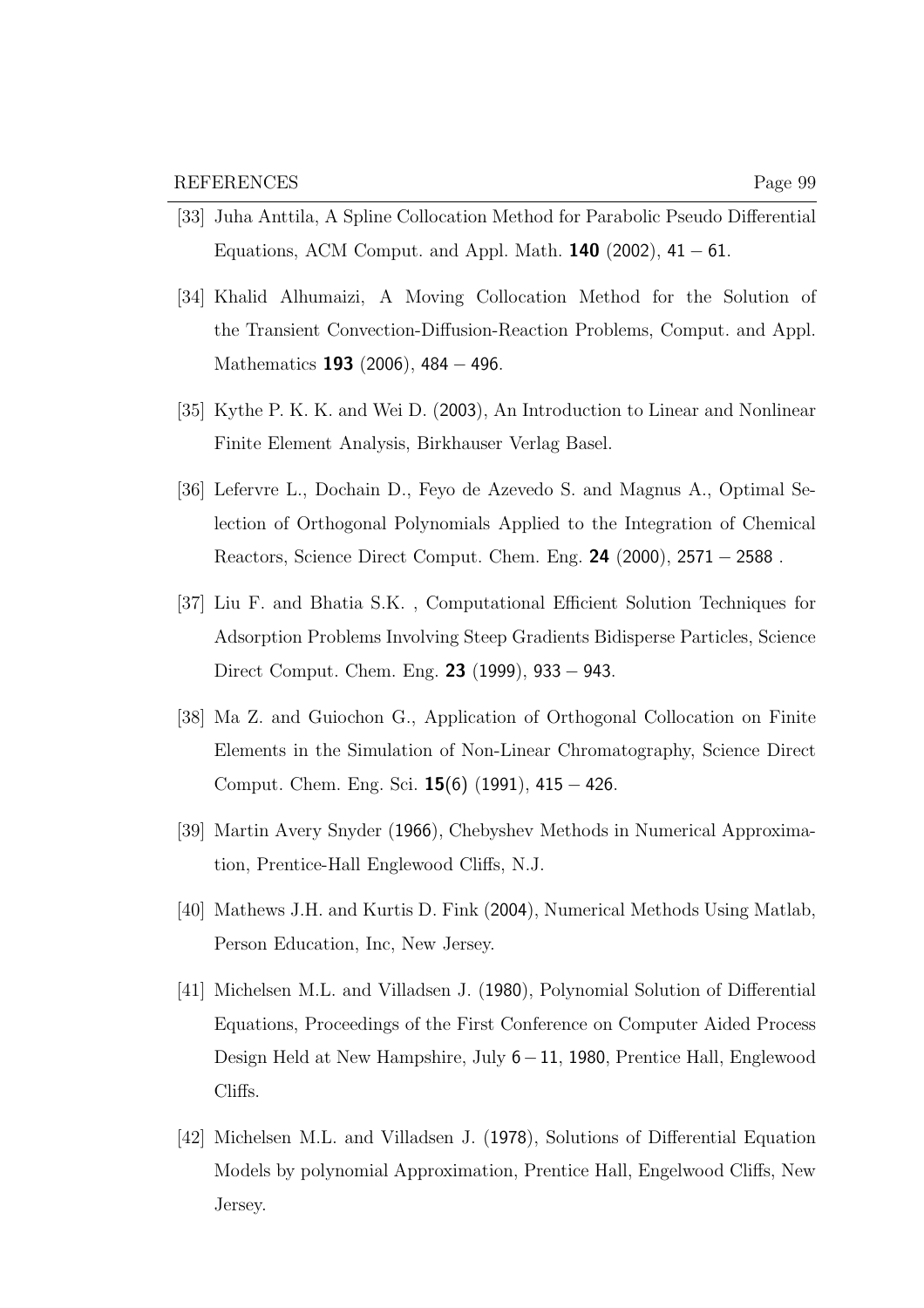- [34] Khalid Alhumaizi, A Moving Collocation Method for the Solution of the Transient Convection-Diffusion-Reaction Problems, Comput. and Appl. Mathematics **193** (2006), 484 − 496.
- [35] Kythe P. K. K. and Wei D. (2003), An Introduction to Linear and Nonlinear Finite Element Analysis, Birkhauser Verlag Basel.
- [36] Lefervre L., Dochain D., Feyo de Azevedo S. and Magnus A., Optimal Selection of Orthogonal Polynomials Applied to the Integration of Chemical Reactors, Science Direct Comput. Chem. Eng. 24 (2000), 2571 − 2588 .
- [37] Liu F. and Bhatia S.K. , Computational Efficient Solution Techniques for Adsorption Problems Involving Steep Gradients Bidisperse Particles, Science Direct Comput. Chem. Eng. 23 (1999), 933 − 943.
- [38] Ma Z. and Guiochon G., Application of Orthogonal Collocation on Finite Elements in the Simulation of Non-Linear Chromatography, Science Direct Comput. Chem. Eng. Sci. 15(6) (1991), 415 − 426.
- [39] Martin Avery Snyder (1966), Chebyshev Methods in Numerical Approximation, Prentice-Hall Englewood Cliffs, N.J.
- [40] Mathews J.H. and Kurtis D. Fink (2004), Numerical Methods Using Matlab, Person Education, Inc, New Jersey.
- [41] Michelsen M.L. and Villadsen J. (1980), Polynomial Solution of Differential Equations, Proceedings of the First Conference on Computer Aided Process Design Held at New Hampshire, July 6−11, 1980, Prentice Hall, Englewood Cliffs.
- [42] Michelsen M.L. and Villadsen J. (1978), Solutions of Differential Equation Models by polynomial Approximation, Prentice Hall, Engelwood Cliffs, New Jersey.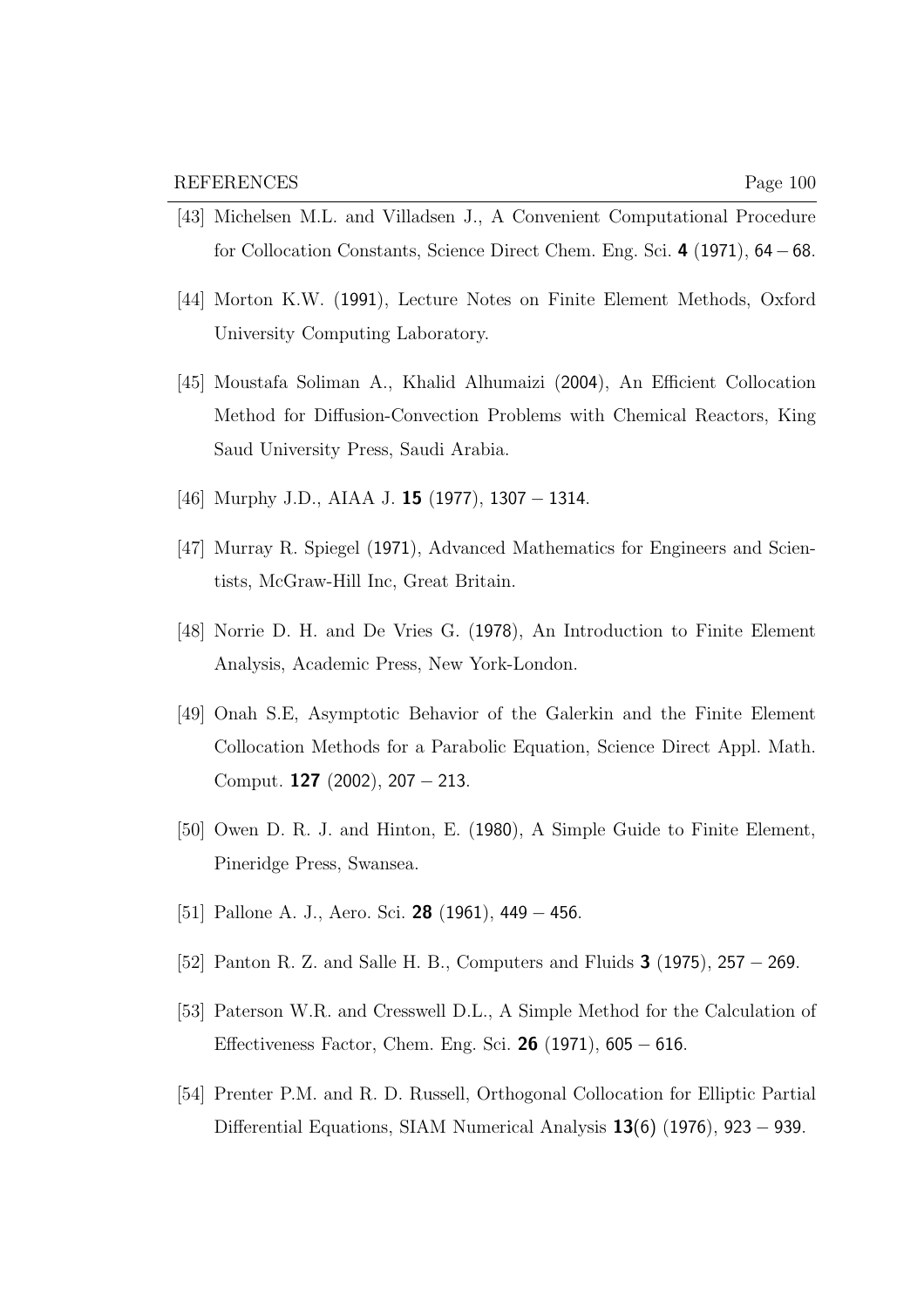- [43] Michelsen M.L. and Villadsen J., A Convenient Computational Procedure for Collocation Constants, Science Direct Chem. Eng. Sci. 4 (1971), 64−68.
- [44] Morton K.W. (1991), Lecture Notes on Finite Element Methods, Oxford University Computing Laboratory.
- [45] Moustafa Soliman A., Khalid Alhumaizi (2004), An Efficient Collocation Method for Diffusion-Convection Problems with Chemical Reactors, King Saud University Press, Saudi Arabia.
- [46] Murphy J.D., AIAA J. **15** (1977), 1307 − 1314.
- [47] Murray R. Spiegel (1971), Advanced Mathematics for Engineers and Scientists, McGraw-Hill Inc, Great Britain.
- [48] Norrie D. H. and De Vries G. (1978), An Introduction to Finite Element Analysis, Academic Press, New York-London.
- [49] Onah S.E, Asymptotic Behavior of the Galerkin and the Finite Element Collocation Methods for a Parabolic Equation, Science Direct Appl. Math. Comput. **127** (2002), 207 – 213.
- [50] Owen D. R. J. and Hinton, E. (1980), A Simple Guide to Finite Element, Pineridge Press, Swansea.
- [51] Pallone A. J., Aero. Sci. 28 (1961), 449 − 456.
- [52] Panton R. Z. and Salle H. B., Computers and Fluids 3 (1975), 257 − 269.
- [53] Paterson W.R. and Cresswell D.L., A Simple Method for the Calculation of Effectiveness Factor, Chem. Eng. Sci. 26 (1971), 605 − 616.
- [54] Prenter P.M. and R. D. Russell, Orthogonal Collocation for Elliptic Partial Differential Equations, SIAM Numerical Analysis  $13(6)$  (1976), 923 – 939.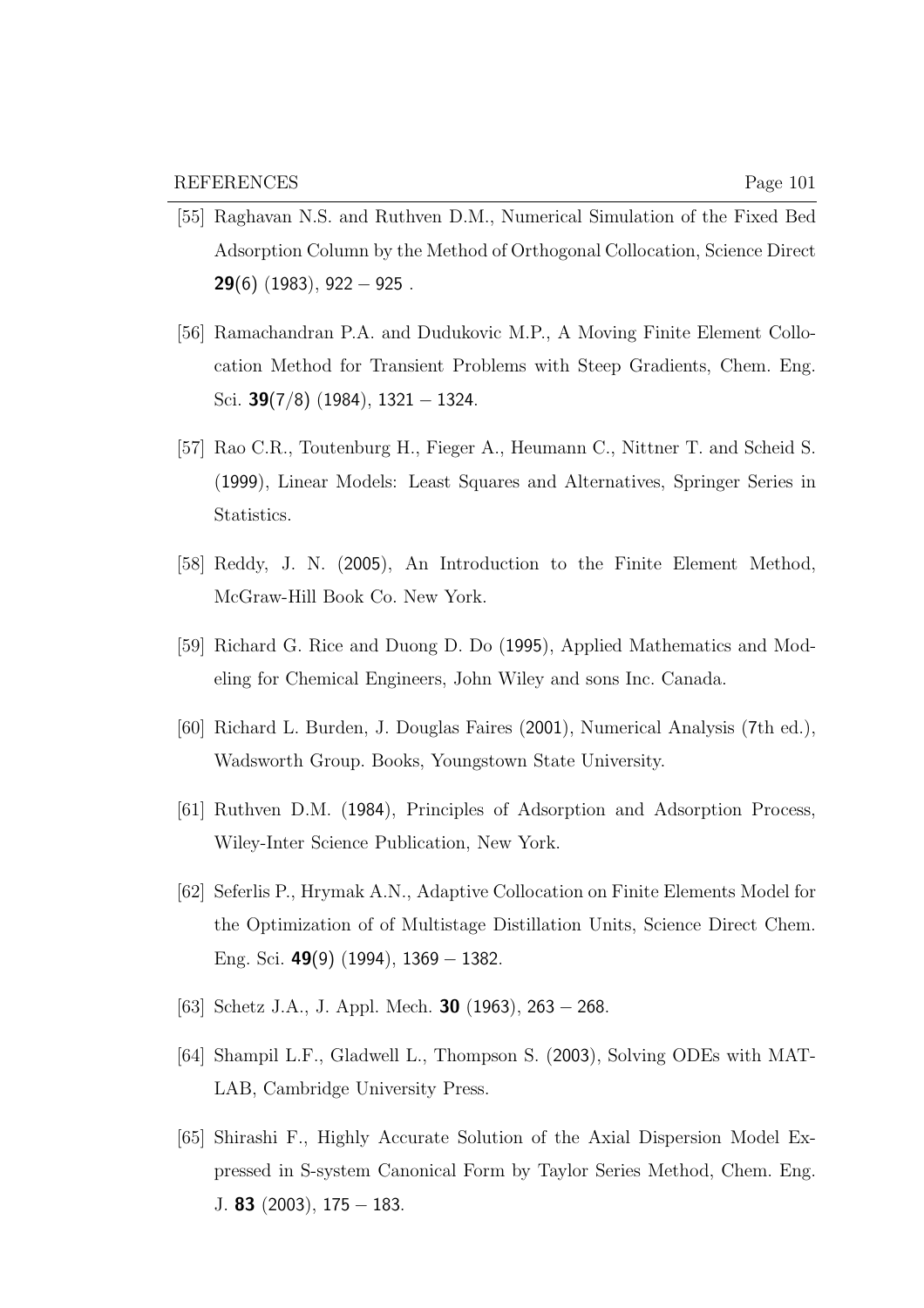- [55] Raghavan N.S. and Ruthven D.M., Numerical Simulation of the Fixed Bed Adsorption Column by the Method of Orthogonal Collocation, Science Direct **29(6)** (1983), 922  $-$  925.
- [56] Ramachandran P.A. and Dudukovic M.P., A Moving Finite Element Collocation Method for Transient Problems with Steep Gradients, Chem. Eng. Sci. 39(7/8) (1984), 1321 − 1324.
- [57] Rao C.R., Toutenburg H., Fieger A., Heumann C., Nittner T. and Scheid S. (1999), Linear Models: Least Squares and Alternatives, Springer Series in Statistics.
- [58] Reddy, J. N. (2005), An Introduction to the Finite Element Method, McGraw-Hill Book Co. New York.
- [59] Richard G. Rice and Duong D. Do (1995), Applied Mathematics and Modeling for Chemical Engineers, John Wiley and sons Inc. Canada.
- [60] Richard L. Burden, J. Douglas Faires (2001), Numerical Analysis (7th ed.), Wadsworth Group. Books, Youngstown State University.
- [61] Ruthven D.M. (1984), Principles of Adsorption and Adsorption Process, Wiley-Inter Science Publication, New York.
- [62] Seferlis P., Hrymak A.N., Adaptive Collocation on Finite Elements Model for the Optimization of of Multistage Distillation Units, Science Direct Chem. Eng. Sci. 49(9) (1994), 1369 − 1382.
- [63] Schetz J.A., J. Appl. Mech. **30** (1963), 263 268.
- [64] Shampil L.F., Gladwell L., Thompson S. (2003), Solving ODEs with MAT-LAB, Cambridge University Press.
- [65] Shirashi F., Highly Accurate Solution of the Axial Dispersion Model Expressed in S-system Canonical Form by Taylor Series Method, Chem. Eng. J. 83  $(2003)$ , 175 – 183.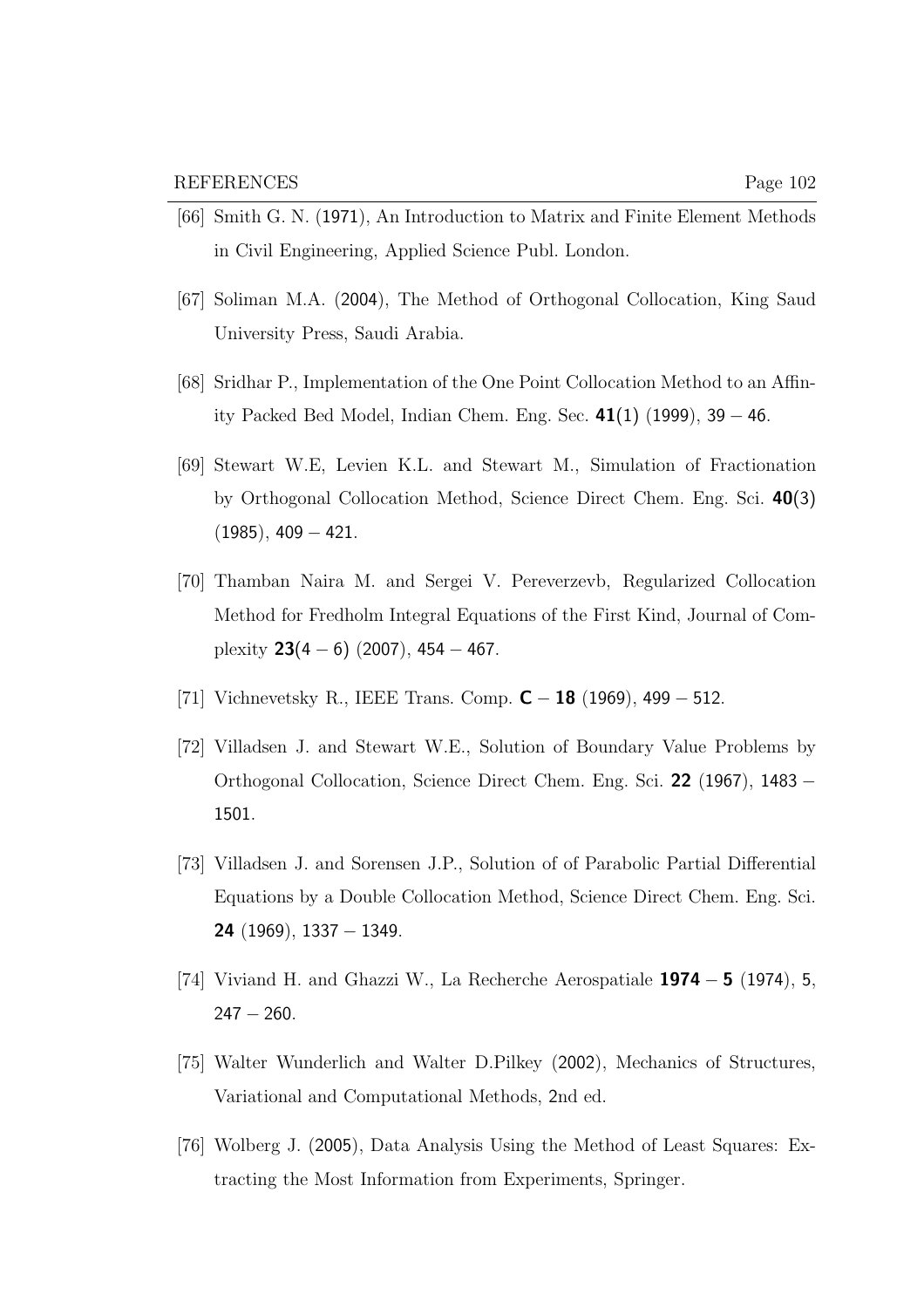- [66] Smith G. N. (1971), An Introduction to Matrix and Finite Element Methods in Civil Engineering, Applied Science Publ. London.
- [67] Soliman M.A. (2004), The Method of Orthogonal Collocation, King Saud University Press, Saudi Arabia.
- [68] Sridhar P., Implementation of the One Point Collocation Method to an Affinity Packed Bed Model, Indian Chem. Eng. Sec.  $41(1)$  (1999), 39 – 46.
- [69] Stewart W.E, Levien K.L. and Stewart M., Simulation of Fractionation by Orthogonal Collocation Method, Science Direct Chem. Eng. Sci. 40(3)  $(1985), 409 - 421.$
- [70] Thamban Naira M. and Sergei V. Pereverzevb, Regularized Collocation Method for Fredholm Integral Equations of the First Kind, Journal of Complexity  $23(4-6)$  (2007), 454 – 467.
- [71] Vichnevetsky R., IEEE Trans. Comp.  $C 18$  (1969), 499 512.
- [72] Villadsen J. and Stewart W.E., Solution of Boundary Value Problems by Orthogonal Collocation, Science Direct Chem. Eng. Sci. 22 (1967), 1483 − 1501.
- [73] Villadsen J. and Sorensen J.P., Solution of of Parabolic Partial Differential Equations by a Double Collocation Method, Science Direct Chem. Eng. Sci. 24 (1969), 1337 − 1349.
- [74] Viviand H. and Ghazzi W., La Recherche Aerospatiale  $1974 5$  (1974), 5,  $247 - 260$ .
- [75] Walter Wunderlich and Walter D.Pilkey (2002), Mechanics of Structures, Variational and Computational Methods, 2nd ed.
- [76] Wolberg J. (2005), Data Analysis Using the Method of Least Squares: Extracting the Most Information from Experiments, Springer.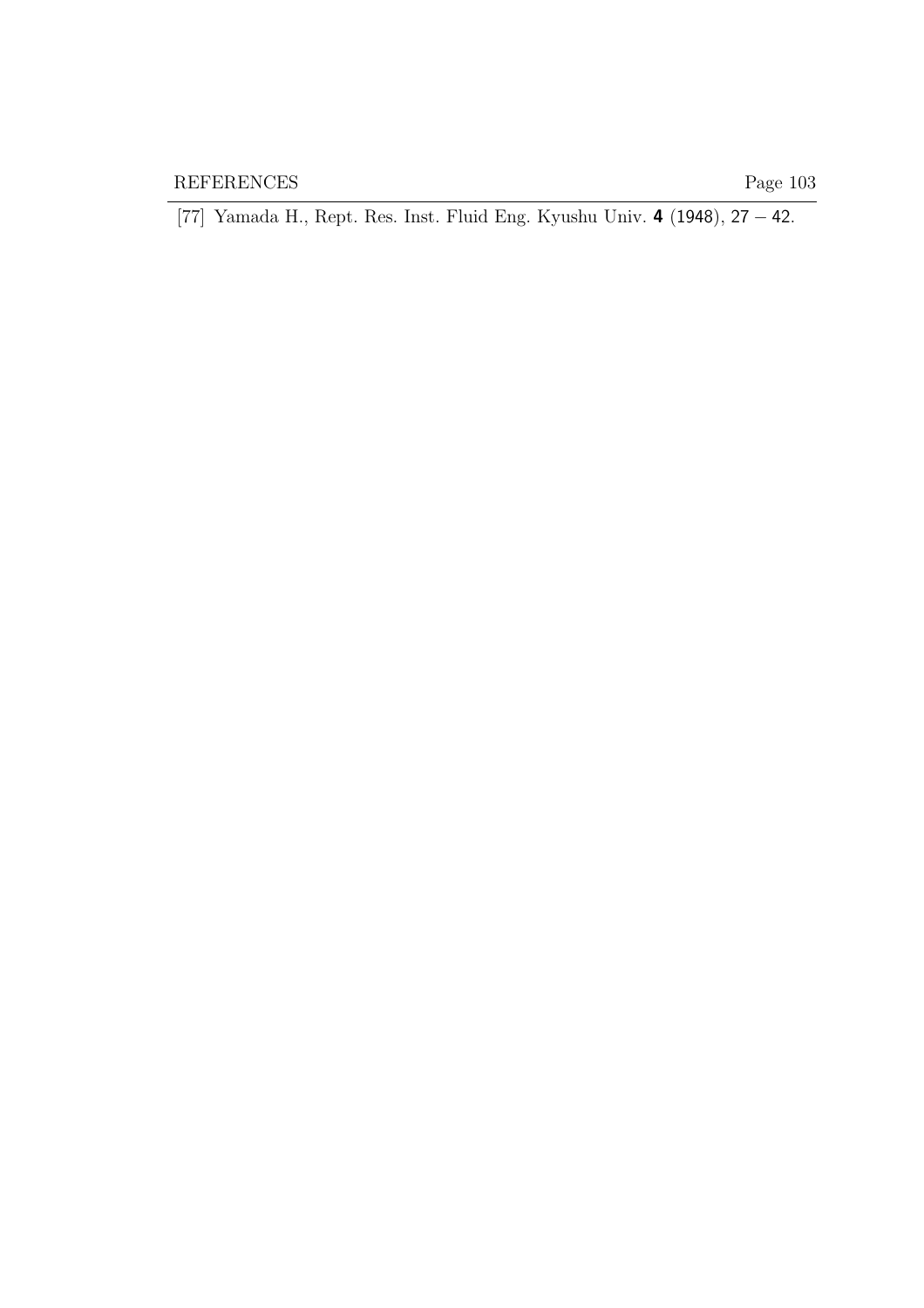[77] Yamada H., Rept. Res. Inst. Fluid Eng. Kyushu Univ. 4 (1948), 27 − 42.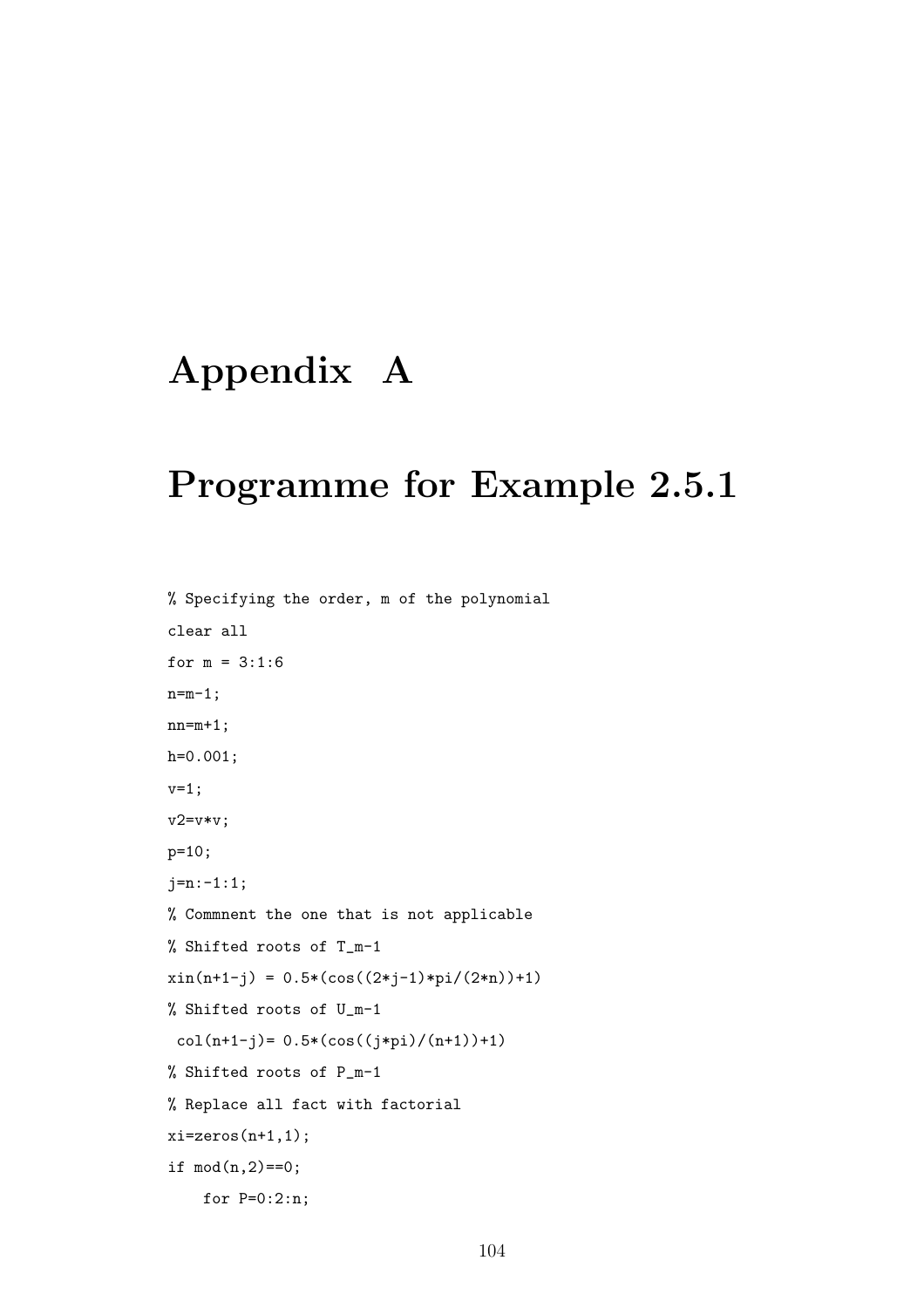# Appendix A

# Programme for Example 2.5.1

```
% Specifying the order, m of the polynomial
clear all
for m = 3:1:6n=m-1;
nn=m+1;
h=0.001;
v=1;
v2=v*v;
p=10;
j=n:-1:1;
% Commnent the one that is not applicable
% Shifted roots of T_m-1
xin(n+1-j) = 0.5 * (cos((2 * j-1) * pi/(2*n)) + 1)% Shifted roots of U_m-1
 col(n+1-j)= 0.5*(cos((j*pi)/(n+1))+1)% Shifted roots of P_m-1
% Replace all fact with factorial
xi=zeros(n+1,1);if mod(n, 2) == 0;
    for P=0:2:n;
```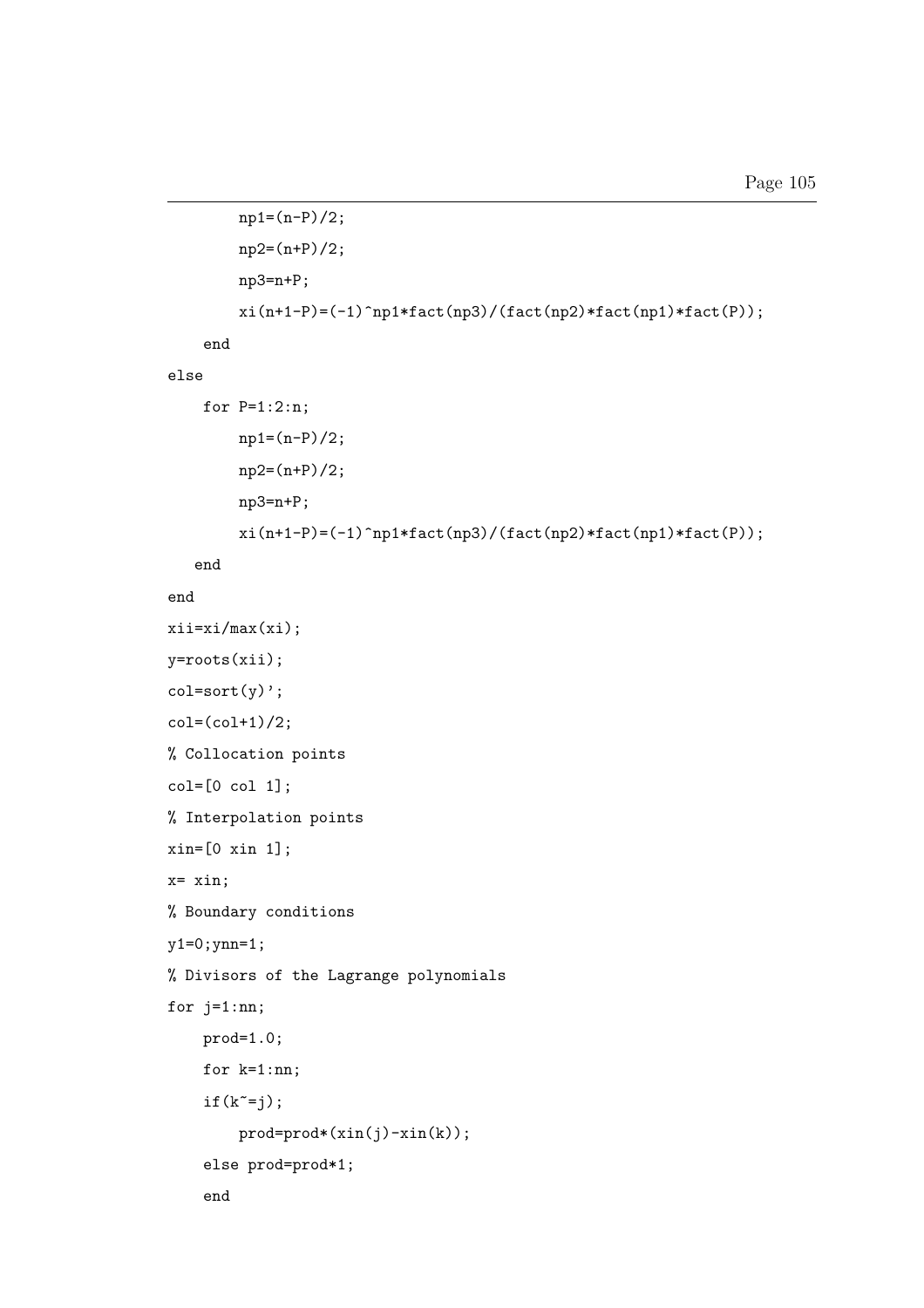```
np1=(n-P)/2;
        np2=(n+P)/2;
        np3=n+P;
        \verb|xi(n+1-P)=(-1)^n\verb|np1*factor(np3)/(fact(np2)*fact(np1)*fact(P));end
else
    for P=1:2:n;
        np1=(n-P)/2;np2=(n+P)/2;
        np3=n+P;
        xi(n+1-P)=(-1)\hat{m}1*fact(np3)/(fact(np2)*fact(np1)*fact(P));end
end
xii=xi/max(xi);
y=roots(xii);
col=sort(y);
col=(col+1)/2;% Collocation points
col=[0 col 1];
% Interpolation points
xin=[0 xin 1];
x= xin;
% Boundary conditions
y1=0;ynn=1;
% Divisors of the Lagrange polynomials
for j=1:nn;
    prod=1.0;
    for k=1:nn;
    if(k^{\sim}=j);prod=prod*(xin(j)-xin(k));else prod=prod*1;
    end
```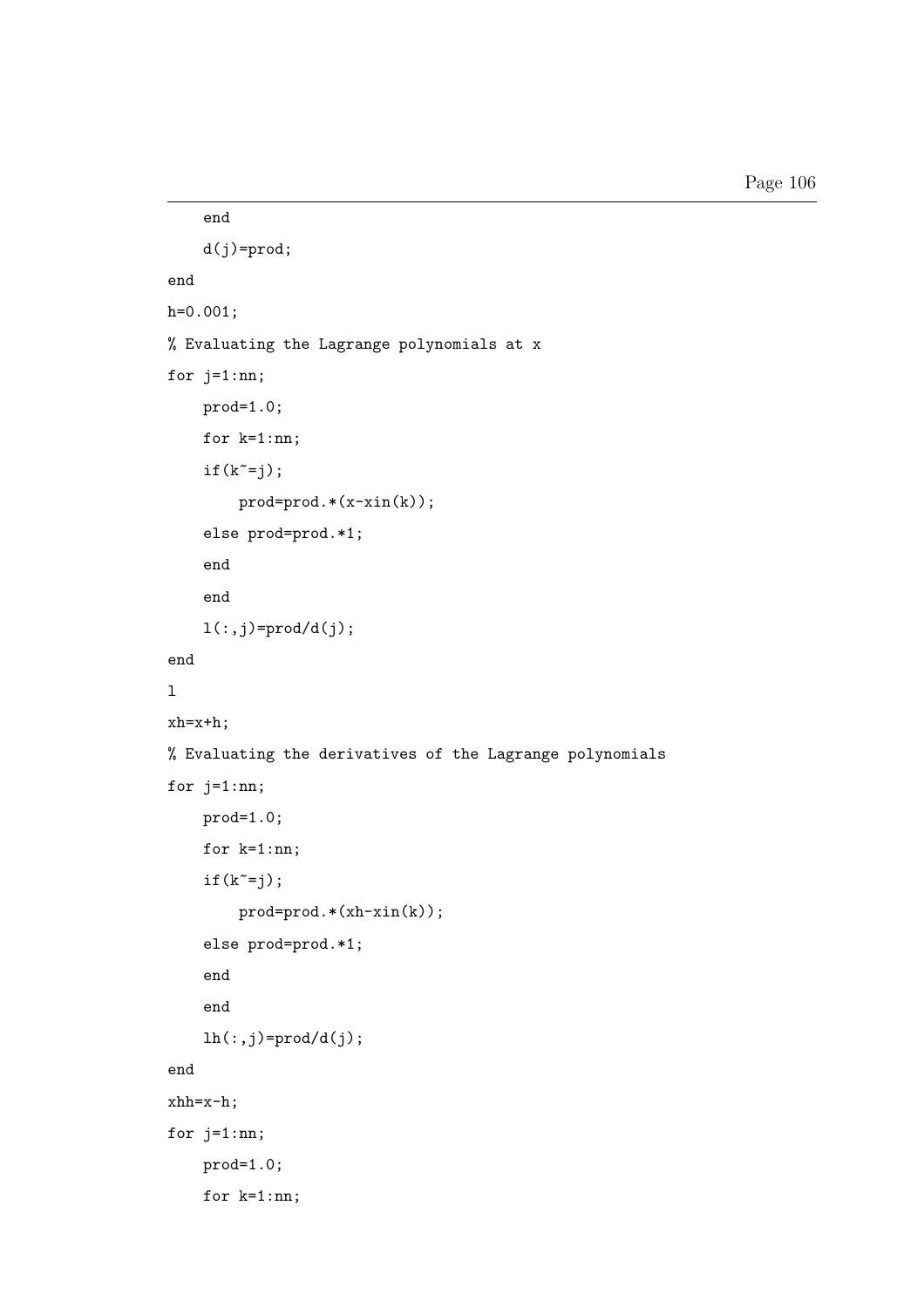```
end
    d(j)=prod;
end
h=0.001;
% Evaluating the Lagrange polynomials at x
for j=1:nn;
    prod=1.0;
    for k=1:nn;
    if(k^=j);prod=prod.*(x-xin(k));
    else prod=prod.*1;
    end
    end
    l(:,j)=\text{prod}/d(j);end
\mathbf{1}xh=x+h;
% Evaluating the derivatives of the Lagrange polynomials
for j=1:nn;
    prod=1.0;
    for k=1:nn;
    if(k^{\sim}=i);prod=prod.*(xh-xin(k));
    else prod=prod.*1;
    end
    end
    lh(:,j)=\text{prod}/d(j);end
xhh=x-h;
for j=1:nn;prod=1.0;
    for k=1:nn;
```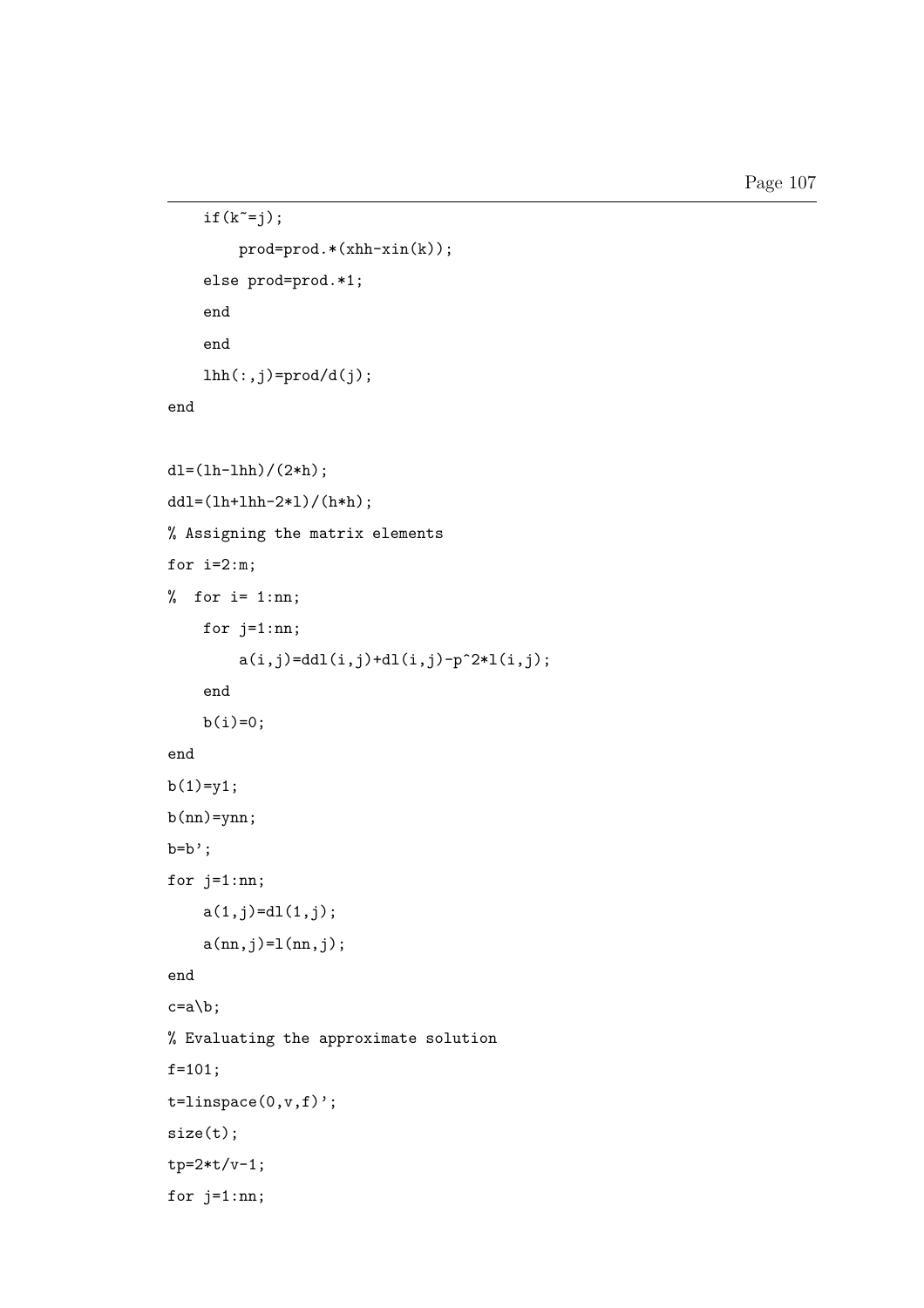```
if(k^=j);prod=prod.*(xhh-xin(k));
    else prod=prod.*1;
    end
    end
    lhh(:,j)=prod/d(j);end
dl=(lh-lhh)/(2*h);dd1=(1h+1hh-2*1)/(h*h);% Assigning the matrix elements
for i=2:m;
% for i= 1:nn;
    for j=1:nn;
        a(i,j)=ddl(i,j)+dl(i,j)-p^2*l(i,j);end
    b(i)=0;end
b(1)=y1;b(nn)=ynn;b=b;
for j=1:nn;
    a(1,j)=d1(1,j);a(nn,j)=l(nn,j);end
c=a\backslash b;
% Evaluating the approximate solution
f=101;
t =linspace(0, v, f)';
size(t);
tp=2*t/v-1;
for j=1:nn;
```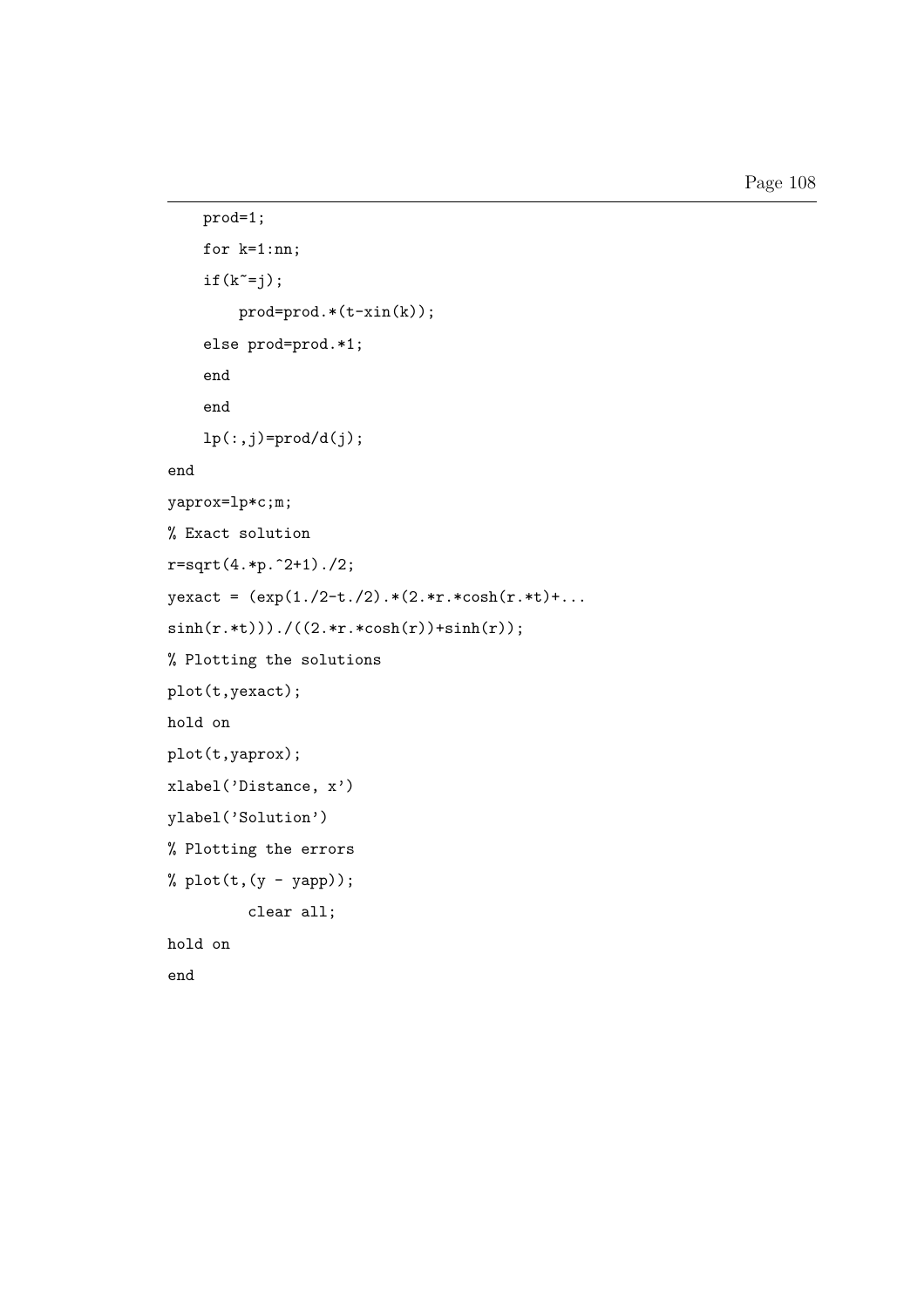```
prod=1;
    for k=1:nn;
    if(k^{\sim}=j);prod=prod.*(t-xin(k));
    else prod=prod.*1;
    end
    end
    lp(:,j)=prod/d(j);end
yaprox=lp*c;m;
% Exact solution
r = sqrt(4.*p.^2+1)./2;
yexact = (exp(1./2-t./2).*(2.*r.*cosh(r.*t)+...sinh(r.*t))./((2.*r.*cosh(r))+sinh(r);
% Plotting the solutions
plot(t,yexact);
hold on
plot(t,yaprox);
xlabel('Distance, x')
ylabel('Solution')
% Plotting the errors
% plot(t, (y - yapp));clear all;
hold on
end
```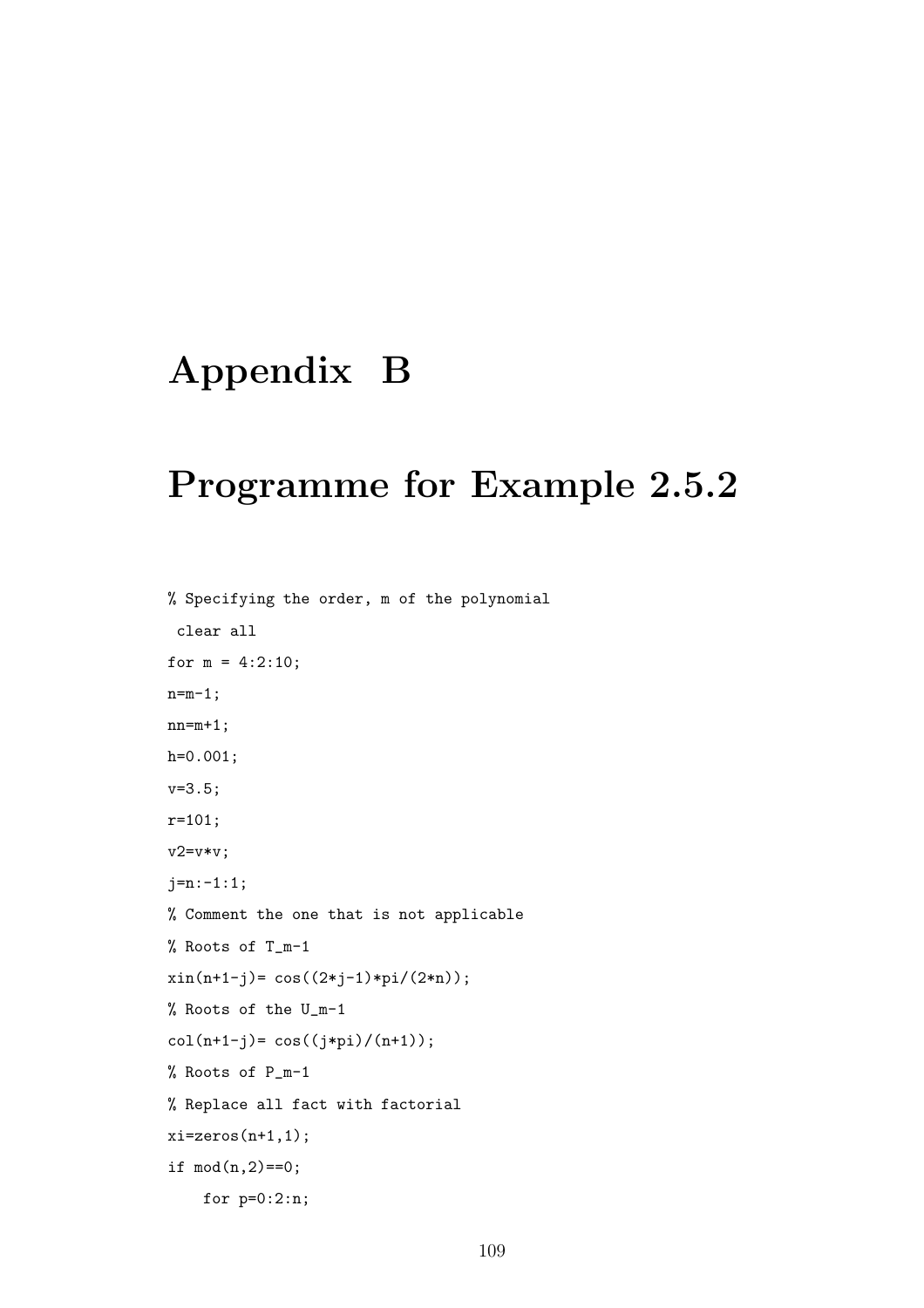# Appendix B

## Programme for Example 2.5.2

% Specifying the order, m of the polynomial clear all for  $m = 4:2:10$ ;  $n=m-1$ ;  $nn=m+1;$ h=0.001; v=3.5; r=101; v2=v\*v; j=n:-1:1; % Comment the one that is not applicable % Roots of T\_m-1  $xin(n+1-j) = cos((2+j-1)*pi/(2*n));$ % Roots of the U\_m-1  $col(n+1-j) = cos((j*pi)/(n+1));$ % Roots of P\_m-1 % Replace all fact with factorial  $xi=zeros(n+1,1);$ if  $mod(n, 2) == 0;$ for p=0:2:n;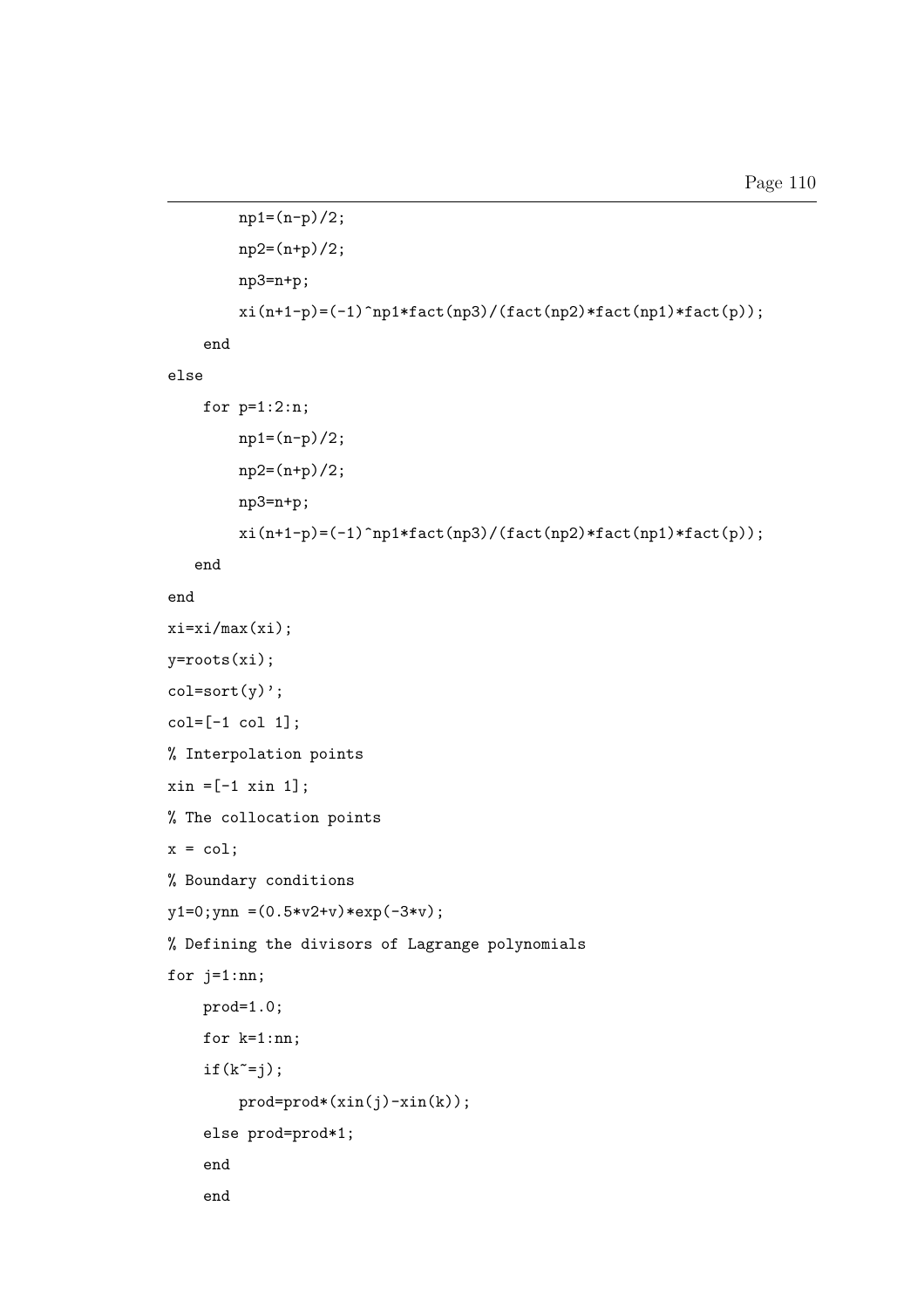```
np1=(n-p)/2;
        np2=(n+p)/2;
        np3=n+p;
        \verb|xi(n+1-p)=(-1)^np1*fact(np3)/(fact(np2)*fact(np1)*fact(p));end
else
    for p=1:2:n;
        np1=(n-p)/2;
        np2=(n+p)/2;
        np3=n+p;
        xi(n+1-p)=(-1)\hat{m}1*fact(np3)/(fact(np2)*fact(np1)*fact(p));end
end
xi=xi/max(xi);
y=roots(xi);
col=sort(y);
col=[-1 col 1];% Interpolation points
xin = [-1 xin 1];% The collocation points
x = col;% Boundary conditions
y1=0; ynn = (0.5*v2+v)*exp(-3*v);% Defining the divisors of Lagrange polynomials
for j=1:nn;
    prod=1.0;
    for k=1:nn;
    if(k^{\sim}=j);prod=prod*(xin(j)-xin(k));
    else prod=prod*1;
    end
    end
```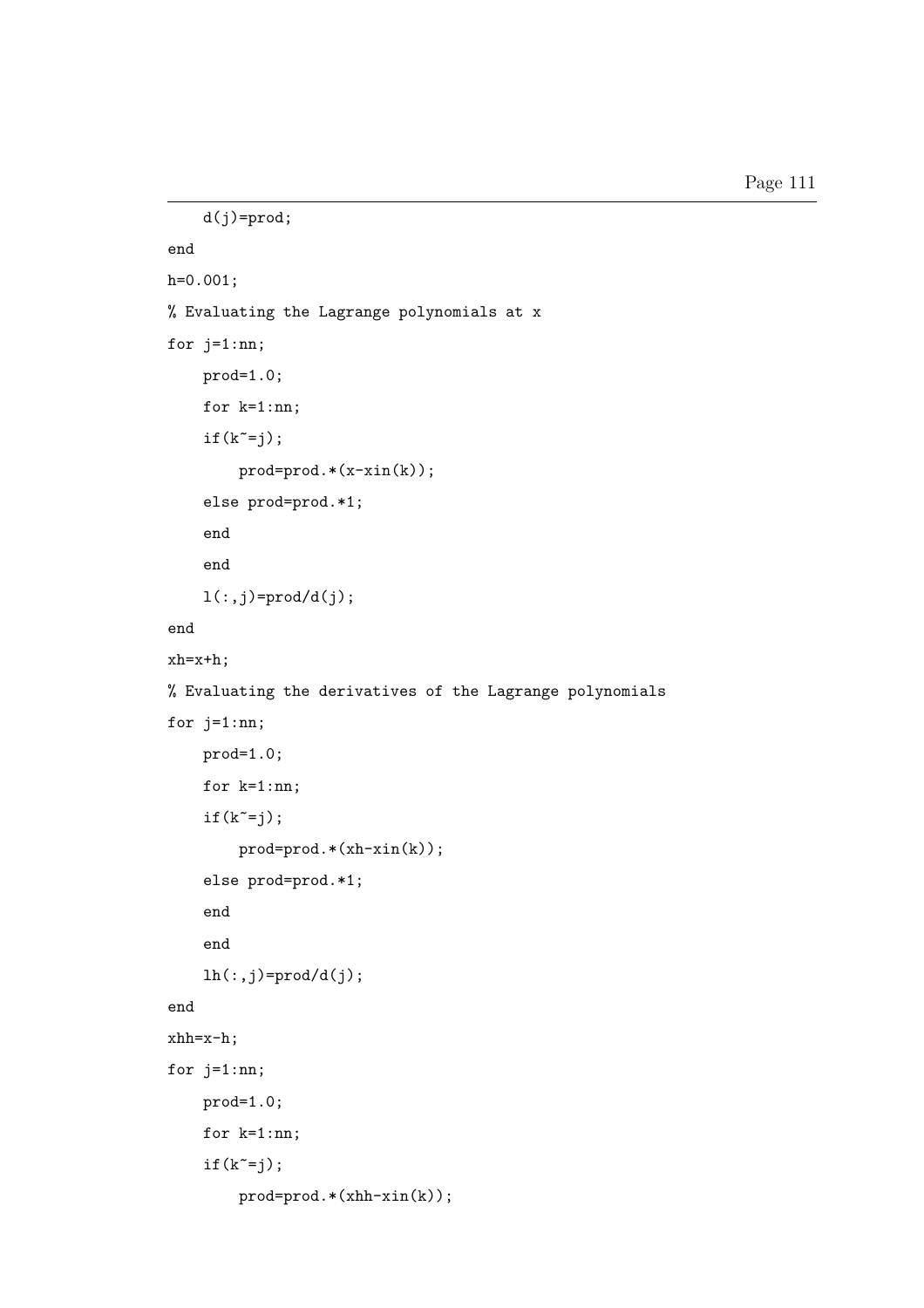```
d(j)=prod;
end
h=0.001;
% Evaluating the Lagrange polynomials at x
for j=1:nn;
    prod=1.0;
    for k=1:nn;
    if(k^=j);prod=prod.*(x-xin(k));
    else prod=prod.*1;
    end
    end
    l(:,j)=\text{prod}/d(j);end
xh=x+h;
% Evaluating the derivatives of the Lagrange polynomials
for j=1:nn;
    prod=1.0;
    for k=1:nn;
    if(k^=j);prod=prod.*(xh-xin(k));
    else prod=prod.*1;
    end
    end
    lh(:,j)=\text{prod}/d(j);end
xhh=x-h;
for j=1:nn;
    prod=1.0;
    for k=1:nn;
    if(k^{\sim}=j);prod=prod.*(xhh-xin(k));
```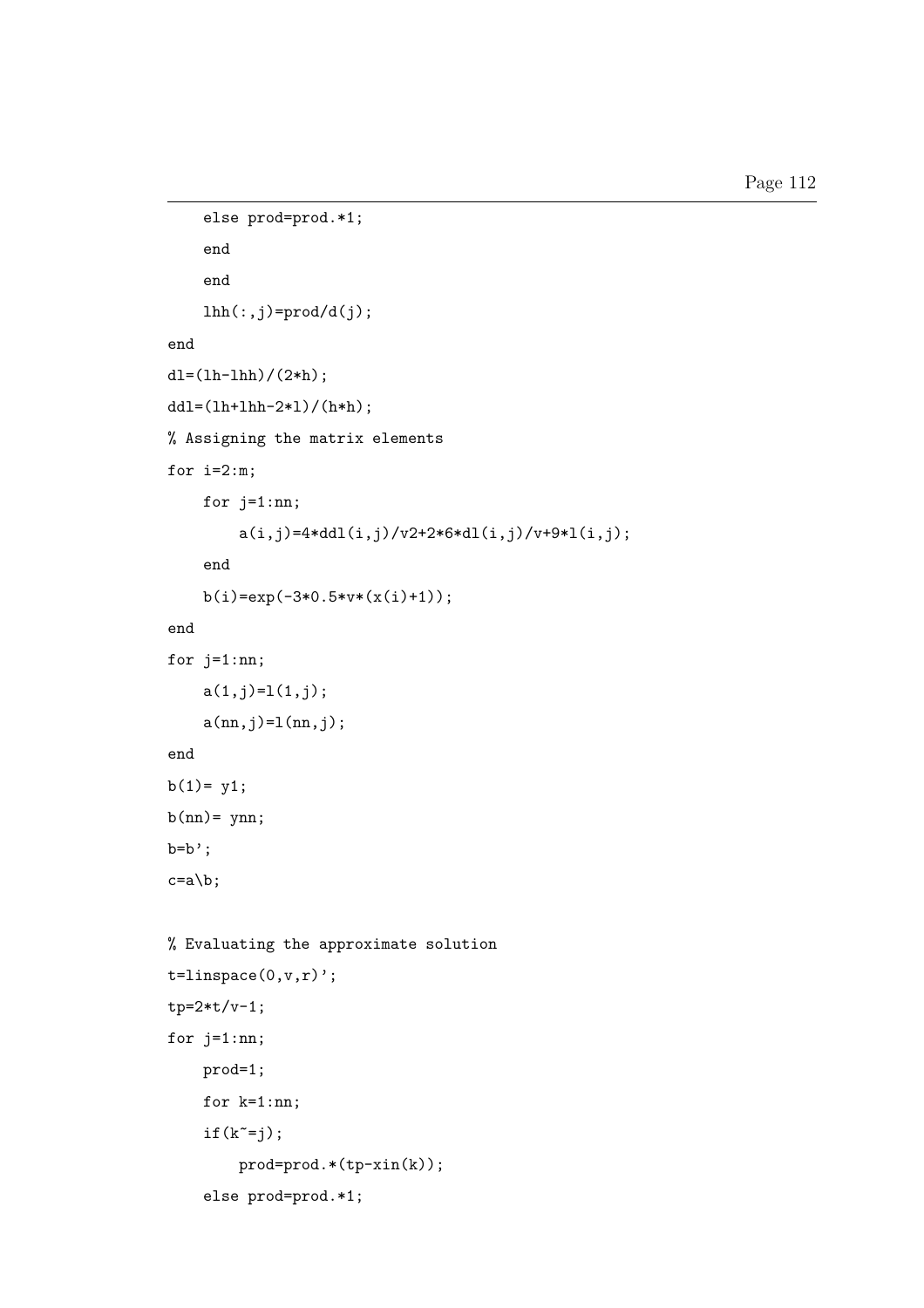```
else prod=prod.*1;
    end
    end
    lhh(:,j)=prod(d(j);end
dl=(lh-lhh)/(2*h);ddl=(lh+lhh-2*l)/(h*h);
% Assigning the matrix elements
for i=2:m;
    for j=1:nn;a(i,j)=4*ddl(i,j)/v2+2*6*dl(i,j)/v+9*l(i,j);end
    b(i)=exp(-3*0.5*v*(x(i)+1));
end
for j=1:nn;
    a(1,j)=1(1,j);a(nn,j)=1(nn,j);end
b(1) = y1;b(nn)= ynn;
b=b;
c=ab:
% Evaluating the approximate solution
t=linspace(0,v,r)';
tp=2*t/v-1;
for j=1:nn;
    prod=1;
    for k=1:nn;
    if(k^{\sim}=j);prod=prod.*(tp-xin(k));
    else prod=prod.*1;
```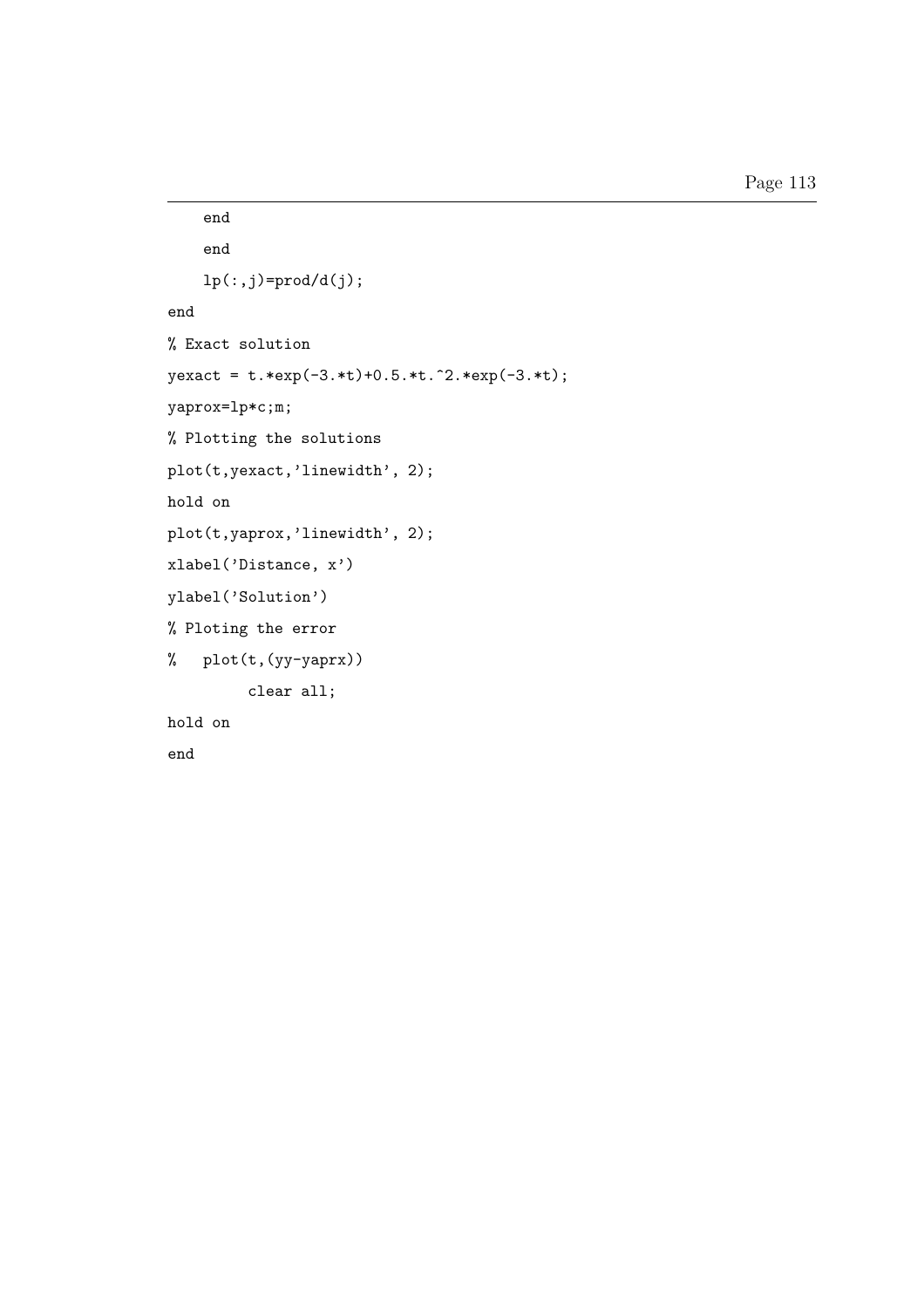```
end
    end
    lp(:,j)=\text{prod}/d(j);end
% Exact solution
yexact = t.*exp(-3.*t)+0.5.*t.^2.*exp(-3.*t);
yaprox=lp*c;m;
% Plotting the solutions
plot(t,yexact,'linewidth', 2);
hold on
plot(t,yaprox,'linewidth', 2);
xlabel('Distance, x')
ylabel('Solution')
% Ploting the error
% plot(t,(yy-yaprx))
         clear all;
hold on
end
```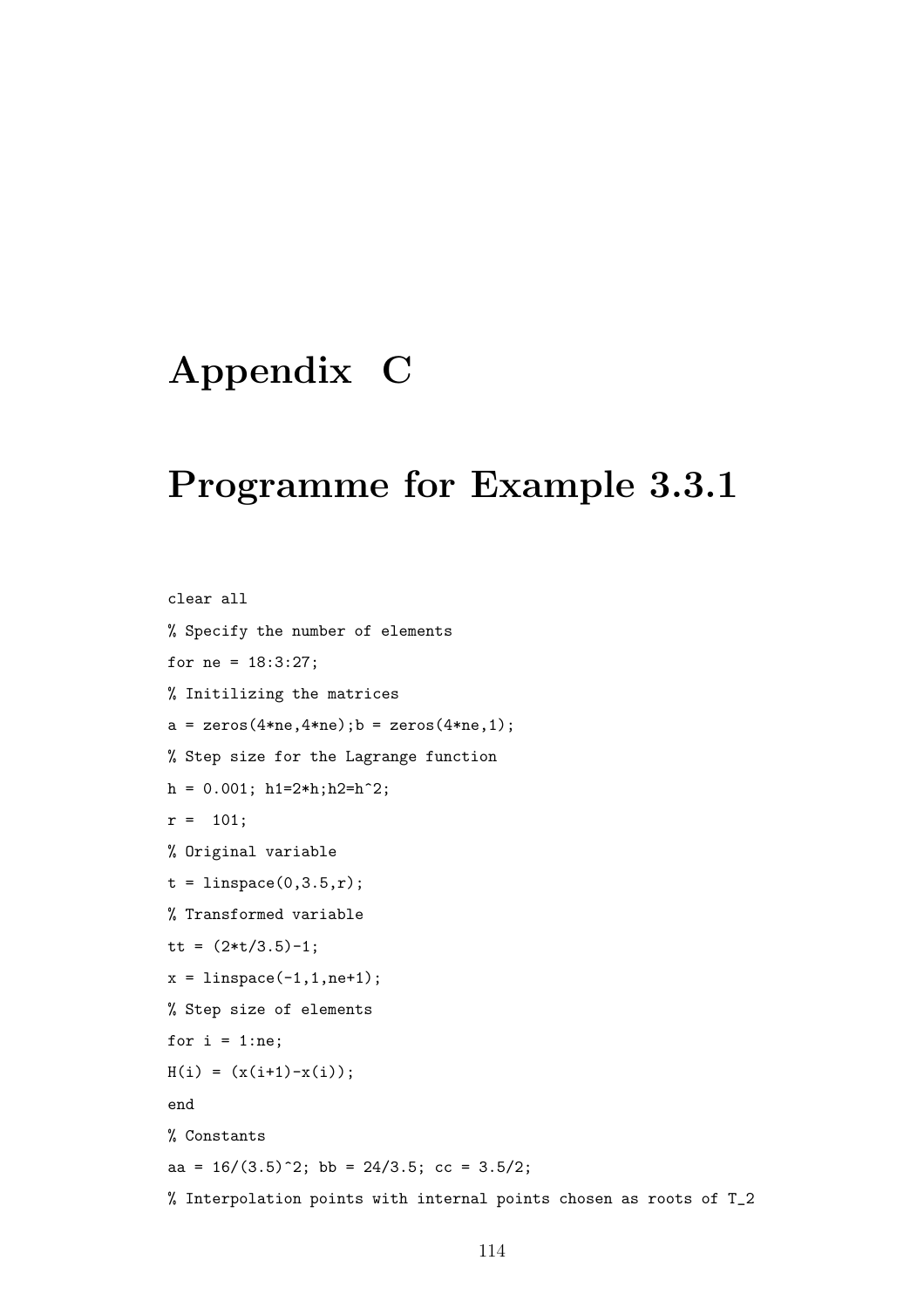# Appendix C

#### Programme for Example 3.3.1

clear all % Specify the number of elements for ne = 18:3:27; % Initilizing the matrices  $a = zeros(4*ne, 4*ne); b = zeros(4*ne, 1);$ % Step size for the Lagrange function  $h = 0.001$ ;  $h1=2*h$ ;  $h2=h^2$ ;  $r = 101;$ % Original variable  $t = 1$ inspace $(0, 3.5, r)$ ; % Transformed variable tt =  $(2*t/3.5)-1;$  $x = 1$ inspace(-1,1,ne+1); % Step size of elements for  $i = 1:ne;$  $H(i) = (x(i+1)-x(i));$ end % Constants aa =  $16/(3.5)^2$ ; bb =  $24/3.5$ ; cc =  $3.5/2$ ; % Interpolation points with internal points chosen as roots of T\_2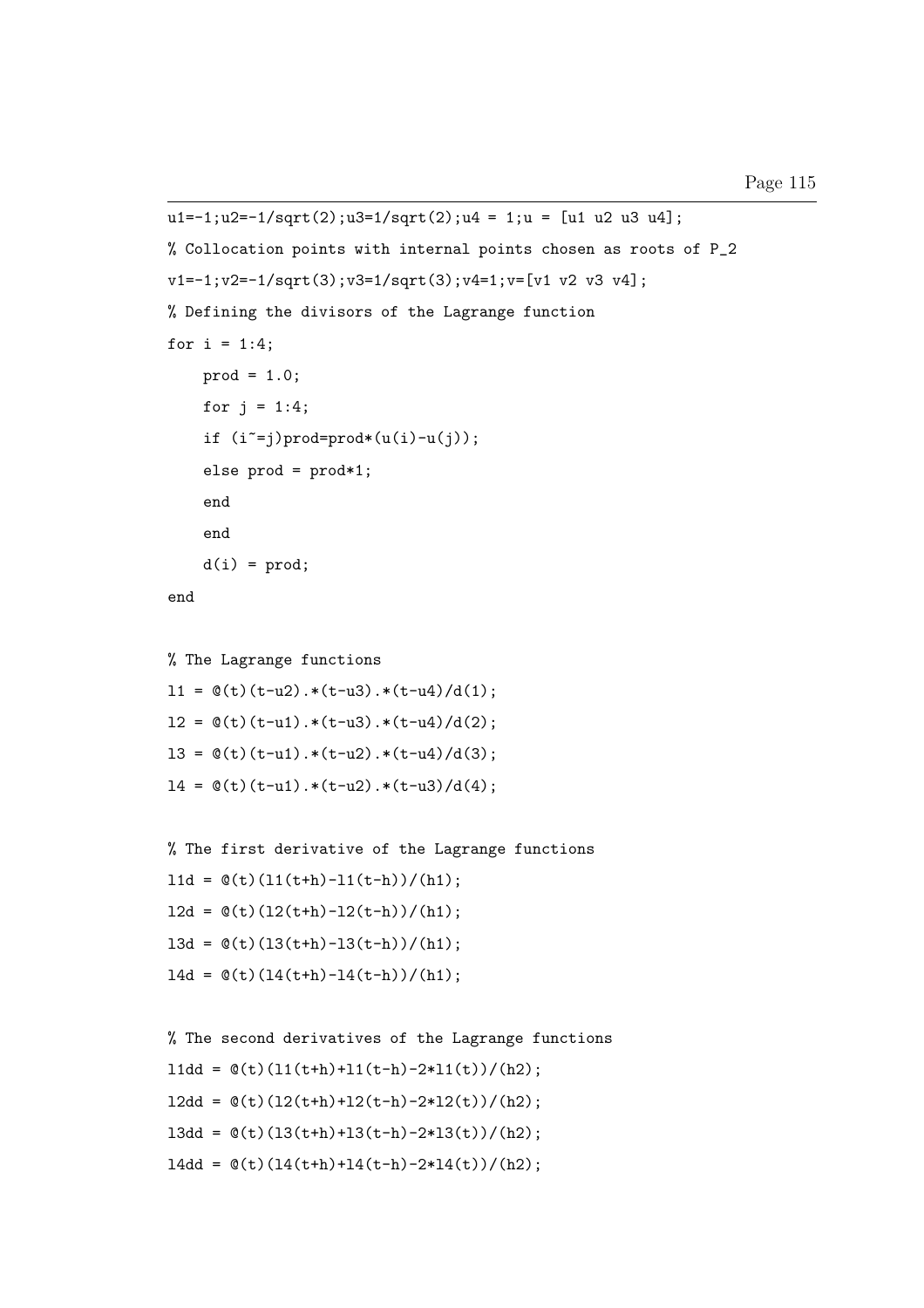```
u1=-1;u2=-1/sqrt(2);u3=1/sqrt(2);u4 = 1;u = [u1 u2 u3 u4];% Collocation points with internal points chosen as roots of P_2
v1=-1; v2=-1/sqrt(3); v3=1/sqrt(3); v4=1; v=[v1 v2 v3 v4];% Defining the divisors of the Lagrange function
for i = 1:4;
    prod = 1.0;
    for j = 1:4;
    if (i^*=j)prod=prod*(u(i)-u(j));else prod = prod*1;
    end
    end
    d(i) = prod;end
% The Lagrange functions
11 = \mathcal{O}(t)(t-u2) \cdot * (t-u3) \cdot * (t-u4) / d(1);12 = \mathcal{O}(t)(t-u1) \cdot * (t-u3) \cdot * (t-u4) / d(2);13 = \mathcal{O}(t)(t-u1) \cdot * (t-u2) \cdot * (t-u4) / d(3);14 = \mathcal{O}(t)(t-u1) \cdot * (t-u2) \cdot * (t-u3)/d(4);
```

```
% The first derivative of the Lagrange functions
11d = \mathcal{O}(t)(11(t+h)-11(t-h))/(h1);12d = \mathcal{O}(t)(12(t+h)-12(t-h))/(h1);13d = \mathcal{O}(t)(13(t+h)-13(t-h))/(h1);14d = \mathcal{O}(t)(14(t+h)-14(t-h))/(h1);
```

```
% The second derivatives of the Lagrange functions
l1dd = \mathcal{O}(t)(11(t+h)+11(t-h)-2*11(t))/(h2);12dd = \mathcal{O}(t)(12(t+h)+12(t-h)-2*12(t))/(h2);13dd = Q(t)(13(t+h)+13(t-h)-2*13(t))/(h2);14dd = \mathcal{O}(t)(14(t+h)+14(t-h)-2*14(t))/(h2);
```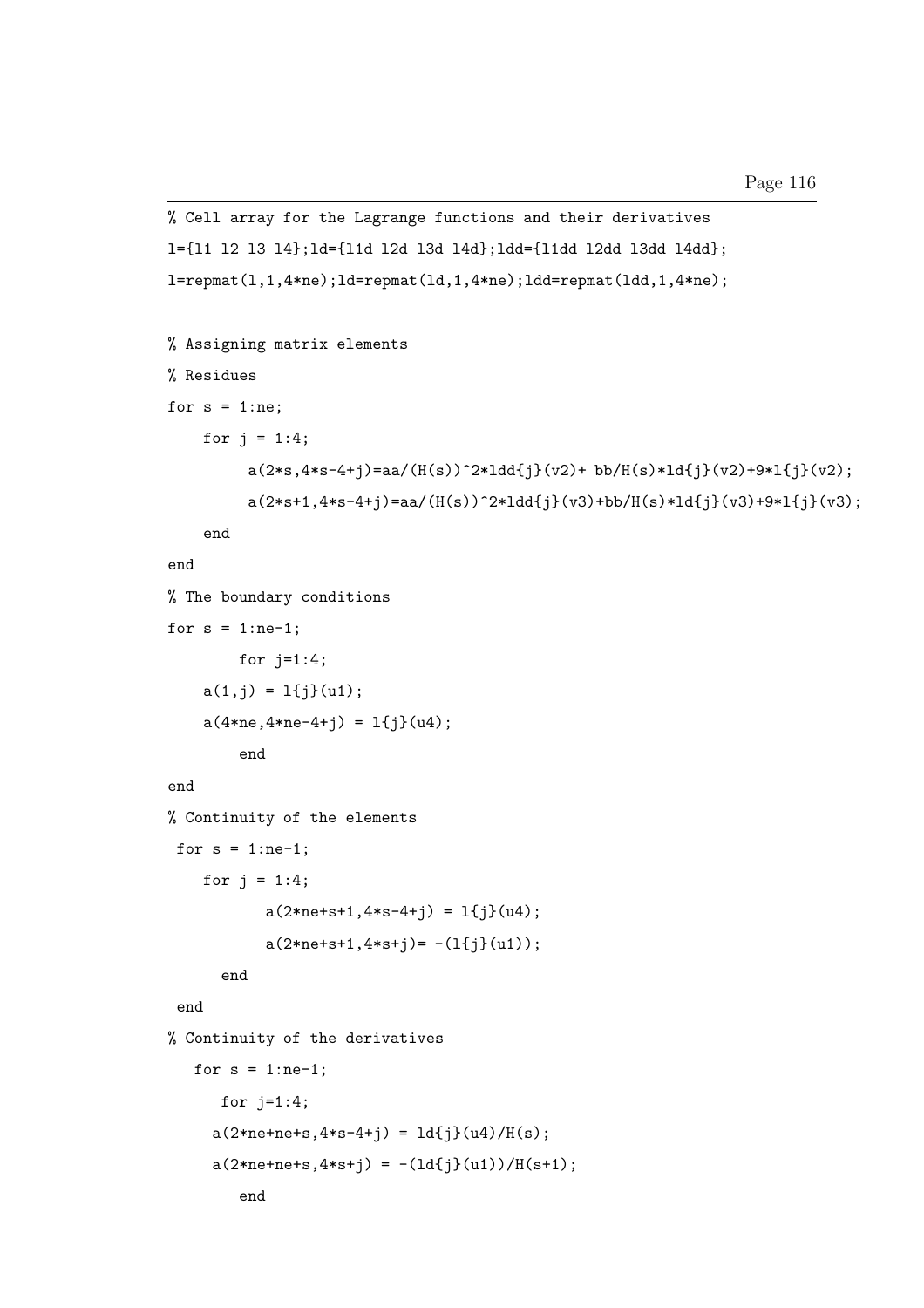```
% Cell array for the Lagrange functions and their derivatives
l={l1 l2 l3 l4};ld={l1d l2d l3d l4d};ldd={l1dd l2dd l3dd l4dd};
l=repmat(1,1,4*n);ld=repmat(1d,1,4*n);ld=repmat(1dd,1,4*n);
% Assigning matrix elements
% Residues
for s = 1:ne;for j = 1:4;
         a(2*s, 4*s-4+j)=aa/(H(s))^2*1dd{j}(v2)+bb/H(s)*ld{j}(v2)+9*1{j}(v2);a(2*s+1,4*s-4+j)=aa/(H(s))^2*1dd{j}(v3)+bb/H(s)*1d{j}(v3)+9*1{j}(v3);end
end
% The boundary conditions
for s = 1:ne-1;
        for j=1:4;
    a(1, j) = 1{j(u1)};a(4*ne, 4*ne-4+j) = 1{j}(u4);end
end
% Continuity of the elements
 for s = 1:ne-1;
    for j = 1:4;
           a(2*ne+s+1, 4*s-4+j) = 1{j}(u4);a(2*ne+s+1, 4*s+j) = -(1{j}(u1));end
 end
% Continuity of the derivatives
   for s = 1:ne-1;
      for j=1:4;
     a(2*ne+ne+s, 4*s-4+i) = 1d{i}(u4)/H(s);a(2*ne+ne+s, 4*s+j) = -(1d{j}(u1))/H(s+1);end
```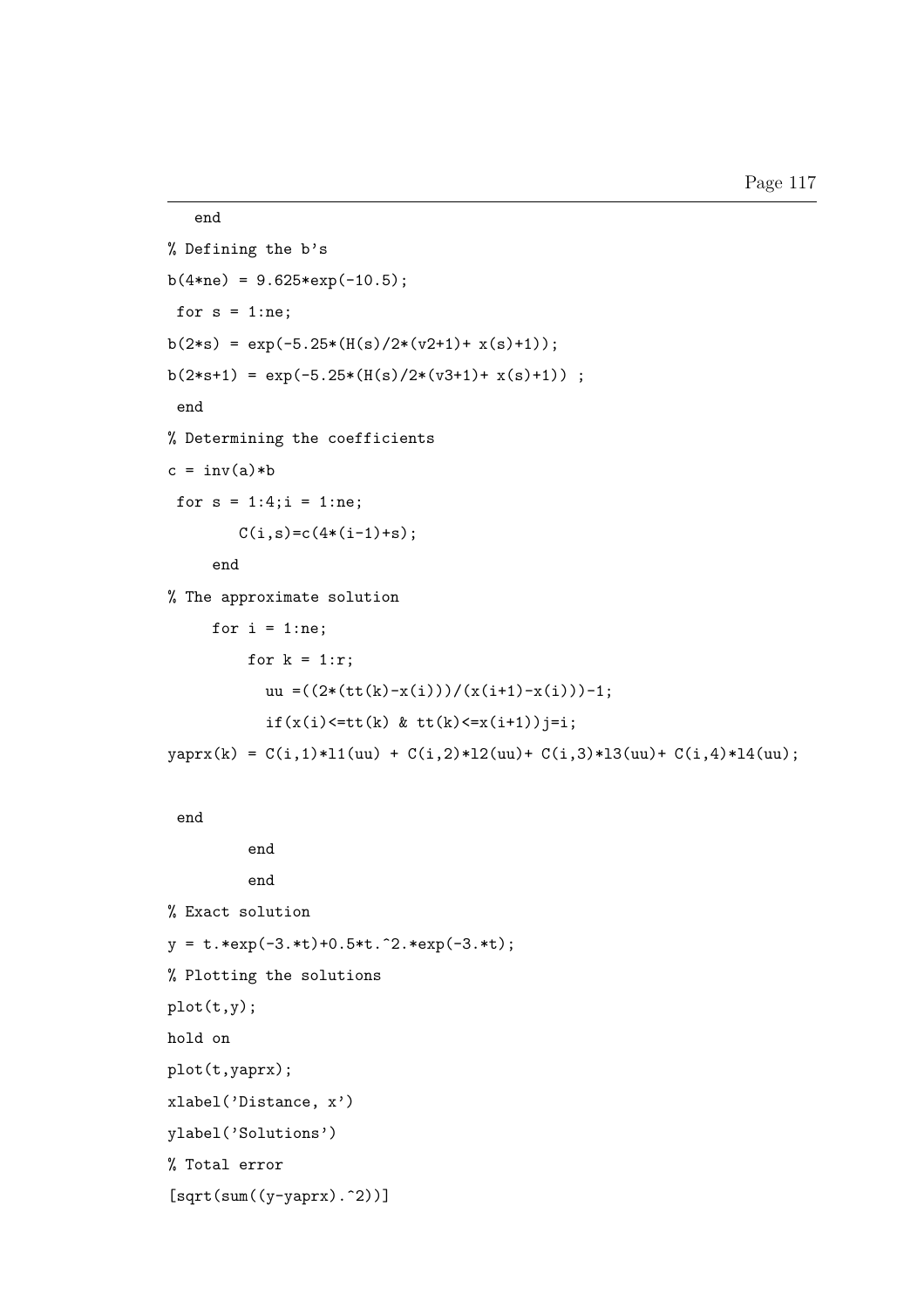```
end
% Defining the b's
b(4\text{*ne}) = 9.625\text{*exp}(-10.5);for s = 1:ne;b(2*s) = exp(-5.25*(H(s)/2*(v2+1)+x(s)+1));b(2*s+1) = exp(-5.25*(H(s)/2*(v3+1)+x(s)+1));
 end
% Determining the coefficients
c = inv(a)*bfor s = 1:4; i = 1:ne;C(i,s)=c(4*(i-1)+s);end
% The approximate solution
     for i = 1:ne;for k = 1:r;uu =((2*(tt(k)-x(i)))/(x(it+1)-x(i)))-1;if(x(i) \leq t t(k) \& t t(k) \leq x(i+1)) j = i;yaprx(k) = C(i,1)*11(uu) + C(i,2)*12(uu) + C(i,3)*13(uu) + C(i,4)*14(uu);end
         end
         end
% Exact solution
y = t.*exp(-3.*t)+0.5*t.^2.*exp(-3.*t);% Plotting the solutions
plot(t,y);
hold on
plot(t,yaprx);
xlabel('Distance, x')
ylabel('Solutions')
% Total error
```

```
[sqrt(sum((y-yaprx).^2))]
```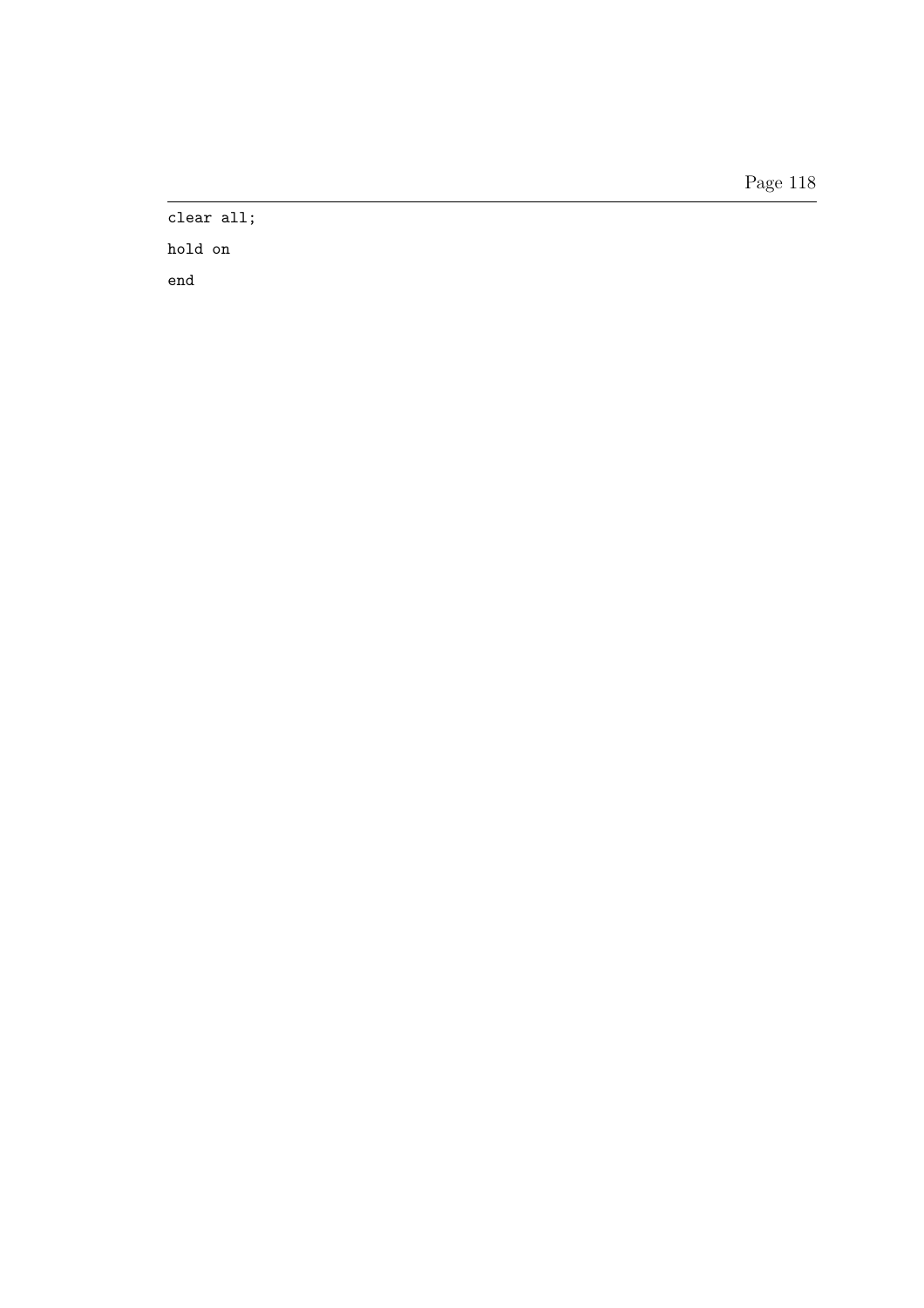Page 118

clear all;

hold on end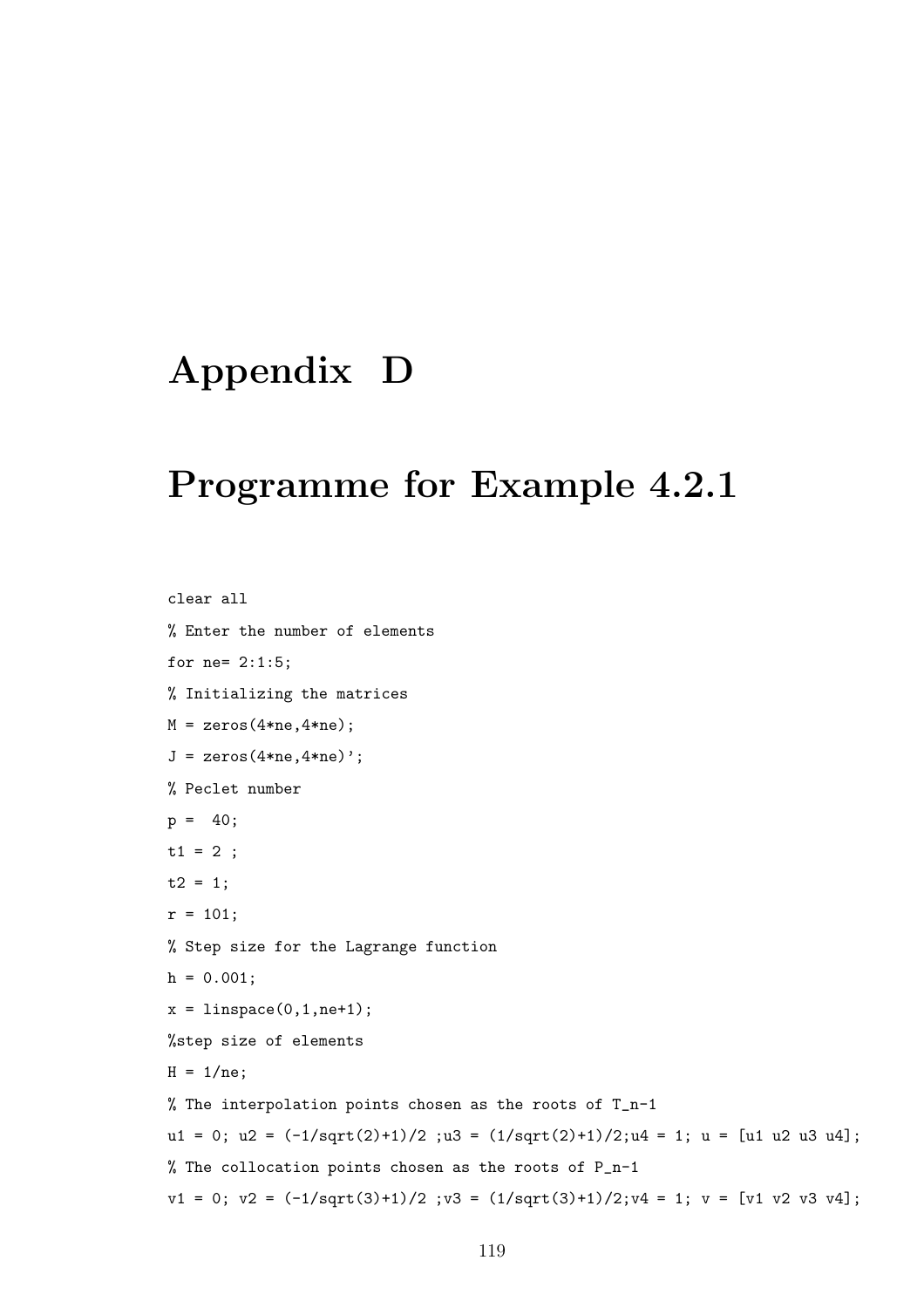# Appendix D

#### Programme for Example 4.2.1

clear all % Enter the number of elements for ne= 2:1:5; % Initializing the matrices  $M = zeros(4*ne, 4*ne);$  $J = zeros(4*ne, 4*ne)$ '; % Peclet number  $p = 40;$  $t1 = 2$ ;  $t2 = 1;$  $r = 101;$ % Step size for the Lagrange function  $h = 0.001$ ;  $x = 1$ inspace(0,1,ne+1); %step size of elements  $H = 1/ne;$ % The interpolation points chosen as the roots of T\_n-1 u1 = 0; u2 =  $(-1/\sqrt{2})+1)/2$ ; u3 =  $(1/\sqrt{2})+1)/2$ ; u4 = 1; u = [u1 u2 u3 u4]; % The collocation points chosen as the roots of P\_n-1  $v1 = 0$ ;  $v2 = (-1/sqrt(3)+1)/2$ ;  $v3 = (1/sqrt(3)+1)/2$ ;  $v4 = 1$ ;  $v = [v1 v2 v3 v4]$ ;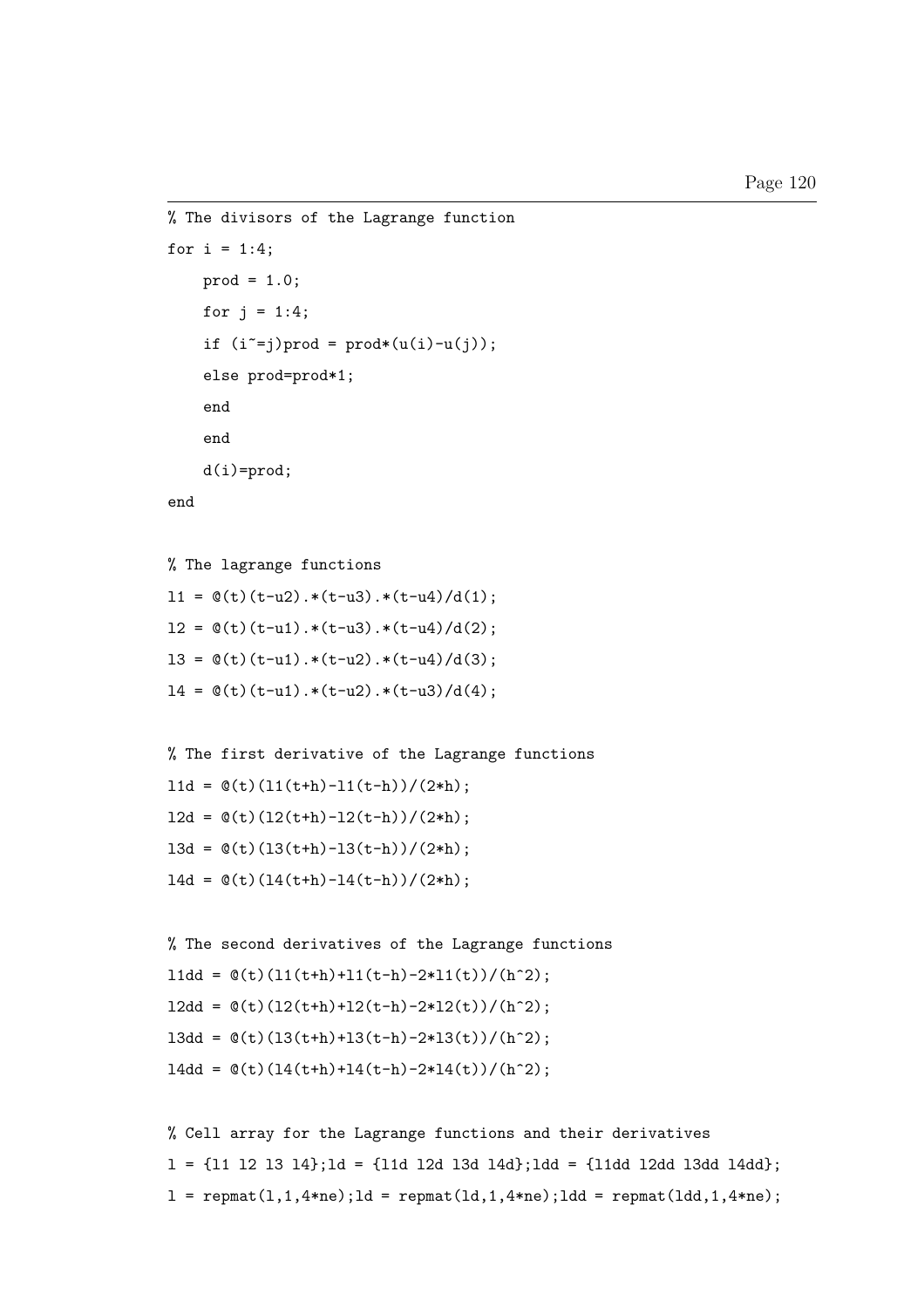```
% The divisors of the Lagrange function
for i = 1:4;
    prod = 1.0;
    for j = 1:4;if (i^*=j)prod = prod*(u(i)-u(j));else prod=prod*1;
    end
    end
    d(i)=\text{prod};end
```

```
% The lagrange functions
11 = \mathcal{O}(t)(t-u2) \cdot * (t-u3) \cdot * (t-u4) / d(1);12 = \mathcal{O}(t)(t-u1) \cdot * (t-u3) \cdot * (t-u4) / d(2);
```

```
13 = \mathcal{O}(t)(t-u1) \cdot * (t-u2) \cdot * (t-u4) / d(3);
```

```
14 = \mathcal{O}(t)(t-u1) \cdot * (t-u2) \cdot * (t-u3) / d(4);
```

```
% The first derivative of the Lagrange functions
11d = \mathcal{O}(t)(11(t+h)-11(t-h))/(2*h);12d = \mathcal{O}(t)(12(t+h)-12(t-h))/(2*h);13d = \mathcal{O}(t)(13(t+h)-13(t-h))/(2*h);14d = \mathcal{O}(t)(14(t+h)-14(t-h))/(2*h);
```

```
% The second derivatives of the Lagrange functions
l1dd = \mathbb{O}(t)(11(t+h)+11(t-h)-2*11(t))/(h^2);12dd = \mathcal{O}(t)(12(t+h)+12(t-h)-2*12(t))/(h^2);13dd = O(t)(13(t+h)+13(t-h)-2*13(t))/(h^2);14dd = \mathcal{O}(t)(14(t+h)+14(t-h)-2*14(t))/(h^2);
```

```
% Cell array for the Lagrange functions and their derivatives
l = {l1 l2 l3 l4};ld = {l1d l2d l3d l4d};ldd = {l1dd l2dd l3dd l4dd};
l = \text{repmat}(l,1,4\text{*ne});ld = \text{repmat}(ld,1,4\text{*ne});ldd = \text{repmat}(ldd,1,4\text{*ne});
```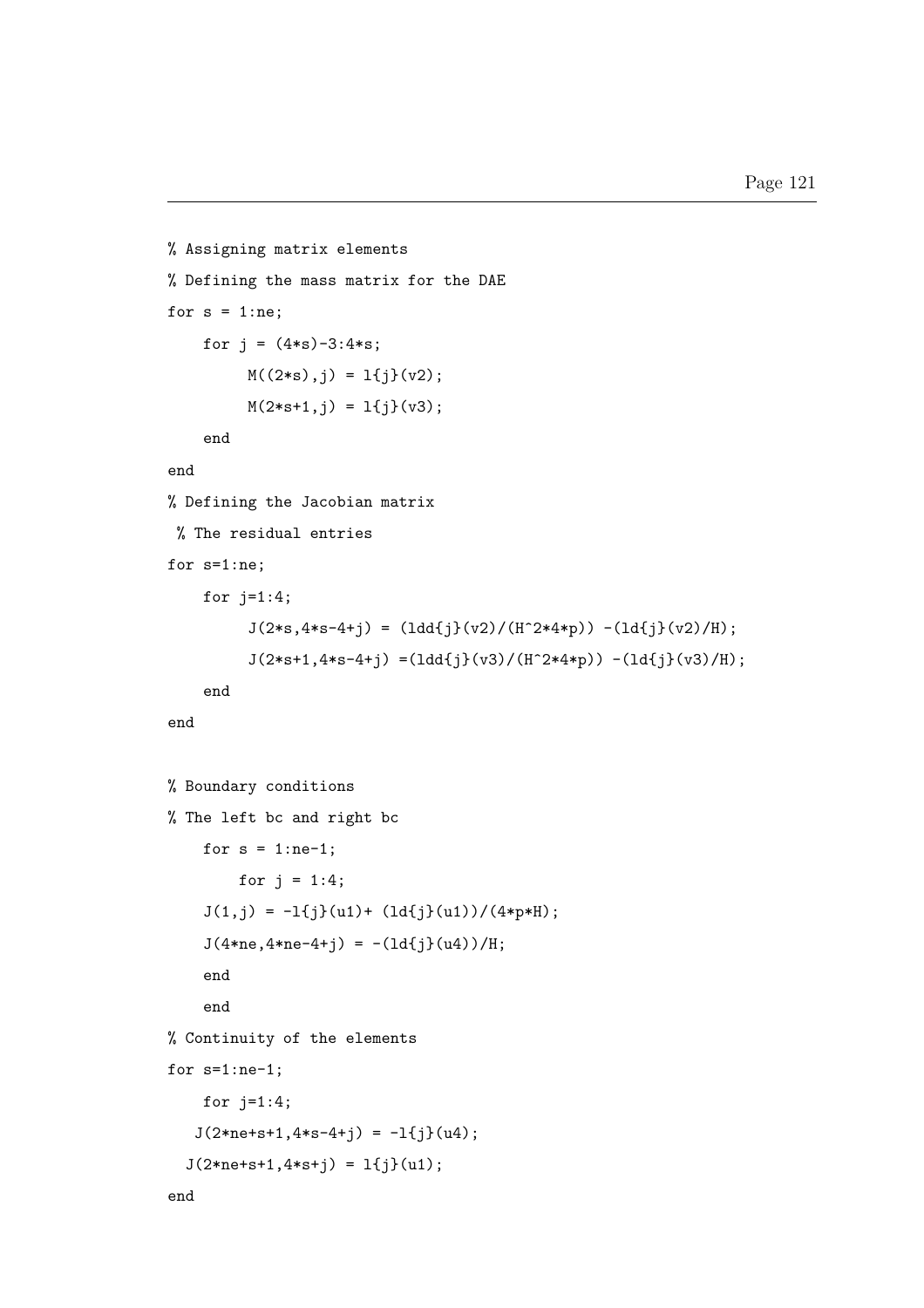```
% Assigning matrix elements
% Defining the mass matrix for the DAE
for s = 1:ne;for j = (4*s) - 3:4*s;M((2*s),j) = 1{j}(v2);M(2*s+1,j) = 1{j}(v3);end
end
% Defining the Jacobian matrix
 % The residual entries
for s=1:ne;
    for j=1:4;
         J(2*s, 4*s-4+j) = (1dd{j}(v2)/(H^2*4*p)) - (1dfj(v2)/H);J(2*s+1,4*s-4+j) = (1dd{j}(v3)/(H^2*4*p)) - (1dfj)(v3)/H);end
end
% Boundary conditions
% The left bc and right bc
    for s = 1:ne-1;
        for j = 1:4;
    J(1,j) = -1{j}(u1) + (1dfj(u1))/(4*p*H);J(4*ne, 4*ne-4+j) = -(1d{j}(u4))/H;end
    end
% Continuity of the elements
for s=1:ne-1;
    for j=1:4;
   J(2*ne+s+1, 4*s-4+j) = -1{j}(u4);J(2*ne+s+1, 4*s+j) = 1{j}(u1);end
```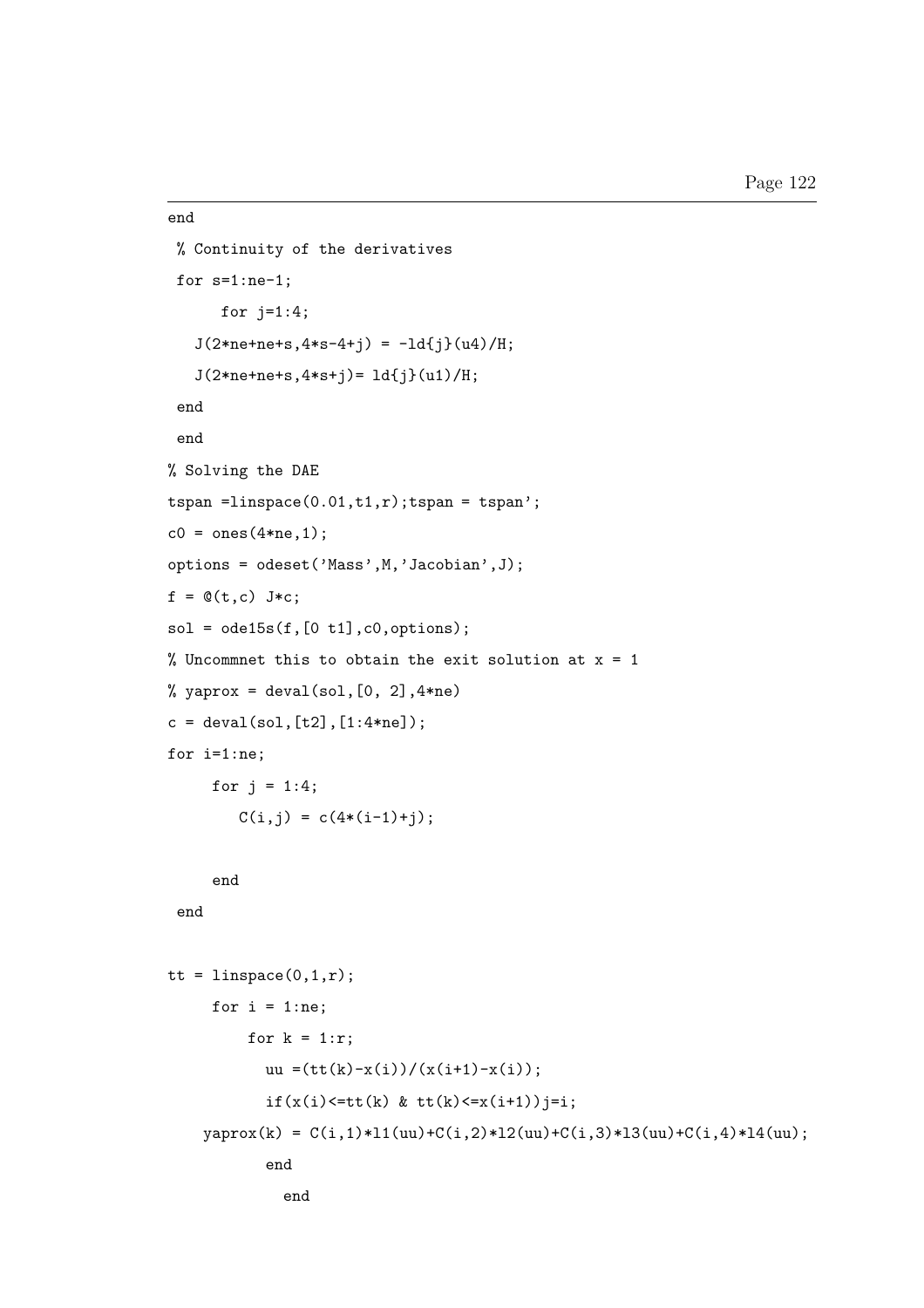```
end
% Continuity of the derivatives
for s=1:ne-1;
      for j=1:4;
   J(2*ne+ne+s, 4*s-4+j) = -ld{j}(u4)/H;J(2*ne+ne+s, 4*s+j)=1d{j}(u1)/H;end
end
% Solving the DAE
tspan =linspace(0.01, t1, r); tspan = tspan';
c0 = ones(4*ne, 1);options = odeset('Mass',M,'Jacobian',J);
f = \mathbb{Q}(t, c) J*c;
sol = ode15s(f,[0 t1],c0, options);% Uncommnet this to obtain the exit solution at x = 1% yaprox = deval(sol, [0, 2], 4*ne)
c = \text{deval}(\text{sol}, [t2], [1:4*ne]);
for i=1:ne;
     for j = 1:4;
        C(i, j) = C(4*(i-1)+j);end
 end
tt = linspace(0,1,r);
     for i = 1:ne;for k = 1:r;uu =(tt(k)-x(i))/(x(i+1)-x(i));if(x(i) \leq t t(k) \& t t(k) \leq x(i+1)) j = i;yaprox(k) = C(i,1)*11(uu) + C(i,2)*12(uu) + C(i,3)*13(uu) + C(i,4)*14(uu);end
              end
```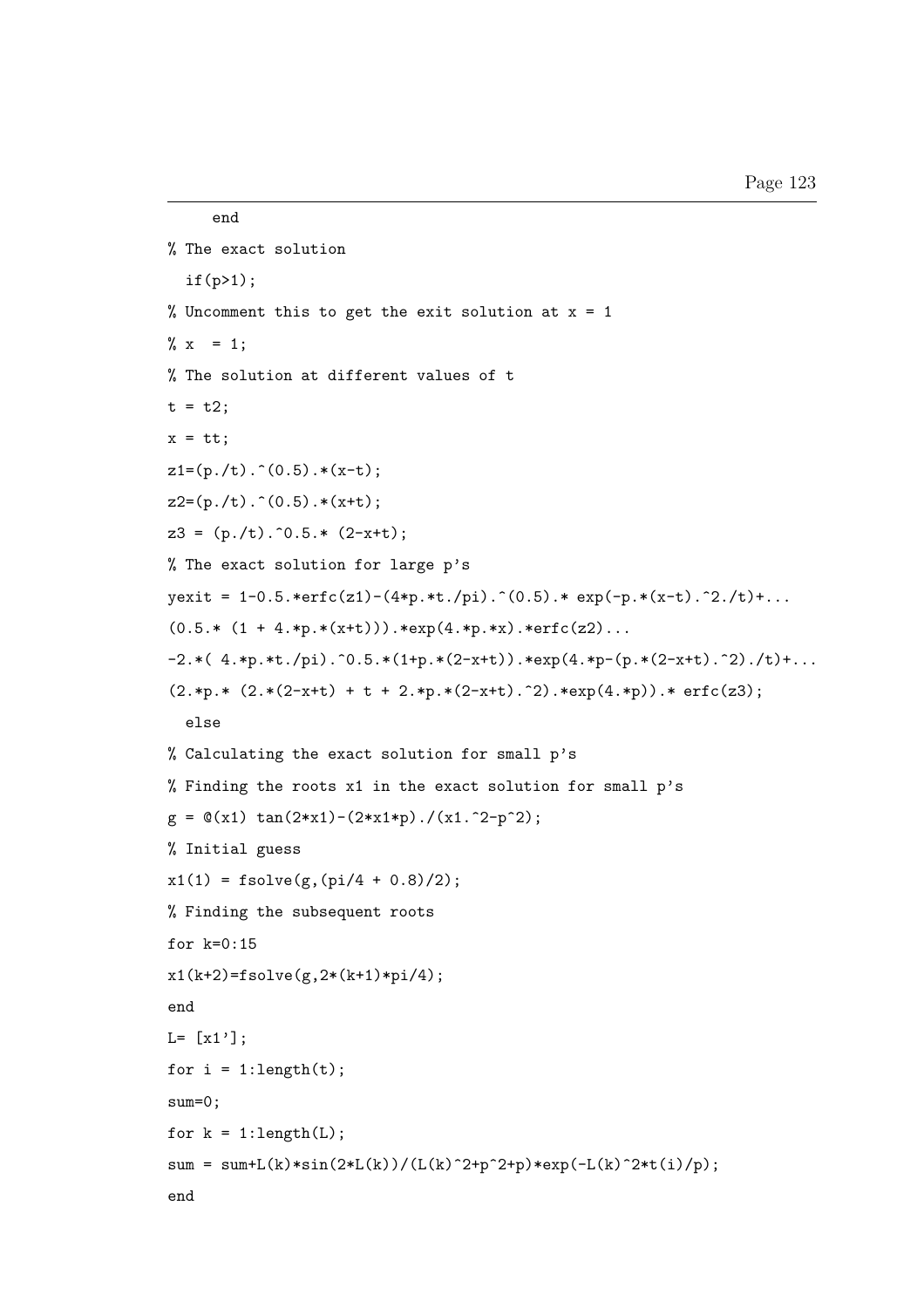```
end
% The exact solution
  if(p>1);
% Uncomment this to get the exit solution at x = 1\% x = 1;% The solution at different values of t
t = t2;
x = tt;z1=(p./t) \cdot (0.5) \cdot (x-t);z2=(p./t) \cdot (0.5) \cdot *(x+t);z3 = (p./t) . 0.5.* (2-x+t);% The exact solution for large p's
yexit = 1-0.5.*erfc(z1)-(4*p.*t./pi) \cdot (0.5)* exp(-p.*(x-t) \cdot ^2./t)+...(0.5.* (1 + 4.*p.*(x+t))).*exp(4.*p.*x).*erfc(z2)...-2.*( 4.*p.*t./pi).^0.5.*(1+p.*(2-x+t)).*exp(4.*p-(p.*(2-x+t).^2)./t)+...(2.*p.* (2.*(2-x+t) + t + 2.*p.*(2-x+t).^2).*exp(4.*p)).* erfc(z3);else
% Calculating the exact solution for small p's
% Finding the roots x1 in the exact solution for small p's
g = \mathbb{Q}(x1) \tan(2*x1) - (2*x1*p)./(x1.^2-p^2);
% Initial guess
x1(1) = fsolve(g, (pi/4 + 0.8)/2);% Finding the subsequent roots
for k=0:15
x1(k+2)=fsolve(g,2*(k+1)*pi/4);end
L = [x1'];
for i = 1: length(t);
sum=0;
for k = 1: length(L);
sum = sum+L(k)*sin(2*L(k))/(L(k)^2+p^2+p)*exp(-L(k)^2*t(1)/p);end
```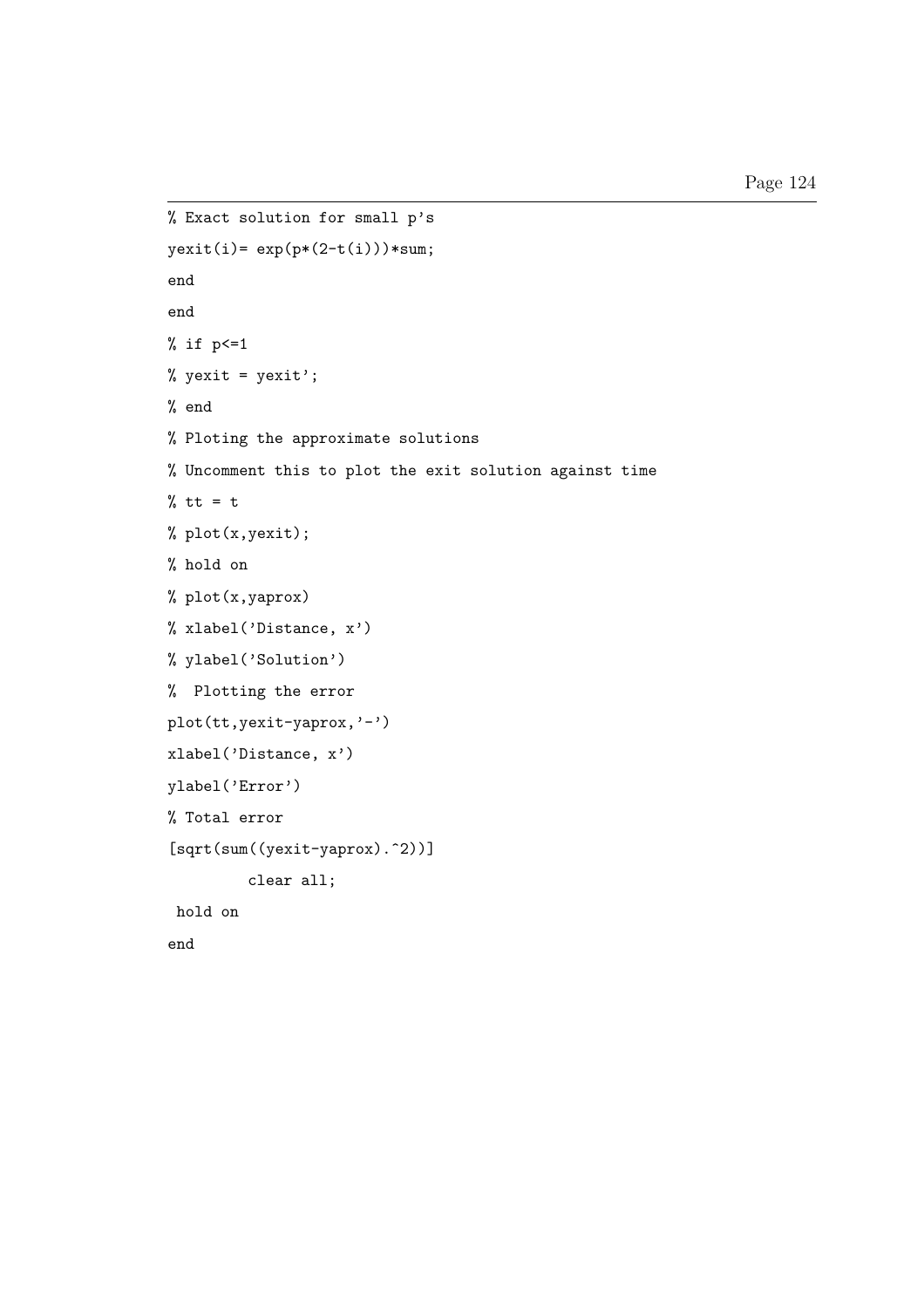```
% Exact solution for small p's
yexit(i)= exp(p*(2-t(i)))*sum;
end
end
% if p<=1
% yexit = yexit';
% end
% Ploting the approximate solutions
% Uncomment this to plot the exit solution against time
% tt = t% plot(x,yexit);
% hold on
% plot(x,yaprox)
% xlabel('Distance, x')
% ylabel('Solution')
% Plotting the error
plot(tt,yexit-yaprox,'-')
xlabel('Distance, x')
ylabel('Error')
% Total error
[sqrt(sum((yexit-yaprox).^2))]
         clear all;
hold on
end
```